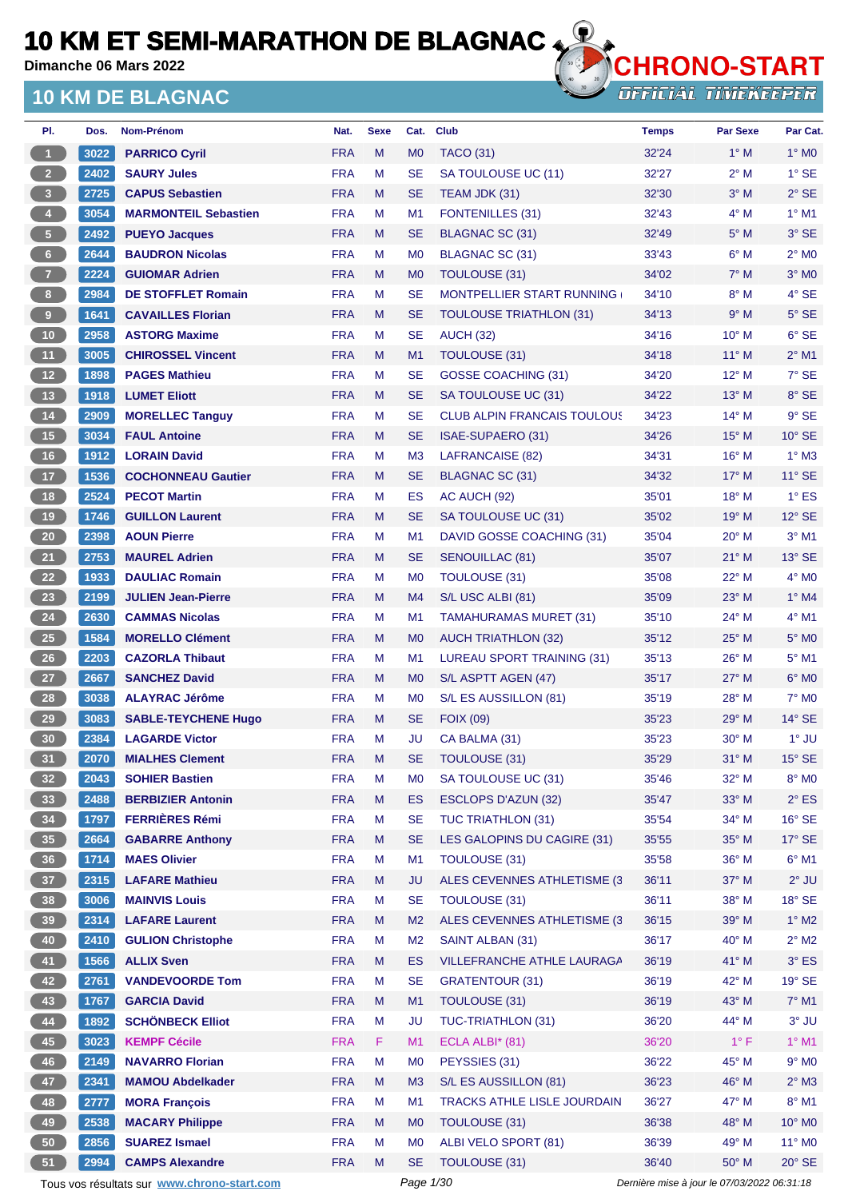**Dimanche 06 Mars 2022**

## **10 KM DE BLAGNAC**



**OFFICIAL TIMEKEEPER** 

| PI.                     | Dos. | Nom-Prénom                  | Nat.       | <b>Sexe</b> | Cat.           | <b>Club</b>                        | <b>Temps</b> | Par Sexe       | Par Cat.        |
|-------------------------|------|-----------------------------|------------|-------------|----------------|------------------------------------|--------------|----------------|-----------------|
| $\overline{1}$          | 3022 | <b>PARRICO Cyril</b>        | <b>FRA</b> | M           | M <sub>0</sub> | <b>TACO (31)</b>                   | 32'24        | $1^\circ$ M    | $1^\circ$ MO    |
| 2 <sup>2</sup>          | 2402 | <b>SAURY Jules</b>          | <b>FRA</b> | M           | <b>SE</b>      | SA TOULOUSE UC (11)                | 32'27        | $2^{\circ}$ M  | $1^\circ$ SE    |
| $\overline{\mathbf{3}}$ | 2725 | <b>CAPUS Sebastien</b>      | <b>FRA</b> | M           | SE             | TEAM JDK (31)                      | 32'30        | $3^\circ$ M    | $2°$ SE         |
| $\overline{4}$          | 3054 | <b>MARMONTEIL Sebastien</b> | <b>FRA</b> | M           | M1             | <b>FONTENILLES (31)</b>            | 32'43        | $4^\circ$ M    | $1^\circ$ M1    |
| 5 <sub>1</sub>          | 2492 | <b>PUEYO Jacques</b>        | <b>FRA</b> | M           | <b>SE</b>      | BLAGNAC SC (31)                    | 32'49        | $5^\circ$ M    | $3°$ SE         |
| $6 -$                   | 2644 | <b>BAUDRON Nicolas</b>      | <b>FRA</b> | M           | M <sub>0</sub> | BLAGNAC SC (31)                    | 33'43        | $6^\circ$ M    | $2^{\circ}$ MO  |
| $\overline{7}$          | 2224 | <b>GUIOMAR Adrien</b>       | <b>FRA</b> | M           | M <sub>0</sub> | <b>TOULOUSE (31)</b>               | 34'02        | $7^\circ$ M    | $3°$ MO         |
| $\,$ 8                  | 2984 | <b>DE STOFFLET Romain</b>   | <b>FRA</b> | M           | SE             | <b>MONTPELLIER START RUNNING</b>   | 34'10        | $8^\circ$ M    | $4^\circ$ SE    |
| $\overline{9}$          | 1641 | <b>CAVAILLES Florian</b>    | <b>FRA</b> | M           | <b>SE</b>      | <b>TOULOUSE TRIATHLON (31)</b>     | 34'13        | 9° M           | $5^\circ$ SE    |
| $10$                    | 2958 | <b>ASTORG Maxime</b>        | <b>FRA</b> | M           | SE             | <b>AUCH (32)</b>                   | 34'16        | $10^{\circ}$ M | $6°$ SE         |
| 11                      | 3005 | <b>CHIROSSEL Vincent</b>    | <b>FRA</b> | M           | M1             | TOULOUSE (31)                      | 34'18        | $11^{\circ}$ M | $2^{\circ}$ M1  |
| 12                      | 1898 | <b>PAGES Mathieu</b>        | <b>FRA</b> | M           | <b>SE</b>      | <b>GOSSE COACHING (31)</b>         | 34'20        | $12^{\circ}$ M | $7°$ SE         |
| 13                      | 1918 | <b>LUMET Eliott</b>         | <b>FRA</b> | M           | SE             | SA TOULOUSE UC (31)                | 34'22        | $13^{\circ}$ M | 8° SE           |
| 14                      | 2909 | <b>MORELLEC Tanguy</b>      | <b>FRA</b> | M           | SE             | <b>CLUB ALPIN FRANCAIS TOULOUS</b> | 34'23        | $14^{\circ}$ M | $9^{\circ}$ SE  |
| 15                      | 3034 | <b>FAUL Antoine</b>         | <b>FRA</b> | M           | SE             | ISAE-SUPAERO (31)                  | 34'26        | $15^{\circ}$ M | $10^{\circ}$ SE |
| 16                      | 1912 | <b>LORAIN David</b>         | <b>FRA</b> | M           | M <sub>3</sub> | LAFRANCAISE (82)                   | 34'31        | 16° M          | $1^\circ$ M3    |
| 17 <sup>°</sup>         | 1536 | <b>COCHONNEAU Gautier</b>   | <b>FRA</b> | M           | SE             | <b>BLAGNAC SC (31)</b>             | 34'32        | $17^\circ$ M   | $11^{\circ}$ SE |
| <b>18</b>               | 2524 | <b>PECOT Martin</b>         | <b>FRA</b> | M           | <b>ES</b>      | AC AUCH (92)                       | 35'01        | 18° M          | $1^\circ$ ES    |
| 19                      | 1746 | <b>GUILLON Laurent</b>      | <b>FRA</b> | M           | <b>SE</b>      | SA TOULOUSE UC (31)                | 35'02        | $19^{\circ}$ M | $12^\circ$ SE   |
| $20\,$                  | 2398 | <b>AOUN Pierre</b>          | <b>FRA</b> | M           | M1             | DAVID GOSSE COACHING (31)          | 35'04        | $20^{\circ}$ M | $3^\circ$ M1    |
| 21                      | 2753 | <b>MAUREL Adrien</b>        | <b>FRA</b> | M           | SE             | <b>SENOUILLAC (81)</b>             | 35'07        | $21^{\circ}$ M | $13^\circ$ SE   |
| 22                      | 1933 | <b>DAULIAC Romain</b>       | <b>FRA</b> | M           | M <sub>0</sub> | TOULOUSE (31)                      | 35'08        | 22° M          | $4^\circ$ MO    |
| 23                      | 2199 | <b>JULIEN Jean-Pierre</b>   | <b>FRA</b> | M           | M4             | S/L USC ALBI (81)                  | 35'09        | $23^\circ$ M   | $1^\circ$ M4    |
| 24                      | 2630 | <b>CAMMAS Nicolas</b>       | <b>FRA</b> | M           | M <sub>1</sub> | <b>TAMAHURAMAS MURET (31)</b>      | 35'10        | 24° M          | $4°$ M1         |
| 25                      | 1584 | <b>MORELLO Clément</b>      | <b>FRA</b> | M           | M <sub>0</sub> | <b>AUCH TRIATHLON (32)</b>         | 35'12        | $25^{\circ}$ M | $5^\circ$ MO    |
| 26                      | 2203 | <b>CAZORLA Thibaut</b>      | <b>FRA</b> | M           | M1             | LUREAU SPORT TRAINING (31)         | 35'13        | $26^{\circ}$ M | $5^{\circ}$ M1  |
| 27                      | 2667 | <b>SANCHEZ David</b>        | <b>FRA</b> | M           | M <sub>0</sub> | S/L ASPTT AGEN (47)                | 35'17        | 27° M          | $6°$ MO         |
| 28                      | 3038 | <b>ALAYRAC Jérôme</b>       | <b>FRA</b> | M           | M <sub>0</sub> | S/L ES AUSSILLON (81)              | 35'19        | $28^{\circ}$ M | $7^\circ$ MO    |
| 29                      | 3083 | <b>SABLE-TEYCHENE Hugo</b>  | <b>FRA</b> | M           | SE             | <b>FOIX (09)</b>                   | 35'23        | $29°$ M        | $14^{\circ}$ SE |
| 30                      | 2384 | <b>LAGARDE Victor</b>       | <b>FRA</b> | M           | JU             | CA BALMA (31)                      | 35'23        | $30^\circ$ M   | $1^\circ$ JU    |
| 31                      | 2070 | <b>MIALHES Clement</b>      | <b>FRA</b> | M           | SE             | <b>TOULOUSE (31)</b>               | 35'29        | $31^\circ$ M   | $15^{\circ}$ SE |
| 32 <sub>2</sub>         | 2043 | <b>SOHIER Bastien</b>       | <b>FRA</b> | M           | M <sub>0</sub> | SA TOULOUSE UC (31)                | 35'46        | 32° M          | 8° MO           |
| 33                      | 2488 | <b>BERBIZIER Antonin</b>    | <b>FRA</b> | M           | ES             | <b>ESCLOPS D'AZUN (32)</b>         | 35'47        | 33° M          | $2^{\circ}$ ES  |
| 34                      | 1797 | <b>FERRIÈRES Rémi</b>       | <b>FRA</b> | M           | <b>SE</b>      | <b>TUC TRIATHLON (31)</b>          | 35'54        | $34^\circ$ M   | $16°$ SE        |
| 35                      | 2664 | <b>GABARRE Anthony</b>      | <b>FRA</b> | M           | <b>SE</b>      | LES GALOPINS DU CAGIRE (31)        | 35'55        | 35° M          | $17^\circ$ SE   |
| 36                      | 1714 | <b>MAES Olivier</b>         | <b>FRA</b> | M           | M1             | TOULOUSE (31)                      | 35'58        | 36° M          | $6^{\circ}$ M1  |
| 37 <sup>°</sup>         | 2315 | <b>LAFARE Mathieu</b>       | <b>FRA</b> | M           | <b>JU</b>      | ALES CEVENNES ATHLETISME (3        | 36'11        | 37° M          | $2^{\circ}$ JU  |
| 38                      | 3006 | <b>MAINVIS Louis</b>        | <b>FRA</b> | M           | <b>SE</b>      | <b>TOULOUSE (31)</b>               | 36'11        | 38° M          | $18^\circ$ SE   |
| 39                      | 2314 | <b>LAFARE Laurent</b>       | <b>FRA</b> | M           | M <sub>2</sub> | ALES CEVENNES ATHLETISME (3)       | 36'15        | 39° M          | $1^\circ$ M2    |
| 40                      | 2410 | <b>GULION Christophe</b>    | <b>FRA</b> | M           | M <sub>2</sub> | SAINT ALBAN (31)                   | 36'17        | 40° M          | $2^{\circ}$ M2  |
| 41                      | 1566 | <b>ALLIX Sven</b>           | <b>FRA</b> | M           | <b>ES</b>      | VILLEFRANCHE ATHLE LAURAGA         | 36'19        | 41° M          | $3^\circ$ ES    |
| 42                      | 2761 | <b>VANDEVOORDE Tom</b>      | <b>FRA</b> | M           | <b>SE</b>      | <b>GRATENTOUR (31)</b>             | 36'19        | 42° M          | $19°$ SE        |
| 43                      | 1767 | <b>GARCIA David</b>         | <b>FRA</b> | M           | M1             | TOULOUSE (31)                      | 36'19        | 43° M          | 7° M1           |
| 44                      | 1892 | <b>SCHÖNBECK Elliot</b>     | <b>FRA</b> | M           | JU             | TUC-TRIATHLON (31)                 | 36'20        | 44° M          | $3^\circ$ JU    |
| 45                      | 3023 | <b>KEMPF Cécile</b>         | <b>FRA</b> | F           | M1             | ECLA ALBI* (81)                    | 36'20        | $1^{\circ}$ F  | $1^\circ$ M1    |
| 46                      | 2149 | <b>NAVARRO Florian</b>      | <b>FRA</b> | M           | M <sub>0</sub> | PEYSSIES (31)                      | 36'22        | 45° M          | $9°$ MO         |
| 47                      | 2341 | <b>MAMOU Abdelkader</b>     | <b>FRA</b> | M           | M3             | S/L ES AUSSILLON (81)              | 36'23        | 46° M          | $2^\circ$ M3    |
| 48                      | 2777 | <b>MORA François</b>        | <b>FRA</b> | M           | M <sub>1</sub> | TRACKS ATHLE LISLE JOURDAIN        | 36'27        | 47° M          | $8^\circ$ M1    |
| 49                      | 2538 | <b>MACARY Philippe</b>      | <b>FRA</b> | M           | M <sub>0</sub> | TOULOUSE (31)                      | 36'38        | 48° M          | 10° MO          |
| 50 <sub>o</sub>         | 2856 | <b>SUAREZ Ismael</b>        | <b>FRA</b> | M           | M <sub>0</sub> | ALBI VELO SPORT (81)               | 36'39        | 49° M          | $11^{\circ}$ MO |
| 51                      | 2994 | <b>CAMPS Alexandre</b>      | <b>FRA</b> | M           | <b>SE</b>      | TOULOUSE (31)                      | 36'40        | 50° M          | $20^\circ$ SE   |

Tous vos résultats sur **[www.chrono-start.com](https://www.chrono-start.com/)** Page 1/30 Page 1/30 Dernière mise à jour le 07/03/2022 06:31:18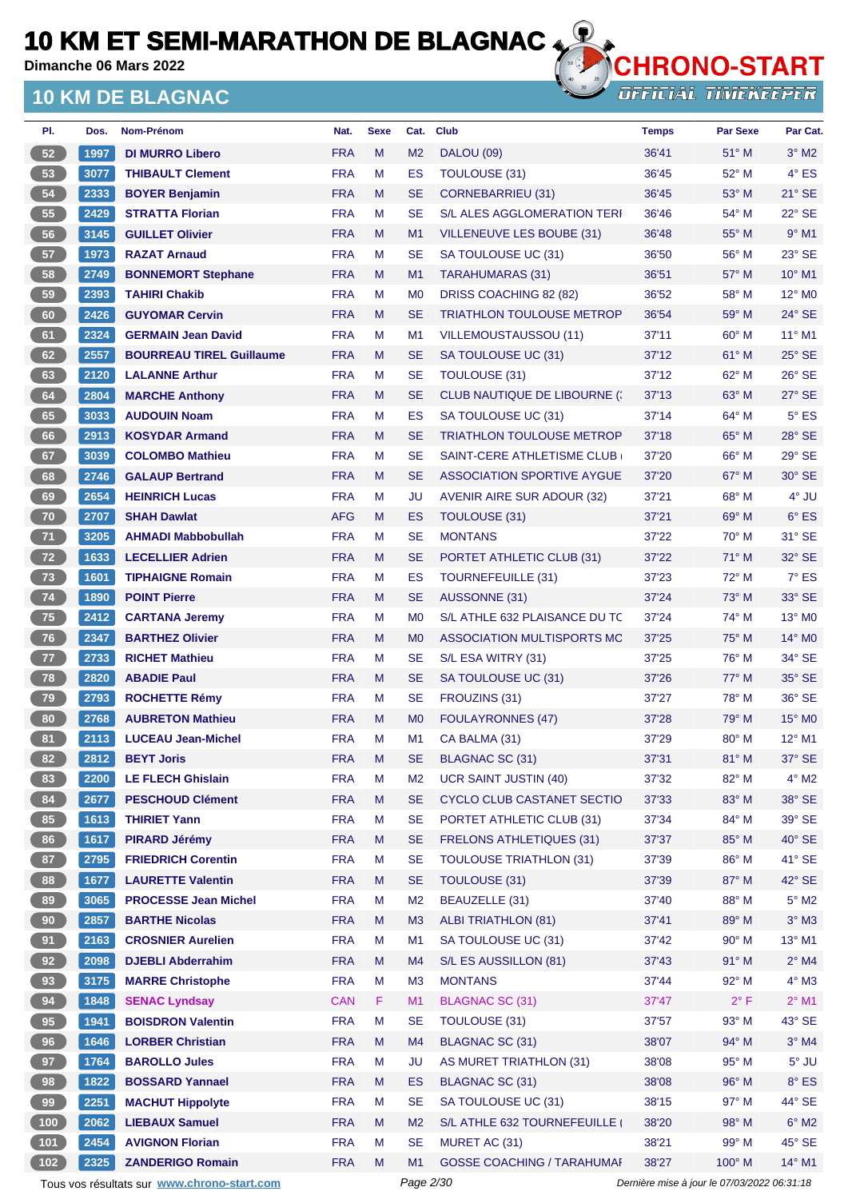**Dimanche 06 Mars 2022**

## **10 KM DE BLAGNAC**



| PI.             | Dos.                 | <b>Nom-Prénom</b>               | Nat.       | <b>Sexe</b> | Cat.           | <b>Club</b>                         | <b>Temps</b> | <b>Par Sexe</b> | Par Cat.                    |
|-----------------|----------------------|---------------------------------|------------|-------------|----------------|-------------------------------------|--------------|-----------------|-----------------------------|
| 52              | 1997                 | <b>DI MURRO Libero</b>          | <b>FRA</b> | M           | M <sub>2</sub> | <b>DALOU (09)</b>                   | 36'41        | $51^\circ$ M    | $3^\circ$ M2                |
| 53              | 3077                 | <b>THIBAULT Clement</b>         | <b>FRA</b> | M           | ES             | TOULOUSE (31)                       | 36'45        | $52^{\circ}$ M  | $4^{\circ}$ ES              |
| 54              | 2333                 | <b>BOYER Benjamin</b>           | <b>FRA</b> | M           | <b>SE</b>      | <b>CORNEBARRIEU (31)</b>            | 36'45        | $53^\circ$ M    | $21^\circ$ SE               |
| 55              | 2429                 | <b>STRATTA Florian</b>          | <b>FRA</b> | м           | <b>SE</b>      | <b>S/L ALES AGGLOMERATION TERI</b>  | 36'46        | $54^{\circ}$ M  | $22^{\circ}$ SE             |
| 56              | 3145                 | <b>GUILLET Olivier</b>          | <b>FRA</b> | M           | M <sub>1</sub> | VILLENEUVE LES BOUBE (31)           | 36'48        | $55^{\circ}$ M  | $9°$ M1                     |
| 57              | 1973                 | <b>RAZAT Arnaud</b>             | <b>FRA</b> | М           | <b>SE</b>      | SA TOULOUSE UC (31)                 | 36'50        | $56^{\circ}$ M  | $23^\circ$ SE               |
| 58              | 2749                 | <b>BONNEMORT Stephane</b>       | <b>FRA</b> | M           | M <sub>1</sub> | TARAHUMARAS (31)                    | 36'51        | $57^\circ$ M    | $10^{\circ}$ M1             |
| 59              | 2393                 | <b>TAHIRI Chakib</b>            | <b>FRA</b> | м           | M <sub>0</sub> | DRISS COACHING 82 (82)              | 36'52        | $58^{\circ}$ M  | $12^{\circ}$ M <sub>0</sub> |
| 60              | 2426                 | <b>GUYOMAR Cervin</b>           | <b>FRA</b> | M           | <b>SE</b>      | <b>TRIATHLON TOULOUSE METROP</b>    | 36'54        | 59° M           | 24° SE                      |
| 61              | 2324                 | <b>GERMAIN Jean David</b>       | <b>FRA</b> | М           | M1             | VILLEMOUSTAUSSOU (11)               | 37'11        | $60^{\circ}$ M  | $11^{\circ}$ M1             |
| 62              | 2557                 | <b>BOURREAU TIREL Guillaume</b> | <b>FRA</b> | м           | <b>SE</b>      | SA TOULOUSE UC (31)                 | 37'12        | $61^\circ$ M    | $25^\circ$ SE               |
| 63              | 2120                 | <b>LALANNE Arthur</b>           | <b>FRA</b> | M           | <b>SE</b>      | TOULOUSE (31)                       | 37'12        | $62^{\circ}$ M  | $26^\circ$ SE               |
| 64              | 2804                 | <b>MARCHE Anthony</b>           | <b>FRA</b> | M           | <b>SE</b>      | <b>CLUB NAUTIQUE DE LIBOURNE (:</b> | 37'13        | $63^\circ$ M    | $27^\circ$ SE               |
| 65              | 3033                 | <b>AUDOUIN Noam</b>             | <b>FRA</b> | М           | ES             | SA TOULOUSE UC (31)                 | 37'14        | 64° M           | $5^{\circ}$ ES              |
| 66              | 2913                 | <b>KOSYDAR Armand</b>           | <b>FRA</b> | M           | <b>SE</b>      | <b>TRIATHLON TOULOUSE METROP</b>    | 37'18        | $65^\circ$ M    | $28^\circ$ SE               |
| 67              | 3039                 | <b>COLOMBO Mathieu</b>          | <b>FRA</b> | м           | <b>SE</b>      | SAINT-CERE ATHLETISME CLUB          | 37'20        | $66^{\circ}$ M  | $29^{\circ}$ SE             |
| 68              | 2746                 | <b>GALAUP Bertrand</b>          | <b>FRA</b> | M           | <b>SE</b>      | <b>ASSOCIATION SPORTIVE AYGUE</b>   | 37'20        | $67^\circ$ M    | $30^\circ$ SE               |
| 69              | 2654                 | <b>HEINRICH Lucas</b>           | <b>FRA</b> | М           | JU             | <b>AVENIR AIRE SUR ADOUR (32)</b>   | 37'21        | $68^{\circ}$ M  | $4^\circ$ JU                |
| 70              | 2707                 | <b>SHAH Dawlat</b>              | <b>AFG</b> | м           | ES             | <b>TOULOUSE (31)</b>                | 37'21        | $69^\circ$ M    | $6^{\circ}$ ES              |
| 71              | 3205                 | <b>AHMADI Mabbobullah</b>       | <b>FRA</b> | М           | <b>SE</b>      | <b>MONTANS</b>                      | 37'22        | $70^\circ$ M    | 31° SE                      |
| 72              | 1633                 | <b>LECELLIER Adrien</b>         | <b>FRA</b> | M           | <b>SE</b>      | PORTET ATHLETIC CLUB (31)           | 37'22        | $71^\circ$ M    | $32^\circ$ SE               |
| 73              | 1601                 | <b>TIPHAIGNE Romain</b>         | <b>FRA</b> | м           | ES             | <b>TOURNEFEUILLE (31)</b>           | 37'23        | $72^{\circ}$ M  | $7^\circ$ ES                |
| 74              | 1890                 | <b>POINT Pierre</b>             | <b>FRA</b> | M           | <b>SE</b>      | AUSSONNE (31)                       | 37'24        | 73° M           | $33^\circ$ SE               |
| 75              | 2412                 | <b>CARTANA Jeremy</b>           | <b>FRA</b> | M           | M <sub>0</sub> | S/L ATHLE 632 PLAISANCE DU TC       | 37'24        | 74° M           | $13^\circ$ M <sub>0</sub>   |
| 76              | 2347                 | <b>BARTHEZ Olivier</b>          | <b>FRA</b> | M           | M <sub>0</sub> | ASSOCIATION MULTISPORTS MC          | 37'25        | $75^\circ$ M    | 14° MO                      |
| $\overline{77}$ | 2733                 | <b>RICHET Mathieu</b>           | <b>FRA</b> | М           | <b>SE</b>      | S/L ESA WITRY (31)                  | 37'25        | 76° M           | $34^\circ$ SE               |
| 78              | 2820                 | <b>ABADIE Paul</b>              | <b>FRA</b> | M           | <b>SE</b>      | SA TOULOUSE UC (31)                 | 37'26        | $77^\circ$ M    | $35^\circ$ SE               |
| 79              | 2793                 | <b>ROCHETTE Rémy</b>            | <b>FRA</b> | М           | <b>SE</b>      | FROUZINS (31)                       | 37'27        | 78° M           | $36^\circ$ SE               |
| 80              | 2768                 | <b>AUBRETON Mathieu</b>         | <b>FRA</b> | M           | M <sub>0</sub> | <b>FOULAYRONNES (47)</b>            | 37'28        | $79^\circ$ M    | $15^\circ$ MO               |
| 81              | 2113                 | <b>LUCEAU Jean-Michel</b>       | <b>FRA</b> | M           | M1             | CA BALMA (31)                       | 37'29        | $80^\circ$ M    | $12^{\circ}$ M1             |
| 82)             | $\vert$ 2812 $\vert$ | <b>BEYT Joris</b>               | <b>FRA</b> | M           | <b>SE</b>      | BLAGNAC SC (31)                     | 37'31        | 81° M           | 37° SE                      |
| 83              | <b>2200</b>          | <b>LE FLECH Ghislain</b>        | <b>FRA</b> | M           | M <sub>2</sub> | <b>UCR SAINT JUSTIN (40)</b>        | 37'32        | $82^{\circ}$ M  | $4^\circ$ M2                |
| 84              | 2677                 | <b>PESCHOUD Clément</b>         | <b>FRA</b> | M           | <b>SE</b>      | <b>CYCLO CLUB CASTANET SECTIO</b>   | 37'33        | 83° M           | 38° SE                      |
| 85              | 1613                 | <b>THIRIET Yann</b>             | <b>FRA</b> | M           | <b>SE</b>      | PORTET ATHLETIC CLUB (31)           | 37'34        | 84° M           | 39° SE                      |
| 86              | 1617                 | <b>PIRARD Jérémy</b>            | <b>FRA</b> | Μ           | <b>SE</b>      | <b>FRELONS ATHLETIQUES (31)</b>     | 37'37        | 85° M           | $40^\circ$ SE               |
| 87              | 2795                 | <b>FRIEDRICH Corentin</b>       | <b>FRA</b> | М           | <b>SE</b>      | <b>TOULOUSE TRIATHLON (31)</b>      | 37'39        | 86° M           | 41° SE                      |
| 88              | 1677                 | <b>LAURETTE Valentin</b>        | <b>FRA</b> | Μ           | <b>SE</b>      | TOULOUSE (31)                       | 37'39        | 87° M           | $42^\circ$ SE               |
| 89              | 3065                 | <b>PROCESSE Jean Michel</b>     | <b>FRA</b> | M           | M <sub>2</sub> | BEAUZELLE (31)                      | 37'40        | 88° M           | $5^\circ$ M2                |
| 90 <sub>o</sub> | 2857                 | <b>BARTHE Nicolas</b>           | <b>FRA</b> | M           | M <sub>3</sub> | <b>ALBI TRIATHLON (81)</b>          | 37'41        | 89° M           | $3^\circ$ M3                |
| 91              | 2163                 | <b>CROSNIER Aurelien</b>        | <b>FRA</b> | M           | M1             | SA TOULOUSE UC (31)                 | 37'42        | $90^\circ$ M    | 13° M1                      |
| 92              | 2098                 | <b>DJEBLI Abderrahim</b>        | <b>FRA</b> | Μ           | M4             | S/L ES AUSSILLON (81)               | 37'43        | $91^\circ$ M    | $2^\circ$ M4                |
| 93              | 3175                 | <b>MARRE Christophe</b>         | <b>FRA</b> | M           | M <sub>3</sub> | <b>MONTANS</b>                      | 37'44        | 92° M           | $4^\circ$ M3                |
| 94              | 1848                 | <b>SENAC Lyndsay</b>            | <b>CAN</b> | F           | M <sub>1</sub> | BLAGNAC SC (31)                     | 37'47        | $2^{\circ}$ F   | $2^{\circ}$ M1              |
| 95              | 1941                 | <b>BOISDRON Valentin</b>        | <b>FRA</b> | M           | <b>SE</b>      | TOULOUSE (31)                       | 37'57        | $93^\circ$ M    | 43° SE                      |
| 96              | 1646                 | <b>LORBER Christian</b>         | <b>FRA</b> | M           | M4             | <b>BLAGNAC SC (31)</b>              | 38'07        | 94° M           | $3^\circ$ M4                |
| 97              | 1764                 | <b>BAROLLO Jules</b>            | <b>FRA</b> | М           | JU             | AS MURET TRIATHLON (31)             | 38'08        | $95^\circ$ M    | $5^\circ$ JU                |
| 98              | 1822                 | <b>BOSSARD Yannael</b>          | <b>FRA</b> | Μ           | ES             | <b>BLAGNAC SC (31)</b>              | 38'08        | 96° M           | $8^\circ$ ES                |
| 99              | 2251                 | <b>MACHUT Hippolyte</b>         | <b>FRA</b> | M           | <b>SE</b>      | SA TOULOUSE UC (31)                 | 38'15        | $97^\circ$ M    | 44° SE                      |
| (100)           | 2062                 | <b>LIEBAUX Samuel</b>           | <b>FRA</b> | M           | M <sub>2</sub> | S/L ATHLE 632 TOURNEFEUILLE         | 38'20        | 98° M           | $6^\circ$ M2                |
| $101$           | 2454                 | <b>AVIGNON Florian</b>          | <b>FRA</b> | M           | <b>SE</b>      | MURET AC (31)                       | 38'21        | 99° M           | $45^{\circ}$ SE             |
| (102)           | 2325                 | <b>ZANDERIGO Romain</b>         | <b>FRA</b> | M           | M <sub>1</sub> | <b>GOSSE COACHING / TARAHUMAI</b>   | 38'27        | 100° M          | 14° M1                      |

Tous vos résultats sur **[www.chrono-start.com](https://www.chrono-start.com/)** Page 2/30 Page 2/30 Dernière mise à jour le 07/03/2022 06:31:18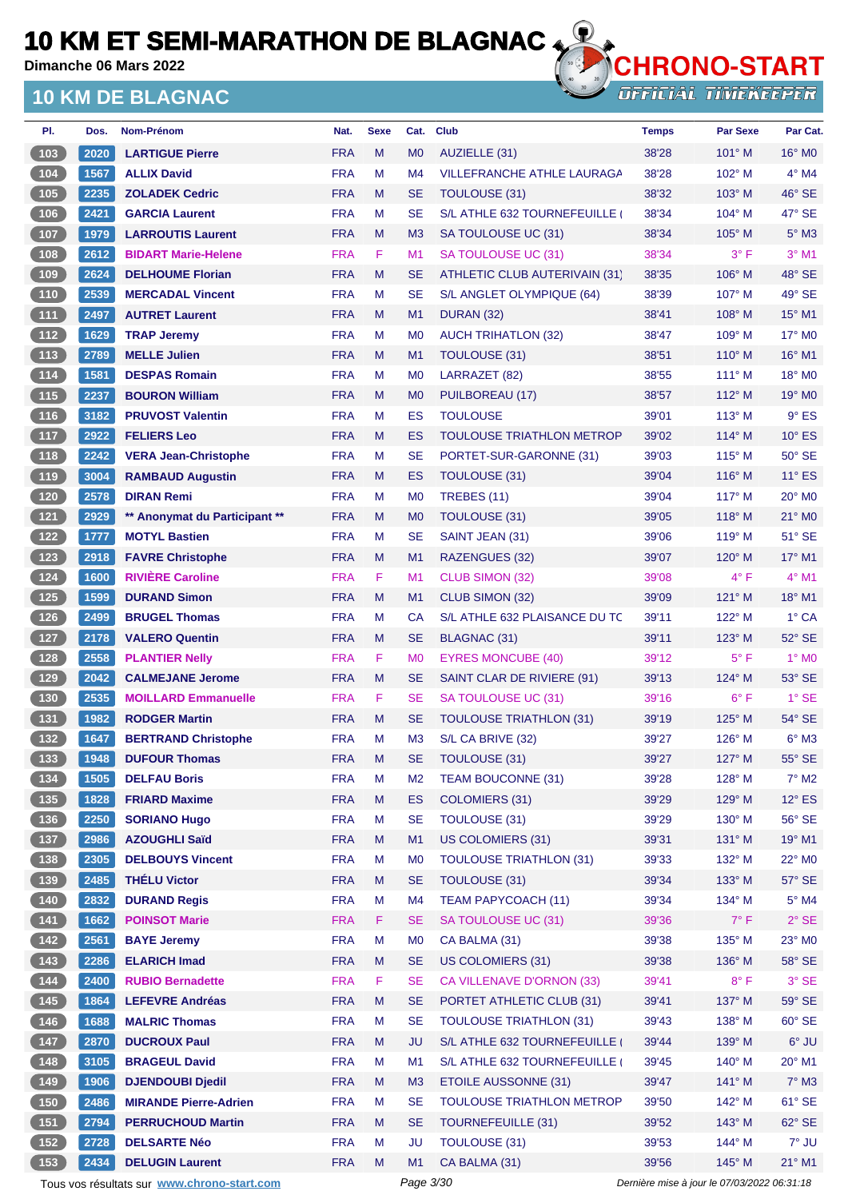**Dimanche 06 Mars 2022**

## **10 KM DE BLAGNAC**



| PI.                                              | Dos. | Nom-Prénom                                  | Nat.       | <b>Sexe</b> | Cat.           | <b>Club</b>                                           | <b>Temps</b> | <b>Par Sexe</b>                             | Par Cat.           |
|--------------------------------------------------|------|---------------------------------------------|------------|-------------|----------------|-------------------------------------------------------|--------------|---------------------------------------------|--------------------|
| (103)                                            | 2020 | <b>LARTIGUE Pierre</b>                      | <b>FRA</b> | M           | M <sub>0</sub> | AUZIELLE (31)                                         | 38'28        | 101° M                                      | $16^{\circ}$ MO    |
| $\begin{array}{c} \hline 104 \end{array}$        | 1567 | <b>ALLIX David</b>                          | <b>FRA</b> | M           | M <sub>4</sub> | <b>VILLEFRANCHE ATHLE LAURAGA</b>                     | 38'28        | 102° M                                      | $4^\circ$ M4       |
| (105)                                            | 2235 | <b>ZOLADEK Cedric</b>                       | <b>FRA</b> | M           | <b>SE</b>      | TOULOUSE (31)                                         | 38'32        | 103° M                                      | $46^{\circ}$ SE    |
| 106                                              | 2421 | <b>GARCIA Laurent</b>                       | <b>FRA</b> | М           | <b>SE</b>      | S/L ATHLE 632 TOURNEFEUILLE                           | 38'34        | $104^\circ$ M                               | 47° SE             |
| (107)                                            | 1979 | <b>LARROUTIS Laurent</b>                    | <b>FRA</b> | M           | M <sub>3</sub> | SA TOULOUSE UC (31)                                   | 38'34        | $105^\circ$ M                               | $5^\circ$ M3       |
| 108                                              | 2612 | <b>BIDART Marie-Helene</b>                  | <b>FRA</b> | F           | M1             | SA TOULOUSE UC (31)                                   | 38'34        | $3^{\circ}$ F                               | $3°$ M1            |
| (109                                             | 2624 | <b>DELHOUME Florian</b>                     | <b>FRA</b> | M           | <b>SE</b>      | ATHLETIC CLUB AUTERIVAIN (31)                         | 38'35        | $106^\circ$ M                               | 48° SE             |
| $\boxed{110}$                                    | 2539 | <b>MERCADAL Vincent</b>                     | <b>FRA</b> | М           | <b>SE</b>      | S/L ANGLET OLYMPIQUE (64)                             | 38'39        | 107° M                                      | 49° SE             |
| (111)                                            | 2497 | <b>AUTRET Laurent</b>                       | <b>FRA</b> | M           | M1             | DURAN (32)                                            | 38'41        | 108° M                                      | $15^{\circ}$ M1    |
| $112$                                            | 1629 | <b>TRAP Jeremy</b>                          | <b>FRA</b> | M           | M <sub>0</sub> | <b>AUCH TRIHATLON (32)</b>                            | 38'47        | $109^\circ$ M                               | 17° M0             |
| (113)                                            | 2789 | <b>MELLE Julien</b>                         | <b>FRA</b> | M           | M1             | TOULOUSE (31)                                         | 38'51        | $110^\circ$ M                               | 16° M1             |
| (114)                                            | 1581 | <b>DESPAS Romain</b>                        | <b>FRA</b> | М           | M <sub>0</sub> | LARRAZET (82)                                         | 38'55        | $111^\circ$ M                               | 18° M0             |
| (115)                                            | 2237 | <b>BOURON William</b>                       | <b>FRA</b> | M           | M <sub>0</sub> | PUILBOREAU (17)                                       | 38'57        | $112^{\circ}$ M                             | 19° M <sub>0</sub> |
| (116)                                            | 3182 | <b>PRUVOST Valentin</b>                     | <b>FRA</b> | М           | ES             | <b>TOULOUSE</b>                                       | 39'01        | $113^\circ$ M                               | $9°$ ES            |
| (117                                             | 2922 | <b>FELIERS Leo</b>                          | <b>FRA</b> | M           | ES             | <b>TOULOUSE TRIATHLON METROP</b>                      | 39'02        | $114^{\circ}$ M                             | $10^{\circ}$ ES    |
| $\begin{array}{c} \n \textbf{118}\n \end{array}$ | 2242 | <b>VERA Jean-Christophe</b>                 | <b>FRA</b> | M           | <b>SE</b>      | PORTET-SUR-GARONNE (31)                               | 39'03        | $115^\circ$ M                               | $50^\circ$ SE      |
| (119                                             | 3004 | <b>RAMBAUD Augustin</b>                     | <b>FRA</b> | M           | ES             | <b>TOULOUSE (31)</b>                                  | 39'04        | $116^\circ$ M                               | $11^{\circ}$ ES    |
| 120                                              | 2578 | <b>DIRAN Remi</b>                           | <b>FRA</b> | М           | M <sub>0</sub> | <b>TREBES (11)</b>                                    | 39'04        | $117^\circ$ M                               | $20^\circ$ MO      |
| (121)                                            | 2929 | ** Anonymat du Participant **               | <b>FRA</b> | M           | M <sub>0</sub> | <b>TOULOUSE (31)</b>                                  | 39'05        | $118^\circ$ M                               | $21^\circ$ MO      |
| 122                                              | 1777 | <b>MOTYL Bastien</b>                        | <b>FRA</b> | М           | <b>SE</b>      | SAINT JEAN (31)                                       | 39'06        | $119^\circ$ M                               | $51^\circ$ SE      |
| 123                                              | 2918 | <b>FAVRE Christophe</b>                     | <b>FRA</b> | M           | M1             | RAZENGUES (32)                                        | 39'07        | $120^\circ$ M                               | 17° M1             |
| $124$                                            | 1600 | <b>RIVIÈRE Caroline</b>                     | <b>FRA</b> | F           | M1             | CLUB SIMON (32)                                       | 39'08        | 4° F                                        | $4^{\circ}$ M1     |
| (125)                                            | 1599 | <b>DURAND Simon</b>                         | <b>FRA</b> | M           | M1             | CLUB SIMON (32)                                       | 39'09        | $121^\circ$ M                               | 18° M1             |
| $126$                                            | 2499 | <b>BRUGEL Thomas</b>                        | <b>FRA</b> | М           | CA             | S/L ATHLE 632 PLAISANCE DU TC                         | 39'11        | 122° M                                      | 1° CA              |
| (127)                                            | 2178 | <b>VALERO Quentin</b>                       | <b>FRA</b> | M           | <b>SE</b>      | BLAGNAC (31)                                          | 39'11        | $123^\circ$ M                               | 52° SE             |
| $128$                                            | 2558 | <b>PLANTIER Nelly</b>                       | <b>FRA</b> | F           | M <sub>0</sub> | <b>EYRES MONCUBE (40)</b>                             | 39'12        | $5^{\circ}$ F                               | $1^\circ$ MO       |
| (129)                                            | 2042 | <b>CALMEJANE Jerome</b>                     | <b>FRA</b> | M           | <b>SE</b>      | SAINT CLAR DE RIVIERE (91)                            | 39'13        | $124^\circ$ M                               | 53° SE             |
| $\boxed{130}$                                    | 2535 | <b>MOILLARD Emmanuelle</b>                  | <b>FRA</b> | F           | <b>SE</b>      |                                                       | 39'16        | $6^{\circ}$ F                               | $1°$ SE            |
| (131)                                            | 1982 | <b>RODGER Martin</b>                        | <b>FRA</b> | M           | <b>SE</b>      | SA TOULOUSE UC (31)<br><b>TOULOUSE TRIATHLON (31)</b> | 39'19        | $125^\circ$ M                               | 54° SE             |
| $\boxed{132}$                                    |      |                                             | <b>FRA</b> | М           | M <sub>3</sub> | S/L CA BRIVE (32)                                     | 39'27        | 126° M                                      | $6^\circ$ M3       |
|                                                  | 1647 | <b>BERTRAND Christophe</b>                  |            |             |                |                                                       |              |                                             |                    |
| (133)                                            | 1948 | <b>DUFOUR Thomas</b>                        | <b>FRA</b> | M           | SE             | <b>TOULOUSE (31)</b>                                  | 39'27        | $127^\circ$ M                               | 55° SE             |
| $134$                                            | 1505 | <b>DELFAU Boris</b>                         | <b>FRA</b> | M           | M <sub>2</sub> | <b>TEAM BOUCONNE (31)</b>                             | 39'28        | 128° M                                      | $7^\circ$ M2       |
| (135)                                            | 1828 | <b>FRIARD Maxime</b>                        | <b>FRA</b> | M           | ES             | <b>COLOMIERS (31)</b>                                 | 39'29        | 129° M                                      | $12^\circ$ ES      |
| $136$                                            | 2250 | <b>SORIANO Hugo</b>                         | <b>FRA</b> | M           | <b>SE</b>      | TOULOUSE (31)                                         | 39'29        | 130° M                                      | 56° SE             |
| (137)                                            | 2986 | <b>AZOUGHLI Saïd</b>                        | <b>FRA</b> | M           | M1             | <b>US COLOMIERS (31)</b>                              | 39'31        | $131^\circ$ M                               | 19° M1             |
| (138)                                            | 2305 | <b>DELBOUYS Vincent</b>                     | <b>FRA</b> | M           | M <sub>0</sub> | <b>TOULOUSE TRIATHLON (31)</b>                        | 39'33        | 132° M                                      | 22° MO             |
| (139)                                            | 2485 | <b>THELU Victor</b>                         | <b>FRA</b> | Μ           | <b>SE</b>      | TOULOUSE (31)                                         | 39'34        | 133° M                                      | $57^\circ$ SE      |
| $140$                                            | 2832 | <b>DURAND Regis</b>                         | <b>FRA</b> | M           | M4             | <b>TEAM PAPYCOACH (11)</b>                            | 39'34        | 134° M                                      | $5^\circ$ M4       |
| (141)                                            | 1662 | <b>POINSOT Marie</b>                        | <b>FRA</b> | F           | <b>SE</b>      | SA TOULOUSE UC (31)                                   | 39'36        | $7^\circ$ F                                 | $2^{\circ}$ SE     |
| $142$                                            | 2561 | <b>BAYE Jeremy</b>                          | <b>FRA</b> | M           | M <sub>0</sub> | CA BALMA (31)                                         | 39'38        | 135° M                                      | 23° MO             |
| (143)                                            | 2286 | <b>ELARICH Imad</b>                         | <b>FRA</b> | M           | <b>SE</b>      | US COLOMIERS (31)                                     | 39'38        | 136° M                                      | 58° SE             |
|                                                  | 2400 | <b>RUBIO Bernadette</b>                     | <b>FRA</b> | F           | <b>SE</b>      | CA VILLENAVE D'ORNON (33)                             | 39'41        | $8^{\circ}$ F                               | $3^\circ$ SE       |
| (145)                                            | 1864 | <b>LEFEVRE Andréas</b>                      | <b>FRA</b> | M           | <b>SE</b>      | PORTET ATHLETIC CLUB (31)                             | 39'41        | 137° M                                      | 59° SE             |
| (146)                                            | 1688 | <b>MALRIC Thomas</b>                        | <b>FRA</b> | M           | <b>SE</b>      | <b>TOULOUSE TRIATHLON (31)</b>                        | 39'43        | 138° M                                      | $60^\circ$ SE      |
| (147)                                            | 2870 | <b>DUCROUX Paul</b>                         | <b>FRA</b> | M           | <b>JU</b>      | S/L ATHLE 632 TOURNEFEUILLE                           | 39'44        | 139° M                                      | $6^{\circ}$ JU     |
| $148$                                            | 3105 | <b>BRAGEUL David</b>                        | <b>FRA</b> | M           | M1             | S/L ATHLE 632 TOURNEFEUILLE (                         | 39'45        | $140^\circ$ M                               | 20° M1             |
| (149)                                            | 1906 | <b>DJENDOUBI Djedil</b>                     | <b>FRA</b> | M           | M3             | <b>ETOILE AUSSONNE (31)</b>                           | 39'47        | $141^\circ$ M                               | $7^\circ$ M3       |
| $150$                                            | 2486 | <b>MIRANDE Pierre-Adrien</b>                | <b>FRA</b> | M           | <b>SE</b>      | TOULOUSE TRIATHLON METROP                             | 39'50        | 142° M                                      | $61^\circ$ SE      |
| (151)                                            | 2794 | <b>PERRUCHOUD Martin</b>                    | <b>FRA</b> | M           | <b>SE</b>      | <b>TOURNEFEUILLE (31)</b>                             | 39'52        | 143° M                                      | 62° SE             |
| $152$                                            | 2728 | <b>DELSARTE Néo</b>                         | <b>FRA</b> | M           | <b>JU</b>      | TOULOUSE (31)                                         | 39'53        | 144° M                                      | $7^\circ$ JU       |
| 153                                              | 2434 | <b>DELUGIN Laurent</b>                      | <b>FRA</b> | M           | M1             | CA BALMA (31)                                         | 39'56        | 145° M                                      | 21° M1             |
|                                                  |      | Tous vos résultats sur www.chrono-start.com |            |             | Page 3/30      |                                                       |              | Dernière mise à jour le 07/03/2022 06:31:18 |                    |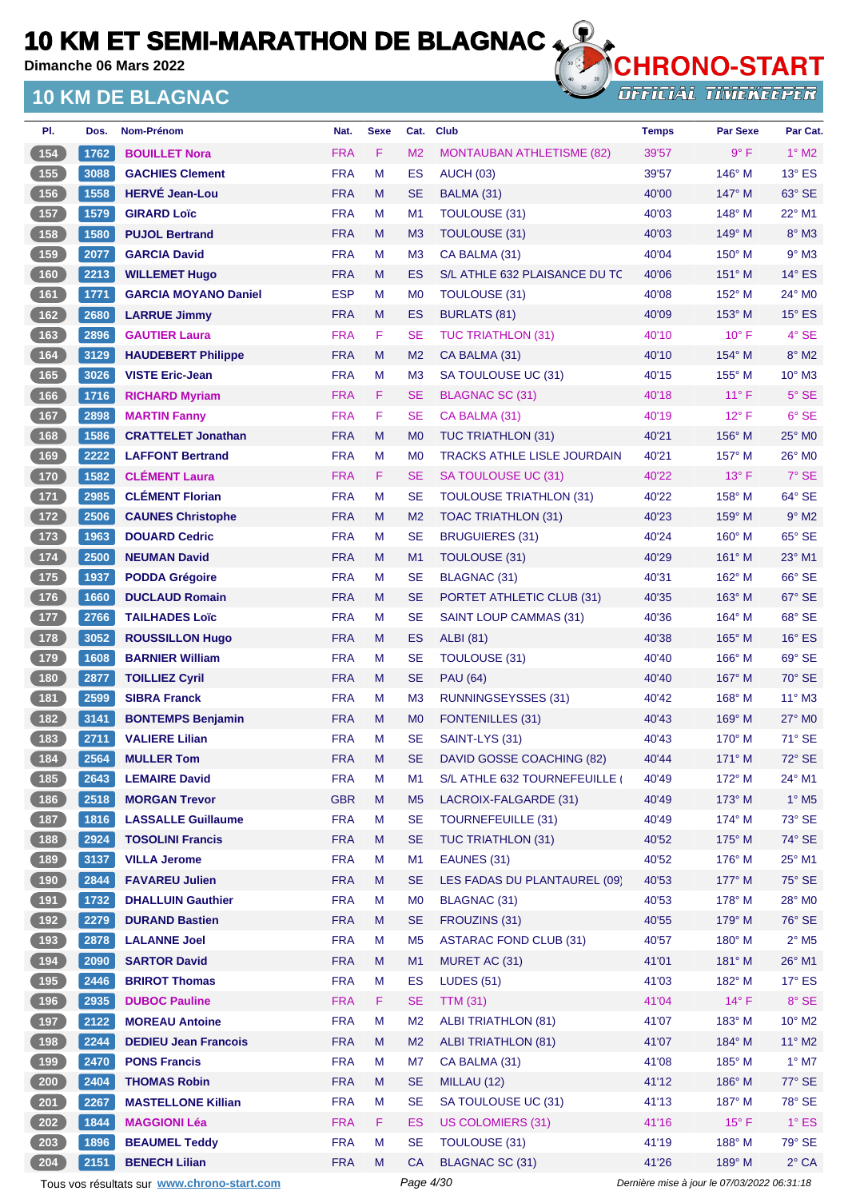**Dimanche 06 Mars 2022**

## **10 KM DE BLAGNAC**



OTHLOTTO OTHLUM

| PI.                                               | Dos. | Nom-Prénom                                  | Nat.       | <b>Sexe</b> | Cat.           | <b>Club</b>                        | <b>Temps</b>                                | <b>Par Sexe</b> | Par Cat.                 |
|---------------------------------------------------|------|---------------------------------------------|------------|-------------|----------------|------------------------------------|---------------------------------------------|-----------------|--------------------------|
| (154)                                             | 1762 | <b>BOUILLET Nora</b>                        | <b>FRA</b> | F           | M <sub>2</sub> | <b>MONTAUBAN ATHLETISME (82)</b>   | 39'57                                       | 9° F            | $1^\circ$ M2             |
| $\boxed{155}$                                     | 3088 | <b>GACHIES Clement</b>                      | <b>FRA</b> | M           | ES             | <b>AUCH (03)</b>                   | 39'57                                       | 146° M          | $13^\circ$ ES            |
| 156                                               | 1558 | <b>HERVÉ Jean-Lou</b>                       | <b>FRA</b> | M           | <b>SE</b>      | BALMA (31)                         | 40'00                                       | 147° M          | $63^\circ$ SE            |
| 157                                               | 1579 | <b>GIRARD Loïc</b>                          | <b>FRA</b> | М           | M <sub>1</sub> | <b>TOULOUSE (31)</b>               | 40'03                                       | $148^\circ$ M   | $22^{\circ}$ M1          |
| (158)                                             | 1580 | <b>PUJOL Bertrand</b>                       | <b>FRA</b> | M           | M <sub>3</sub> | <b>TOULOUSE (31)</b>               | 40'03                                       | $149^\circ$ M   | 8° M3                    |
| 159                                               | 2077 | <b>GARCIA David</b>                         | <b>FRA</b> | М           | M <sub>3</sub> | CA BALMA (31)                      | 40'04                                       | $150^\circ$ M   | $9°$ M3                  |
| (160                                              | 2213 | <b>WILLEMET Hugo</b>                        | <b>FRA</b> | M           | ES             | S/L ATHLE 632 PLAISANCE DU TC      | 40'06                                       | $151^\circ$ M   | $14^{\circ}$ ES          |
| $\boxed{161}$                                     | 1771 | <b>GARCIA MOYANO Daniel</b>                 | <b>ESP</b> | М           | M <sub>0</sub> | <b>TOULOUSE (31)</b>               | 40'08                                       | $152^{\circ}$ M | $24^{\circ}$ MO          |
| (162)                                             | 2680 | <b>LARRUE Jimmy</b>                         | <b>FRA</b> | M           | ES             | <b>BURLATS (81)</b>                | 40'09                                       | 153° M          | $15^\circ$ ES            |
| 163                                               | 2896 | <b>GAUTIER Laura</b>                        | <b>FRA</b> | F           | <b>SE</b>      | <b>TUC TRIATHLON (31)</b>          | 40'10                                       | $10^{\circ}$ F  | 4° SE                    |
| 164                                               | 3129 | <b>HAUDEBERT Philippe</b>                   | <b>FRA</b> | M           | M <sub>2</sub> | CA BALMA (31)                      | 40'10                                       | 154° M          | $8^\circ$ M2             |
| 165                                               | 3026 | <b>VISTE Eric-Jean</b>                      | <b>FRA</b> | М           | M <sub>3</sub> | SA TOULOUSE UC (31)                | 40'15                                       | 155° M          | $10^{\circ}$ M3          |
| 166                                               | 1716 | <b>RICHARD Myriam</b>                       | <b>FRA</b> | F.          | <b>SE</b>      | BLAGNAC SC (31)                    | 40'18                                       | $11^{\circ}$ F  | $5^\circ$ SE             |
| $167$                                             | 2898 | <b>MARTIN Fanny</b>                         | <b>FRA</b> | F           | <b>SE</b>      | CA BALMA (31)                      | 40'19                                       | $12^{\circ}$ F  | $6°$ SE                  |
| (168)                                             | 1586 | <b>CRATTELET Jonathan</b>                   | <b>FRA</b> | M           | M <sub>0</sub> | <b>TUC TRIATHLON (31)</b>          | 40'21                                       | $156^\circ$ M   | 25° MO                   |
| $169$                                             | 2222 | <b>LAFFONT Bertrand</b>                     | <b>FRA</b> | M           | M <sub>0</sub> | <b>TRACKS ATHLE LISLE JOURDAIN</b> | 40'21                                       | $157^\circ$ M   | 26° M0                   |
| (170)                                             | 1582 | <b>CLÉMENT Laura</b>                        | <b>FRA</b> | F.          | <b>SE</b>      | SA TOULOUSE UC (31)                | 40'22                                       | $13^{\circ}$ F  | 7° SE                    |
| $\begin{array}{c} \boxed{171} \end{array}$        | 2985 | <b>CLÉMENT Florian</b>                      | <b>FRA</b> | M           | <b>SE</b>      | <b>TOULOUSE TRIATHLON (31)</b>     | 40'22                                       | 158° M          | 64° SE                   |
| (172)                                             | 2506 | <b>CAUNES Christophe</b>                    | <b>FRA</b> | M           | M <sub>2</sub> | TOAC TRIATHLON (31)                | 40'23                                       | $159^\circ$ M   | $9°$ M2                  |
| $\begin{array}{c} \boxed{173} \end{array}$        | 1963 | <b>DOUARD Cedric</b>                        | <b>FRA</b> | М           | <b>SE</b>      | <b>BRUGUIERES (31)</b>             | 40'24                                       | $160^\circ$ M   | 65° SE                   |
| $-174$                                            | 2500 | <b>NEUMAN David</b>                         | <b>FRA</b> | M           | M <sub>1</sub> |                                    | 40'29                                       | $161^\circ$ M   | 23° M1                   |
|                                                   |      |                                             | <b>FRA</b> |             | <b>SE</b>      | TOULOUSE (31)                      | 40'31                                       |                 | 66° SE                   |
| $\boxed{175}$                                     | 1937 | <b>PODDA Grégoire</b>                       |            | М           |                | <b>BLAGNAC (31)</b>                |                                             | $162^\circ$ M   |                          |
| (176)                                             | 1660 | <b>DUCLAUD Romain</b>                       | <b>FRA</b> | M           | <b>SE</b>      | PORTET ATHLETIC CLUB (31)          | 40'35                                       | 163° M          | 67° SE                   |
| $\begin{array}{c} \hline 177 \end{array}$         | 2766 | <b>TAILHADES Loïc</b>                       | <b>FRA</b> | М           | <b>SE</b>      | <b>SAINT LOUP CAMMAS (31)</b>      | 40'36                                       | 164° M          | 68° SE                   |
| (178)                                             | 3052 | <b>ROUSSILLON Hugo</b>                      | <b>FRA</b> | M           | <b>ES</b>      | <b>ALBI</b> (81)                   | 40'38                                       | 165° M          | $16^\circ$ ES            |
| 179                                               | 1608 | <b>BARNIER William</b>                      | <b>FRA</b> | М           | <b>SE</b>      | <b>TOULOUSE (31)</b>               | 40'40                                       | $166^\circ$ M   | 69° SE                   |
| (180)                                             | 2877 | <b>TOILLIEZ Cyril</b>                       | <b>FRA</b> | M           | <b>SE</b>      | <b>PAU (64)</b>                    | 40'40                                       | 167° M          | 70° SE                   |
| 181                                               | 2599 | <b>SIBRA Franck</b>                         | <b>FRA</b> | М           | M <sub>3</sub> | RUNNINGSEYSSES (31)                | 40'42                                       | $168^\circ$ M   | $11^{\circ}$ M3          |
| (182)                                             | 3141 | <b>BONTEMPS Benjamin</b>                    | <b>FRA</b> | M           | M <sub>0</sub> | <b>FONTENILLES (31)</b>            | 40'43                                       | $169^\circ$ M   | $27^\circ$ MO            |
| $\boxed{183}$                                     | 2711 | <b>VALIERE Lilian</b>                       | <b>FRA</b> | М           | <b>SE</b>      | SAINT-LYS (31)                     | 40'43                                       | $170^\circ$ M   | 71° SE                   |
| 184                                               | 2564 | <b>MULLER Tom</b>                           | <b>FRA</b> | M           | SE             | DAVID GOSSE COACHING (82)          | 40'44                                       | $171^\circ$ M   | 72° SE                   |
| 185                                               | 2643 | <b>LEMAIRE David</b>                        | <b>FRA</b> | M           | M1             | S/L ATHLE 632 TOURNEFEUILLE (      | 40'49                                       | 172° M          | 24° M1                   |
| (186)                                             | 2518 | <b>MORGAN Trevor</b>                        | <b>GBR</b> | M           | M <sub>5</sub> | LACROIX-FALGARDE (31)              | 40'49                                       | 173° M          | $1^\circ$ M <sub>5</sub> |
| $\begin{array}{c} \n \textbf{187} \\ \end{array}$ | 1816 | <b>LASSALLE Guillaume</b>                   | <b>FRA</b> | M           | <b>SE</b>      | <b>TOURNEFEUILLE (31)</b>          | 40'49                                       | 174° M          | 73° SE                   |
| (188)                                             | 2924 | <b>TOSOLINI Francis</b>                     | <b>FRA</b> | M           | <b>SE</b>      | <b>TUC TRIATHLON (31)</b>          | 40'52                                       | 175° M          | 74° SE                   |
| $\begin{array}{c} \n \text{189}\n \end{array}$    | 3137 | <b>VILLA Jerome</b>                         | <b>FRA</b> | M           | M1             | EAUNES (31)                        | 40'52                                       | 176° M          | 25° M1                   |
| (190)                                             | 2844 | <b>FAVAREU Julien</b>                       | <b>FRA</b> | Μ           | <b>SE</b>      | LES FADAS DU PLANTAUREL (09)       | 40'53                                       | $177^\circ$ M   | 75° SE                   |
| (191)                                             | 1732 | <b>DHALLUIN Gauthier</b>                    | <b>FRA</b> | M           | M <sub>0</sub> | <b>BLAGNAC (31)</b>                | 40'53                                       | 178° M          | 28° MO                   |
| (192)                                             | 2279 | <b>DURAND Bastien</b>                       | <b>FRA</b> | M           | <b>SE</b>      | FROUZINS (31)                      | 40'55                                       | $179^\circ$ M   | 76° SE                   |
| $\begin{array}{c} \hline 193 \end{array}$         | 2878 | <b>LALANNE Joel</b>                         | <b>FRA</b> | M           | M <sub>5</sub> | <b>ASTARAC FOND CLUB (31)</b>      | 40'57                                       | 180° M          | $2^{\circ}$ M5           |
| (194)                                             | 2090 | <b>SARTOR David</b>                         | <b>FRA</b> | M           | M1             | MURET AC (31)                      | 41'01                                       | $181^\circ$ M   | 26° M1                   |
| $195$                                             | 2446 | <b>BRIROT Thomas</b>                        | <b>FRA</b> | M           | ES             | <b>LUDES (51)</b>                  | 41'03                                       | 182° M          | $17^\circ$ ES            |
| (196)                                             | 2935 | <b>DUBOC Pauline</b>                        | <b>FRA</b> | F           | <b>SE</b>      | <b>TTM (31)</b>                    | 41'04                                       | $14^{\circ}$ F  | 8° SE                    |
| (197)                                             | 2122 | <b>MOREAU Antoine</b>                       | <b>FRA</b> | M           | M <sub>2</sub> | <b>ALBI TRIATHLON (81)</b>         | 41'07                                       | 183° M          | $10^{\circ}$ M2          |
| (198)                                             | 2244 | <b>DEDIEU Jean Francois</b>                 | <b>FRA</b> | M           | M <sub>2</sub> | <b>ALBI TRIATHLON (81)</b>         | 41'07                                       | 184° M          | $11^{\circ}$ M2          |
| 199                                               | 2470 | <b>PONS Francis</b>                         | <b>FRA</b> | M           | M7             | CA BALMA (31)                      | 41'08                                       | 185° M          | $1^\circ$ M7             |
| (200)                                             | 2404 | <b>THOMAS Robin</b>                         | <b>FRA</b> | M           | <b>SE</b>      | MILLAU (12)                        | 41'12                                       | 186° M          | 77° SE                   |
| $\frac{1}{2}$ 201                                 | 2267 | <b>MASTELLONE Killian</b>                   | <b>FRA</b> | M           | <b>SE</b>      | SA TOULOUSE UC (31)                | 41'13                                       | 187° M          | 78° SE                   |
| 202                                               | 1844 | <b>MAGGIONI Léa</b>                         | <b>FRA</b> | F           | ES             | <b>US COLOMIERS (31)</b>           | 41'16                                       | $15^{\circ}$ F  | $1^\circ$ ES             |
| 203                                               | 1896 | <b>BEAUMEL Teddy</b>                        | <b>FRA</b> | M           | <b>SE</b>      | TOULOUSE (31)                      | 41'19                                       | 188° M          | 79° SE                   |
| 204                                               | 2151 | <b>BENECH Lilian</b>                        | <b>FRA</b> | M           | <b>CA</b>      | <b>BLAGNAC SC (31)</b>             | 41'26                                       | 189° M          | $2^{\circ}$ CA           |
|                                                   |      | Tous vos résultats sur www.chrono-start.com |            |             | Page 4/30      |                                    | Dernière mise à jour le 07/03/2022 06:31:18 |                 |                          |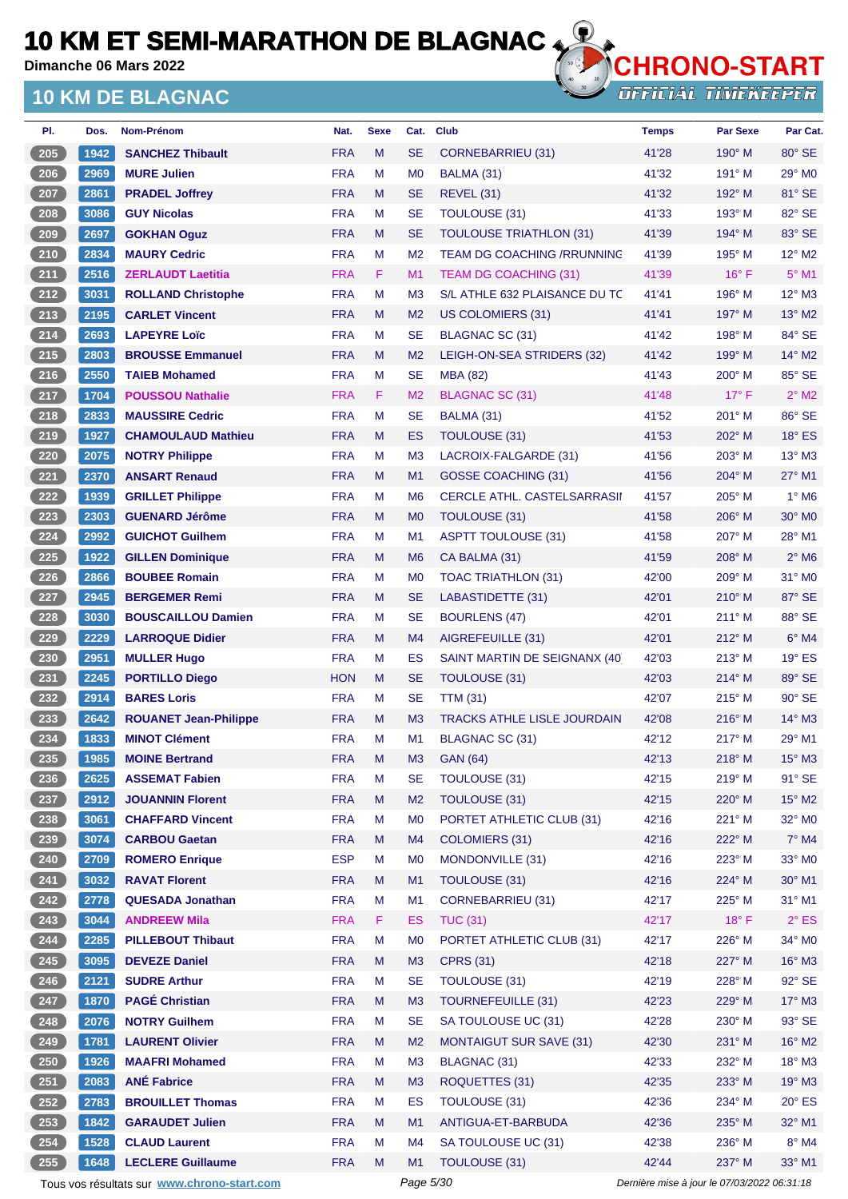**Dimanche 06 Mars 2022**

## **10 KM DE BLAGNAC**



| PI.               | Dos. | Nom-Prénom                                  | Nat.       | <b>Sexe</b> | Cat.           | <b>Club</b>                        | <b>Temps</b>                                | <b>Par Sexe</b> | Par Cat.           |
|-------------------|------|---------------------------------------------|------------|-------------|----------------|------------------------------------|---------------------------------------------|-----------------|--------------------|
| $\frac{205}{205}$ | 1942 | <b>SANCHEZ Thibault</b>                     | <b>FRA</b> | M           | <b>SE</b>      | CORNEBARRIEU (31)                  | 41'28                                       | $190^\circ$ M   | 80° SE             |
| $206$             | 2969 | <b>MURE Julien</b>                          | <b>FRA</b> | M           | M <sub>0</sub> | BALMA (31)                         | 41'32                                       | $191^\circ$ M   | $29^\circ$ MO      |
| 207               | 2861 | <b>PRADEL Joffrey</b>                       | <b>FRA</b> | M           | <b>SE</b>      | <b>REVEL (31)</b>                  | 41'32                                       | 192° M          | 81° SE             |
| 208               | 3086 | <b>GUY Nicolas</b>                          | <b>FRA</b> | M           | <b>SE</b>      | <b>TOULOUSE (31)</b>               | 41'33                                       | $193^\circ$ M   | 82° SE             |
| 209               | 2697 | <b>GOKHAN Oguz</b>                          | <b>FRA</b> | M           | <b>SE</b>      | <b>TOULOUSE TRIATHLON (31)</b>     | 41'39                                       | $194^\circ$ M   | 83° SE             |
| $210$             | 2834 | <b>MAURY Cedric</b>                         | <b>FRA</b> | М           | M <sub>2</sub> | <b>TEAM DG COACHING /RRUNNING</b>  | 41'39                                       | 195° M          | $12^{\circ}$ M2    |
| 211               | 2516 | <b>ZERLAUDT Laetitia</b>                    | <b>FRA</b> | F           | M <sub>1</sub> | <b>TEAM DG COACHING (31)</b>       | 41'39                                       | $16^{\circ}$ F  | $5^{\circ}$ M1     |
| 212               | 3031 | <b>ROLLAND Christophe</b>                   | <b>FRA</b> | M           | M <sub>3</sub> | S/L ATHLE 632 PLAISANCE DU TC      | 41'41                                       | 196° M          | $12^{\circ}$ M3    |
| 213               | 2195 | <b>CARLET Vincent</b>                       | <b>FRA</b> | M           | M <sub>2</sub> | US COLOMIERS (31)                  | 41'41                                       | $197^\circ$ M   | $13^\circ$ M2      |
| $214$             | 2693 | <b>LAPEYRE Loïc</b>                         | <b>FRA</b> | М           | <b>SE</b>      | BLAGNAC SC (31)                    | 41'42                                       | 198° M          | 84° SE             |
| 215               | 2803 | <b>BROUSSE Emmanuel</b>                     | <b>FRA</b> | M           | M <sub>2</sub> | LEIGH-ON-SEA STRIDERS (32)         | 41'42                                       | $199^\circ$ M   | $14^{\circ}$ M2    |
| $216$             | 2550 | <b>TAIEB Mohamed</b>                        | <b>FRA</b> | м           | <b>SE</b>      | <b>MBA (82)</b>                    | 41'43                                       | 200° M          | 85° SE             |
| 217               | 1704 | <b>POUSSOU Nathalie</b>                     | <b>FRA</b> | F.          | M <sub>2</sub> | <b>BLAGNAC SC (31)</b>             | 41'48                                       | $17^{\circ}$ F  | $2^{\circ}$ M2     |
| 218               | 2833 | <b>MAUSSIRE Cedric</b>                      | <b>FRA</b> | M           | <b>SE</b>      | BALMA (31)                         | 41'52                                       | 201° M          | $86^\circ$ SE      |
| 219               | 1927 | <b>CHAMOULAUD Mathieu</b>                   | <b>FRA</b> | M           | ES             | <b>TOULOUSE (31)</b>               | 41'53                                       | 202° M          | $18^\circ$ ES      |
| $\frac{220}{ }$   | 2075 | <b>NOTRY Philippe</b>                       | <b>FRA</b> | M           | M <sub>3</sub> | LACROIX-FALGARDE (31)              | 41'56                                       | $203^\circ$ M   | $13^\circ$ M3      |
| 221               | 2370 | <b>ANSART Renaud</b>                        | <b>FRA</b> | M           | M <sub>1</sub> | <b>GOSSE COACHING (31)</b>         | 41'56                                       | 204° M          | 27° M1             |
| 222               | 1939 | <b>GRILLET Philippe</b>                     | <b>FRA</b> | М           | M <sub>6</sub> | <b>CERCLE ATHL, CASTELSARRASII</b> | 41'57                                       | $205^\circ$ M   | $1^\circ$ M6       |
| 223               | 2303 | <b>GUENARD Jérôme</b>                       | <b>FRA</b> | M           | M <sub>0</sub> | TOULOUSE (31)                      | 41'58                                       | 206° M          | 30° M <sub>0</sub> |
| 224               | 2992 | <b>GUICHOT Guilhem</b>                      | <b>FRA</b> | М           | M1             | <b>ASPTT TOULOUSE (31)</b>         | 41'58                                       | $207^\circ$ M   | $28^{\circ}$ M1    |
| 225               | 1922 | <b>GILLEN Dominique</b>                     | <b>FRA</b> | M           | M <sub>6</sub> | CA BALMA (31)                      | 41'59                                       | $208^\circ$ M   | $2^{\circ}$ M6     |
| 226               | 2866 | <b>BOUBEE Romain</b>                        | <b>FRA</b> | M           | M <sub>0</sub> | TOAC TRIATHLON (31)                | 42'00                                       | $209^\circ$ M   | $31^\circ$ MO      |
| 227               | 2945 | <b>BERGEMER Remi</b>                        | <b>FRA</b> | M           | <b>SE</b>      | LABASTIDETTE (31)                  | 42'01                                       | $210^\circ$ M   | 87° SE             |
| $228$             | 3030 | <b>BOUSCAILLOU Damien</b>                   | <b>FRA</b> | M           | <b>SE</b>      | <b>BOURLENS (47)</b>               | 42'01                                       | $211^\circ$ M   | 88° SE             |
| 229               | 2229 | <b>LARROQUE Didier</b>                      | <b>FRA</b> | M           | M4             | AIGREFEUILLE (31)                  | 42'01                                       | $212^{\circ}$ M | $6^\circ$ M4       |
| 230               | 2951 | <b>MULLER Hugo</b>                          | <b>FRA</b> | М           | ES             | SAINT MARTIN DE SEIGNANX (40)      | 42'03                                       | $213^\circ$ M   | $19°$ ES           |
| 231               | 2245 | <b>PORTILLO Diego</b>                       | <b>HON</b> | M           | <b>SE</b>      | TOULOUSE (31)                      | 42'03                                       | $214^\circ$ M   | 89° SE             |
| $232$             | 2914 | <b>BARES Loris</b>                          | <b>FRA</b> | М           | <b>SE</b>      | <b>TTM (31)</b>                    | 42'07                                       | $215^\circ$ M   | 90° SE             |
| $233$             | 2642 | <b>ROUANET Jean-Philippe</b>                | <b>FRA</b> | M           | M <sub>3</sub> | <b>TRACKS ATHLE LISLE JOURDAIN</b> | 42'08                                       | $216^\circ$ M   | $14^{\circ}$ M3    |
| $234$             | 1833 | <b>MINOT Clément</b>                        | <b>FRA</b> | м           | M <sub>1</sub> | BLAGNAC SC (31)                    | 42'12                                       | $217^\circ$ M   | $29°$ M1           |
| $235$             | 1985 | <b>MOINE Bertrand</b>                       | <b>FRA</b> | M           | M <sub>3</sub> | <b>GAN (64)</b>                    | 42'13                                       | $218^\circ$ M   | 15° M3             |
| $236$             | 2625 | <b>ASSEMAT Fabien</b>                       | <b>FRA</b> | M           | <b>SE</b>      | <b>TOULOUSE (31)</b>               | 42'15                                       | 219° M          | 91° SE             |
| $237$             | 2912 | <b>JOUANNIN Florent</b>                     | <b>FRA</b> | M           | M <sub>2</sub> | TOULOUSE (31)                      | 42'15                                       | 220° M          | $15^{\circ}$ M2    |
| $238$             | 3061 | <b>CHAFFARD Vincent</b>                     | <b>FRA</b> | M           | M <sub>0</sub> | PORTET ATHLETIC CLUB (31)          | 42'16                                       | 221° M          | 32° MO             |
| 239               | 3074 | <b>CARBOU Gaetan</b>                        | <b>FRA</b> | M           | M4             | <b>COLOMIERS (31)</b>              | 42'16                                       | 222° M          | $7^\circ$ M4       |
| $240$             | 2709 | <b>ROMERO Enrique</b>                       | <b>ESP</b> | М           | M <sub>0</sub> | MONDONVILLE (31)                   | 42'16                                       | 223° M          | $33^\circ$ MO      |
| 241               | 3032 | <b>RAVAT Florent</b>                        | <b>FRA</b> | M           | M <sub>1</sub> | TOULOUSE (31)                      | 42'16                                       | 224° M          | 30° M1             |
| 242               | 2778 | <b>QUESADA Jonathan</b>                     | <b>FRA</b> | M           | M1             | <b>CORNEBARRIEU (31)</b>           | 42'17                                       | 225° M          | $31^\circ$ M1      |
| $243$             | 3044 | <b>ANDREEW Mila</b>                         | <b>FRA</b> | F           | <b>ES</b>      | <b>TUC (31)</b>                    | 42'17                                       | 18°F            | $2^{\circ}$ ES     |
| 244               | 2285 | <b>PILLEBOUT Thibaut</b>                    | <b>FRA</b> | M           | M <sub>0</sub> | PORTET ATHLETIC CLUB (31)          | 42'17                                       | 226° M          | 34° MO             |
| 245               | 3095 | <b>DEVEZE Daniel</b>                        | <b>FRA</b> | M           | M3             | <b>CPRS (31)</b>                   | 42'18                                       | 227° M          | $16^\circ$ M3      |
| $246$             | 2121 | <b>SUDRE Arthur</b>                         | <b>FRA</b> | M           | <b>SE</b>      | TOULOUSE (31)                      | 42'19                                       | 228° M          | 92° SE             |
| 247               | 1870 | <b>PAGÉ Christian</b>                       | <b>FRA</b> | M           | M <sub>3</sub> | <b>TOURNEFEUILLE (31)</b>          | 42'23                                       | 229° M          | $17^\circ$ M3      |
|                   |      |                                             |            |             |                |                                    |                                             |                 |                    |
| 248               | 2076 | <b>NOTRY Guilhem</b>                        | <b>FRA</b> | M           | <b>SE</b>      | SA TOULOUSE UC (31)                | 42'28                                       | 230° M          | 93° SE             |
| 249               | 1781 | <b>LAURENT Olivier</b>                      | <b>FRA</b> | M           | M <sub>2</sub> | <b>MONTAIGUT SUR SAVE (31)</b>     | 42'30                                       | 231° M          | $16^{\circ}$ M2    |
| $250$             | 1926 | <b>MAAFRI Mohamed</b>                       | <b>FRA</b> | M           | M <sub>3</sub> | <b>BLAGNAC (31)</b>                | 42'33                                       | 232° M          | $18^\circ$ M3      |
| $251$             | 2083 | <b>ANÉ Fabrice</b>                          | <b>FRA</b> | M           | M <sub>3</sub> | ROQUETTES (31)                     | 42'35                                       | 233° M          | $19^\circ$ M3      |
| $252$             | 2783 | <b>BROUILLET Thomas</b>                     | <b>FRA</b> | M           | ES             | TOULOUSE (31)                      | 42'36                                       | 234° M          | $20^\circ$ ES      |
| 253               | 1842 | <b>GARAUDET Julien</b>                      | <b>FRA</b> | M           | M1             | ANTIGUA-ET-BARBUDA                 | 42'36                                       | 235° M          | 32° M1             |
| 254               | 1528 | <b>CLAUD Laurent</b>                        | <b>FRA</b> | М           | M <sub>4</sub> | SA TOULOUSE UC (31)                | 42'38                                       | 236° M          | $8^\circ$ M4       |
| 255               | 1648 | <b>LECLERE Guillaume</b>                    | <b>FRA</b> | M           | M1             | TOULOUSE (31)                      | 42'44                                       | 237° M          | 33° M1             |
|                   |      | Tous vos résultats sur www.chrono-start.com |            |             | Page 5/30      |                                    | Dernière mise à jour le 07/03/2022 06:31:18 |                 |                    |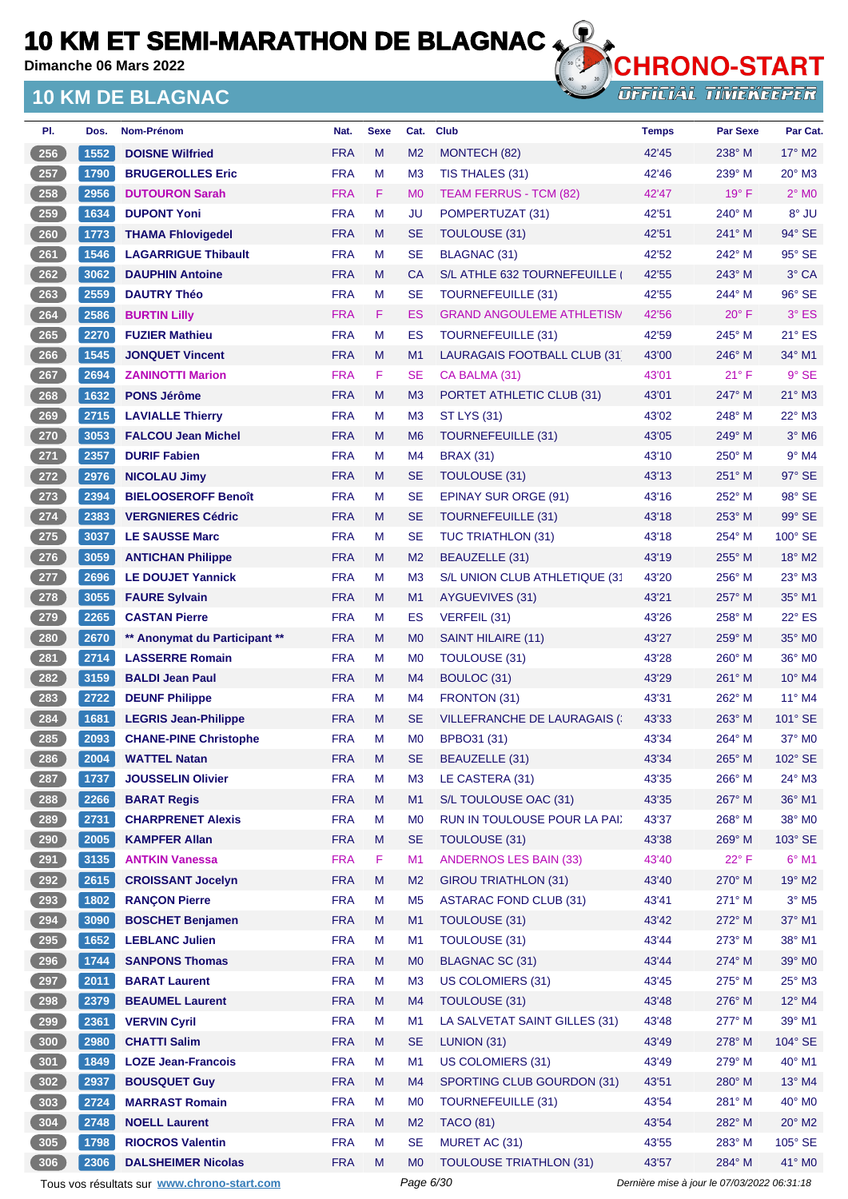**Dimanche 06 Mars 2022**

## **10 KM DE BLAGNAC**



| PI.             | Dos. | Nom-Prénom                                  | Nat.       | <b>Sexe</b> | Cat.           | <b>Club</b>                          | <b>Temps</b>                                | <b>Par Sexe</b> | Par Cat.                   |
|-----------------|------|---------------------------------------------|------------|-------------|----------------|--------------------------------------|---------------------------------------------|-----------------|----------------------------|
| 256             | 1552 | <b>DOISNE Wilfried</b>                      | <b>FRA</b> | M           | M <sub>2</sub> | MONTECH (82)                         | 42'45                                       | $238^\circ$ M   | $17^\circ$ M2              |
| $257$           | 1790 | <b>BRUGEROLLES Eric</b>                     | <b>FRA</b> | M           | M <sub>3</sub> | TIS THALES (31)                      | 42'46                                       | 239° M          | 20° M3                     |
| 258             | 2956 | <b>DUTOURON Sarah</b>                       | <b>FRA</b> | F.          | M <sub>0</sub> | <b>TEAM FERRUS - TCM (82)</b>        | 42'47                                       | $19^{\circ}$ F  | $2^{\circ}$ M <sub>0</sub> |
| 259             | 1634 | <b>DUPONT Yoni</b>                          | <b>FRA</b> | M           | JU             | POMPERTUZAT (31)                     | 42'51                                       | $240^\circ$ M   | 8° JU                      |
| $260$           | 1773 | <b>THAMA Fhlovigedel</b>                    | <b>FRA</b> | M           | <b>SE</b>      | TOULOUSE (31)                        | 42'51                                       | 241° M          | 94° SE                     |
| $261$           | 1546 | <b>LAGARRIGUE Thibault</b>                  | <b>FRA</b> | м           | <b>SE</b>      | <b>BLAGNAC (31)</b>                  | 42'52                                       | 242° M          | 95° SE                     |
| 262             | 3062 | <b>DAUPHIN Antoine</b>                      | <b>FRA</b> | M           | CA             | S/L ATHLE 632 TOURNEFEUILLE          | 42'55                                       | $243^\circ$ M   | 3° CA                      |
| $263$           | 2559 | <b>DAUTRY Théo</b>                          | <b>FRA</b> | M           | <b>SE</b>      | <b>TOURNEFEUILLE (31)</b>            | 42'55                                       | 244° M          | 96° SE                     |
| 264             | 2586 | <b>BURTIN Lilly</b>                         | <b>FRA</b> | F.          | ES             | <b>GRAND ANGOULEME ATHLETISM</b>     | 42'56                                       | $20^{\circ}$ F  | $3°$ ES                    |
| 265             | 2270 | <b>FUZIER Mathieu</b>                       | <b>FRA</b> | М           | ES             | <b>TOURNEFEUILLE (31)</b>            | 42'59                                       | $245^\circ$ M   | $21^\circ$ ES              |
| $266$           | 1545 | <b>JONQUET Vincent</b>                      | <b>FRA</b> | M           | M1             | LAURAGAIS FOOTBALL CLUB (31          | 43'00                                       | 246° M          | 34° M1                     |
| 267             | 2694 | <b>ZANINOTTI Marion</b>                     | <b>FRA</b> | F           | <b>SE</b>      | CA BALMA (31)                        | 43'01                                       | $21^{\circ}$ F  | $9°$ SE                    |
| 268             | 1632 | <b>PONS Jérôme</b>                          | <b>FRA</b> | M           | M <sub>3</sub> | PORTET ATHLETIC CLUB (31)            | 43'01                                       | 247° M          | 21° M3                     |
| 269             | 2715 | <b>LAVIALLE Thierry</b>                     | <b>FRA</b> | M           | M <sub>3</sub> | <b>ST LYS (31)</b>                   | 43'02                                       | 248° M          | $22^{\circ}$ M3            |
| 270             | 3053 | <b>FALCOU Jean Michel</b>                   | <b>FRA</b> | M           | M <sub>6</sub> | <b>TOURNEFEUILLE (31)</b>            | 43'05                                       | 249° M          | $3°$ M <sub>6</sub>        |
| $271$           | 2357 | <b>DURIF Fabien</b>                         | <b>FRA</b> | M           | M <sub>4</sub> | <b>BRAX (31)</b>                     | 43'10                                       | $250^\circ$ M   | $9°$ M4                    |
| 272             | 2976 | <b>NICOLAU Jimy</b>                         | <b>FRA</b> | M           | <b>SE</b>      | <b>TOULOUSE (31)</b>                 | 43'13                                       | $251^\circ$ M   | $97^\circ$ SE              |
| $273$           | 2394 | <b>BIELOOSEROFF Benoît</b>                  | <b>FRA</b> | М           | <b>SE</b>      | <b>EPINAY SUR ORGE (91)</b>          | 43'16                                       | $252^{\circ}$ M | 98° SE                     |
| 274             | 2383 | <b>VERGNIERES Cédric</b>                    | <b>FRA</b> | M           | <b>SE</b>      | <b>TOURNEFEUILLE (31)</b>            | 43'18                                       | 253° M          | 99° SE                     |
| 275             | 3037 | <b>LE SAUSSE Marc</b>                       | <b>FRA</b> | M           | <b>SE</b>      | <b>TUC TRIATHLON (31)</b>            | 43'18                                       | 254° M          | 100° SE                    |
| $276$           | 3059 | <b>ANTICHAN Philippe</b>                    | <b>FRA</b> | M           | M <sub>2</sub> | <b>BEAUZELLE (31)</b>                | 43'19                                       | 255° M          | 18° M2                     |
| 277             | 2696 | <b>LE DOUJET Yannick</b>                    | <b>FRA</b> | M           | M <sub>3</sub> | S/L UNION CLUB ATHLETIQUE (31        | 43'20                                       | $256^{\circ}$ M | 23° M3                     |
| 278             | 3055 | <b>FAURE Sylvain</b>                        | <b>FRA</b> | M           | M <sub>1</sub> | AYGUEVIVES (31)                      | 43'21                                       | 257° M          | 35° M1                     |
| 279             | 2265 | <b>CASTAN Pierre</b>                        | <b>FRA</b> | M           | <b>ES</b>      | VERFEIL (31)                         | 43'26                                       | 258° M          | 22° ES                     |
| 280             | 2670 | ** Anonymat du Participant **               | <b>FRA</b> | M           | M <sub>0</sub> | SAINT HILAIRE (11)                   | 43'27                                       | $259^\circ$ M   | 35° MO                     |
| 281             | 2714 | <b>LASSERRE Romain</b>                      | <b>FRA</b> | м           | M <sub>0</sub> | <b>TOULOUSE (31)</b>                 | 43'28                                       | $260^\circ$ M   | 36° M0                     |
| 282             | 3159 | <b>BALDI Jean Paul</b>                      | <b>FRA</b> | M           | M4             | BOULOC (31)                          | 43'29                                       | $261^\circ$ M   | $10^{\circ}$ M4            |
| $283$           | 2722 | <b>DEUNF Philippe</b>                       | <b>FRA</b> | м           | M <sub>4</sub> | FRONTON (31)                         | 43'31                                       | 262° M          | 11° M4                     |
| 284             | 1681 | <b>LEGRIS Jean-Philippe</b>                 | <b>FRA</b> | M           | <b>SE</b>      | <b>VILLEFRANCHE DE LAURAGAIS (1)</b> | 43'33                                       | $263^\circ$ M   | $101^\circ$ SE             |
| 285             | 2093 | <b>CHANE-PINE Christophe</b>                | <b>FRA</b> | M           | M <sub>0</sub> | BPBO31 (31)                          | 43'34                                       | $264^\circ$ M   | $37^\circ$ MO              |
| 286             | 2004 | <b>WATTEL Natan</b>                         | <b>FRA</b> | M           | SE             | <b>BEAUZELLE (31)</b>                | 43'34                                       | 265° M          | 102° SE                    |
| 287             | 1737 | <b>JOUSSELIN Olivier</b>                    | <b>FRA</b> | M           | M <sub>3</sub> | LE CASTERA (31)                      | 43'35                                       | 266° M          | 24° M3                     |
| 288             | 2266 | <b>BARAT Regis</b>                          | <b>FRA</b> | M           | M1             | S/L TOULOUSE OAC (31)                | 43'35                                       | 267° M          | 36° M1                     |
| 289             | 2731 | <b>CHARPRENET Alexis</b>                    | <b>FRA</b> | М           | M <sub>0</sub> | RUN IN TOULOUSE POUR LA PAI.         | 43'37                                       | $268^\circ$ M   | 38° MO                     |
| $\frac{290}{ }$ | 2005 | <b>KAMPFER Allan</b>                        | <b>FRA</b> | M           | <b>SE</b>      | TOULOUSE (31)                        | 43'38                                       | 269° M          | 103° SE                    |
| $291$           | 3135 | <b>ANTKIN Vanessa</b>                       | <b>FRA</b> | F           | M1             | <b>ANDERNOS LES BAIN (33)</b>        | 43'40                                       | $22^{\circ}$ F  | $6^{\circ}$ M1             |
| 292             | 2615 | <b>CROISSANT Jocelyn</b>                    | <b>FRA</b> | M           | M <sub>2</sub> | <b>GIROU TRIATHLON (31)</b>          | 43'40                                       | 270° M          | 19° M2                     |
| $293$           | 1802 | <b>RANÇON Pierre</b>                        | <b>FRA</b> | M           | M <sub>5</sub> | <b>ASTARAC FOND CLUB (31)</b>        | 43'41                                       | 271° M          | $3^\circ$ M5               |
| 294             | 3090 | <b>BOSCHET Benjamen</b>                     | <b>FRA</b> | M           | M1             | TOULOUSE (31)                        | 43'42                                       | 272° M          | 37° M1                     |
| 295             | 1652 | <b>LEBLANC Julien</b>                       | <b>FRA</b> | M           | M1             | TOULOUSE (31)                        | 43'44                                       | $273^\circ$ M   | 38° M1                     |
| 296             | 1744 | <b>SANPONS Thomas</b>                       | <b>FRA</b> | M           | M <sub>0</sub> | BLAGNAC SC (31)                      | 43'44                                       | 274° M          | 39° MO                     |
| $297$           | 2011 | <b>BARAT Laurent</b>                        | <b>FRA</b> | M           | M <sub>3</sub> | <b>US COLOMIERS (31)</b>             | 43'45                                       | 275° M          | $25^{\circ}$ M3            |
| $298$           | 2379 | <b>BEAUMEL Laurent</b>                      | <b>FRA</b> | M           | M <sub>4</sub> | TOULOUSE (31)                        | 43'48                                       | 276° M          | 12° M4                     |
| $299$           | 2361 | <b>VERVIN Cyril</b>                         | <b>FRA</b> | M           | M1             | LA SALVETAT SAINT GILLES (31)        | 43'48                                       | 277° M          | 39° M1                     |
| 300             | 2980 | <b>CHATTI Salim</b>                         | <b>FRA</b> | M           | <b>SE</b>      | LUNION (31)                          | 43'49                                       | 278° M          | 104° SE                    |
| 301             | 1849 | <b>LOZE Jean-Francois</b>                   | <b>FRA</b> | M           | M1             | US COLOMIERS (31)                    | 43'49                                       | 279° M          | 40° M1                     |
| 302             | 2937 | <b>BOUSQUET Guy</b>                         | <b>FRA</b> | M           | M4             | SPORTING CLUB GOURDON (31)           | 43'51                                       | 280° M          | 13° M4                     |
| 303             | 2724 | <b>MARRAST Romain</b>                       | <b>FRA</b> | M           | M <sub>0</sub> | <b>TOURNEFEUILLE (31)</b>            | 43'54                                       | 281° M          | 40° MO                     |
| 304             | 2748 | <b>NOELL Laurent</b>                        | <b>FRA</b> | M           | M <sub>2</sub> | <b>TACO (81)</b>                     | 43'54                                       | 282° M          | $20^\circ$ M2              |
| 305             | 1798 | <b>RIOCROS Valentin</b>                     | <b>FRA</b> | M           | <b>SE</b>      | MURET AC (31)                        | 43'55                                       | 283° M          | 105° SE                    |
| 306             | 2306 | <b>DALSHEIMER Nicolas</b>                   | <b>FRA</b> | M           | M <sub>0</sub> | <b>TOULOUSE TRIATHLON (31)</b>       | 43'57                                       | 284° M          | 41° MO                     |
|                 |      | Tous vos résultats sur www.chrono-start.com |            |             | Page 6/30      |                                      | Dernière mise à jour le 07/03/2022 06:31:18 |                 |                            |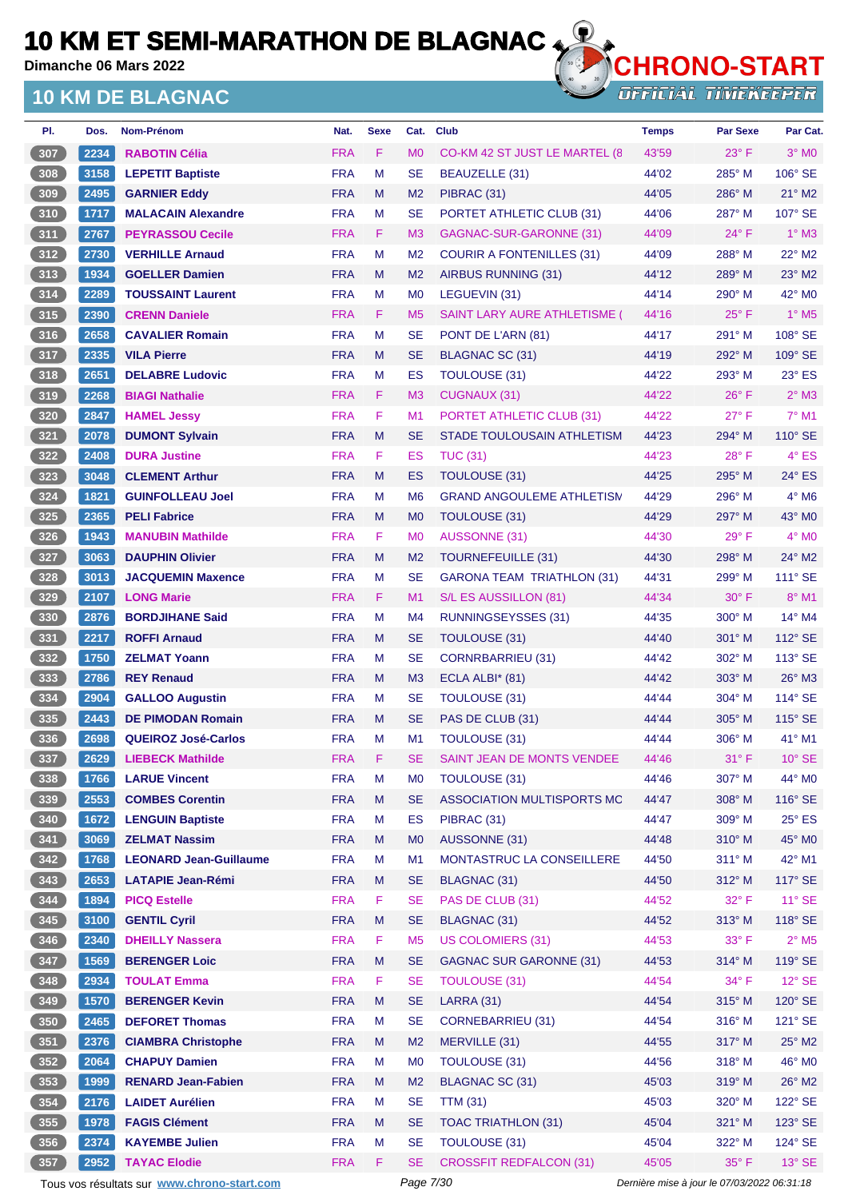**Dimanche 06 Mars 2022**

## **10 KM DE BLAGNAC**



| PI.             | Dos. | <b>Nom-Prénom</b>                           | Nat.       | <b>Sexe</b> | Cat.                 | <b>Club</b>                         | <b>Temps</b>                                | <b>Par Sexe</b> | Par Cat.                   |
|-----------------|------|---------------------------------------------|------------|-------------|----------------------|-------------------------------------|---------------------------------------------|-----------------|----------------------------|
| 307             | 2234 | <b>RABOTIN Célia</b>                        | <b>FRA</b> | F           | M <sub>0</sub>       | CO-KM 42 ST JUST LE MARTEL (8)      | 43'59                                       | $23^\circ$ F    | $3^\circ$ MO               |
| 308             | 3158 | <b>LEPETIT Baptiste</b>                     | <b>FRA</b> | M           | SE                   | <b>BEAUZELLE (31)</b>               | 44'02                                       | 285° M          | 106° SE                    |
| 309             | 2495 | <b>GARNIER Eddy</b>                         | <b>FRA</b> | M           | M <sub>2</sub>       | PIBRAC (31)                         | 44'05                                       | $286^\circ$ M   | $21^\circ$ M2              |
| 310             | 1717 | <b>MALACAIN Alexandre</b>                   | <b>FRA</b> | M           | SE                   | PORTET ATHLETIC CLUB (31)           | 44'06                                       | $287^\circ$ M   | 107° SE                    |
| 311             | 2767 | <b>PEYRASSOU Cecile</b>                     | <b>FRA</b> | F           | M <sub>3</sub>       | GAGNAC-SUR-GARONNE (31)             | 44'09                                       | $24^{\circ}$ F  | $1^\circ$ M3               |
| 312             | 2730 | <b>VERHILLE Arnaud</b>                      | <b>FRA</b> | M           | M <sub>2</sub>       | <b>COURIR A FONTENILLES (31)</b>    | 44'09                                       | 288° M          | $22^\circ$ M2              |
| 313             | 1934 | <b>GOELLER Damien</b>                       | <b>FRA</b> | M           | M <sub>2</sub>       | AIRBUS RUNNING (31)                 | 44'12                                       | $289^\circ$ M   | $23^\circ$ M2              |
| $314$           | 2289 | <b>TOUSSAINT Laurent</b>                    | <b>FRA</b> | M           | M <sub>0</sub>       | LEGUEVIN (31)                       | 44'14                                       | 290° M          | 42° MO                     |
| 315             | 2390 | <b>CRENN Daniele</b>                        | <b>FRA</b> | F           | M <sub>5</sub>       | <b>SAINT LARY AURE ATHLETISME (</b> | 44'16                                       | $25^{\circ}$ F  | $1^\circ$ M <sub>5</sub>   |
| 316             | 2658 | <b>CAVALIER Romain</b>                      | <b>FRA</b> | M           | SE                   | PONT DE L'ARN (81)                  | 44'17                                       | $291^\circ$ M   | 108° SE                    |
| 317             | 2335 | <b>VILA Pierre</b>                          | <b>FRA</b> | M           | <b>SE</b>            | BLAGNAC SC (31)                     | 44'19                                       | $292^\circ$ M   | 109° SE                    |
| 318             | 2651 | <b>DELABRE Ludovic</b>                      | <b>FRA</b> | M           | ES                   | <b>TOULOUSE (31)</b>                | 44'22                                       | 293° M          | $23^\circ$ ES              |
| 319             | 2268 | <b>BIAGI Nathalie</b>                       | <b>FRA</b> | F           | M <sub>3</sub>       | <b>CUGNAUX (31)</b>                 | 44'22                                       | $26^{\circ}$ F  | $2°$ M3                    |
| 320             | 2847 | <b>HAMEL Jessy</b>                          | <b>FRA</b> | F           | M1                   | PORTET ATHLETIC CLUB (31)           | 44'22                                       | 27° F           | $7^\circ$ M1               |
| 321             | 2078 | <b>DUMONT Sylvain</b>                       | <b>FRA</b> | M           | SE                   | STADE TOULOUSAIN ATHLETISM          | 44'23                                       | 294° M          | 110° SE                    |
| 322             | 2408 | <b>DURA Justine</b>                         | <b>FRA</b> | F           | ES                   | <b>TUC (31)</b>                     | 44'23                                       | 28° F           | $4^\circ$ ES               |
| 323             | 3048 | <b>CLEMENT Arthur</b>                       | <b>FRA</b> | M           | ES                   | TOULOUSE (31)                       | 44'25                                       | $295^\circ$ M   | $24^\circ$ ES              |
| 324             | 1821 | <b>GUINFOLLEAU Joel</b>                     | <b>FRA</b> | M           | M <sub>6</sub>       | <b>GRAND ANGOULEME ATHLETISM</b>    | 44'29                                       | $296^\circ$ M   | $4^\circ$ M <sub>6</sub>   |
| 325             | 2365 | <b>PELI Fabrice</b>                         | <b>FRA</b> | M           | M <sub>0</sub>       | TOULOUSE (31)                       | 44'29                                       | 297° M          | 43° MO                     |
| 326             | 1943 | <b>MANUBIN Mathilde</b>                     | <b>FRA</b> | F           | M <sub>0</sub>       | <b>AUSSONNE (31)</b>                | 44'30                                       | 29° F           | $4^\circ$ MO               |
| 327             | 3063 | <b>DAUPHIN Olivier</b>                      | <b>FRA</b> | M           | M <sub>2</sub>       | <b>TOURNEFEUILLE (31)</b>           | 44'30                                       | $298^\circ$ M   | $24^{\circ}$ M2            |
| $328$           | 3013 | <b>JACQUEMIN Maxence</b>                    | <b>FRA</b> | M           | <b>SE</b>            | <b>GARONA TEAM TRIATHLON (31)</b>   | 44'31                                       | $299^\circ$ M   | $111^\circ$ SE             |
| 329             | 2107 | <b>LONG Marie</b>                           | <b>FRA</b> | F           | M <sub>1</sub>       | S/L ES AUSSILLON (81)               | 44'34                                       | $30^\circ$ F    | 8° M1                      |
| $330$           | 2876 | <b>BORDJIHANE Said</b>                      | <b>FRA</b> | M           | M4                   | <b>RUNNINGSEYSSES (31)</b>          | 44'35                                       | $300^\circ$ M   | $14^{\circ}$ M4            |
| $\sqrt{331}$    | 2217 | <b>ROFFI Arnaud</b>                         | <b>FRA</b> | M           | <b>SE</b>            | TOULOUSE (31)                       | 44'40                                       | 301° M          | $112^\circ$ SE             |
| $332$           | 1750 | <b>ZELMAT Yoann</b>                         | <b>FRA</b> | M           | SE                   | <b>CORNRBARRIEU (31)</b>            | 44'42                                       | 302° M          | $113^\circ$ SE             |
| $333$           | 2786 | <b>REY Renaud</b>                           | <b>FRA</b> | M           | M <sub>3</sub>       | ECLA ALBI* (81)                     | 44'42                                       | $303^\circ$ M   | 26° M3                     |
| $334$           | 2904 | <b>GALLOO Augustin</b>                      | <b>FRA</b> | M           | SE                   | TOULOUSE (31)                       | 44'44                                       | $304^\circ$ M   | 114° SE                    |
| 335             | 2443 | <b>DE PIMODAN Romain</b>                    | <b>FRA</b> | M           | <b>SE</b>            | PAS DE CLUB (31)                    | 44'44                                       | $305^\circ$ M   | 115° SE                    |
| 336             | 2698 | <b>QUEIROZ José-Carlos</b>                  | <b>FRA</b> | M           | M1                   | <b>TOULOUSE (31)</b>                | 44'44                                       | $306^\circ$ M   | 41° M1                     |
| 337             | 2629 | <b>LIEBECK Mathilde</b>                     | <b>FRA</b> | F           | SE                   | SAINT JEAN DE MONTS VENDEE          | 44'46                                       | $31^{\circ}$ F  | $10^{\circ}$ SE            |
| 338             | 1766 | <b>LARUE Vincent</b>                        | <b>FRA</b> | M           | MO                   | <b>TOULOUSE (31)</b>                | 44'46                                       | 307° M          | 44° MO                     |
| 339             | 2553 | <b>COMBES Corentin</b>                      | <b>FRA</b> | M           | <b>SE</b>            | ASSOCIATION MULTISPORTS MC          | 44'47                                       | 308° M          | 116° SE                    |
| 340             | 1672 | <b>LENGUIN Baptiste</b>                     | <b>FRA</b> | M           | ES                   | PIBRAC (31)                         | 44'47                                       | 309° M          | $25^\circ$ ES              |
| 341             | 3069 | <b>ZELMAT Nassim</b>                        | <b>FRA</b> | M           | M <sub>0</sub>       | AUSSONNE (31)                       | 44'48                                       | $310^\circ$ M   | 45° MO                     |
| $342$           | 1768 | <b>LEONARD Jean-Guillaume</b>               | <b>FRA</b> | M           | M <sub>1</sub>       | MONTASTRUC LA CONSEILLERE           | 44'50                                       | $311^\circ$ M   | 42° M1                     |
| $\frac{343}{ }$ | 2653 | <b>LATAPIE Jean-Rémi</b>                    | <b>FRA</b> | M           | <b>SE</b>            | <b>BLAGNAC (31)</b>                 | 44'50                                       | $312^\circ$ M   | 117° SE                    |
| $344$           | 1894 | <b>PICQ Estelle</b>                         | <b>FRA</b> | F           | <b>SE</b>            | PAS DE CLUB (31)                    | 44'52                                       | $32^{\circ}$ F  | $11^\circ$ SE              |
| 345             | 3100 | <b>GENTIL Cyril</b>                         | <b>FRA</b> | M           | <b>SE</b>            | <b>BLAGNAC (31)</b>                 | 44'52                                       | $313^\circ$ M   | 118° SE                    |
| 346             | 2340 | <b>DHEILLY Nassera</b>                      | <b>FRA</b> | F           | M <sub>5</sub>       | <b>US COLOMIERS (31)</b>            | 44'53                                       | 33° F           | $2^{\circ}$ M <sub>5</sub> |
|                 |      |                                             | <b>FRA</b> | M           | $\mathsf{SE}\xspace$ | <b>GAGNAC SUR GARONNE (31)</b>      |                                             | 314° M          | 119° SE                    |
| 347             | 1569 | <b>BERENGER Loic</b>                        |            |             |                      |                                     | 44'53                                       |                 |                            |
| $348$           | 2934 | <b>TOULAT Emma</b>                          | <b>FRA</b> | F           | <b>SE</b>            | <b>TOULOUSE (31)</b>                | 44'54                                       | $34^{\circ}$ F  | $12^{\circ}$ SE            |
| 349             | 1570 | <b>BERENGER Kevin</b>                       | <b>FRA</b> | M           | <b>SE</b>            | LARRA (31)                          | 44'54                                       | 315° M          | 120° SE                    |
| $350$           | 2465 | <b>DEFORET Thomas</b>                       | <b>FRA</b> | M           | <b>SE</b>            | <b>CORNEBARRIEU (31)</b>            | 44'54                                       | $316^\circ$ M   | 121° SE                    |
| 351             | 2376 | <b>CIAMBRA Christophe</b>                   | <b>FRA</b> | M           | M <sub>2</sub>       | MERVILLE (31)                       | 44'55                                       | $317^\circ$ M   | $25^\circ$ M2              |
| 352             | 2064 | <b>CHAPUY Damien</b>                        | <b>FRA</b> | M           | M <sub>0</sub>       | <b>TOULOUSE (31)</b>                | 44'56                                       | $318^\circ$ M   | 46° M0                     |
| 353             | 1999 | <b>RENARD Jean-Fabien</b>                   | <b>FRA</b> | M           | M <sub>2</sub>       | <b>BLAGNAC SC (31)</b>              | 45'03                                       | $319^\circ$ M   | 26° M2                     |
| $354$           | 2176 | <b>LAIDET Aurélien</b>                      | <b>FRA</b> | M           | <b>SE</b>            | <b>TTM (31)</b>                     | 45'03                                       | 320° M          | 122° SE                    |
| 355             | 1978 | <b>FAGIS Clément</b>                        | <b>FRA</b> | M           | <b>SE</b>            | <b>TOAC TRIATHLON (31)</b>          | 45'04                                       | 321° M          | 123° SE                    |
| 356             | 2374 | <b>KAYEMBE Julien</b>                       | <b>FRA</b> | M           | <b>SE</b>            | TOULOUSE (31)                       | 45'04                                       | 322° M          | 124° SE                    |
| 357             | 2952 | <b>TAYAC Elodie</b>                         | <b>FRA</b> | F           | <b>SE</b>            | <b>CROSSFIT REDFALCON (31)</b>      | 45'05                                       | 35°F            | $13^\circ$ SE              |
|                 |      | Tous vos résultats sur www.chrono-start.com |            |             | Page 7/30            |                                     | Dernière mise à jour le 07/03/2022 06:31:18 |                 |                            |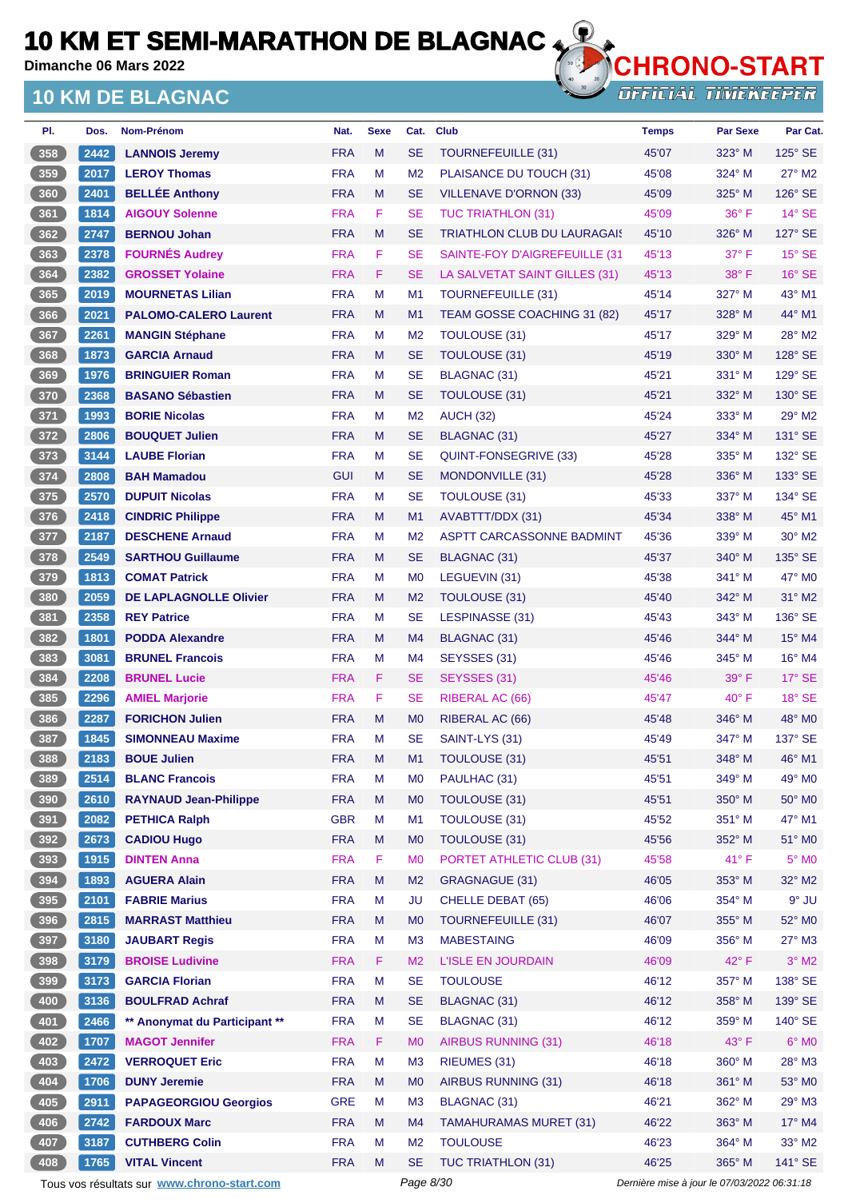**Dimanche 06 Mars 2022**

### **10 KM DE BLAGNAC**



**OFFICIAL TIMEKEEPER** 

| PI.           | Dos. | Nom-Prénom                    | Nat.       | <b>Sexe</b> | Cat.           | <b>Club</b>                        | <b>Temps</b> | Par Sexe       | Par Cat.        |
|---------------|------|-------------------------------|------------|-------------|----------------|------------------------------------|--------------|----------------|-----------------|
| 358           | 2442 | <b>LANNOIS Jeremy</b>         | <b>FRA</b> | M           | <b>SE</b>      | <b>TOURNEFEUILLE (31)</b>          | 45'07        | $323^\circ$ M  | 125° SE         |
| $359$         | 2017 | <b>LEROY Thomas</b>           | <b>FRA</b> | M           | M <sub>2</sub> | PLAISANCE DU TOUCH (31)            | 45'08        | $324^\circ$ M  | $27^\circ$ M2   |
| 360           | 2401 | <b>BELLÉE Anthony</b>         | <b>FRA</b> | M           | SE             | <b>VILLENAVE D'ORNON (33)</b>      | 45'09        | 325° M         | 126° SE         |
| 361           | 1814 | <b>AIGOUY Solenne</b>         | <b>FRA</b> | F           | <b>SE</b>      | <b>TUC TRIATHLON (31)</b>          | 45'09        | $36^{\circ}$ F | $14^\circ$ SE   |
| 362           | 2747 | <b>BERNOU Johan</b>           | <b>FRA</b> | M           | <b>SE</b>      | <b>TRIATHLON CLUB DU LAURAGAIS</b> | 45'10        | $326^\circ$ M  | 127° SE         |
| 363           | 2378 | <b>FOURNÉS Audrey</b>         | <b>FRA</b> | F           | <b>SE</b>      | SAINTE-FOY D'AIGREFEUILLE (31      | 45'13        | 37° F          | $15^\circ$ SE   |
| 364           | 2382 | <b>GROSSET Yolaine</b>        | <b>FRA</b> | F           | SE             | LA SALVETAT SAINT GILLES (31)      | 45'13        | $38^\circ$ F   | $16°$ SE        |
| 365           | 2019 | <b>MOURNETAS Lilian</b>       | <b>FRA</b> | M           | M <sub>1</sub> | TOURNEFEUILLE (31)                 | 45'14        | 327° M         | $43^\circ$ M1   |
| 366           | 2021 | <b>PALOMO-CALERO Laurent</b>  | <b>FRA</b> | M           | M1             | TEAM GOSSE COACHING 31 (82)        | 45'17        | $328^\circ$ M  | $44^{\circ}$ M1 |
| 367           | 2261 | <b>MANGIN Stéphane</b>        | <b>FRA</b> | M           | M <sub>2</sub> | <b>TOULOUSE (31)</b>               | 45'17        | 329° M         | 28° M2          |
| 368           | 1873 | <b>GARCIA Arnaud</b>          | <b>FRA</b> | M           | SE             | TOULOUSE (31)                      | 45'19        | 330° M         | 128° SE         |
| 369           | 1976 | <b>BRINGUIER Roman</b>        | <b>FRA</b> | M           | <b>SE</b>      | BLAGNAC (31)                       | 45'21        | $331^\circ$ M  | 129° SE         |
| 370           | 2368 | <b>BASANO Sébastien</b>       | <b>FRA</b> | M           | <b>SE</b>      | <b>TOULOUSE (31)</b>               | 45'21        | 332° M         | $130^\circ$ SE  |
| 371           | 1993 | <b>BORIE Nicolas</b>          | <b>FRA</b> | M           | M <sub>2</sub> | <b>AUCH (32)</b>                   | 45'24        | 333° M         | 29° M2          |
| 372           | 2806 | <b>BOUQUET Julien</b>         | <b>FRA</b> | M           | SE             | <b>BLAGNAC (31)</b>                | 45'27        | 334° M         | 131° SE         |
| 373           | 3144 | <b>LAUBE Florian</b>          | <b>FRA</b> | M           | <b>SE</b>      | QUINT-FONSEGRIVE (33)              | 45'28        | 335° M         | 132° SE         |
| 374           | 2808 | <b>BAH Mamadou</b>            | <b>GUI</b> | M           | SE             | MONDONVILLE (31)                   | 45'28        | $336^\circ$ M  | 133° SE         |
| $375$         | 2570 | <b>DUPUIT Nicolas</b>         | <b>FRA</b> | M           | <b>SE</b>      | <b>TOULOUSE (31)</b>               | 45'33        | 337° M         | 134° SE         |
| 376           | 2418 | <b>CINDRIC Philippe</b>       | <b>FRA</b> | M           | M1             | AVABTTT/DDX (31)                   | 45'34        | 338° M         | $45^{\circ}$ M1 |
| 377           | 2187 | <b>DESCHENE Arnaud</b>        | <b>FRA</b> | M           | M <sub>2</sub> | ASPTT CARCASSONNE BADMINT          | 45'36        | $339^\circ$ M  | $30^\circ$ M2   |
| 378           | 2549 | <b>SARTHOU Guillaume</b>      | <b>FRA</b> | M           | <b>SE</b>      | BLAGNAC (31)                       | 45'37        | 340° M         | 135° SE         |
| $379$         | 1813 | <b>COMAT Patrick</b>          | <b>FRA</b> | M           | M <sub>0</sub> | LEGUEVIN (31)                      | 45'38        | $341^\circ$ M  | $47^\circ$ MO   |
| 380           | 2059 | <b>DE LAPLAGNOLLE Olivier</b> | <b>FRA</b> | M           | M <sub>2</sub> | TOULOUSE (31)                      | 45'40        | $342^\circ$ M  | 31° M2          |
| 381           | 2358 | <b>REY Patrice</b>            | <b>FRA</b> | M           | SE             | LESPINASSE (31)                    | 45'43        | $343^\circ$ M  | 136° SE         |
| 382           | 1801 | <b>PODDA Alexandre</b>        | <b>FRA</b> | M           | M4             | BLAGNAC (31)                       | 45'46        | 344° M         | 15° M4          |
| 383           | 3081 | <b>BRUNEL Francois</b>        | <b>FRA</b> | M           | M4             | SEYSSES (31)                       | 45'46        | $345^\circ$ M  | $16^{\circ}$ M4 |
| $\boxed{384}$ | 2208 | <b>BRUNEL Lucie</b>           | <b>FRA</b> | F           | <b>SE</b>      | SEYSSES (31)                       | 45'46        | $39^\circ$ F   | $17^\circ$ SE   |
| $385$         | 2296 | <b>AMIEL Marjorie</b>         | <b>FRA</b> | F           | SE             | <b>RIBERAL AC (66)</b>             | 45'47        | 40° F          | $18°$ SE        |
| 386           | 2287 | <b>FORICHON Julien</b>        | <b>FRA</b> | M           | M <sub>0</sub> | RIBERAL AC (66)                    | 45'48        | 346° M         | 48° MO          |
| 387           | 1845 | <b>SIMONNEAU Maxime</b>       | <b>FRA</b> | M           | <b>SE</b>      | SAINT-LYS (31)                     | 45'49        | 347° M         | 137° SE         |
| 388           | 2183 | <b>BOUE Julien</b>            | <b>FRA</b> | M           | M1             | <b>TOULOUSE (31)</b>               | 45'51        | 348° M         | 46° M1          |
| $389$         | 2514 | <b>BLANC Francois</b>         | <b>FRA</b> | M           | M <sub>0</sub> | PAULHAC (31)                       | 45'51        | 349° M         | 49° M0          |
| 390           | 2610 | <b>RAYNAUD Jean-Philippe</b>  | <b>FRA</b> | M           | M <sub>0</sub> | TOULOUSE (31)                      | 45'51        | 350° M         | 50° M0          |
| 391           | 2082 | <b>PETHICA Ralph</b>          | <b>GBR</b> | M           | M <sub>1</sub> | TOULOUSE (31)                      | 45'52        | 351° M         | 47° M1          |
| 392           | 2673 | <b>CADIOU Hugo</b>            | <b>FRA</b> | M           | M <sub>0</sub> | TOULOUSE (31)                      | 45'56        | 352° M         | 51° MO          |
| $393$         | 1915 | <b>DINTEN Anna</b>            | <b>FRA</b> | F           | M <sub>0</sub> | PORTET ATHLETIC CLUB (31)          | 45'58        | 41°F           | $5^\circ$ MO    |
| 394           | 1893 | <b>AGUERA Alain</b>           | <b>FRA</b> | M           | M <sub>2</sub> | GRAGNAGUE (31)                     | 46'05        | 353° M         | 32° M2          |
| $395$         | 2101 | <b>FABRIE Marius</b>          | <b>FRA</b> | M           | JU             | <b>CHELLE DEBAT (65)</b>           | 46'06        | 354° M         | $9°$ JU         |
| 396           | 2815 | <b>MARRAST Matthieu</b>       | <b>FRA</b> | M           | M <sub>0</sub> | <b>TOURNEFEUILLE (31)</b>          | 46'07        | 355° M         | 52° MO          |
| 397           | 3180 | <b>JAUBART Regis</b>          | <b>FRA</b> | M           | M <sub>3</sub> | <b>MABESTAING</b>                  | 46'09        | 356° M         | 27° M3          |
| 398           | 3179 | <b>BROISE Ludivine</b>        | <b>FRA</b> | F           | M <sub>2</sub> | <b>L'ISLE EN JOURDAIN</b>          | 46'09        | $42^{\circ}$ F | $3^\circ$ M2    |
| 399           | 3173 | <b>GARCIA Florian</b>         | <b>FRA</b> | M           | <b>SE</b>      | <b>TOULOUSE</b>                    | 46'12        | 357° M         | 138° SE         |
| $\boxed{400}$ | 3136 | <b>BOULFRAD Achraf</b>        | <b>FRA</b> | M           | <b>SE</b>      | <b>BLAGNAC (31)</b>                | 46'12        | 358° M         | 139° SE         |
| 401           | 2466 | ** Anonymat du Participant ** | <b>FRA</b> | M           | <b>SE</b>      | <b>BLAGNAC (31)</b>                | 46'12        | 359° M         | 140° SE         |
| 402           | 1707 | <b>MAGOT Jennifer</b>         | <b>FRA</b> | F           | M <sub>0</sub> | <b>AIRBUS RUNNING (31)</b>         | 46'18        | 43° F          | $6^\circ$ MO    |
| $403$         | 2472 | <b>VERROQUET Eric</b>         | <b>FRA</b> | M           | M <sub>3</sub> | RIEUMES (31)                       | 46'18        | 360° M         | 28° M3          |
| 404           | 1706 | <b>DUNY Jeremie</b>           | <b>FRA</b> | M           | M <sub>0</sub> | AIRBUS RUNNING (31)                | 46'18        | 361° M         | 53° MO          |
| 405           | 2911 | <b>PAPAGEORGIOU Georgios</b>  | <b>GRE</b> | M           | M <sub>3</sub> | BLAGNAC (31)                       | 46'21        | 362° M         | 29° M3          |
| 406           | 2742 | <b>FARDOUX Marc</b>           | <b>FRA</b> | M           | M4             | <b>TAMAHURAMAS MURET (31)</b>      | 46'22        | 363° M         | 17° M4          |
| 407           | 3187 | <b>CUTHBERG Colin</b>         | <b>FRA</b> | M           | M <sub>2</sub> | <b>TOULOUSE</b>                    | 46'23        | 364° M         | $33^\circ$ M2   |
| 408           | 1765 | <b>VITAL Vincent</b>          | <b>FRA</b> | M           | <b>SE</b>      | <b>TUC TRIATHLON (31)</b>          | 46'25        | 365° M         | 141° SE         |
|               |      |                               |            |             |                |                                    |              |                |                 |

Tous vos résultats sur **[www.chrono-start.com](https://www.chrono-start.com/)** Page 8/30 Page 8/30 Dernière mise à jour le 07/03/2022 06:31:18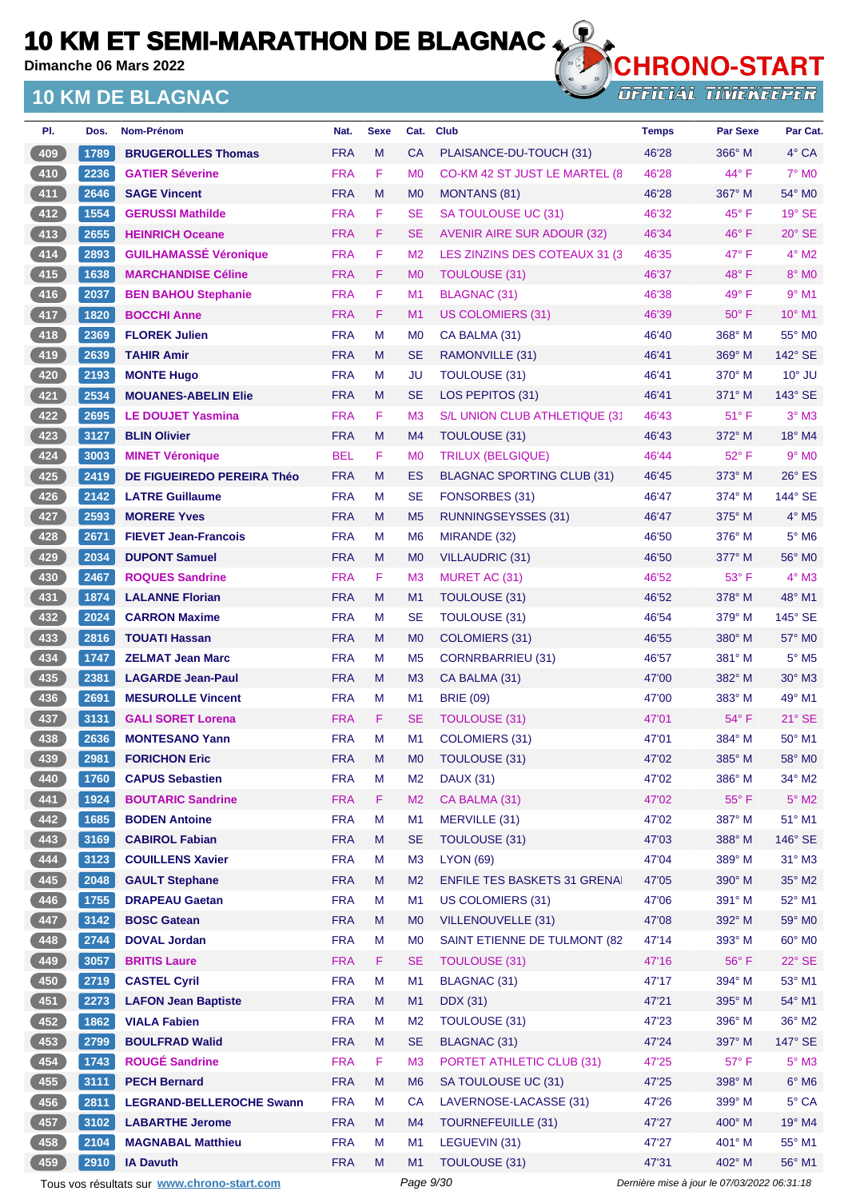**Dimanche 06 Mars 2022**

## **10 KM DE BLAGNAC**



**OFFICIAL TIMEKEEPER** 

| PI.             | Dos. | Nom-Prénom                      | Nat.       | <b>Sexe</b> | Cat.           | <b>Club</b>                         | <b>Temps</b> | <b>Par Sexe</b> | Par Cat.                 |
|-----------------|------|---------------------------------|------------|-------------|----------------|-------------------------------------|--------------|-----------------|--------------------------|
| 409             | 1789 | <b>BRUGEROLLES Thomas</b>       | <b>FRA</b> | M           | <b>CA</b>      | PLAISANCE-DU-TOUCH (31)             | 46'28        | 366° M          | 4° CA                    |
| $410$           | 2236 | <b>GATIER Séverine</b>          | <b>FRA</b> | F           | M <sub>0</sub> | CO-KM 42 ST JUST LE MARTEL (8       | 46'28        | 44° F           | $7^\circ$ MO             |
| $411$           | 2646 | <b>SAGE Vincent</b>             | <b>FRA</b> | M           | M <sub>0</sub> | <b>MONTANS (81)</b>                 | 46'28        | 367° M          | 54° MO                   |
| 412             | 1554 | <b>GERUSSI Mathilde</b>         | <b>FRA</b> | F.          | <b>SE</b>      | SA TOULOUSE UC (31)                 | 46'32        | 45° F           | 19° SE                   |
| $413$           | 2655 | <b>HEINRICH Oceane</b>          | <b>FRA</b> | F.          | <b>SE</b>      | AVENIR AIRE SUR ADOUR (32)          | 46'34        | $46^{\circ}$ F  | $20^\circ$ SE            |
| $414$           | 2893 | <b>GUILHAMASSÉ Véronique</b>    | <b>FRA</b> | F           | M <sub>2</sub> | LES ZINZINS DES COTEAUX 31 (3)      | 46'35        | $47^\circ$ F    | $4^{\circ}$ M2           |
| 415             | 1638 | <b>MARCHANDISE Céline</b>       | <b>FRA</b> | F           | M <sub>0</sub> | TOULOUSE (31)                       | 46'37        | $48^{\circ}$ F  | $8^\circ$ MO             |
| $416$           | 2037 | <b>BEN BAHOU Stephanie</b>      | <b>FRA</b> | F           | M <sub>1</sub> | <b>BLAGNAC (31)</b>                 | 46'38        | 49° F           | $9°$ M1                  |
| 417             | 1820 | <b>BOCCHI Anne</b>              | <b>FRA</b> | F           | M <sub>1</sub> | <b>US COLOMIERS (31)</b>            | 46'39        | $50^{\circ}$ F  | 10° M1                   |
| 418             | 2369 | <b>FLOREK Julien</b>            | <b>FRA</b> | М           | M <sub>0</sub> | CA BALMA (31)                       | 46'40        | $368^\circ$ M   | 55° MO                   |
| 419             | 2639 | <b>TAHIR Amir</b>               | <b>FRA</b> | M           | <b>SE</b>      | RAMONVILLE (31)                     | 46'41        | 369° M          | 142° SE                  |
| 420             | 2193 | <b>MONTE Hugo</b>               | <b>FRA</b> | М           | JU             | <b>TOULOUSE (31)</b>                | 46'41        | $370^\circ$ M   | $10^{\circ}$ JU          |
| $421$           | 2534 | <b>MOUANES-ABELIN Elie</b>      | <b>FRA</b> | M           | <b>SE</b>      | LOS PEPITOS (31)                    | 46'41        | $371^\circ$ M   | $143^\circ$ SE           |
| 422             | 2695 | <b>LE DOUJET Yasmina</b>        | <b>FRA</b> | F.          | M <sub>3</sub> | S/L UNION CLUB ATHLETIQUE (31       | 46'43        | $51^{\circ}$ F  | $3°$ M $3$               |
| $423$           | 3127 | <b>BLIN Olivier</b>             | <b>FRA</b> | M           | M4             | <b>TOULOUSE (31)</b>                | 46'43        | 372° M          | 18° M4                   |
| 424             | 3003 | <b>MINET Véronique</b>          | <b>BEL</b> | F           | M <sub>0</sub> | TRILUX (BELGIQUE)                   | 46'44        | $52^{\circ}$ F  | $9°$ M <sub>0</sub>      |
| 425             | 2419 | DE FIGUEIREDO PEREIRA Théo      | <b>FRA</b> | M           | ES             | <b>BLAGNAC SPORTING CLUB (31)</b>   | 46'45        | $373^\circ$ M   | $26^\circ$ ES            |
| $426$           | 2142 | <b>LATRE Guillaume</b>          | <b>FRA</b> | М           | <b>SE</b>      | FONSORBES (31)                      | 46'47        | $374^\circ$ M   | $144^\circ$ SE           |
| 427             | 2593 | <b>MORERE Yves</b>              | <b>FRA</b> | M           | M <sub>5</sub> | <b>RUNNINGSEYSSES (31)</b>          | 46'47        | 375° M          | $4^\circ$ M <sub>5</sub> |
| 428             | 2671 | <b>FIEVET Jean-Francois</b>     | <b>FRA</b> | М           | M <sub>6</sub> | MIRANDE (32)                        | 46'50        | $376^\circ$ M   | $5^\circ$ M6             |
| 429             | 2034 | <b>DUPONT Samuel</b>            | <b>FRA</b> | M           | M <sub>0</sub> | VILLAUDRIC (31)                     | 46'50        | 377° M          | 56° M0                   |
| 430             | 2467 | <b>ROQUES Sandrine</b>          | <b>FRA</b> | F.          | M <sub>3</sub> | MURET AC (31)                       | 46'52        | $53^{\circ}$ F  | $4^\circ$ M3             |
| 431             | 1874 | <b>LALANNE Florian</b>          | <b>FRA</b> | M           | M1             | <b>TOULOUSE (31)</b>                | 46'52        | 378° M          | 48° M1                   |
| 432             | 2024 | <b>CARRON Maxime</b>            | <b>FRA</b> | М           | <b>SE</b>      | <b>TOULOUSE (31)</b>                | 46'54        | 379° M          | $145^\circ$ SE           |
| 433             | 2816 | <b>TOUATI Hassan</b>            | <b>FRA</b> | M           | M <sub>0</sub> | <b>COLOMIERS</b> (31)               | 46'55        | $380^\circ$ M   | 57° M0                   |
| 434             | 1747 | <b>ZELMAT Jean Marc</b>         | <b>FRA</b> | М           | M <sub>5</sub> | CORNRBARRIEU (31)                   | 46'57        | $381^\circ$ M   | $5^\circ$ M5             |
| 435             | 2381 | <b>LAGARDE Jean-Paul</b>        | <b>FRA</b> | м           | M <sub>3</sub> | CA BALMA (31)                       | 47'00        | $382^\circ$ M   | $30^\circ$ M3            |
| 436             | 2691 | <b>MESUROLLE Vincent</b>        | <b>FRA</b> | М           | M <sub>1</sub> | <b>BRIE (09)</b>                    | 47'00        | $383^\circ$ M   | 49° M1                   |
| $437$           | 3131 | <b>GALI SORET Lorena</b>        | <b>FRA</b> | F.          | <b>SE</b>      | <b>TOULOUSE (31)</b>                | 47'01        | $54^{\circ}$ F  | $21^\circ$ SE            |
| 438             | 2636 | <b>MONTESANO Yann</b>           | <b>FRA</b> | М           | M <sub>1</sub> | COLOMIERS (31)                      | 47'01        | 384° M          | $50^\circ$ M1            |
| 439             | 2981 | <b>FORICHON Eric</b>            | <b>FRA</b> | м           | M0             | <b>TOULOUSE (31)</b>                | 47'02        | 385° M          | 58° M0                   |
| 440             | 1760 | <b>CAPUS Sebastien</b>          | <b>FRA</b> | M           | M <sub>2</sub> | <b>DAUX (31)</b>                    | 47'02        | 386° M          | $34^\circ$ M2            |
| $441$           | 1924 | <b>BOUTARIC Sandrine</b>        | <b>FRA</b> | F           | M <sub>2</sub> | CA BALMA (31)                       | 47'02        | 55°F            | $5^\circ$ M2             |
| 442             | 1685 | <b>BODEN Antoine</b>            | <b>FRA</b> | M           | M1             | MERVILLE (31)                       | 47'02        | 387° M          | 51° M1                   |
| $443$           | 3169 | <b>CABIROL Fabian</b>           | <b>FRA</b> | M           | <b>SE</b>      | TOULOUSE (31)                       | 47'03        | 388° M          | 146° SE                  |
| 444             | 3123 | <b>COUILLENS Xavier</b>         | <b>FRA</b> | М           | M <sub>3</sub> | <b>LYON (69)</b>                    | 47'04        | 389° M          | $31^\circ$ M3            |
| $445$           | 2048 | <b>GAULT Stephane</b>           | <b>FRA</b> | M           | M <sub>2</sub> | <b>ENFILE TES BASKETS 31 GRENAL</b> | 47'05        | 390° M          | $35^\circ$ M2            |
| 446             | 1755 | <b>DRAPEAU Gaetan</b>           | <b>FRA</b> | M           | M1             | US COLOMIERS (31)                   | 47'06        | 391° M          | 52° M1                   |
| 447             | 3142 | <b>BOSC Gatean</b>              | <b>FRA</b> | M           | M <sub>0</sub> | <b>VILLENOUVELLE (31)</b>           | 47'08        | 392° M          | 59° MO                   |
| 448             | 2744 | <b>DOVAL Jordan</b>             | <b>FRA</b> | M           | M <sub>0</sub> | SAINT ETIENNE DE TULMONT (82        | 47'14        | 393° M          | 60° MO                   |
| 449             | 3057 | <b>BRITIS Laure</b>             | <b>FRA</b> | F.          | <b>SE</b>      | TOULOUSE (31)                       | 47'16        | $56^{\circ}$ F  | $22^\circ$ SE            |
| 450             | 2719 | <b>CASTEL Cyril</b>             | <b>FRA</b> | M           | M1             | BLAGNAC (31)                        | 47'17        | 394° M          | 53° M1                   |
| 451             | 2273 | <b>LAFON Jean Baptiste</b>      | <b>FRA</b> | M           | M1             | <b>DDX</b> (31)                     | 47'21        | 395° M          | 54° M1                   |
| $452$           | 1862 | <b>VIALA Fabien</b>             | <b>FRA</b> | M           | M <sub>2</sub> | TOULOUSE (31)                       | 47'23        | 396° M          | 36° M2                   |
| 453             | 2799 | <b>BOULFRAD Walid</b>           | <b>FRA</b> | M           | <b>SE</b>      | <b>BLAGNAC (31)</b>                 | 47'24        | 397° M          | 147° SE                  |
| 454             | 1743 | <b>ROUGÉ Sandrine</b>           | <b>FRA</b> | F           | M3             | PORTET ATHLETIC CLUB (31)           | 47'25        | $57^\circ$ F    | $5^\circ$ M3             |
| $\frac{455}{ }$ | 3111 | <b>PECH Bernard</b>             | <b>FRA</b> | M           | M <sub>6</sub> | SA TOULOUSE UC (31)                 | 47'25        | 398° M          | $6^\circ$ M6             |
| 456             | 2811 | <b>LEGRAND-BELLEROCHE Swann</b> | <b>FRA</b> | M           | <b>CA</b>      | LAVERNOSE-LACASSE (31)              | 47'26        | 399° M          | 5° CA                    |
| 457             | 3102 | <b>LABARTHE Jerome</b>          | <b>FRA</b> | M           | M4             | TOURNEFEUILLE (31)                  | 47'27        | $400^\circ$ M   | 19° M4                   |
| 458             | 2104 | <b>MAGNABAL Matthieu</b>        | <b>FRA</b> | М           | M <sub>1</sub> | LEGUEVIN (31)                       | 47'27        | 401° M          | 55° M1                   |
| 459             | 2910 | <b>IA Davuth</b>                | <b>FRA</b> | M           | M1             | TOULOUSE (31)                       | 47'31        | 402° M          | 56° M1                   |

Tous vos résultats sur **[www.chrono-start.com](https://www.chrono-start.com/)** Page 9/30 Page 9/30 Dernière mise à jour le 07/03/2022 06:31:18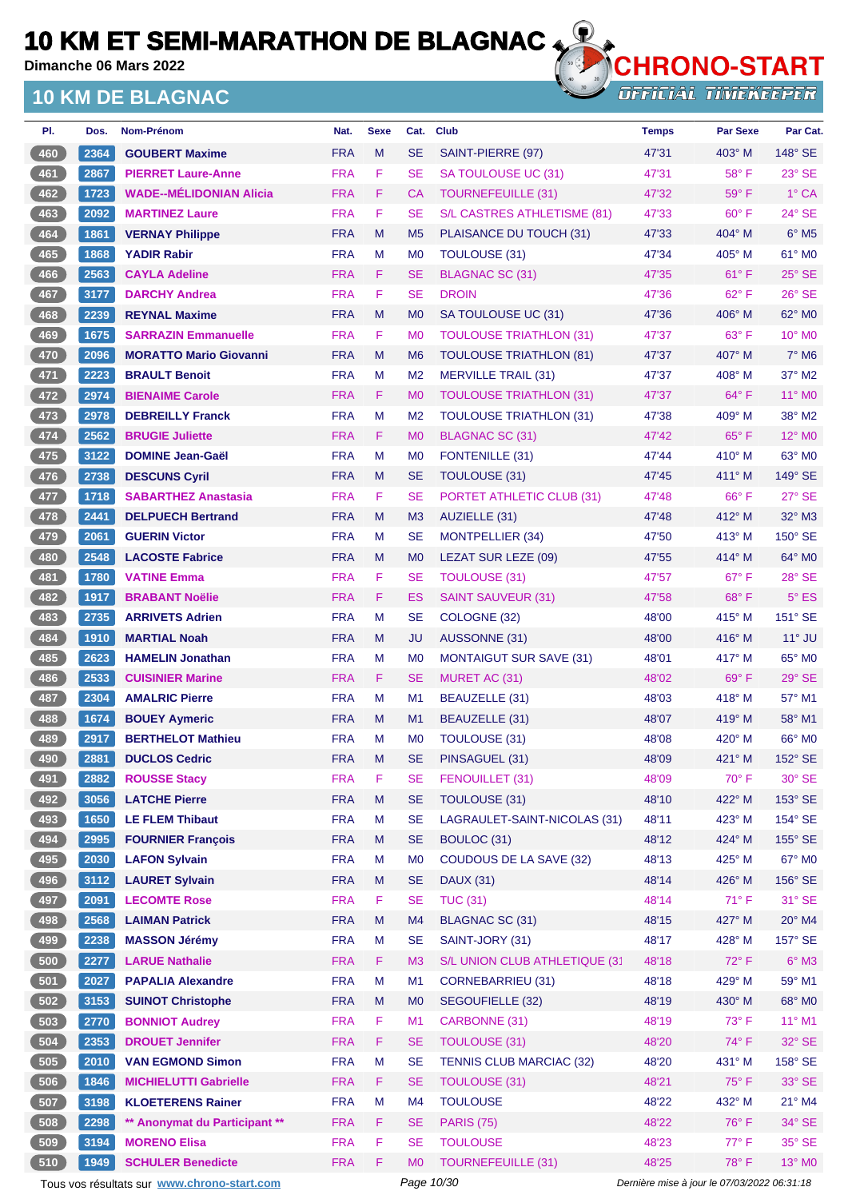**Dimanche 06 Mars 2022**

## **10 KM DE BLAGNAC**



**OFFICIAL TIMEKEEPER** 

| PI.   | Dos. | Nom-Prénom                     | Nat.       | <b>Sexe</b> | Cat.           | <b>Club</b>                     | <b>Temps</b> | <b>Par Sexe</b> | Par Cat.                 |
|-------|------|--------------------------------|------------|-------------|----------------|---------------------------------|--------------|-----------------|--------------------------|
| 460   | 2364 | <b>GOUBERT Maxime</b>          | <b>FRA</b> | M           | <b>SE</b>      | SAINT-PIERRE (97)               | 47'31        | $403^\circ$ M   | 148° SE                  |
| 461   | 2867 | <b>PIERRET Laure-Anne</b>      | <b>FRA</b> | F           | <b>SE</b>      | SA TOULOUSE UC (31)             | 47'31        | 58°F            | $23^\circ$ SE            |
| 462   | 1723 | <b>WADE--MÉLIDONIAN Alicia</b> | <b>FRA</b> | F           | СA             | <b>TOURNEFEUILLE (31)</b>       | 47'32        | $59^\circ$ F    | 1° CA                    |
| 463   | 2092 | <b>MARTINEZ Laure</b>          | <b>FRA</b> | F           | SE             | S/L CASTRES ATHLETISME (81)     | 47'33        | $60^{\circ}$ F  | 24° SE                   |
| 464   | 1861 | <b>VERNAY Philippe</b>         | <b>FRA</b> | M           | M <sub>5</sub> | PLAISANCE DU TOUCH (31)         | 47'33        | $404^\circ$ M   | $6^\circ$ M5             |
| 465   | 1868 | <b>YADIR Rabir</b>             | <b>FRA</b> | M           | M <sub>0</sub> | TOULOUSE (31)                   | 47'34        | $405^\circ$ M   | 61° MO                   |
| 466   | 2563 | <b>CAYLA Adeline</b>           | <b>FRA</b> | F           | <b>SE</b>      | <b>BLAGNAC SC (31)</b>          | 47'35        | $61^{\circ}$ F  | $25^{\circ}$ SE          |
| 467   | 3177 | <b>DARCHY Andrea</b>           | <b>FRA</b> | F           | SE             | <b>DROIN</b>                    | 47'36        | $62^{\circ}$ F  | $26^\circ$ SE            |
| 468   | 2239 | <b>REYNAL Maxime</b>           | <b>FRA</b> | M           | M <sub>0</sub> | SA TOULOUSE UC (31)             | 47'36        | $406^\circ$ M   | 62° MO                   |
| 469   | 1675 | <b>SARRAZIN Emmanuelle</b>     | <b>FRA</b> | F           | M <sub>0</sub> | <b>TOULOUSE TRIATHLON (31)</b>  | 47'37        | $63^\circ$ F    | $10^{\circ}$ MO          |
| 470   | 2096 | <b>MORATTO Mario Giovanni</b>  | <b>FRA</b> | M           | M <sub>6</sub> | <b>TOULOUSE TRIATHLON (81)</b>  | 47'37        | 407° M          | $7^\circ$ M <sub>6</sub> |
| 471   | 2223 | <b>BRAULT Benoit</b>           | <b>FRA</b> | M           | M <sub>2</sub> | <b>MERVILLE TRAIL (31)</b>      | 47'37        | $408^\circ$ M   | 37° M2                   |
| 472   | 2974 | <b>BIENAIME Carole</b>         | <b>FRA</b> | F           | M <sub>0</sub> | <b>TOULOUSE TRIATHLON (31)</b>  | 47'37        | $64^{\circ}$ F  | $11^{\circ}$ MO          |
| 473   | 2978 | <b>DEBREILLY Franck</b>        | <b>FRA</b> | M           | M <sub>2</sub> | <b>TOULOUSE TRIATHLON (31)</b>  | 47'38        | $409°$ M        | $38^\circ$ M2            |
| $474$ | 2562 | <b>BRUGIE Juliette</b>         | <b>FRA</b> | F           | M <sub>0</sub> | BLAGNAC SC (31)                 | 47'42        | $65^{\circ}$ F  | 12° MO                   |
| 475   | 3122 | <b>DOMINE Jean-Gaël</b>        | <b>FRA</b> | M           | M <sub>0</sub> | FONTENILLE (31)                 | 47'44        | $410^\circ$ M   | $63^\circ$ MO            |
| 476   | 2738 | <b>DESCUNS Cyril</b>           | <b>FRA</b> | M           | <b>SE</b>      | <b>TOULOUSE (31)</b>            | 47'45        | $411^\circ$ M   | $149^\circ$ SE           |
| 477   | 1718 | <b>SABARTHEZ Anastasia</b>     | <b>FRA</b> | F           | SE             | PORTET ATHLETIC CLUB (31)       | 47'48        | $66^{\circ}$ F  | $27^\circ$ SE            |
| 478   | 2441 | <b>DELPUECH Bertrand</b>       | <b>FRA</b> | M           | M <sub>3</sub> | AUZIELLE (31)                   | 47'48        | 412° M          | 32° M3                   |
| 479   | 2061 | <b>GUERIN Victor</b>           | <b>FRA</b> | M           | SE             | <b>MONTPELLIER (34)</b>         | 47'50        | $413^\circ$ M   | 150° SE                  |
| 480   | 2548 | <b>LACOSTE Fabrice</b>         | <b>FRA</b> | M           | M <sub>0</sub> | LEZAT SUR LEZE (09)             | 47'55        | $414^\circ$ M   | $64^\circ$ MO            |
| 481   | 1780 | <b>VATINE Emma</b>             | <b>FRA</b> | F           | SE             | <b>TOULOUSE (31)</b>            | 47'57        | $67^\circ$ F    | 28° SE                   |
| 482   | 1917 | <b>BRABANT Noëlie</b>          | <b>FRA</b> | F           | ES             | <b>SAINT SAUVEUR (31)</b>       | 47'58        | $68^{\circ}$ F  | $5^{\circ}$ ES           |
| 483   | 2735 | <b>ARRIVETS Adrien</b>         | <b>FRA</b> | M           | SE             | COLOGNE (32)                    | 48'00        | $415^\circ$ M   | 151° SE                  |
| 484   | 1910 | <b>MARTIAL Noah</b>            | <b>FRA</b> | M           | JU             | AUSSONNE (31)                   | 48'00        | $416^\circ$ M   | $11^\circ$ JU            |
| 485   | 2623 | <b>HAMELIN Jonathan</b>        | <b>FRA</b> | M           | M <sub>0</sub> | <b>MONTAIGUT SUR SAVE (31)</b>  | 48'01        | 417° M          | 65° MO                   |
| 486   | 2533 | <b>CUISINIER Marine</b>        | <b>FRA</b> | F           | SE             | MURET AC (31)                   | 48'02        | $69^\circ$ F    | $29°$ SE                 |
| 487   | 2304 | <b>AMALRIC Pierre</b>          | <b>FRA</b> | M           | M <sub>1</sub> | BEAUZELLE (31)                  | 48'03        | $418^\circ$ M   | 57° M1                   |
| 488   | 1674 | <b>BOUEY Aymeric</b>           | <b>FRA</b> | M           | M1             | BEAUZELLE (31)                  | 48'07        | $419^\circ$ M   | 58° M1                   |
| 489   | 2917 | <b>BERTHELOT Mathieu</b>       | <b>FRA</b> | м           | M <sub>0</sub> | TOULOUSE (31)                   | 48'08        | $420^\circ$ M   | 66° MO                   |
| 490   | 2881 | <b>DUCLOS Cedric</b>           | <b>FRA</b> | M           | <b>SE</b>      | PINSAGUEL (31)                  | 48'09        | $421^\circ$ M   | 152° SE                  |
| 491   | 2882 | <b>ROUSSE Stacy</b>            | <b>FRA</b> | F           | <b>SE</b>      | FENOUILLET (31)                 | 48'09        | $70^\circ$ F    | $30^\circ$ SE            |
| 492   | 3056 | <b>LATCHE Pierre</b>           | <b>FRA</b> | ${\sf M}$   | <b>SE</b>      | TOULOUSE (31)                   | 48'10        | 422° M          | 153° SE                  |
| 493   | 1650 | <b>LE FLEM Thibaut</b>         | <b>FRA</b> | M           | <b>SE</b>      | LAGRAULET-SAINT-NICOLAS (31)    | 48'11        | $423^\circ$ M   | 154° SE                  |
| 494   | 2995 | <b>FOURNIER Francois</b>       | <b>FRA</b> | M           | <b>SE</b>      | BOULOC (31)                     | 48'12        | 424° M          | 155° SE                  |
| 495   | 2030 | <b>LAFON Sylvain</b>           | <b>FRA</b> | M           | M <sub>0</sub> | COUDOUS DE LA SAVE (32)         | 48'13        | 425° M          | 67° M0                   |
| 496   | 3112 | <b>LAURET Sylvain</b>          | <b>FRA</b> | M           | <b>SE</b>      | <b>DAUX (31)</b>                | 48'14        | 426° M          | 156° SE                  |
| 497   | 2091 | <b>LECOMTE Rose</b>            | <b>FRA</b> | F           | <b>SE</b>      | <b>TUC (31)</b>                 | 48'14        | $71^\circ$ F    | $31^\circ$ SE            |
| 498   | 2568 | <b>LAIMAN Patrick</b>          | <b>FRA</b> | ${\sf M}$   | M4             | <b>BLAGNAC SC (31)</b>          | 48'15        | 427° M          | 20° M4                   |
| 499   | 2238 | <b>MASSON Jérémy</b>           | <b>FRA</b> | M           | <b>SE</b>      | SAINT-JORY (31)                 | 48'17        | 428° M          | 157° SE                  |
| 500   | 2277 | <b>LARUE Nathalie</b>          | <b>FRA</b> | F           | M <sub>3</sub> | S/L UNION CLUB ATHLETIQUE (31   | 48'18        | $72^\circ$ F    | $6^\circ$ M3             |
| 501   | 2027 | <b>PAPALIA Alexandre</b>       | <b>FRA</b> | M           | M1             | CORNEBARRIEU (31)               | 48'18        | 429° M          | 59° M1                   |
| 502   | 3153 | <b>SUINOT Christophe</b>       | <b>FRA</b> | M           | M <sub>0</sub> | SEGOUFIELLE (32)                | 48'19        | 430° M          | 68° MO                   |
| 503   | 2770 | <b>BONNIOT Audrey</b>          | <b>FRA</b> | F           | M1             | CARBONNE (31)                   | 48'19        | $73^\circ$ F    | $11^{\circ}$ M1          |
| 504   | 2353 | <b>DROUET Jennifer</b>         | <b>FRA</b> | F           | <b>SE</b>      | <b>TOULOUSE (31)</b>            | 48'20        | 74°F            | 32° SE                   |
| 505   | 2010 | <b>VAN EGMOND Simon</b>        | <b>FRA</b> | M           | <b>SE</b>      | <b>TENNIS CLUB MARCIAC (32)</b> | 48'20        | 431° M          | 158° SE                  |
| 506   | 1846 | <b>MICHIELUTTI Gabrielle</b>   | <b>FRA</b> | F.          | <b>SE</b>      | <b>TOULOUSE (31)</b>            | 48'21        | $75^{\circ}$ F  | $33^\circ$ SE            |
| 507   | 3198 | <b>KLOETERENS Rainer</b>       | <b>FRA</b> | M           | M4             | <b>TOULOUSE</b>                 | 48'22        | 432° M          | $21^{\circ}$ M4          |
| 508   | 2298 | ** Anonymat du Participant **  | <b>FRA</b> | F           | <b>SE</b>      | <b>PARIS (75)</b>               | 48'22        | $76^{\circ}$ F  | $34^\circ$ SE            |
| 509   | 3194 | <b>MORENO Elisa</b>            | <b>FRA</b> | F           | <b>SE</b>      | <b>TOULOUSE</b>                 | 48'23        | 77° F           | 35° SE                   |
| 510   | 1949 | <b>SCHULER Benedicte</b>       | <b>FRA</b> | F           | M <sub>0</sub> | <b>TOURNEFEUILLE (31)</b>       | 48'25        | 78°F            | 13° MO                   |

Tous vos résultats sur **[www.chrono-start.com](https://www.chrono-start.com/)** Page 10/30 Page 10/30 Dernière mise à jour le 07/03/2022 06:31:18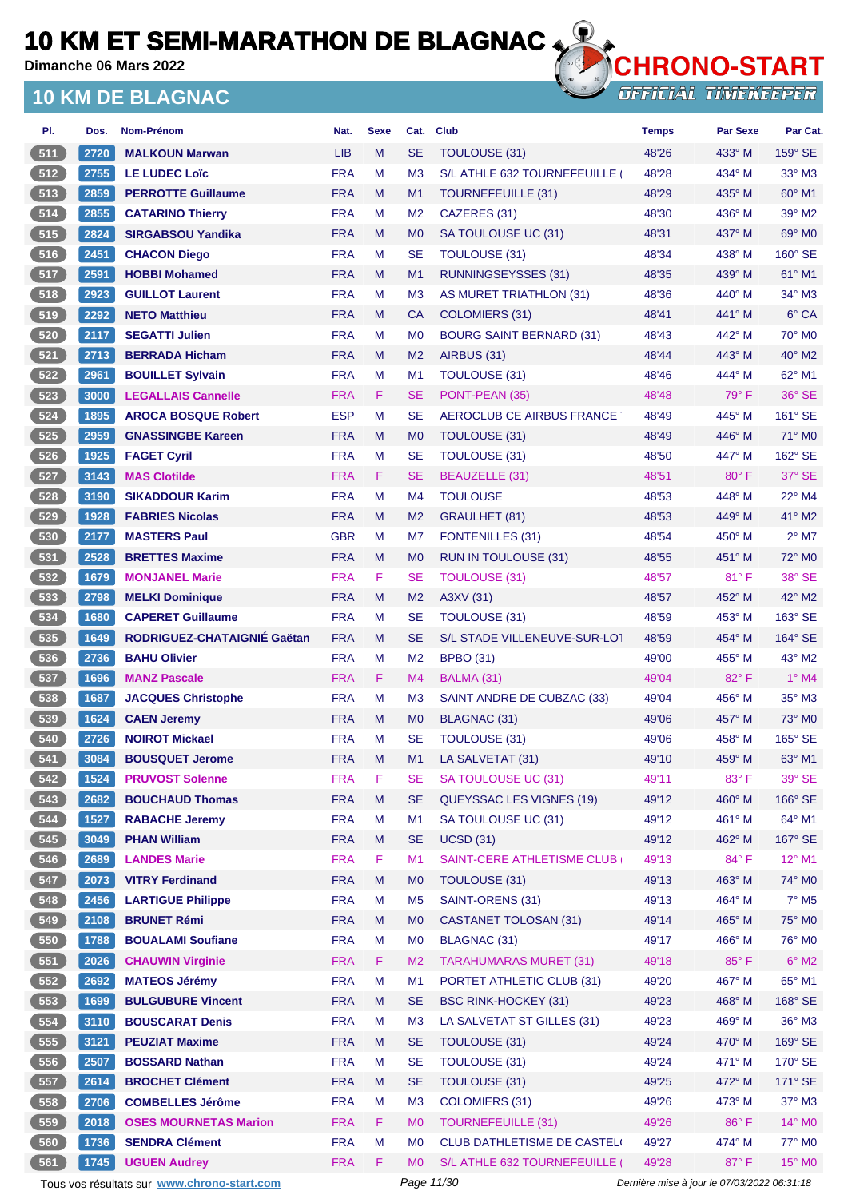**Dimanche 06 Mars 2022**

## **10 KM DE BLAGNAC**



**OFFICIAL TIMEKEEPER** 

| PI. | Dos. | <b>Nom-Prénom</b>            | Nat.       | <b>Sexe</b> | Cat.           | <b>Club</b>                     | <b>Temps</b> | <b>Par Sexe</b> | Par Cat.                 |
|-----|------|------------------------------|------------|-------------|----------------|---------------------------------|--------------|-----------------|--------------------------|
| 511 | 2720 | <b>MALKOUN Marwan</b>        | <b>LIB</b> | M           | <b>SE</b>      | TOULOUSE (31)                   | 48'26        | 433° M          | $159^\circ$ SE           |
| 512 | 2755 | <b>LE LUDEC Loïc</b>         | <b>FRA</b> | M           | M <sub>3</sub> | S/L ATHLE 632 TOURNEFEUILLE     | 48'28        | 434° M          | $33^\circ$ M3            |
| 513 | 2859 | <b>PERROTTE Guillaume</b>    | <b>FRA</b> | M           | M <sub>1</sub> | <b>TOURNEFEUILLE (31)</b>       | 48'29        | 435° M          | $60^\circ$ M1            |
| 514 | 2855 | <b>CATARINO Thierry</b>      | <b>FRA</b> | M           | M <sub>2</sub> | CAZERES (31)                    | 48'30        | 436° M          | 39° M2                   |
| 515 | 2824 | <b>SIRGABSOU Yandika</b>     | <b>FRA</b> | M           | M <sub>0</sub> | SA TOULOUSE UC (31)             | 48'31        | 437° M          | 69° MO                   |
| 516 | 2451 | <b>CHACON Diego</b>          | <b>FRA</b> | м           | <b>SE</b>      | <b>TOULOUSE (31)</b>            | 48'34        | 438° M          | 160° SE                  |
| 517 | 2591 | <b>HOBBI Mohamed</b>         | <b>FRA</b> | M           | M <sub>1</sub> | <b>RUNNINGSEYSSES (31)</b>      | 48'35        | 439° M          | $61^\circ$ M1            |
| 518 | 2923 | <b>GUILLOT Laurent</b>       | <b>FRA</b> | M           | M <sub>3</sub> | AS MURET TRIATHLON (31)         | 48'36        | $440^\circ$ M   | 34° M3                   |
| 519 | 2292 | <b>NETO Matthieu</b>         | <b>FRA</b> | M           | <b>CA</b>      | COLOMIERS (31)                  | 48'41        | 441° M          | 6° CA                    |
| 520 | 2117 | <b>SEGATTI Julien</b>        | <b>FRA</b> | м           | M <sub>0</sub> | <b>BOURG SAINT BERNARD (31)</b> | 48'43        | 442° M          | 70° M0                   |
| 521 | 2713 | <b>BERRADA Hicham</b>        | <b>FRA</b> | M           | M <sub>2</sub> | AIRBUS (31)                     | 48'44        | 443° M          | 40° M2                   |
| 522 | 2961 | <b>BOUILLET Sylvain</b>      | <b>FRA</b> | м           | M <sub>1</sub> | <b>TOULOUSE (31)</b>            | 48'46        | 444° M          | 62° M1                   |
| 523 | 3000 | <b>LEGALLAIS Cannelle</b>    | <b>FRA</b> | F.          | <b>SE</b>      | PONT-PEAN (35)                  | 48'48        | $79^\circ$ F    | 36° SE                   |
| 524 | 1895 | <b>AROCA BOSQUE Robert</b>   | <b>ESP</b> | M           | <b>SE</b>      | AEROCLUB CE AIRBUS FRANCE       | 48'49        | 445° M          | 161° SE                  |
| 525 | 2959 | <b>GNASSINGBE Kareen</b>     | <b>FRA</b> | M           | M <sub>0</sub> | TOULOUSE (31)                   | 48'49        | 446° M          | $71^\circ$ MO            |
| 526 | 1925 | <b>FAGET Cyril</b>           | <b>FRA</b> | M           | <b>SE</b>      | <b>TOULOUSE (31)</b>            | 48'50        | 447° M          | 162° SE                  |
| 527 | 3143 | <b>MAS Clotilde</b>          | <b>FRA</b> | F.          | <b>SE</b>      | BEAUZELLE (31)                  | 48'51        | $80^\circ$ F    | 37° SE                   |
| 528 | 3190 | <b>SIKADDOUR Karim</b>       | <b>FRA</b> | м           | M <sub>4</sub> | <b>TOULOUSE</b>                 | 48'53        | 448° M          | $22^{\circ}$ M4          |
| 529 | 1928 | <b>FABRIES Nicolas</b>       | <b>FRA</b> | M           | M <sub>2</sub> | <b>GRAULHET (81)</b>            | 48'53        | 449° M          | 41° M2                   |
| 530 | 2177 | <b>MASTERS Paul</b>          | <b>GBR</b> | М           | M7             | <b>FONTENILLES (31)</b>         | 48'54        | 450° M          | $2^{\circ}$ M7           |
| 531 | 2528 | <b>BRETTES Maxime</b>        | <b>FRA</b> | M           | M <sub>0</sub> | <b>RUN IN TOULOUSE (31)</b>     | 48'55        | 451° M          | 72° M0                   |
| 532 | 1679 | <b>MONJANEL Marie</b>        | <b>FRA</b> | F           | <b>SE</b>      | TOULOUSE (31)                   | 48'57        | $81^\circ$ F    | 38° SE                   |
| 533 | 2798 | <b>MELKI Dominique</b>       | <b>FRA</b> | M           | M <sub>2</sub> | A3XV (31)                       | 48'57        | 452° M          | 42° M2                   |
| 534 | 1680 | <b>CAPERET Guillaume</b>     | <b>FRA</b> | м           | <b>SE</b>      | <b>TOULOUSE (31)</b>            | 48'59        | $453^\circ$ M   | 163° SE                  |
| 535 | 1649 | RODRIGUEZ-CHATAIGNIE Gaëtan  | <b>FRA</b> | M           | <b>SE</b>      | S/L STADE VILLENEUVE-SUR-LOT    | 48'59        | 454° M          | $164^\circ$ SE           |
| 536 | 2736 | <b>BAHU Olivier</b>          | <b>FRA</b> | M           | M <sub>2</sub> | <b>BPBO (31)</b>                | 49'00        | 455° M          | 43° M2                   |
| 537 | 1696 | <b>MANZ Pascale</b>          | <b>FRA</b> | F.          | M <sub>4</sub> | BALMA (31)                      | 49'04        | 82°F            | $1°$ M4                  |
| 538 | 1687 | <b>JACQUES Christophe</b>    | <b>FRA</b> | М           | M <sub>3</sub> | SAINT ANDRE DE CUBZAC (33)      | 49'04        | 456° M          | $35^\circ$ M3            |
| 539 | 1624 | <b>CAEN Jeremy</b>           | <b>FRA</b> | M           | M <sub>0</sub> | BLAGNAC (31)                    | 49'06        | 457° M          | $73^\circ$ MO            |
| 540 | 2726 | <b>NOIROT Mickael</b>        | <b>FRA</b> | M           | <b>SE</b>      | TOULOUSE (31)                   | 49'06        | 458° M          | 165° SE                  |
| 541 | 3084 | <b>BOUSQUET Jerome</b>       | <b>FRA</b> | M           | M1             | LA SALVETAT (31)                | 49'10        | $459°$ M        | 63° M1                   |
| 542 | 1524 | <b>PRUVOST Solenne</b>       | <b>FRA</b> | F           | <b>SE</b>      | SA TOULOUSE UC (31)             | 49'11        | 83° F           | 39° SE                   |
| 543 | 2682 | <b>BOUCHAUD Thomas</b>       | <b>FRA</b> | M           | <b>SE</b>      | <b>QUEYSSAC LES VIGNES (19)</b> | 49'12        | 460° M          | 166° SE                  |
| 544 | 1527 | <b>RABACHE Jeremy</b>        | <b>FRA</b> | M           | M1             | SA TOULOUSE UC (31)             | 49'12        | 461° M          | 64° M1                   |
| 545 | 3049 | <b>PHAN William</b>          | <b>FRA</b> | M           | <b>SE</b>      | <b>UCSD (31)</b>                | 49'12        | 462° M          | 167° SE                  |
| 546 | 2689 | <b>LANDES Marie</b>          | <b>FRA</b> | F           | M1             | SAINT-CERE ATHLETISME CLUB      | 49'13        | $84^{\circ}$ F  | $12^{\circ}$ M1          |
| 547 | 2073 | <b>VITRY Ferdinand</b>       | <b>FRA</b> | M           | M <sub>0</sub> | TOULOUSE (31)                   | 49'13        | 463° M          | 74° M0                   |
| 548 | 2456 | <b>LARTIGUE Philippe</b>     | <b>FRA</b> | M           | M <sub>5</sub> | SAINT-ORENS (31)                | 49'13        | 464° M          | $7^\circ$ M <sub>5</sub> |
| 549 | 2108 | <b>BRUNET Rémi</b>           | <b>FRA</b> | M           | M <sub>0</sub> | <b>CASTANET TOLOSAN (31)</b>    | 49'14        | 465° M          | 75° MO                   |
| 550 | 1788 | <b>BOUALAMI Soufiane</b>     | <b>FRA</b> | М           | M <sub>0</sub> | <b>BLAGNAC (31)</b>             | 49'17        | 466° M          | 76° M <sub>0</sub>       |
| 551 | 2026 | <b>CHAUWIN Virginie</b>      | <b>FRA</b> | F.          | M <sub>2</sub> | <b>TARAHUMARAS MURET (31)</b>   | 49'18        | 85°F            | $6^{\circ}$ M2           |
| 552 | 2692 | <b>MATEOS Jérémy</b>         | <b>FRA</b> | M           | M1             | PORTET ATHLETIC CLUB (31)       | 49'20        | 467° M          | 65° M1                   |
| 553 | 1699 | <b>BULGUBURE Vincent</b>     | <b>FRA</b> | M           | <b>SE</b>      | <b>BSC RINK-HOCKEY (31)</b>     | 49'23        | 468° M          | 168° SE                  |
| 554 | 3110 | <b>BOUSCARAT Denis</b>       | <b>FRA</b> | M           | M <sub>3</sub> | LA SALVETAT ST GILLES (31)      | 49'23        | 469° M          | $36^\circ$ M3            |
| 555 | 3121 | <b>PEUZIAT Maxime</b>        | <b>FRA</b> | M           | <b>SE</b>      | TOULOUSE (31)                   | 49'24        | 470° M          | 169° SE                  |
| 556 | 2507 | <b>BOSSARD Nathan</b>        | <b>FRA</b> | M           | <b>SE</b>      | <b>TOULOUSE (31)</b>            | 49'24        | 471° M          | 170° SE                  |
| 557 | 2614 | <b>BROCHET Clément</b>       | <b>FRA</b> | M           | <b>SE</b>      | <b>TOULOUSE (31)</b>            | 49'25        | 472° M          | 171° SE                  |
| 558 | 2706 | <b>COMBELLES Jérôme</b>      | <b>FRA</b> | M           | M <sub>3</sub> | COLOMIERS (31)                  | 49'26        | 473° M          | $37^\circ$ M3            |
| 559 | 2018 | <b>OSES MOURNETAS Marion</b> | <b>FRA</b> | F           | M <sub>0</sub> | <b>TOURNEFEUILLE (31)</b>       | 49'26        | 86°F            | 14° MO                   |
| 560 | 1736 | <b>SENDRA Clément</b>        | <b>FRA</b> | M           | M <sub>0</sub> | CLUB DATHLETISME DE CASTELI     | 49'27        | 474° M          | 77° M0                   |
| 561 | 1745 | <b>UGUEN Audrey</b>          | <b>FRA</b> | F.          | M <sub>0</sub> | S/L ATHLE 632 TOURNEFEUILLE     | 49'28        | 87°F            | 15° MO                   |

Tous vos résultats sur **[www.chrono-start.com](https://www.chrono-start.com/)** Page 11/30 Page 11/30 Dernière mise à jour le 07/03/2022 06:31:18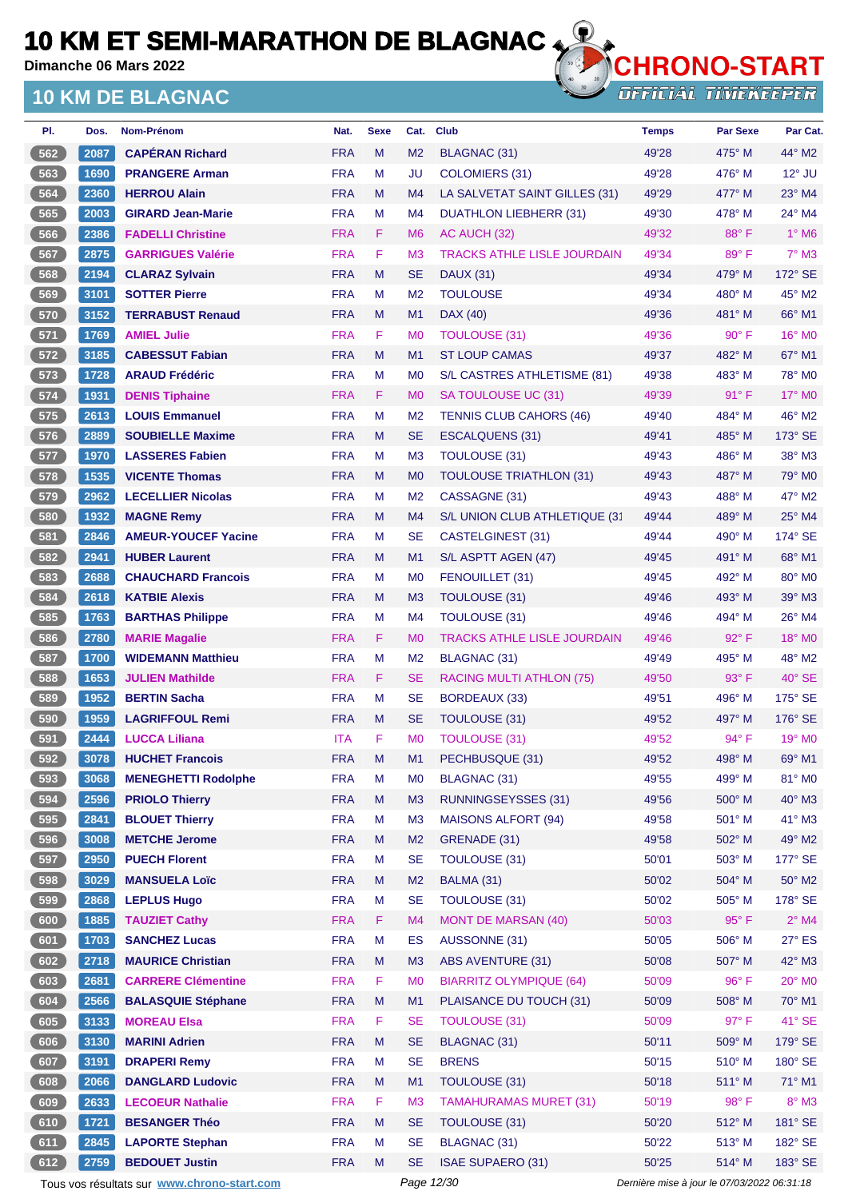**Dimanche 06 Mars 2022**

## **10 KM DE BLAGNAC**



**OFFICIAL TIMEKEEPER** 

| PI.   | Dos. | Nom-Prénom                 | Nat.       | <b>Sexe</b> | Cat.           | <b>Club</b>                        | <b>Temps</b> | <b>Par Sexe</b> | Par Cat.                 |
|-------|------|----------------------------|------------|-------------|----------------|------------------------------------|--------------|-----------------|--------------------------|
| 562   | 2087 | <b>CAPÉRAN Richard</b>     | <b>FRA</b> | M           | M <sub>2</sub> | BLAGNAC (31)                       | 49'28        | 475° M          | $44^\circ$ M2            |
| 563   | 1690 | <b>PRANGERE Arman</b>      | <b>FRA</b> | M           | JU             | <b>COLOMIERS (31)</b>              | 49'28        | $476^\circ$ M   | $12^{\circ}$ JU          |
| 564   | 2360 | <b>HERROU Alain</b>        | <b>FRA</b> | M           | M4             | LA SALVETAT SAINT GILLES (31)      | 49'29        | $477^\circ$ M   | $23^\circ$ M4            |
| 565   | 2003 | <b>GIRARD Jean-Marie</b>   | <b>FRA</b> | M           | M4             | <b>DUATHLON LIEBHERR (31)</b>      | 49'30        | $478^\circ$ M   | 24° M4                   |
| 566   | 2386 | <b>FADELLI Christine</b>   | <b>FRA</b> | F.          | M <sub>6</sub> | AC AUCH (32)                       | 49'32        | 88°F            | $1^\circ$ M <sub>6</sub> |
| 567   | 2875 | <b>GARRIGUES Valérie</b>   | <b>FRA</b> | F           | M <sub>3</sub> | <b>TRACKS ATHLE LISLE JOURDAIN</b> | 49'34        | 89°F            | $7^\circ$ M3             |
| 568   | 2194 | <b>CLARAZ Sylvain</b>      | <b>FRA</b> | M           | <b>SE</b>      | <b>DAUX (31)</b>                   | 49'34        | 479° M          | 172° SE                  |
| 569   | 3101 | <b>SOTTER Pierre</b>       | <b>FRA</b> | M           | M <sub>2</sub> | <b>TOULOUSE</b>                    | 49'34        | $480^\circ$ M   | $45^\circ$ M2            |
| 570   | 3152 | <b>TERRABUST Renaud</b>    | <b>FRA</b> | M           | M1             | DAX (40)                           | 49'36        | 481° M          | 66° M1                   |
| 571   | 1769 | <b>AMIEL Julie</b>         | <b>FRA</b> | F.          | M <sub>0</sub> | <b>TOULOUSE (31)</b>               | 49'36        | $90^\circ$ F    | 16° M0                   |
| 572   | 3185 | <b>CABESSUT Fabian</b>     | <b>FRA</b> | M           | M1             | <b>ST LOUP CAMAS</b>               | 49'37        | 482° M          | $67^\circ$ M1            |
| 573   | 1728 | <b>ARAUD Frédéric</b>      | <b>FRA</b> | M           | M <sub>0</sub> | S/L CASTRES ATHLETISME (81)        | 49'38        | $483^\circ$ M   | 78° M0                   |
| 574   | 1931 | <b>DENIS Tiphaine</b>      | <b>FRA</b> | F.          | M <sub>0</sub> | SA TOULOUSE UC (31)                | 49'39        | $91^{\circ}$ F  | $17^\circ$ MO            |
| $575$ | 2613 | <b>LOUIS Emmanuel</b>      | <b>FRA</b> | M           | M <sub>2</sub> | <b>TENNIS CLUB CAHORS (46)</b>     | 49'40        | 484° M          | 46° M2                   |
| 576   | 2889 | <b>SOUBIELLE Maxime</b>    | <b>FRA</b> | M           | SE             | <b>ESCALQUENS (31)</b>             | 49'41        | 485° M          | 173° SE                  |
| 577   | 1970 | <b>LASSERES Fabien</b>     | <b>FRA</b> | м           | M3             | TOULOUSE (31)                      | 49'43        | 486° M          | $38^\circ$ M3            |
| 578   | 1535 | <b>VICENTE Thomas</b>      | <b>FRA</b> | M           | M <sub>0</sub> | <b>TOULOUSE TRIATHLON (31)</b>     | 49'43        | 487° M          | 79° M <sub>0</sub>       |
| 579   | 2962 | <b>LECELLIER Nicolas</b>   | <b>FRA</b> | M           | M <sub>2</sub> | CASSAGNE (31)                      | 49'43        | 488° M          | 47° M2                   |
| 580   | 1932 | <b>MAGNE Remy</b>          | <b>FRA</b> | M           | M4             | S/L UNION CLUB ATHLETIQUE (31      | 49'44        | 489° M          | $25^\circ$ M4            |
| 581   | 2846 | <b>AMEUR-YOUCEF Yacine</b> | <b>FRA</b> | м           | SE             | CASTELGINEST (31)                  | 49'44        | $490^\circ$ M   | 174° SE                  |
| 582   | 2941 | <b>HUBER Laurent</b>       | <b>FRA</b> | M           | M1             | S/L ASPTT AGEN (47)                | 49'45        | 491° M          | 68° M1                   |
| 583   | 2688 | <b>CHAUCHARD Francois</b>  | <b>FRA</b> | M           | M <sub>0</sub> | FENOUILLET (31)                    | 49'45        | 492° M          | 80° M <sub>0</sub>       |
| 584   | 2618 | <b>KATBIE Alexis</b>       | <b>FRA</b> | M           | M <sub>3</sub> | <b>TOULOUSE (31)</b>               | 49'46        | 493° M          | 39° M3                   |
| 585   | 1763 | <b>BARTHAS Philippe</b>    | <b>FRA</b> | M           | M4             | TOULOUSE (31)                      | 49'46        | 494° M          | $26^{\circ}$ M4          |
| 586   | 2780 | <b>MARIE Magalie</b>       | <b>FRA</b> | F.          | M <sub>0</sub> | <b>TRACKS ATHLE LISLE JOURDAIN</b> | 49'46        | 92°F            | 18° MO                   |
| 587   | 1700 | <b>WIDEMANN Matthieu</b>   | <b>FRA</b> | M           | M <sub>2</sub> | <b>BLAGNAC (31)</b>                | 49'49        | 495° M          | 48° M2                   |
| 588   | 1653 | <b>JULIEN Mathilde</b>     | <b>FRA</b> | F.          | <b>SE</b>      | RACING MULTI ATHLON (75)           | 49'50        | $93^\circ$ F    | $40^\circ$ SE            |
| 589   | 1952 | <b>BERTIN Sacha</b>        | <b>FRA</b> | м           | SE             | BORDEAUX (33)                      | 49'51        | $496^\circ$ M   | $175^\circ$ SE           |
| 6590  | 1959 | <b>LAGRIFFOUL Remi</b>     | <b>FRA</b> | M           | <b>SE</b>      | TOULOUSE (31)                      | 49'52        | 497° M          | 176° SE                  |
| 591   | 2444 | <b>LUCCA Liliana</b>       | <b>ITA</b> | F           | M <sub>0</sub> | <b>TOULOUSE (31)</b>               | 49'52        | 94° F           | $19^\circ$ MO            |
| 592   | 3078 | <b>HUCHET Francois</b>     | <b>FRA</b> | M           | M1             | PECHBUSQUE (31)                    | 49'52        | 498° M          | 69° M1                   |
| 593   | 3068 | <b>MENEGHETTI Rodolphe</b> | <b>FRA</b> | M           | M0             | <b>BLAGNAC (31)</b>                | 49'55        | 499° M          | 81° MO                   |
| 594   | 2596 | <b>PRIOLO Thierry</b>      | <b>FRA</b> | M           | M3             | <b>RUNNINGSEYSSES (31)</b>         | 49'56        | 500° M          | $40^\circ$ M3            |
| 595   | 2841 | <b>BLOUET Thierry</b>      | <b>FRA</b> | M           | M <sub>3</sub> | <b>MAISONS ALFORT (94)</b>         | 49'58        | 501° M          | 41° M3                   |
| 596   | 3008 | <b>METCHE Jerome</b>       | <b>FRA</b> | M           | M <sub>2</sub> | GRENADE (31)                       | 49'58        | 502° M          | 49° M2                   |
| 597   | 2950 | <b>PUECH Florent</b>       | <b>FRA</b> | M           | <b>SE</b>      | TOULOUSE (31)                      | 50'01        | 503° M          | 177° SE                  |
| 598   | 3029 | <b>MANSUELA Loïc</b>       | <b>FRA</b> | M           | M <sub>2</sub> | BALMA (31)                         | 50'02        | 504° M          | 50° M2                   |
| 599   | 2868 | <b>LEPLUS Hugo</b>         | <b>FRA</b> | M           | <b>SE</b>      | TOULOUSE (31)                      | 50'02        | 505° M          | 178° SE                  |
| 600   | 1885 | <b>TAUZIET Cathy</b>       | <b>FRA</b> | F           | M4             | <b>MONT DE MARSAN (40)</b>         | 50'03        | 95°F            | $2^{\circ}$ M4           |
| 601   | 1703 | <b>SANCHEZ Lucas</b>       | <b>FRA</b> | M           | <b>ES</b>      | AUSSONNE (31)                      | 50'05        | 506° M          | 27° ES                   |
| 602   | 2718 | <b>MAURICE Christian</b>   | <b>FRA</b> | M           | M3             | <b>ABS AVENTURE (31)</b>           | 50'08        | 507° M          | 42° M3                   |
| 603   | 2681 | <b>CARRERE Clémentine</b>  | <b>FRA</b> | F           | M <sub>0</sub> | <b>BIARRITZ OLYMPIQUE (64)</b>     | 50'09        | 96°F            | $20^\circ$ MO            |
| 604   | 2566 | <b>BALASQUIE Stéphane</b>  | <b>FRA</b> | M           | M1             | PLAISANCE DU TOUCH (31)            | 50'09        | 508° M          | 70° M1                   |
| 605   | 3133 | <b>MOREAU Elsa</b>         | <b>FRA</b> | F           | <b>SE</b>      | <b>TOULOUSE (31)</b>               | 50'09        | 97°F            | 41° SE                   |
| 606   | 3130 | <b>MARINI Adrien</b>       | <b>FRA</b> | M           | <b>SE</b>      | BLAGNAC (31)                       | 50'11        | 509° M          | 179° SE                  |
| 607   | 3191 | <b>DRAPERI Remy</b>        | <b>FRA</b> | M           | <b>SE</b>      | <b>BRENS</b>                       | 50'15        | $510^\circ$ M   | 180° SE                  |
| 608   | 2066 | <b>DANGLARD Ludovic</b>    | <b>FRA</b> | M           | M1             | TOULOUSE (31)                      | 50'18        | 511° M          | 71° M1                   |
| 609   | 2633 | <b>LECOEUR Nathalie</b>    | <b>FRA</b> | F           | M <sub>3</sub> | <b>TAMAHURAMAS MURET (31)</b>      | 50'19        | 98°F            | $8^\circ$ M3             |
| 610   | 1721 | <b>BESANGER Théo</b>       | <b>FRA</b> | M           | <b>SE</b>      | <b>TOULOUSE (31)</b>               | 50'20        | $512^{\circ}$ M | 181° SE                  |
| 611   | 2845 | <b>LAPORTE Stephan</b>     | <b>FRA</b> | M           | <b>SE</b>      | BLAGNAC (31)                       | 50'22        | 513° M          | 182° SE                  |
| 612   | 2759 | <b>BEDOUET Justin</b>      | <b>FRA</b> | M           | <b>SE</b>      | <b>ISAE SUPAERO (31)</b>           | 50'25        | 514° M          | 183° SE                  |

Tous vos résultats sur **[www.chrono-start.com](https://www.chrono-start.com/)** Page 12/30 Page 12/30 Dernière mise à jour le 07/03/2022 06:31:18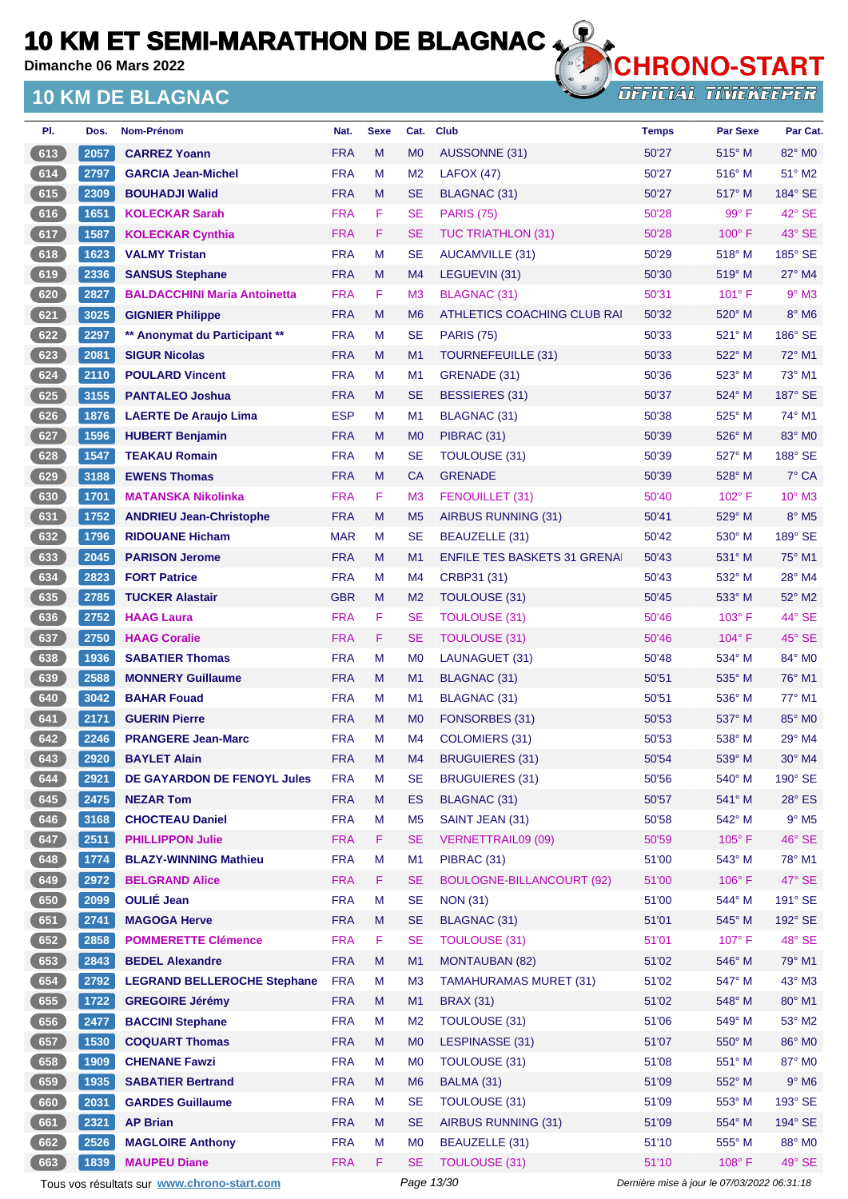**Dimanche 06 Mars 2022**

### **10 KM DE BLAGNAC**



**OFFICIAL TIMEKEEPER** 

| PI.   | Dos. | Nom-Prénom                          | Nat.       | <b>Sexe</b> | Cat.           | <b>Club</b>                         | <b>Temps</b> | Par Sexe        | Par Cat.        |
|-------|------|-------------------------------------|------------|-------------|----------------|-------------------------------------|--------------|-----------------|-----------------|
| 613   | 2057 | <b>CARREZ Yoann</b>                 | <b>FRA</b> | M           | M <sub>0</sub> | AUSSONNE (31)                       | 50'27        | $515^\circ$ M   | 82° MO          |
| 614   | 2797 | <b>GARCIA Jean-Michel</b>           | <b>FRA</b> | М           | M <sub>2</sub> | LAFOX (47)                          | 50'27        | $516^\circ$ M   | $51^\circ$ M2   |
| 615   | 2309 | <b>BOUHADJI Walid</b>               | <b>FRA</b> | M           | <b>SE</b>      | <b>BLAGNAC (31)</b>                 | 50'27        | 517° M          | 184° SE         |
| 616   | 1651 | <b>KOLECKAR Sarah</b>               | <b>FRA</b> | F           | <b>SE</b>      | <b>PARIS (75)</b>                   | 50'28        | 99° F           | 42° SE          |
| 617   | 1587 | <b>KOLECKAR Cynthia</b>             | <b>FRA</b> | F.          | <b>SE</b>      | <b>TUC TRIATHLON (31)</b>           | 50'28        | $100^\circ$ F   | 43° SE          |
| 618   | 1623 | <b>VALMY Tristan</b>                | <b>FRA</b> | М           | <b>SE</b>      | AUCAMVILLE (31)                     | 50'29        | $518^\circ$ M   | 185° SE         |
| 619   | 2336 | <b>SANSUS Stephane</b>              | <b>FRA</b> | M           | M <sub>4</sub> | LEGUEVIN (31)                       | 50'30        | 519° M          | 27° M4          |
| 620   | 2827 | <b>BALDACCHINI Maria Antoinetta</b> | <b>FRA</b> | F           | M <sub>3</sub> | BLAGNAC (31)                        | 50'31        | $101^{\circ}$ F | $9°$ M3         |
| 621   | 3025 | <b>GIGNIER Philippe</b>             | <b>FRA</b> | M           | M <sub>6</sub> | ATHLETICS COACHING CLUB RAI         | 50'32        | 520° M          | $8^\circ$ M6    |
| $622$ | 2297 | ** Anonymat du Participant **       | <b>FRA</b> | М           | <b>SE</b>      | <b>PARIS (75)</b>                   | 50'33        | $521^\circ$ M   | 186° SE         |
| 623   | 2081 | <b>SIGUR Nicolas</b>                | <b>FRA</b> | M           | M1             | TOURNEFEUILLE (31)                  | 50'33        | 522° M          | $72^\circ$ M1   |
| 624   | 2110 | <b>POULARD Vincent</b>              | <b>FRA</b> | М           | M <sub>1</sub> | GRENADE (31)                        | 50'36        | $523^\circ$ M   | 73° M1          |
| 625   | 3155 | <b>PANTALEO Joshua</b>              | <b>FRA</b> | M           | <b>SE</b>      | BESSIERES (31)                      | 50'37        | 524° M          | 187° SE         |
| 626   | 1876 | <b>LAERTE De Araujo Lima</b>        | <b>ESP</b> | М           | M <sub>1</sub> | <b>BLAGNAC (31)</b>                 | 50'38        | 525° M          | 74° M1          |
| 627   | 1596 | <b>HUBERT Benjamin</b>              | <b>FRA</b> | M           | M <sub>0</sub> | PIBRAC (31)                         | 50'39        | 526° M          | 83° MO          |
| 628   | 1547 | <b>TEAKAU Romain</b>                | <b>FRA</b> | М           | <b>SE</b>      | <b>TOULOUSE (31)</b>                | 50'39        | $527^\circ$ M   | 188° SE         |
| 629   | 3188 | <b>EWENS Thomas</b>                 | <b>FRA</b> | M           | <b>CA</b>      | <b>GRENADE</b>                      | 50'39        | $528^\circ$ M   | 7° CA           |
| 630   | 1701 | <b>MATANSKA Nikolinka</b>           | <b>FRA</b> | F           | M <sub>3</sub> | FENOUILLET (31)                     | 50'40        | $102^{\circ}$ F | $10^{\circ}$ M3 |
| 631   | 1752 | <b>ANDRIEU Jean-Christophe</b>      | <b>FRA</b> | M           | M <sub>5</sub> | AIRBUS RUNNING (31)                 | 50'41        | $529^\circ$ M   | $8^\circ$ M5    |
| 632   | 1796 | <b>RIDOUANE Hicham</b>              | <b>MAR</b> | м           | <b>SE</b>      | BEAUZELLE (31)                      | 50'42        | $530^\circ$ M   | 189° SE         |
| $633$ | 2045 | <b>PARISON Jerome</b>               | <b>FRA</b> | M           | M1             | <b>ENFILE TES BASKETS 31 GRENAL</b> | 50'43        | 531° M          | 75° M1          |
| 634   | 2823 | <b>FORT Patrice</b>                 | <b>FRA</b> | М           | M4             | CRBP31 (31)                         | 50'43        | $532^\circ$ M   | $28^\circ$ M4   |
| 635   | 2785 | <b>TUCKER Alastair</b>              | <b>GBR</b> | M           | M <sub>2</sub> | <b>TOULOUSE (31)</b>                | 50'45        | 533° M          | $52^\circ$ M2   |
| $636$ | 2752 | <b>HAAG Laura</b>                   | <b>FRA</b> | F           | <b>SE</b>      | <b>TOULOUSE (31)</b>                | 50'46        | $103^\circ$ F   | $44^{\circ}$ SE |
| $637$ | 2750 | <b>HAAG Coralie</b>                 | <b>FRA</b> | F           | <b>SE</b>      | <b>TOULOUSE (31)</b>                | 50'46        | 104°F           | 45° SE          |
| 638   | 1936 | <b>SABATIER Thomas</b>              | <b>FRA</b> | М           | M <sub>0</sub> | LAUNAGUET (31)                      | 50'48        | $534^\circ$ M   | 84° MO          |
| 639   | 2588 | <b>MONNERY Guillaume</b>            | <b>FRA</b> | M           | M1             | BLAGNAC (31)                        | 50'51        | 535° M          | 76° M1          |
| 640   | 3042 | <b>BAHAR Fouad</b>                  | <b>FRA</b> | М           | M1             | BLAGNAC (31)                        | 50'51        | $536^\circ$ M   | 77° M1          |
| $641$ | 2171 | <b>GUERIN Pierre</b>                | <b>FRA</b> | M           | M <sub>0</sub> | FONSORBES (31)                      | 50'53        | 537° M          | 85° MO          |
| 642   | 2246 | <b>PRANGERE Jean-Marc</b>           | <b>FRA</b> | М           | M4             | COLOMIERS (31)                      | 50'53        | $538^\circ$ M   | $29^\circ$ M4   |
| 643   | 2920 | <b>BAYLET Alain</b>                 | <b>FRA</b> | M           | M4             | <b>BRUGUIERES (31)</b>              | 50'54        | 539° M          | 30° M4          |
| $644$ | 2921 | DE GAYARDON DE FENOYL Jules         | <b>FRA</b> | M           | <b>SE</b>      | <b>BRUGUIERES (31)</b>              | 50'56        | 540° M          | 190° SE         |
| 645   | 2475 | <b>NEZAR Tom</b>                    | <b>FRA</b> | M           | ES             | <b>BLAGNAC (31)</b>                 | 50'57        | 541° M          | $28^\circ$ ES   |
| 646   | 3168 | <b>CHOCTEAU Daniel</b>              | <b>FRA</b> | M           | M <sub>5</sub> | SAINT JEAN (31)                     | 50'58        | 542° M          | $9^\circ$ M5    |
| 647   | 2511 | <b>PHILLIPPON Julie</b>             | <b>FRA</b> | F           | <b>SE</b>      | <b>VERNETTRAIL09 (09)</b>           | 50'59        | $105^\circ$ F   | 46° SE          |
| 648   | 1774 | <b>BLAZY-WINNING Mathieu</b>        | <b>FRA</b> | M           | M1             | PIBRAC (31)                         | 51'00        | 543° M          | 78° M1          |
| 649   | 2972 | <b>BELGRAND Alice</b>               | <b>FRA</b> | F.          | <b>SE</b>      | <b>BOULOGNE-BILLANCOURT (92)</b>    | 51'00        | $106^\circ$ F   | 47° SE          |
| 650   | 2099 | <b>OULIÉ Jean</b>                   | <b>FRA</b> | M           | <b>SE</b>      | <b>NON (31)</b>                     | 51'00        | 544° M          | 191° SE         |
| 651   | 2741 | <b>MAGOGA Herve</b>                 | <b>FRA</b> | M           | <b>SE</b>      | <b>BLAGNAC (31)</b>                 | 51'01        | 545° M          | 192° SE         |
| 652   | 2858 | <b>POMMERETTE Clémence</b>          | <b>FRA</b> | F           | <b>SE</b>      | <b>TOULOUSE (31)</b>                | 51'01        | $107^\circ$ F   | 48° SE          |
| 653   | 2843 | <b>BEDEL Alexandre</b>              | <b>FRA</b> | M           | M1             | <b>MONTAUBAN (82)</b>               | 51'02        | 546° M          | 79° M1          |
| 654   | 2792 | <b>LEGRAND BELLEROCHE Stephane</b>  | <b>FRA</b> | М           | M <sub>3</sub> | <b>TAMAHURAMAS MURET (31)</b>       | 51'02        | 547° M          | 43° M3          |
| 655   | 1722 | <b>GREGOIRE Jérémy</b>              | <b>FRA</b> | M           | M1             | <b>BRAX (31)</b>                    | 51'02        | 548° M          | 80° M1          |
| 656   | 2477 | <b>BACCINI Stephane</b>             | <b>FRA</b> | M           | M <sub>2</sub> | TOULOUSE (31)                       | 51'06        | 549° M          | 53° M2          |
| 657   | 1530 | <b>COQUART Thomas</b>               | <b>FRA</b> | M           | M <sub>0</sub> | LESPINASSE (31)                     | 51'07        | 550° M          | 86° MO          |
| $658$ | 1909 | <b>CHENANE Fawzi</b>                | <b>FRA</b> | M           | M <sub>0</sub> | TOULOUSE (31)                       | 51'08        | 551° M          | 87° M0          |
| 659   | 1935 | <b>SABATIER Bertrand</b>            | <b>FRA</b> | M           | M <sub>6</sub> | BALMA (31)                          | 51'09        | 552° M          | $9^\circ$ M6    |
| 660   | 2031 | <b>GARDES Guillaume</b>             | <b>FRA</b> | M           | <b>SE</b>      | <b>TOULOUSE (31)</b>                | 51'09        | 553° M          | 193° SE         |
| 661   | 2321 | <b>AP Brian</b>                     | <b>FRA</b> | M           | <b>SE</b>      | AIRBUS RUNNING (31)                 | 51'09        | 554° M          | 194° SE         |
| 662   | 2526 | <b>MAGLOIRE Anthony</b>             | <b>FRA</b> | М           | M <sub>0</sub> | BEAUZELLE (31)                      | 51'10        | 555° M          | 88° MO          |
| 663   | 1839 | <b>MAUPEU Diane</b>                 | <b>FRA</b> | F.          | <b>SE</b>      | <b>TOULOUSE (31)</b>                | 51'10        | 108° F          | 49° SE          |
|       |      |                                     |            |             |                |                                     |              |                 |                 |

Tous vos résultats sur **[www.chrono-start.com](https://www.chrono-start.com/)** Page 13/30 Dernière mise à jour le 07/03/2022 06:31:18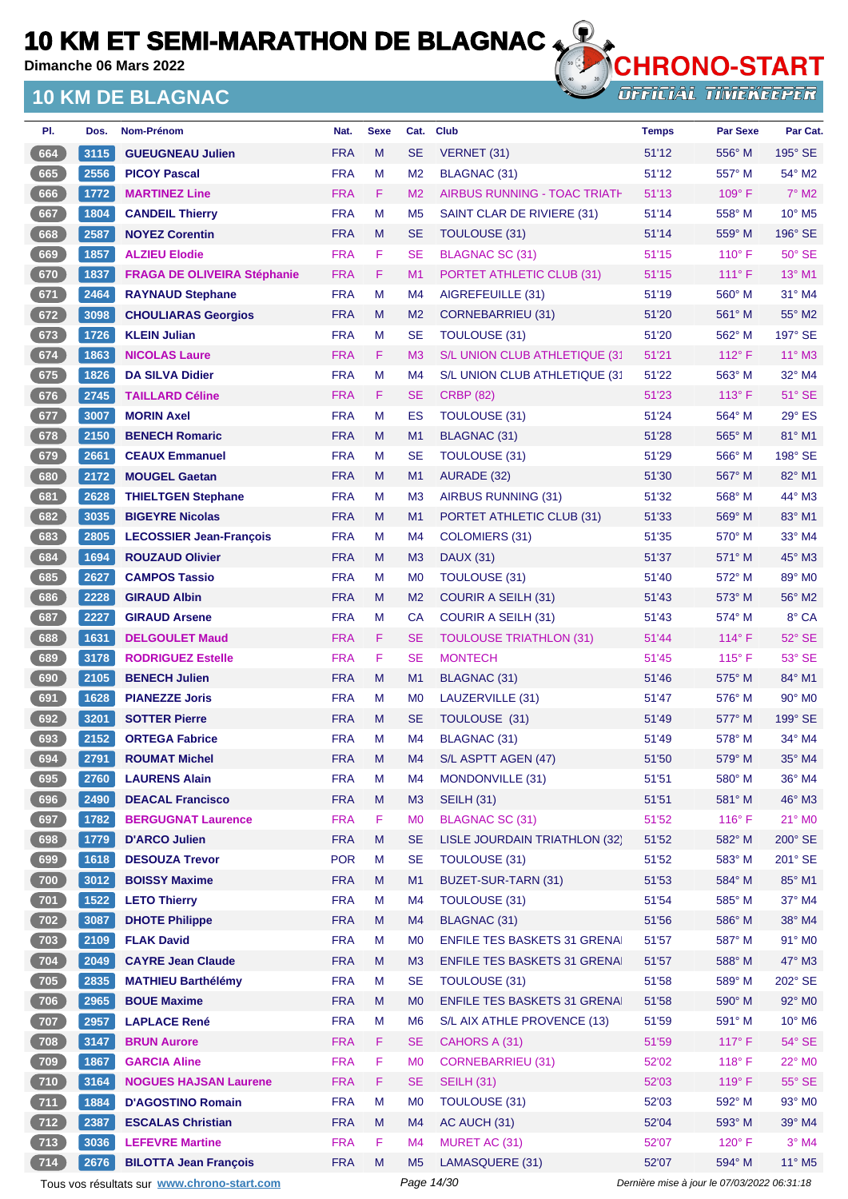**Dimanche 06 Mars 2022**

## **10 KM DE BLAGNAC**



| PI.   | Dos. | Nom-Prénom                                  | Nat.       | <b>Sexe</b> | Cat.           | <b>Club</b>                         | <b>Temps</b>                                | <b>Par Sexe</b> | Par Cat.                    |
|-------|------|---------------------------------------------|------------|-------------|----------------|-------------------------------------|---------------------------------------------|-----------------|-----------------------------|
| 664   | 3115 | <b>GUEUGNEAU Julien</b>                     | <b>FRA</b> | M           | <b>SE</b>      | VERNET (31)                         | 51'12                                       | 556° M          | $195^\circ$ SE              |
| 665   | 2556 | <b>PICOY Pascal</b>                         | <b>FRA</b> | M           | M <sub>2</sub> | <b>BLAGNAC (31)</b>                 | 51'12                                       | 557° M          | 54° M2                      |
| 666   | 1772 | <b>MARTINEZ Line</b>                        | <b>FRA</b> | F.          | M <sub>2</sub> | <b>AIRBUS RUNNING - TOAC TRIATH</b> | 51'13                                       | 109°F           | $7^\circ$ M2                |
| 667   | 1804 | <b>CANDEIL Thierry</b>                      | <b>FRA</b> | M           | M <sub>5</sub> | SAINT CLAR DE RIVIERE (31)          | 51'14                                       | $558^\circ$ M   | $10^{\circ}$ M <sub>5</sub> |
| 668   | 2587 | <b>NOYEZ Corentin</b>                       | <b>FRA</b> | M           | <b>SE</b>      | <b>TOULOUSE (31)</b>                | 51'14                                       | 559° M          | 196° SE                     |
| 669   | 1857 | <b>ALZIEU Elodie</b>                        | <b>FRA</b> | F           | <b>SE</b>      | <b>BLAGNAC SC (31)</b>              | 51'15                                       | $110^{\circ}$ F | $50^\circ$ SE               |
| 670   | 1837 | <b>FRAGA DE OLIVEIRA Stéphanie</b>          | <b>FRA</b> | F           | M1             | PORTET ATHLETIC CLUB (31)           | 51'15                                       | $111^\circ F$   | 13° M1                      |
| $671$ | 2464 | <b>RAYNAUD Stephane</b>                     | <b>FRA</b> | М           | M4             | AIGREFEUILLE (31)                   | 51'19                                       | $560^\circ$ M   | 31° M4                      |
| 672   | 3098 | <b>CHOULIARAS Georgios</b>                  | <b>FRA</b> | M           | M <sub>2</sub> | <b>CORNEBARRIEU (31)</b>            | 51'20                                       | 561° M          | 55° M2                      |
| 673   | 1726 | <b>KLEIN Julian</b>                         | <b>FRA</b> | М           | <b>SE</b>      | <b>TOULOUSE (31)</b>                | 51'20                                       | 562° M          | 197° SE                     |
| 674   | 1863 | <b>NICOLAS Laure</b>                        | <b>FRA</b> | F.          | M <sub>3</sub> | S/L UNION CLUB ATHLETIQUE (31       | 51'21                                       | $112^{\circ}$ F | $11^{\circ}$ M3             |
| 675   | 1826 | <b>DA SILVA Didier</b>                      | <b>FRA</b> | М           | M4             | S/L UNION CLUB ATHLETIQUE (31       | 51'22                                       | $563^\circ$ M   | 32° M4                      |
| 676   | 2745 | <b>TAILLARD Céline</b>                      | <b>FRA</b> | F.          | <b>SE</b>      | <b>CRBP (82)</b>                    | 51'23                                       | $113^\circ$ F   | $51^\circ$ SE               |
| 677   | 3007 | <b>MORIN Axel</b>                           | <b>FRA</b> | M           | ES             | TOULOUSE (31)                       | 51'24                                       | 564° M          | $29^\circ$ ES               |
| 678   | 2150 | <b>BENECH Romaric</b>                       | <b>FRA</b> | M           | M1             | <b>BLAGNAC (31)</b>                 | 51'28                                       | 565° M          | 81° M1                      |
| 679   | 2661 | <b>CEAUX Emmanuel</b>                       | <b>FRA</b> | M           | <b>SE</b>      | TOULOUSE (31)                       | 51'29                                       | 566° M          | 198° SE                     |
| 680   | 2172 | <b>MOUGEL Gaetan</b>                        | <b>FRA</b> | M           | M1             | AURADE (32)                         | 51'30                                       | 567° M          | 82° M1                      |
| 681   | 2628 | <b>THIELTGEN Stephane</b>                   | <b>FRA</b> | М           | M <sub>3</sub> | <b>AIRBUS RUNNING (31)</b>          | 51'32                                       | 568° M          | 44° M3                      |
| 682   | 3035 | <b>BIGEYRE Nicolas</b>                      | <b>FRA</b> | M           | M1             | PORTET ATHLETIC CLUB (31)           | 51'33                                       | 569° M          | 83° M1                      |
| 683   | 2805 | <b>LECOSSIER Jean-François</b>              | <b>FRA</b> | М           | M4             | <b>COLOMIERS (31)</b>               | 51'35                                       | 570° M          | $33^\circ$ M4               |
| 684   | 1694 | <b>ROUZAUD Olivier</b>                      | <b>FRA</b> | M           | M <sub>3</sub> | <b>DAUX (31)</b>                    | 51'37                                       | 571° M          | 45° M3                      |
| 685   | 2627 | <b>CAMPOS Tassio</b>                        | <b>FRA</b> | М           | M <sub>0</sub> | <b>TOULOUSE (31)</b>                | 51'40                                       | 572° M          | 89° M0                      |
| 686   | 2228 | <b>GIRAUD Albin</b>                         | <b>FRA</b> | M           | M <sub>2</sub> | <b>COURIR A SEILH (31)</b>          | 51'43                                       | $573^\circ$ M   | 56° M2                      |
| 687   | 2227 | <b>GIRAUD Arsene</b>                        | <b>FRA</b> | М           | <b>CA</b>      | <b>COURIR A SEILH (31)</b>          | 51'43                                       | 574° M          | 8° CA                       |
| 688   | 1631 | <b>DELGOULET Maud</b>                       | <b>FRA</b> | F.          | <b>SE</b>      | <b>TOULOUSE TRIATHLON (31)</b>      | 51'44                                       | $114^{\circ}$ F | 52° SE                      |
| 689   | 3178 | <b>RODRIGUEZ Estelle</b>                    | <b>FRA</b> | F           | <b>SE</b>      | <b>MONTECH</b>                      | 51'45                                       | $115^{\circ}$ F | 53° SE                      |
| 690   | 2105 | <b>BENECH Julien</b>                        | <b>FRA</b> | M           | M1             | <b>BLAGNAC (31)</b>                 | 51'46                                       | 575° M          | 84° M1                      |
| 691   | 1628 | <b>PIANEZZE Joris</b>                       | <b>FRA</b> | М           | M <sub>0</sub> | LAUZERVILLE (31)                    | 51'47                                       | $576^\circ$ M   | $90^\circ$ M <sub>0</sub>   |
| 692   | 3201 | <b>SOTTER Pierre</b>                        | <b>FRA</b> | M           | <b>SE</b>      | TOULOUSE (31)                       | 51'49                                       | 577° M          | 199° SE                     |
| 693   | 2152 | <b>ORTEGA Fabrice</b>                       | <b>FRA</b> | М           | M4             | <b>BLAGNAC (31)</b>                 | 51'49                                       | $578^\circ$ M   | $34^\circ$ M4               |
| 694   | 2791 | <b>ROUMAT Michel</b>                        | <b>FRA</b> | M           | M4             | S/L ASPTT AGEN (47)                 | 51'50                                       | $579^\circ$ M   | 35° M4                      |
| 695   | 2760 | <b>LAURENS Alain</b>                        | <b>FRA</b> | М           | M4             | MONDONVILLE (31)                    | 51'51                                       | 580° M          | 36° M4                      |
| 696   | 2490 | <b>DEACAL Francisco</b>                     | <b>FRA</b> | M           | M3             | <b>SEILH (31)</b>                   | 51'51                                       | 581° M          | 46° M3                      |
| 697   | 1782 | <b>BERGUGNAT Laurence</b>                   | <b>FRA</b> | F           | M <sub>0</sub> | <b>BLAGNAC SC (31)</b>              | 51'52                                       | $116^\circ$ F   | $21^\circ$ MO               |
| 698   | 1779 | <b>D'ARCO Julien</b>                        | <b>FRA</b> | M           | <b>SE</b>      | LISLE JOURDAIN TRIATHLON (32)       | 51'52                                       | 582° M          | 200° SE                     |
| 699   | 1618 | <b>DESOUZA Trevor</b>                       | <b>POR</b> | M           | <b>SE</b>      | TOULOUSE (31)                       | 51'52                                       | 583° M          | 201° SE                     |
| 700   | 3012 | <b>BOISSY Maxime</b>                        | <b>FRA</b> | Μ           | M1             | BUZET-SUR-TARN (31)                 | 51'53                                       | 584° M          | 85° M1                      |
| 701   | 1522 | <b>LETO Thierry</b>                         | <b>FRA</b> | M           | M4             | <b>TOULOUSE (31)</b>                | 51'54                                       | 585° M          | 37° M4                      |
| 702   | 3087 | <b>DHOTE Philippe</b>                       | <b>FRA</b> | M           | M4             | <b>BLAGNAC (31)</b>                 | 51'56                                       | 586° M          | 38° M4                      |
| $703$ | 2109 | <b>FLAK David</b>                           | <b>FRA</b> | M           | M <sub>0</sub> | <b>ENFILE TES BASKETS 31 GRENAI</b> | 51'57                                       | 587° M          | 91° MO                      |
| 704   | 2049 | <b>CAYRE Jean Claude</b>                    | <b>FRA</b> | M           | M <sub>3</sub> | <b>ENFILE TES BASKETS 31 GRENAL</b> | 51'57                                       | 588° M          | $47^\circ$ M3               |
| $705$ | 2835 | <b>MATHIEU Barthélémy</b>                   | <b>FRA</b> | M           | <b>SE</b>      | <b>TOULOUSE (31)</b>                | 51'58                                       | 589° M          | 202° SE                     |
| 706   | 2965 | <b>BOUE Maxime</b>                          | <b>FRA</b> | M           | M <sub>0</sub> | <b>ENFILE TES BASKETS 31 GRENAL</b> | 51'58                                       | 590° M          | 92° MO                      |
| 707   | 2957 | <b>LAPLACE René</b>                         | <b>FRA</b> | M           | M <sub>6</sub> | S/L AIX ATHLE PROVENCE (13)         | 51'59                                       | 591° M          | $10^{\circ}$ M <sub>6</sub> |
| 708   | 3147 | <b>BRUN Aurore</b>                          | <b>FRA</b> | F           | <b>SE</b>      | CAHORS A (31)                       | 51'59                                       | $117^\circ$ F   | 54° SE                      |
| $709$ | 1867 | <b>GARCIA Aline</b>                         | <b>FRA</b> | F           | M <sub>0</sub> | <b>CORNEBARRIEU (31)</b>            | 52'02                                       | 118° F          | 22° MO                      |
| [710] | 3164 | <b>NOGUES HAJSAN Laurene</b>                | <b>FRA</b> | F.          | <b>SE</b>      | <b>SEILH (31)</b>                   | 52'03                                       | 119°F           | $55^\circ$ SE               |
| $711$ | 1884 | <b>D'AGOSTINO Romain</b>                    | <b>FRA</b> | М           | M <sub>0</sub> | <b>TOULOUSE (31)</b>                | 52'03                                       | 592° M          | 93° MO                      |
| (712) | 2387 | <b>ESCALAS Christian</b>                    | <b>FRA</b> | M           | M4             | AC AUCH (31)                        | 52'04                                       | 593° M          | 39° M4                      |
| $713$ | 3036 | <b>LEFEVRE Martine</b>                      | <b>FRA</b> | F           | M4             | MURET AC (31)                       | 52'07                                       | $120^\circ$ F   | $3°$ M4                     |
| 714   | 2676 | <b>BILOTTA Jean François</b>                | <b>FRA</b> | M           | M <sub>5</sub> | LAMASQUERE (31)                     | 52'07                                       | 594° M          | 11° M5                      |
|       |      | Tous vos résultats sur www.chrono-start.com |            |             | Page 14/30     |                                     | Dernière mise à jour le 07/03/2022 06:31:18 |                 |                             |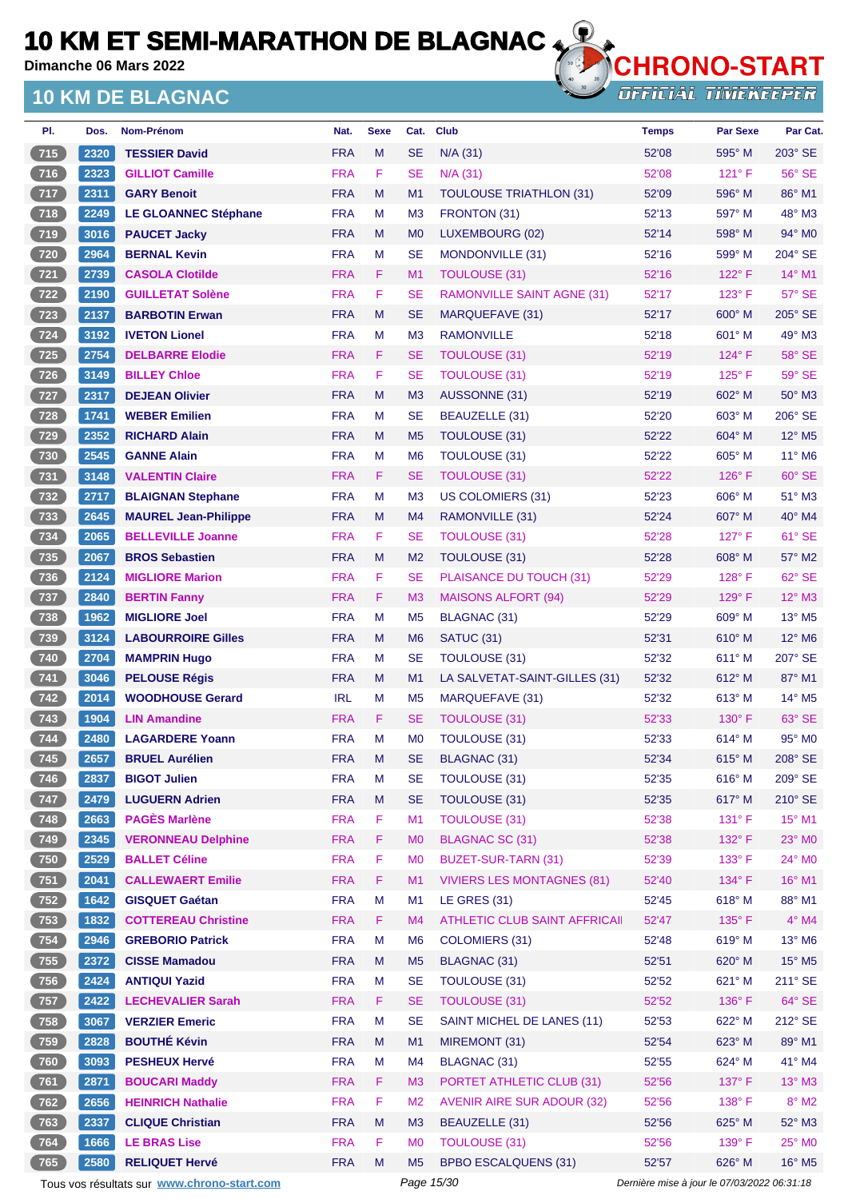**Dimanche 06 Mars 2022**

### **10 KM DE BLAGNAC**



**OFFICIAL TIMEKEEPER** 

| PI.          | Dos. | Nom-Prénom                  | Nat.       | <b>Sexe</b> | Cat.           | <b>Club</b>                       | <b>Temps</b> | <b>Par Sexe</b> | Par Cat.                    |
|--------------|------|-----------------------------|------------|-------------|----------------|-----------------------------------|--------------|-----------------|-----------------------------|
| 715          | 2320 | <b>TESSIER David</b>        | <b>FRA</b> | M           | <b>SE</b>      | $N/A$ (31)                        | 52'08        | 595° M          | 203° SE                     |
| 716          | 2323 | <b>GILLIOT Camille</b>      | <b>FRA</b> | F           | <b>SE</b>      | N/A (31)                          | 52'08        | $121^\circ$ F   | 56° SE                      |
| 717          | 2311 | <b>GARY Benoit</b>          | <b>FRA</b> | M           | M1             | <b>TOULOUSE TRIATHLON (31)</b>    | 52'09        | 596° M          | 86° M1                      |
| 718          | 2249 | <b>LE GLOANNEC Stéphane</b> | <b>FRA</b> | М           | M <sub>3</sub> | FRONTON (31)                      | 52'13        | 597° M          | 48° M3                      |
| $719$        | 3016 | <b>PAUCET Jacky</b>         | <b>FRA</b> | M           | M <sub>0</sub> | LUXEMBOURG (02)                   | 52'14        | 598° M          | $94^\circ$ M <sub>0</sub>   |
| $720$        | 2964 | <b>BERNAL Kevin</b>         | <b>FRA</b> | м           | <b>SE</b>      | MONDONVILLE (31)                  | 52'16        | 599° M          | 204° SE                     |
| 721          | 2739 | <b>CASOLA Clotilde</b>      | <b>FRA</b> | F.          | M <sub>1</sub> | <b>TOULOUSE (31)</b>              | 52'16        | $122^{\circ}$ F | $14^{\circ}$ M1             |
| $722$        | 2190 | <b>GUILLETAT Solène</b>     | <b>FRA</b> | F           | <b>SE</b>      | <b>RAMONVILLE SAINT AGNE (31)</b> | 52'17        | $123^\circ$ F   | 57° SE                      |
| 723          | 2137 | <b>BARBOTIN Erwan</b>       | <b>FRA</b> | M           | <b>SE</b>      | MARQUEFAVE (31)                   | 52'17        | $600^\circ$ M   | $205^\circ$ SE              |
| $724$        | 3192 | <b>IVETON Lionel</b>        | <b>FRA</b> | M           | M <sub>3</sub> | <b>RAMONVILLE</b>                 | 52'18        | $601^\circ$ M   | 49° M3                      |
| 725          | 2754 | <b>DELBARRE Elodie</b>      | <b>FRA</b> | F.          | <b>SE</b>      | TOULOUSE (31)                     | 52'19        | $124^{\circ}$ F | 58° SE                      |
| $726$        | 3149 | <b>BILLEY Chloe</b>         | <b>FRA</b> | F           | <b>SE</b>      | <b>TOULOUSE (31)</b>              | 52'19        | $125^\circ$ F   | 59° SE                      |
| $\sqrt{727}$ | 2317 | <b>DEJEAN Olivier</b>       | <b>FRA</b> | M           | M <sub>3</sub> | AUSSONNE (31)                     | 52'19        | 602° M          | $50^\circ$ M3               |
| $728$        | 1741 | <b>WEBER Emilien</b>        | <b>FRA</b> | M           | <b>SE</b>      | BEAUZELLE (31)                    | 52'20        | 603° M          | $206^\circ$ SE              |
| 729          | 2352 | <b>RICHARD Alain</b>        | <b>FRA</b> | M           | M <sub>5</sub> | TOULOUSE (31)                     | 52'22        | 604° M          | 12° M5                      |
| $730$        | 2545 | <b>GANNE Alain</b>          | <b>FRA</b> | M           | M <sub>6</sub> | <b>TOULOUSE (31)</b>              | 52'22        | $605^\circ$ M   | $11^{\circ}$ M <sub>6</sub> |
| 731          | 3148 | <b>VALENTIN Claire</b>      | <b>FRA</b> | F.          | <b>SE</b>      | <b>TOULOUSE (31)</b>              | 52'22        | $126^\circ$ F   | $60^\circ$ SE               |
| $732$        | 2717 | <b>BLAIGNAN Stephane</b>    | <b>FRA</b> | М           | M <sub>3</sub> | <b>US COLOMIERS (31)</b>          | 52'23        | $606^\circ$ M   | $51^\circ$ M3               |
| 733          | 2645 | <b>MAUREL Jean-Philippe</b> | <b>FRA</b> | M           | M4             | RAMONVILLE (31)                   | 52'24        | 607° M          | $40^\circ$ M4               |
| $734$        | 2065 | <b>BELLEVILLE Joanne</b>    | <b>FRA</b> | F           | <b>SE</b>      | <b>TOULOUSE (31)</b>              | 52'28        | $127^\circ$ F   | $61^\circ$ SE               |
| $735$        | 2067 | <b>BROS Sebastien</b>       | <b>FRA</b> | M           | M <sub>2</sub> | TOULOUSE (31)                     | 52'28        | 608° M          | 57° M2                      |
| $736$        | 2124 | <b>MIGLIORE Marion</b>      | <b>FRA</b> | F           | <b>SE</b>      | PLAISANCE DU TOUCH (31)           | 52'29        | $128^\circ$ F   | $62^\circ$ SE               |
| 737          | 2840 | <b>BERTIN Fanny</b>         | <b>FRA</b> | F           | M <sub>3</sub> | <b>MAISONS ALFORT (94)</b>        | 52'29        | $129^\circ$ F   | 12° M3                      |
| $738$        | 1962 | <b>MIGLIORE Joel</b>        | <b>FRA</b> | M           | M <sub>5</sub> | BLAGNAC (31)                      | 52'29        | $609°$ M        | $13^\circ$ M <sub>5</sub>   |
| 739          | 3124 | <b>LABOURROIRE Gilles</b>   | <b>FRA</b> | M           | M <sub>6</sub> | SATUC (31)                        | 52'31        | $610^\circ$ M   | 12° M6                      |
| $740$        | 2704 | <b>MAMPRIN Hugo</b>         | <b>FRA</b> | м           | <b>SE</b>      | <b>TOULOUSE (31)</b>              | 52'32        | $611^\circ$ M   | 207° SE                     |
| 741          | 3046 | <b>PELOUSE Régis</b>        | <b>FRA</b> | M           | M1             | LA SALVETAT-SAINT-GILLES (31)     | 52'32        | $612^\circ$ M   | $87^\circ$ M1               |
| $742$        | 2014 | <b>WOODHOUSE Gerard</b>     | <b>IRL</b> | м           | M <sub>5</sub> | MARQUEFAVE (31)                   | 52'32        | 613° M          | $14^{\circ}$ M <sub>5</sub> |
| $743$        | 1904 | <b>LIN Amandine</b>         | <b>FRA</b> | F.          | <b>SE</b>      | TOULOUSE (31)                     | 52'33        | $130^\circ$ F   | 63° SE                      |
| $744$        | 2480 | <b>LAGARDERE Yoann</b>      | <b>FRA</b> | м           | M <sub>0</sub> | <b>TOULOUSE (31)</b>              | 52'33        | $614^\circ$ M   | $95^\circ$ MO               |
| 745          | 2657 | <b>BRUEL Aurélien</b>       | <b>FRA</b> | М           | <b>SE</b>      | BLAGNAC (31)                      | 52'34        | $615^\circ$ M   | 208° SE                     |
| $746$        | 2837 | <b>BIGOT Julien</b>         | <b>FRA</b> | M           | <b>SE</b>      | TOULOUSE (31)                     | 52'35        | 616° M          | 209° SE                     |
| $747$        | 2479 | <b>LUGUERN Adrien</b>       | <b>FRA</b> | M           | <b>SE</b>      | <b>TOULOUSE (31)</b>              | 52'35        | 617° M          | 210° SE                     |
| $748$        | 2663 | <b>PAGÈS Marlène</b>        | <b>FRA</b> | F           | M1             | <b>TOULOUSE (31)</b>              | 52'38        | 131° F          | 15° M1                      |
| 749          | 2345 | <b>VERONNEAU Delphine</b>   | <b>FRA</b> | F           | M <sub>0</sub> | <b>BLAGNAC SC (31)</b>            | 52'38        | 132° F          | 23° M0                      |
| $750$        | 2529 | <b>BALLET Céline</b>        | <b>FRA</b> | F           | M <sub>0</sub> | BUZET-SUR-TARN (31)               | 52'39        | 133° F          | $24^{\circ}$ MO             |
| 751          | 2041 | <b>CALLEWAERT Emilie</b>    | <b>FRA</b> | F           | M <sub>1</sub> | <b>VIVIERS LES MONTAGNES (81)</b> | 52'40        | 134° F          | 16° M1                      |
| $752$        | 1642 | <b>GISQUET Gaétan</b>       | <b>FRA</b> | M           | M1             | <b>LE GRES (31)</b>               | 52'45        | 618° M          | 88° M1                      |
| $753$        | 1832 | <b>COTTEREAU Christine</b>  | <b>FRA</b> | F           | M4             | ATHLETIC CLUB SAINT AFFRICAII     | 52'47        | 135°F           | $4^\circ$ M4                |
| $754$        | 2946 | <b>GREBORIO Patrick</b>     | <b>FRA</b> | M           | M <sub>6</sub> | COLOMIERS (31)                    | 52'48        | 619° M          | 13° M6                      |
| 755          | 2372 | <b>CISSE Mamadou</b>        | <b>FRA</b> | M           | M <sub>5</sub> | BLAGNAC (31)                      | 52'51        | 620° M          | $15^{\circ}$ M5             |
| $756$        | 2424 | <b>ANTIQUI Yazid</b>        | <b>FRA</b> | M           | <b>SE</b>      | TOULOUSE (31)                     | 52'52        | 621° M          | 211° SE                     |
| 757          | 2422 | <b>LECHEVALIER Sarah</b>    | <b>FRA</b> | F.          | <b>SE</b>      | TOULOUSE (31)                     | 52'52        | 136°F           | 64° SE                      |
| $758$        | 3067 | <b>VERZIER Emeric</b>       | <b>FRA</b> | M           | <b>SE</b>      | SAINT MICHEL DE LANES (11)        | 52'53        | $622^\circ$ M   | 212° SE                     |
| 759          | 2828 | <b>BOUTHÉ Kévin</b>         | <b>FRA</b> | M           | M1             | MIREMONT (31)                     | 52'54        | 623° M          | 89° M1                      |
| $760$        | 3093 | <b>PESHEUX Hervé</b>        | <b>FRA</b> | M           | M <sub>4</sub> | <b>BLAGNAC (31)</b>               | 52'55        | 624° M          | 41° M4                      |
| 761          | 2871 | <b>BOUCARI Maddy</b>        | <b>FRA</b> | F           | M <sub>3</sub> | PORTET ATHLETIC CLUB (31)         | 52'56        | 137° F          | $13^\circ$ M3               |
| $762$        | 2656 | <b>HEINRICH Nathalie</b>    | <b>FRA</b> | F           | M <sub>2</sub> | <b>AVENIR AIRE SUR ADOUR (32)</b> | 52'56        | 138° F          | $8^\circ$ M2                |
| 763          | 2337 | <b>CLIQUE Christian</b>     | <b>FRA</b> | M           | M3             | BEAUZELLE (31)                    | 52'56        | 625° M          | $52^\circ$ M3               |
| $764$        | 1666 | <b>LE BRAS Lise</b>         | <b>FRA</b> | F           | M <sub>0</sub> | <b>TOULOUSE (31)</b>              | 52'56        | 139° F          | $25^\circ$ MO               |
| 765          | 2580 | <b>RELIQUET Hervé</b>       | <b>FRA</b> | M           | M <sub>5</sub> | <b>BPBO ESCALQUENS (31)</b>       | 52'57        | 626° M          | 16° M5                      |

Tous vos résultats sur **[www.chrono-start.com](https://www.chrono-start.com/)** Page 15/30 Dernière mise à jour le 07/03/2022 06:31:18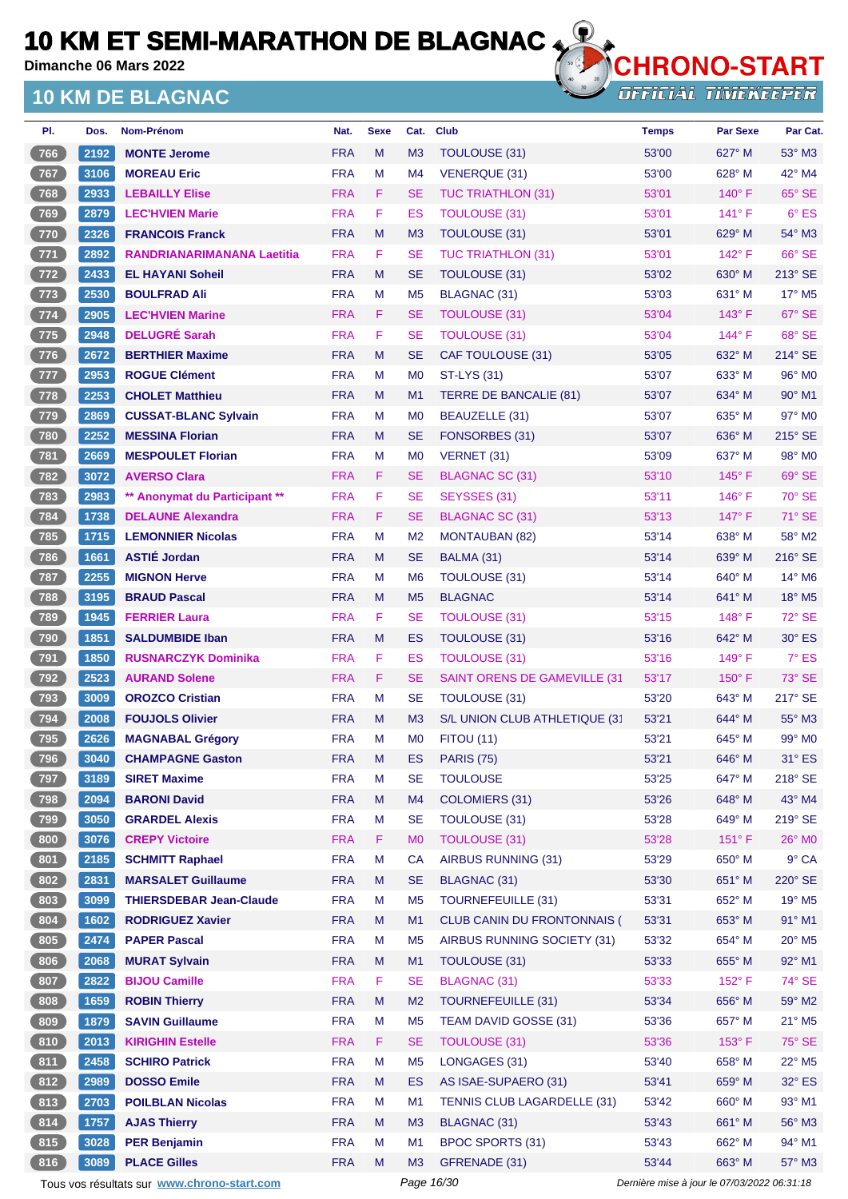**Dimanche 06 Mars 2022**

### **10 KM DE BLAGNAC**



**OFFICIAL TIMEKEEPER** 

| PI.          | Dos. | <b>Nom-Prénom</b>              | Nat.       | <b>Sexe</b> | Cat.           | Club                                 | <b>Temps</b> | <b>Par Sexe</b> | Par Cat.                    |
|--------------|------|--------------------------------|------------|-------------|----------------|--------------------------------------|--------------|-----------------|-----------------------------|
| 766          | 2192 | <b>MONTE Jerome</b>            | <b>FRA</b> | M           | M <sub>3</sub> | <b>TOULOUSE (31)</b>                 | 53'00        | 627° M          | $53^\circ$ M3               |
| $767$        | 3106 | <b>MOREAU Eric</b>             | <b>FRA</b> | М           | M4             | VENERQUE (31)                        | 53'00        | 628° M          | $42^{\circ}$ M4             |
| 768          | 2933 | <b>LEBAILLY Elise</b>          | <b>FRA</b> | F.          | <b>SE</b>      | <b>TUC TRIATHLON (31)</b>            | 53'01        | $140^\circ$ F   | 65° SE                      |
| 769          | 2879 | <b>LEC'HVIEN Marie</b>         | <b>FRA</b> | F           | ES             | <b>TOULOUSE (31)</b>                 | 53'01        | $141^\circ$ F   | $6^{\circ}$ ES              |
| 770          | 2326 | <b>FRANCOIS Franck</b>         | <b>FRA</b> | M           | M <sub>3</sub> | TOULOUSE (31)                        | 53'01        | $629^\circ$ M   | $54^\circ$ M3               |
| $771$        | 2892 | RANDRIANARIMANANA Laetitia     | <b>FRA</b> | F           | <b>SE</b>      | <b>TUC TRIATHLON (31)</b>            | 53'01        | 142° F          | 66° SE                      |
| $\sqrt{772}$ | 2433 | <b>EL HAYANI Soheil</b>        | <b>FRA</b> | M           | <b>SE</b>      | TOULOUSE (31)                        | 53'02        | 630° M          | $213^\circ$ SE              |
| $773$        | 2530 | <b>BOULFRAD Ali</b>            | <b>FRA</b> | М           | M <sub>5</sub> | <b>BLAGNAC (31)</b>                  | 53'03        | 631° M          | $17^\circ$ M <sub>5</sub>   |
| $774$        | 2905 | <b>LEC'HVIEN Marine</b>        | <b>FRA</b> | F           | <b>SE</b>      | TOULOUSE (31)                        | 53'04        | $143^\circ$ F   | 67° SE                      |
| $775$        | 2948 | <b>DELUGRÉ Sarah</b>           | <b>FRA</b> | F           | <b>SE</b>      | <b>TOULOUSE (31)</b>                 | 53'04        | $144^{\circ}$ F | 68° SE                      |
| 776          | 2672 | <b>BERTHIER Maxime</b>         | <b>FRA</b> | M           | <b>SE</b>      | CAF TOULOUSE (31)                    | 53'05        | $632^\circ$ M   | $214^\circ$ SE              |
| $777$        | 2953 | <b>ROGUE Clément</b>           | <b>FRA</b> | М           | M <sub>0</sub> | <b>ST-LYS (31)</b>                   | 53'07        | $633^\circ$ M   | 96° M <sub>0</sub>          |
| 778          | 2253 | <b>CHOLET Matthieu</b>         | <b>FRA</b> | M           | M <sub>1</sub> | TERRE DE BANCALIE (81)               | 53'07        | $634^\circ$ M   | $90^\circ$ M1               |
| $779$        | 2869 | <b>CUSSAT-BLANC Sylvain</b>    | <b>FRA</b> | M           | M <sub>0</sub> | BEAUZELLE (31)                       | 53'07        | 635° M          | 97° M0                      |
| 780          | 2252 | <b>MESSINA Florian</b>         | <b>FRA</b> | M           | <b>SE</b>      | FONSORBES (31)                       | 53'07        | 636° M          | $215^\circ$ SE              |
| $781$        | 2669 | <b>MESPOULET Florian</b>       | <b>FRA</b> | M           | M <sub>0</sub> | VERNET (31)                          | 53'09        | 637° M          | 98° M <sub>0</sub>          |
| 782          | 3072 | <b>AVERSO Clara</b>            | <b>FRA</b> | F           | <b>SE</b>      | <b>BLAGNAC SC (31)</b>               | 53'10        | $145^\circ$ F   | 69° SE                      |
| $783$        | 2983 | ** Anonymat du Participant **  | <b>FRA</b> | F           | <b>SE</b>      | SEYSSES (31)                         | 53'11        | $146^\circ$ F   | $70^\circ$ SE               |
| 784          | 1738 | <b>DELAUNE Alexandra</b>       | <b>FRA</b> | F           | <b>SE</b>      | <b>BLAGNAC SC (31)</b>               | 53'13        | 147°F           | 71° SE                      |
| 785          | 1715 | <b>LEMONNIER Nicolas</b>       | <b>FRA</b> | M           | M <sub>2</sub> | <b>MONTAUBAN (82)</b>                | 53'14        | $638^\circ$ M   | 58° M2                      |
| $786$        | 1661 | <b>ASTIÉ Jordan</b>            | <b>FRA</b> | M           | <b>SE</b>      | BALMA (31)                           | 53'14        | 639° M          | 216° SE                     |
| $787$        | 2255 | <b>MIGNON Herve</b>            | <b>FRA</b> | М           | M <sub>6</sub> | <b>TOULOUSE (31)</b>                 | 53'14        | $640^\circ$ M   | $14^{\circ}$ M <sub>6</sub> |
| $788$        | 3195 | <b>BRAUD Pascal</b>            | <b>FRA</b> | M           | M <sub>5</sub> | <b>BLAGNAC</b>                       | 53'14        | $641^\circ$ M   | $18^\circ$ M <sub>5</sub>   |
| 789          | 1945 | <b>FERRIER Laura</b>           | <b>FRA</b> | F           | <b>SE</b>      | <b>TOULOUSE (31)</b>                 | 53'15        | $148^\circ$ F   | $72^\circ$ SE               |
| 790          | 1851 | <b>SALDUMBIDE Iban</b>         | <b>FRA</b> | M           | ES             | TOULOUSE (31)                        | 53'16        | 642° M          | $30^\circ$ ES               |
| $791$        | 1850 | <b>RUSNARCZYK Dominika</b>     | <b>FRA</b> | F           | ES             | <b>TOULOUSE (31)</b>                 | 53'16        | $149^\circ$ F   | $7^\circ$ ES                |
| $792$        | 2523 | <b>AURAND Solene</b>           | <b>FRA</b> | F.          | <b>SE</b>      | <b>SAINT ORENS DE GAMEVILLE (31)</b> | 53'17        | $150^\circ$ F   | 73° SE                      |
| $793$        | 3009 | <b>OROZCO Cristian</b>         | <b>FRA</b> | М           | <b>SE</b>      | TOULOUSE (31)                        | 53'20        | $643^\circ$ M   | 217° SE                     |
| 794          | 2008 | <b>FOUJOLS Olivier</b>         | <b>FRA</b> | M           | M3             | S/L UNION CLUB ATHLETIQUE (3'        | 53'21        | 644° M          | 55° M3                      |
| $795$        | 2626 | <b>MAGNABAL Grégory</b>        | <b>FRA</b> | M           | M <sub>0</sub> | <b>FITOU (11)</b>                    | 53'21        | 645° M          | $99^\circ$ M <sub>0</sub>   |
| (796)        | 3040 | <b>CHAMPAGNE Gaston</b>        | <b>FRA</b> | м           | <b>ES</b>      | <b>PARIS (75)</b>                    | 53'21        | 646° M          | 31° ES                      |
| (797)        | 3189 | <b>SIRET Maxime</b>            | <b>FRA</b> | M           | SE             | <b>TOULOUSE</b>                      | 53'25        | 647° M          | 218° SE                     |
| $798$        | 2094 | <b>BARONI David</b>            | <b>FRA</b> | M           | M4             | <b>COLOMIERS (31)</b>                | 53'26        | 648° M          | 43° M4                      |
| $799$        | 3050 | <b>GRARDEL Alexis</b>          | <b>FRA</b> | M           | <b>SE</b>      | <b>TOULOUSE (31)</b>                 | 53'28        | 649° M          | 219° SE                     |
| 800          | 3076 | <b>CREPY Victoire</b>          | <b>FRA</b> | F           | M <sub>0</sub> | <b>TOULOUSE (31)</b>                 | 53'28        | $151^\circ$ F   | $26^{\circ}$ MO             |
| 801          | 2185 | <b>SCHMITT Raphael</b>         | <b>FRA</b> | M           | <b>CA</b>      | AIRBUS RUNNING (31)                  | 53'29        | 650° M          | $9°$ CA                     |
| 802          | 2831 | <b>MARSALET Guillaume</b>      | <b>FRA</b> | M           | <b>SE</b>      | BLAGNAC (31)                         | 53'30        | 651° M          | 220° SE                     |
| 803          | 3099 | <b>THIERSDEBAR Jean-Claude</b> | <b>FRA</b> | M           | M <sub>5</sub> | <b>TOURNEFEUILLE (31)</b>            | 53'31        | 652° M          | $19^\circ$ M <sub>5</sub>   |
| 804          | 1602 | <b>RODRIGUEZ Xavier</b>        | <b>FRA</b> | M           | M1             | <b>CLUB CANIN DU FRONTONNAIS (</b>   | 53'31        | 653° M          | 91° M1                      |
| 805          | 2474 | <b>PAPER Pascal</b>            | <b>FRA</b> | M           | M <sub>5</sub> | AIRBUS RUNNING SOCIETY (31)          | 53'32        | 654° M          | $20^\circ$ M <sub>5</sub>   |
| 806          | 2068 | <b>MURAT Sylvain</b>           | <b>FRA</b> | M           | M <sub>1</sub> | TOULOUSE (31)                        | 53'33        | 655° M          | 92° M1                      |
| 807          | 2822 | <b>BIJOU Camille</b>           | <b>FRA</b> | F.          | <b>SE</b>      | BLAGNAC (31)                         | 53'33        | $152^{\circ}$ F | 74° SE                      |
| 808          | 1659 | <b>ROBIN Thierry</b>           | <b>FRA</b> | M           | M <sub>2</sub> | <b>TOURNEFEUILLE (31)</b>            | 53'34        | 656° M          | 59° M2                      |
| 809          | 1879 | <b>SAVIN Guillaume</b>         | <b>FRA</b> | M           | M <sub>5</sub> | TEAM DAVID GOSSE (31)                | 53'36        | 657° M          | $21^{\circ}$ M <sub>5</sub> |
| 810          | 2013 | <b>KIRIGHIN Estelle</b>        | <b>FRA</b> | F           | <b>SE</b>      | <b>TOULOUSE (31)</b>                 | 53'36        | 153° F          | 75° SE                      |
| 811          | 2458 | <b>SCHIRO Patrick</b>          | <b>FRA</b> | M           | M <sub>5</sub> | LONGAGES (31)                        | 53'40        | 658° M          | $22^{\circ}$ M <sub>5</sub> |
| 812          | 2989 | <b>DOSSO Emile</b>             | <b>FRA</b> | M           | ES             | AS ISAE-SUPAERO (31)                 | 53'41        | 659° M          | $32^\circ$ ES               |
| $813$        | 2703 | <b>POILBLAN Nicolas</b>        | <b>FRA</b> | M           | M1             | TENNIS CLUB LAGARDELLE (31)          | 53'42        | 660° M          | 93° M1                      |
| 814          | 1757 | <b>AJAS Thierry</b>            | <b>FRA</b> | M           | M <sub>3</sub> | <b>BLAGNAC (31)</b>                  | 53'43        | 661° M          | $56^\circ$ M3               |
| 815          | 3028 | <b>PER Benjamin</b>            | <b>FRA</b> | M           | M1             | <b>BPOC SPORTS (31)</b>              | 53'43        | 662° M          | 94° M1                      |
| 816          | 3089 | <b>PLACE Gilles</b>            | <b>FRA</b> | M           | M <sub>3</sub> | GFRENADE (31)                        | 53'44        | 663° M          | 57° M3                      |

Tous vos résultats sur **[www.chrono-start.com](https://www.chrono-start.com/)** Page 16/30 Page 16/30 Dernière mise à jour le 07/03/2022 06:31:18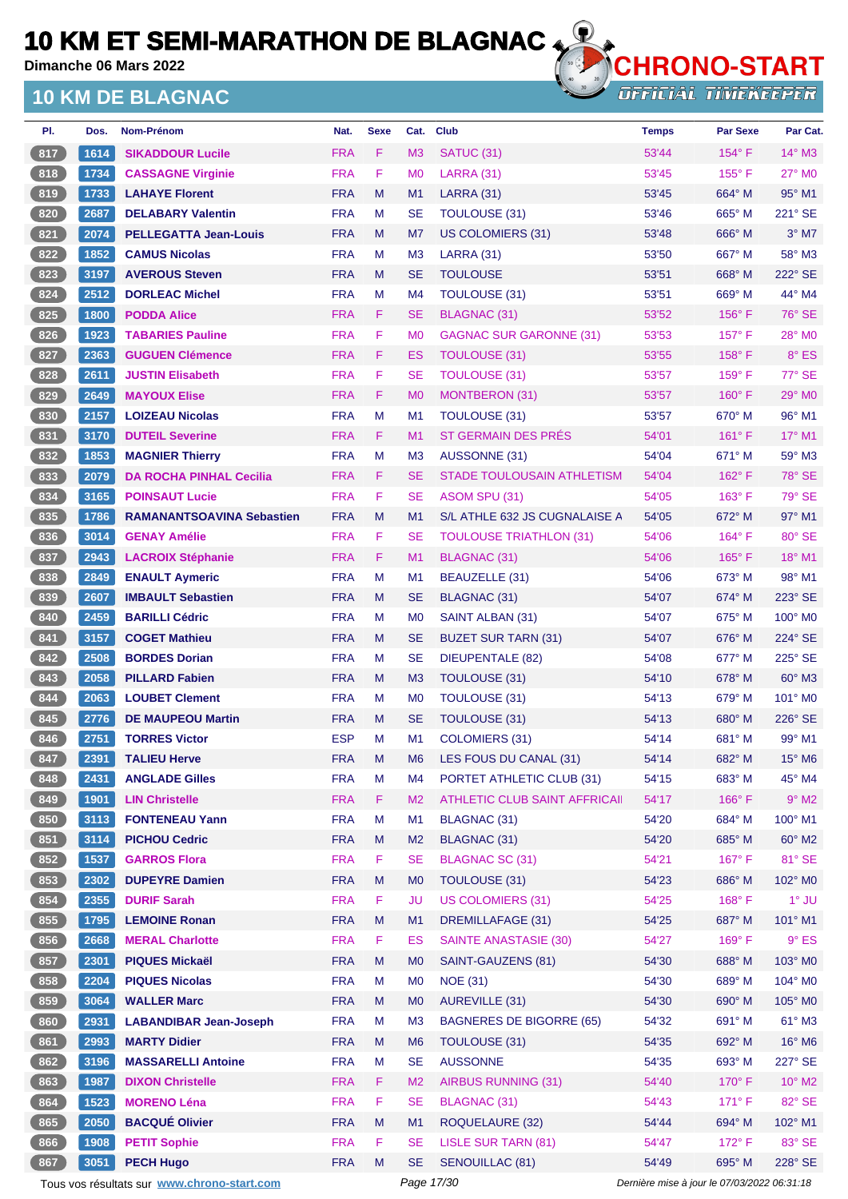**Dimanche 06 Mars 2022**

### **10 KM DE BLAGNAC**



| Dos. | <b>Nom-Prénom</b>                | Nat.       | <b>Sexe</b> | Cat.           | <b>Club</b>                       | <b>Temps</b> | <b>Par Sexe</b> | Par Cat.                    |
|------|----------------------------------|------------|-------------|----------------|-----------------------------------|--------------|-----------------|-----------------------------|
| 1614 | <b>SIKADDOUR Lucile</b>          | <b>FRA</b> | F           | M <sub>3</sub> | <b>SATUC (31)</b>                 | 53'44        | $154^\circ$ F   | $14^\circ$ M3               |
| 1734 | <b>CASSAGNE Virginie</b>         | <b>FRA</b> | F           | M <sub>0</sub> | <b>LARRA (31)</b>                 | 53'45        | $155^{\circ}$ F | $27^\circ$ MO               |
| 1733 | <b>LAHAYE Florent</b>            | <b>FRA</b> | M           | M1             | <b>LARRA (31)</b>                 | 53'45        | 664° M          | $95^\circ$ M1               |
| 2687 | <b>DELABARY Valentin</b>         | <b>FRA</b> | м           | SE             | TOULOUSE (31)                     | 53'46        | $665^\circ$ M   | 221° SE                     |
| 2074 | <b>PELLEGATTA Jean-Louis</b>     | <b>FRA</b> | M           | M7             | US COLOMIERS (31)                 | 53'48        | $666^\circ$ M   | $3°$ M7                     |
| 1852 | <b>CAMUS Nicolas</b>             | <b>FRA</b> | м           | M <sub>3</sub> | <b>LARRA (31)</b>                 | 53'50        | $667^\circ$ M   | 58° M3                      |
| 3197 | <b>AVEROUS Steven</b>            | <b>FRA</b> | M           | <b>SE</b>      | <b>TOULOUSE</b>                   | 53'51        | $668^\circ$ M   | 222° SE                     |
| 2512 | <b>DORLEAC Michel</b>            | <b>FRA</b> | м           | M4             | <b>TOULOUSE (31)</b>              | 53'51        | $669^\circ$ M   | 44° M4                      |
| 1800 | <b>PODDA Alice</b>               | <b>FRA</b> | F.          | <b>SE</b>      | <b>BLAGNAC (31)</b>               | 53'52        | $156^\circ$ F   | 76° SE                      |
| 1923 | <b>TABARIES Pauline</b>          | <b>FRA</b> | F           | M <sub>0</sub> | <b>GAGNAC SUR GARONNE (31)</b>    | 53'53        | $157^\circ$ F   | $28^\circ$ MO               |
| 2363 | <b>GUGUEN Clémence</b>           | <b>FRA</b> | F.          | ES             | TOULOUSE (31)                     | 53'55        | 158°F           | 8° ES                       |
| 2611 | <b>JUSTIN Elisabeth</b>          | <b>FRA</b> | F           | SE             | <b>TOULOUSE (31)</b>              | 53'57        | $159^{\circ}$ F | 77° SE                      |
| 2649 | <b>MAYOUX Elise</b>              | <b>FRA</b> | F.          | M <sub>0</sub> | MONTBERON (31)                    | 53'57        | $160^\circ$ F   | 29° MO                      |
| 2157 | <b>LOIZEAU Nicolas</b>           | <b>FRA</b> | M           | M1             | <b>TOULOUSE (31)</b>              | 53'57        | $670^\circ$ M   | $96^\circ$ M1               |
| 3170 | <b>DUTEIL Severine</b>           | <b>FRA</b> | F.          | M1             | ST GERMAIN DES PRÉS               | 54'01        | $161^\circ$ F   | 17° M1                      |
| 1853 | <b>MAGNIER Thierry</b>           | <b>FRA</b> | M           | M <sub>3</sub> | AUSSONNE (31)                     | 54'04        | $671^\circ$ M   | $59^\circ$ M3               |
| 2079 | <b>DA ROCHA PINHAL Cecilia</b>   | <b>FRA</b> | F.          | <b>SE</b>      | <b>STADE TOULOUSAIN ATHLETISM</b> | 54'04        | $162^\circ$ F   | $78^\circ$ SE               |
| 3165 | <b>POINSAUT Lucie</b>            | <b>FRA</b> | F           | SE             | ASOM SPU (31)                     | 54'05        | $163^\circ$ F   | $79^\circ$ SE               |
| 1786 | <b>RAMANANTSOAVINA Sebastien</b> | <b>FRA</b> | M           | M1             | S/L ATHLE 632 JS CUGNALAISE A     | 54'05        | 672° M          | $97^\circ$ M1               |
| 3014 | <b>GENAY Amélie</b>              | <b>FRA</b> | F           | SE             | <b>TOULOUSE TRIATHLON (31)</b>    | 54'06        | $164^\circ$ F   | 80° SE                      |
| 2943 | <b>LACROIX Stéphanie</b>         | <b>FRA</b> | F.          | M1             | <b>BLAGNAC (31)</b>               | 54'06        | $165^{\circ}$ F | $18^{\circ}$ M1             |
| 2849 | <b>ENAULT Aymeric</b>            | <b>FRA</b> | M           | M <sub>1</sub> | BEAUZELLE (31)                    | 54'06        | 673° M          | 98° M1                      |
| 2607 | <b>IMBAULT Sebastien</b>         | <b>FRA</b> | M           | <b>SE</b>      | <b>BLAGNAC (31)</b>               | 54'07        | $674^\circ$ M   | $223^\circ$ SE              |
| 2459 | <b>BARILLI Cédric</b>            | <b>FRA</b> | м           | M <sub>0</sub> | SAINT ALBAN (31)                  | 54'07        | $675^\circ$ M   | $100^\circ$ MO              |
| 3157 | <b>COGET Mathieu</b>             | <b>FRA</b> | M           | <b>SE</b>      | <b>BUZET SUR TARN (31)</b>        | 54'07        | $676^\circ$ M   | $224^\circ$ SE              |
| 2508 | <b>BORDES Dorian</b>             | <b>FRA</b> | M           | <b>SE</b>      | <b>DIEUPENTALE (82)</b>           | 54'08        | 677° M          | 225° SE                     |
| 2058 | <b>PILLARD Fabien</b>            | <b>FRA</b> | M           | M <sub>3</sub> | TOULOUSE (31)                     | 54'10        | $678^\circ$ M   | $60^\circ$ M3               |
| 2063 | <b>LOUBET Clement</b>            | <b>FRA</b> | м           | M <sub>0</sub> | <b>TOULOUSE (31)</b>              | 54'13        | $679^\circ$ M   | 101° MO                     |
| 2776 | <b>DE MAUPEOU Martin</b>         | <b>FRA</b> | M           | <b>SE</b>      | TOULOUSE (31)                     | 54'13        | $680^\circ$ M   | $226^\circ$ SE              |
| 2751 | <b>TORRES Victor</b>             | <b>ESP</b> | M           | M1             | COLOMIERS (31)                    | 54'14        | $681^\circ$ M   | $99^\circ$ M1               |
| 2391 | <b>TALIEU Herve</b>              | <b>FRA</b> | M           | M6             | LES FOUS DU CANAL (31)            | 54'14        | 682° M          | $15^{\circ}$ M <sub>6</sub> |
| 2431 | <b>ANGLADE Gilles</b>            | <b>FRA</b> | M           | M4             | PORTET ATHLETIC CLUB (31)         | 54'15        | 683° M          | 45° M4                      |
| 1901 | <b>LIN Christelle</b>            | <b>FRA</b> | F           | M <sub>2</sub> | ATHLETIC CLUB SAINT AFFRICAII     | 54'17        | 166°F           | $9^\circ$ M2                |
| 3113 | <b>FONTENEAU Yann</b>            | <b>FRA</b> | M           | M1             | BLAGNAC (31)                      | 54'20        | 684° M          | 100° M1                     |
| 3114 | <b>PICHOU Cedric</b>             | <b>FRA</b> | M           | M <sub>2</sub> | <b>BLAGNAC (31)</b>               | 54'20        | 685° M          | 60° M2                      |
| 1537 | <b>GARROS Flora</b>              | <b>FRA</b> | F           | <b>SE</b>      | <b>BLAGNAC SC (31)</b>            | 54'21        | $167^\circ$ F   | 81° SE                      |
| 2302 | <b>DUPEYRE Damien</b>            | <b>FRA</b> | M           | M <sub>0</sub> | TOULOUSE (31)                     | 54'23        | 686° M          | 102° M0                     |
| 2355 | <b>DURIF Sarah</b>               | <b>FRA</b> | F           | <b>JU</b>      | <b>US COLOMIERS (31)</b>          | 54'25        | $168^\circ$ F   | $1^\circ$ JU                |
| 1795 | <b>LEMOINE Ronan</b>             | <b>FRA</b> | M           | M1             | <b>DREMILLAFAGE (31)</b>          | 54'25        | 687° M          | 101° M1                     |
| 2668 | <b>MERAL Charlotte</b>           | <b>FRA</b> | F.          | <b>ES</b>      | <b>SAINTE ANASTASIE (30)</b>      | 54'27        | $169^\circ$ F   | $9°$ ES                     |
| 2301 | <b>PIQUES Mickaël</b>            | <b>FRA</b> | M           | M <sub>0</sub> | SAINT-GAUZENS (81)                | 54'30        | 688° M          | 103° MO                     |
| 2204 | <b>PIQUES Nicolas</b>            | <b>FRA</b> | M           | M <sub>0</sub> | <b>NOE (31)</b>                   | 54'30        | 689° M          | 104° M0                     |
| 3064 | <b>WALLER Marc</b>               | <b>FRA</b> | M           | M <sub>0</sub> | AUREVILLE (31)                    | 54'30        | 690° M          | 105° MO                     |
| 2931 | <b>LABANDIBAR Jean-Joseph</b>    | <b>FRA</b> | M           | M <sub>3</sub> | <b>BAGNERES DE BIGORRE (65)</b>   | 54'32        | 691° M          | $61^\circ$ M3               |
| 2993 | <b>MARTY Didier</b>              | <b>FRA</b> | M           | M <sub>6</sub> | <b>TOULOUSE (31)</b>              | 54'35        | 692° M          | 16° M6                      |
| 3196 | <b>MASSARELLI Antoine</b>        | <b>FRA</b> | M           | <b>SE</b>      | <b>AUSSONNE</b>                   | 54'35        | 693° M          | 227° SE                     |
| 1987 | <b>DIXON Christelle</b>          | <b>FRA</b> | F.          | M <sub>2</sub> | <b>AIRBUS RUNNING (31)</b>        | 54'40        | $170^\circ$ F   | $10^{\circ}$ M2             |
| 1523 | <b>MORENO Léna</b>               | <b>FRA</b> | F           | <b>SE</b>      | <b>BLAGNAC (31)</b>               | 54'43        | $171^\circ$ F   | 82° SE                      |
| 2050 | <b>BACQUÉ Olivier</b>            | <b>FRA</b> | M           | M1             | <b>ROQUELAURE (32)</b>            | 54'44        | $694^\circ$ M   | 102° M1                     |
| 1908 | <b>PETIT Sophie</b>              | <b>FRA</b> | F           | <b>SE</b>      | <b>LISLE SUR TARN (81)</b>        | 54'47        | $172^\circ$ F   | 83° SE                      |
| 3051 | <b>PECH Hugo</b>                 | <b>FRA</b> | M           | <b>SE</b>      | <b>SENOUILLAC (81)</b>            | 54'49        | 695° M          | 228° SE                     |
|      |                                  |            |             |                |                                   |              |                 |                             |

Tous vos résultats sur **[www.chrono-start.com](https://www.chrono-start.com/)** Page 17/30 Page 17/30 Dernière mise à jour le 07/03/2022 06:31:18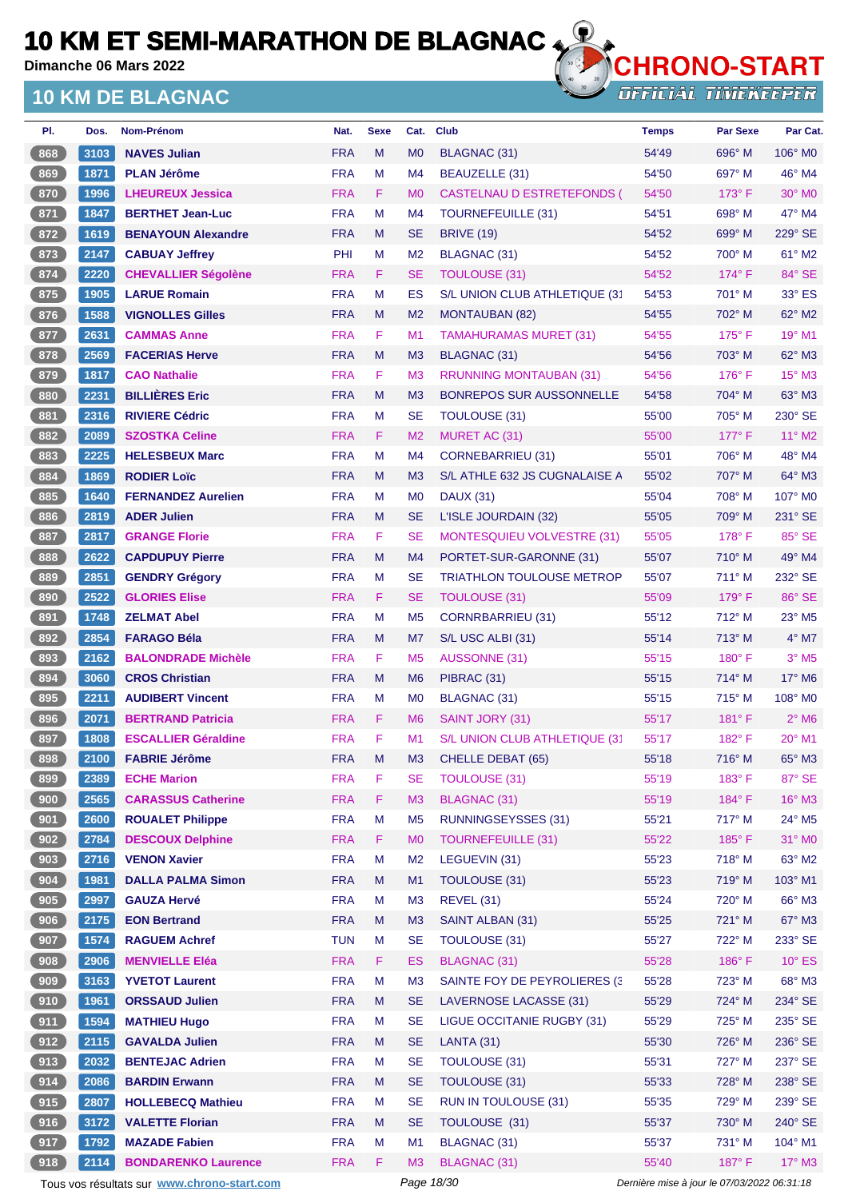**Dimanche 06 Mars 2022**

### **10 KM DE BLAGNAC**



**OFFICIAL TIMEKEEPER** 

| PI.               | Dos. | Nom-Prénom                 | Nat.       | <b>Sexe</b> | Cat.           | <b>Club</b>                       | <b>Temps</b> | <b>Par Sexe</b> | Par Cat.                  |
|-------------------|------|----------------------------|------------|-------------|----------------|-----------------------------------|--------------|-----------------|---------------------------|
| 868               | 3103 | <b>NAVES Julian</b>        | <b>FRA</b> | M           | M <sub>0</sub> | <b>BLAGNAC (31)</b>               | 54'49        | 696° M          | 106° MO                   |
| 869               | 1871 | <b>PLAN Jérôme</b>         | <b>FRA</b> | M           | M4             | BEAUZELLE (31)                    | 54'50        | 697° M          | $46^\circ$ M4             |
| 870               | 1996 | <b>LHEUREUX Jessica</b>    | <b>FRA</b> | F           | M <sub>0</sub> | CASTELNAU D ESTRETEFONDS (        | 54'50        | $173^\circ$ F   | 30° MO                    |
| 871               | 1847 | <b>BERTHET Jean-Luc</b>    | <b>FRA</b> | M           | M <sub>4</sub> | <b>TOURNEFEUILLE (31)</b>         | 54'51        | 698° M          | 47° M4                    |
| 872               | 1619 | <b>BENAYOUN Alexandre</b>  | <b>FRA</b> | M           | <b>SE</b>      | <b>BRIVE (19)</b>                 | 54'52        | 699° M          | 229° SE                   |
| 873               | 2147 | <b>CABUAY Jeffrey</b>      | PHI        | м           | M <sub>2</sub> | <b>BLAGNAC (31)</b>               | 54'52        | 700° M          | 61° M2                    |
| 874               | 2220 | <b>CHEVALLIER Ségolène</b> | <b>FRA</b> | F           | <b>SE</b>      | <b>TOULOUSE (31)</b>              | 54'52        | $174^\circ$ F   | 84° SE                    |
| 875               | 1905 | <b>LARUE Romain</b>        | <b>FRA</b> | M           | ES             | S/L UNION CLUB ATHLETIQUE (31     | 54'53        | 701° M          | 33° ES                    |
| 876               | 1588 | <b>VIGNOLLES Gilles</b>    | <b>FRA</b> | M           | M <sub>2</sub> | <b>MONTAUBAN (82)</b>             | 54'55        | 702° M          | 62° M2                    |
| 877               | 2631 | <b>CAMMAS Anne</b>         | <b>FRA</b> | F           | M1             | <b>TAMAHURAMAS MURET (31)</b>     | 54'55        | $175^\circ$ F   | 19° M1                    |
| 878               | 2569 | <b>FACERIAS Herve</b>      | <b>FRA</b> | M           | M <sub>3</sub> | BLAGNAC (31)                      | 54'56        | 703° M          | $62^\circ$ M3             |
| 879               | 1817 | <b>CAO Nathalie</b>        | <b>FRA</b> | F           | M <sub>3</sub> | <b>RRUNNING MONTAUBAN (31)</b>    | 54'56        | 176°F           | 15° M3                    |
| 880               | 2231 | <b>BILLIÈRES Eric</b>      | <b>FRA</b> | M           | M <sub>3</sub> | <b>BONREPOS SUR AUSSONNELLE</b>   | 54'58        | 704° M          | $63^\circ$ M3             |
| 881               | 2316 | <b>RIVIERE Cédric</b>      | <b>FRA</b> | M           | <b>SE</b>      | TOULOUSE (31)                     | 55'00        | 705° M          | 230° SE                   |
| 882               | 2089 | <b>SZOSTKA Celine</b>      | <b>FRA</b> | F           | M <sub>2</sub> | MURET AC (31)                     | 55'00        | $177^\circ$ F   | 11° M2                    |
| 883               | 2225 | <b>HELESBEUX Marc</b>      | <b>FRA</b> | M           | M4             | <b>CORNEBARRIEU (31)</b>          | 55'01        | 706° M          | 48° M4                    |
| 884               | 1869 | <b>RODIER Loïc</b>         | <b>FRA</b> | M           | M <sub>3</sub> | S/L ATHLE 632 JS CUGNALAISE A     | 55'02        | 707° M          | $64^\circ$ M3             |
| 885               | 1640 | <b>FERNANDEZ Aurelien</b>  | <b>FRA</b> | M           | M <sub>0</sub> | <b>DAUX (31)</b>                  | 55'04        | 708° M          | 107° M0                   |
| 886               | 2819 | <b>ADER Julien</b>         | <b>FRA</b> | M           | <b>SE</b>      | L'ISLE JOURDAIN (32)              | 55'05        | $709^\circ$ M   | 231° SE                   |
| 887               | 2817 | <b>GRANGE Florie</b>       | <b>FRA</b> | F           | <b>SE</b>      | <b>MONTESQUIEU VOLVESTRE (31)</b> | 55'05        | $178^\circ$ F   | 85° SE                    |
| 888               | 2622 | <b>CAPDUPUY Pierre</b>     | <b>FRA</b> | M           | M <sub>4</sub> | PORTET-SUR-GARONNE (31)           | 55'07        | $710^\circ$ M   | 49° M4                    |
| 889               | 2851 | <b>GENDRY Grégory</b>      | <b>FRA</b> | M           | <b>SE</b>      | <b>TRIATHLON TOULOUSE METROP</b>  | 55'07        | 711° M          | 232° SE                   |
| 890               | 2522 | <b>GLORIES Elise</b>       | <b>FRA</b> | F.          | <b>SE</b>      | <b>TOULOUSE (31)</b>              | 55'09        | $179^\circ$ F   | 86° SE                    |
| 891               | 1748 | <b>ZELMAT Abel</b>         | <b>FRA</b> | M           | M <sub>5</sub> | <b>CORNRBARRIEU (31)</b>          | 55'12        | 712° M          | $23^\circ$ M <sub>5</sub> |
| 892               | 2854 | <b>FARAGO Béla</b>         | <b>FRA</b> | M           | M7             | S/L USC ALBI (31)                 | 55'14        | 713° M          | $4^\circ$ M7              |
| 893               | 2162 | <b>BALONDRADE Michèle</b>  | <b>FRA</b> | F           | M <sub>5</sub> | AUSSONNE (31)                     | 55'15        | $180^\circ$ F   | $3°$ M <sub>5</sub>       |
| 894               | 3060 | <b>CROS Christian</b>      | <b>FRA</b> | M           | M <sub>6</sub> | PIBRAC (31)                       | 55'15        | 714° M          | 17° M6                    |
| 895               | 2211 | <b>AUDIBERT Vincent</b>    | <b>FRA</b> | м           | M <sub>0</sub> | BLAGNAC (31)                      | 55'15        | 715° M          | 108° MO                   |
| 896               | 2071 | <b>BERTRAND Patricia</b>   | <b>FRA</b> | F           | M <sub>6</sub> | SAINT JORY (31)                   | 55'17        | $181^\circ$ F   | $2^{\circ}$ M6            |
| 897               | 1808 | <b>ESCALLIER Géraldine</b> | <b>FRA</b> | F           | M1             | S/L UNION CLUB ATHLETIQUE (31     | 55'17        | $182^\circ$ F   | $20^{\circ}$ M1           |
| 898               | 2100 | <b>FABRIE Jérôme</b>       | <b>FRA</b> | M           | M <sub>3</sub> | <b>CHELLE DEBAT (65)</b>          | 55'18        | 716° M          | 65° M3                    |
| 899               | 2389 | <b>ECHE Marion</b>         | <b>FRA</b> | F           | <b>SE</b>      | <b>TOULOUSE (31)</b>              | 55'19        | $183^\circ$ F   | 87° SE                    |
| 900               | 2565 | <b>CARASSUS Catherine</b>  | <b>FRA</b> | F           | M <sub>3</sub> | <b>BLAGNAC (31)</b>               | 55'19        | 184°F           | $16^\circ$ M3             |
| 901               | 2600 | <b>ROUALET Philippe</b>    | <b>FRA</b> | M           | M <sub>5</sub> | <b>RUNNINGSEYSSES (31)</b>        | 55'21        | 717° M          | 24° M5                    |
| 902               | 2784 | <b>DESCOUX Delphine</b>    | <b>FRA</b> | F           | M <sub>0</sub> | <b>TOURNEFEUILLE (31)</b>         | 55'22        | $185^\circ$ F   | 31° MO                    |
| 903               | 2716 | <b>VENON Xavier</b>        | <b>FRA</b> | M           | M <sub>2</sub> | LEGUEVIN (31)                     | 55'23        | 718° M          | 63° M2                    |
| 904               | 1981 | <b>DALLA PALMA Simon</b>   | <b>FRA</b> | M           | M1             | <b>TOULOUSE (31)</b>              | 55'23        | 719° M          | 103° M1                   |
| 905               | 2997 | <b>GAUZA Hervé</b>         | <b>FRA</b> | M           | M <sub>3</sub> | <b>REVEL (31)</b>                 | 55'24        | 720° M          | 66° M3                    |
| 906               | 2175 | <b>EON Bertrand</b>        | <b>FRA</b> | M           | M <sub>3</sub> | SAINT ALBAN (31)                  | 55'25        | 721° M          | 67° M3                    |
| 907               | 1574 | <b>RAGUEM Achref</b>       | <b>TUN</b> | M           | <b>SE</b>      | <b>TOULOUSE (31)</b>              | 55'27        | 722° M          | 233° SE                   |
| 908               | 2906 | <b>MENVIELLE Eléa</b>      | <b>FRA</b> | F.          | <b>ES</b>      | <b>BLAGNAC (31)</b>               | 55'28        | $186^\circ$ F   | $10^{\circ}$ ES           |
| $\frac{1}{2}$ 909 | 3163 | <b>YVETOT Laurent</b>      | <b>FRA</b> | М           | M <sub>3</sub> | SAINTE FOY DE PEYROLIERES (3)     | 55'28        | 723° M          | 68° M3                    |
| 910               | 1961 | <b>ORSSAUD Julien</b>      | <b>FRA</b> | M           | <b>SE</b>      | LAVERNOSE LACASSE (31)            | 55'29        | 724° M          | 234° SE                   |
| 911               | 1594 | <b>MATHIEU Hugo</b>        | <b>FRA</b> | M           | <b>SE</b>      | LIGUE OCCITANIE RUGBY (31)        | 55'29        | 725° M          | 235° SE                   |
| 912               | 2115 | <b>GAVALDA Julien</b>      | <b>FRA</b> | M           | <b>SE</b>      | <b>LANTA (31)</b>                 | 55'30        | 726° M          | 236° SE                   |
| 913               | 2032 | <b>BENTEJAC Adrien</b>     | <b>FRA</b> | M           | <b>SE</b>      | <b>TOULOUSE (31)</b>              | 55'31        | 727° M          | 237° SE                   |
| 914               | 2086 | <b>BARDIN Erwann</b>       | <b>FRA</b> | M           | <b>SE</b>      | TOULOUSE (31)                     | 55'33        | 728° M          | 238° SE                   |
| 915               | 2807 | <b>HOLLEBECQ Mathieu</b>   | <b>FRA</b> | M           | <b>SE</b>      | <b>RUN IN TOULOUSE (31)</b>       | 55'35        | 729° M          | 239° SE                   |
| 916               | 3172 | <b>VALETTE Florian</b>     | <b>FRA</b> | M           | <b>SE</b>      | TOULOUSE (31)                     | 55'37        | 730° M          | 240° SE                   |
| 917               | 1792 | <b>MAZADE Fabien</b>       | <b>FRA</b> | М           | M1             | <b>BLAGNAC (31)</b>               | 55'37        | 731° M          | 104° M1                   |
| 918               | 2114 | <b>BONDARENKO Laurence</b> | <b>FRA</b> | F           | M <sub>3</sub> | <b>BLAGNAC (31)</b>               | 55'40        | 187°F           | 17° M3                    |

Tous vos résultats sur **[www.chrono-start.com](https://www.chrono-start.com/)** Page 18/30 Dernière mise à jour le 07/03/2022 06:31:18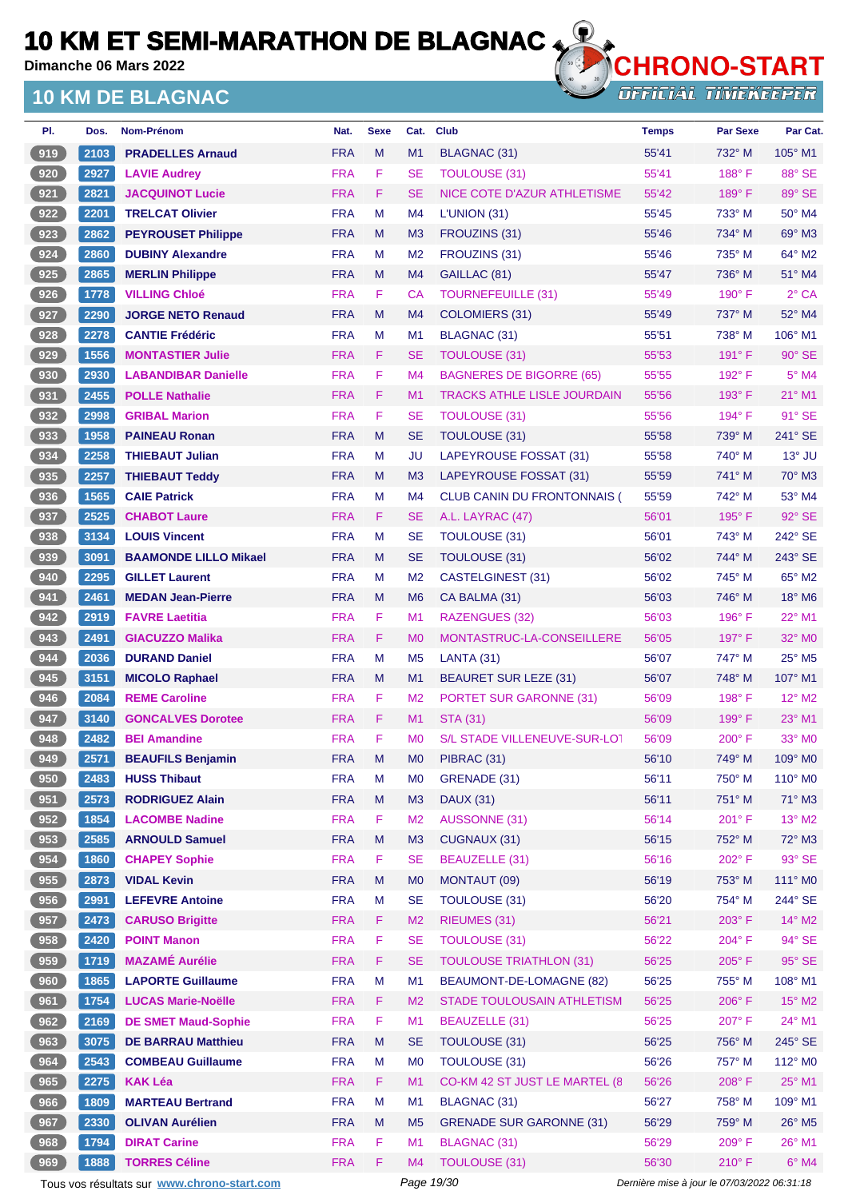**Dimanche 06 Mars 2022**

### **10 KM DE BLAGNAC**



**OFFICIAL TIMEKEEPER** 

| PI. | Dos. | Nom-Prénom                   | Nat.       | <b>Sexe</b> | Cat.           | <b>Club</b>                        | <b>Temps</b> | <b>Par Sexe</b> | Par Cat.                  |
|-----|------|------------------------------|------------|-------------|----------------|------------------------------------|--------------|-----------------|---------------------------|
| 919 | 2103 | <b>PRADELLES Arnaud</b>      | <b>FRA</b> | M           | M1             | <b>BLAGNAC (31)</b>                | 55'41        | 732° M          | 105° M1                   |
| 920 | 2927 | <b>LAVIE Audrey</b>          | <b>FRA</b> | F           | <b>SE</b>      | <b>TOULOUSE (31)</b>               | 55'41        | $188^\circ$ F   | 88° SE                    |
| 921 | 2821 | <b>JACQUINOT Lucie</b>       | <b>FRA</b> | F           | <b>SE</b>      | NICE COTE D'AZUR ATHLETISME        | 55'42        | 189°F           | 89° SE                    |
| 922 | 2201 | <b>TRELCAT Olivier</b>       | <b>FRA</b> | M           | M4             | L'UNION(31)                        | 55'45        | 733° M          | 50° M4                    |
| 923 | 2862 | <b>PEYROUSET Philippe</b>    | <b>FRA</b> | M           | M <sub>3</sub> | FROUZINS (31)                      | 55'46        | 734° M          | $69^\circ$ M3             |
| 924 | 2860 | <b>DUBINY Alexandre</b>      | <b>FRA</b> | м           | M <sub>2</sub> | FROUZINS (31)                      | 55'46        | 735° M          | 64° M2                    |
| 925 | 2865 | <b>MERLIN Philippe</b>       | <b>FRA</b> | M           | M <sub>4</sub> | GAILLAC (81)                       | 55'47        | 736° M          | 51° M4                    |
| 926 | 1778 | <b>VILLING Chloé</b>         | <b>FRA</b> | F           | CA             | <b>TOURNEFEUILLE (31)</b>          | 55'49        | $190^\circ$ F   | $2°$ CA                   |
| 927 | 2290 | <b>JORGE NETO Renaud</b>     | <b>FRA</b> | M           | M4             | <b>COLOMIERS (31)</b>              | 55'49        | 737° M          | 52° M4                    |
| 928 | 2278 | <b>CANTIE Frédéric</b>       | <b>FRA</b> | M           | M <sub>1</sub> | BLAGNAC (31)                       | 55'51        | 738° M          | 106° M1                   |
| 929 | 1556 | <b>MONTASTIER Julie</b>      | <b>FRA</b> | F           | <b>SE</b>      | TOULOUSE (31)                      | 55'53        | $191^\circ$ F   | $90^\circ$ SE             |
| 930 | 2930 | <b>LABANDIBAR Danielle</b>   | <b>FRA</b> | F           | M <sub>4</sub> | <b>BAGNERES DE BIGORRE (65)</b>    | 55'55        | 192° F          | $5^\circ$ M4              |
| 931 | 2455 | <b>POLLE Nathalie</b>        | <b>FRA</b> | F           | M1             | <b>TRACKS ATHLE LISLE JOURDAIN</b> | 55'56        | $193^\circ$ F   | $21^{\circ}$ M1           |
| 932 | 2998 | <b>GRIBAL Marion</b>         | <b>FRA</b> | F           | <b>SE</b>      | <b>TOULOUSE (31)</b>               | 55'56        | 194°F           | $91^\circ$ SE             |
| 933 | 1958 | <b>PAINEAU Ronan</b>         | <b>FRA</b> | M           | <b>SE</b>      | <b>TOULOUSE (31)</b>               | 55'58        | 739° M          | 241° SE                   |
| 934 | 2258 | <b>THIEBAUT Julian</b>       | <b>FRA</b> | м           | JU             | LAPEYROUSE FOSSAT (31)             | 55'58        | 740° M          | $13^\circ$ JU             |
| 935 | 2257 | <b>THIEBAUT Teddy</b>        | <b>FRA</b> | M           | M <sub>3</sub> | LAPEYROUSE FOSSAT (31)             | 55'59        | 741° M          | $70^\circ$ M3             |
| 936 | 1565 | <b>CAIE Patrick</b>          | <b>FRA</b> | M           | M4             | CLUB CANIN DU FRONTONNAIS (        | 55'59        | 742° M          | 53° M4                    |
| 937 | 2525 | <b>CHABOT Laure</b>          | <b>FRA</b> | F           | <b>SE</b>      | A.L. LAYRAC (47)                   | 56'01        | 195°F           | $92^\circ$ SE             |
| 938 | 3134 | <b>LOUIS Vincent</b>         | <b>FRA</b> | M           | <b>SE</b>      | <b>TOULOUSE (31)</b>               | 56'01        | 743° M          | 242° SE                   |
| 939 | 3091 | <b>BAAMONDE LILLO Mikael</b> | <b>FRA</b> | M           | <b>SE</b>      | TOULOUSE (31)                      | 56'02        | 744° M          | 243° SE                   |
| 940 | 2295 | <b>GILLET Laurent</b>        | <b>FRA</b> | M           | M <sub>2</sub> | CASTELGINEST (31)                  | 56'02        | 745° M          | $65^\circ$ M2             |
| 941 | 2461 | <b>MEDAN Jean-Pierre</b>     | <b>FRA</b> | M           | M <sub>6</sub> | CA BALMA (31)                      | 56'03        | 746° M          | $18^\circ$ M <sub>6</sub> |
| 942 | 2919 | <b>FAVRE Laetitia</b>        | <b>FRA</b> | F           | M1             | RAZENGUES (32)                     | 56'03        | $196^\circ$ F   | $22^{\circ}$ M1           |
| 943 | 2491 | <b>GIACUZZO Malika</b>       | <b>FRA</b> | F           | M <sub>0</sub> | MONTASTRUC-LA-CONSEILLERE          | 56'05        | $197^\circ$ F   | 32° M0                    |
| 944 | 2036 | <b>DURAND Daniel</b>         | <b>FRA</b> | м           | M <sub>5</sub> | LANTA (31)                         | 56'07        | 747° M          | 25° M5                    |
| 945 | 3151 | <b>MICOLO Raphael</b>        | <b>FRA</b> | M           | M1             | <b>BEAURET SUR LEZE (31)</b>       | 56'07        | 748° M          | 107° M1                   |
| 946 | 2084 | <b>REME Caroline</b>         | <b>FRA</b> | F           | M <sub>2</sub> | <b>PORTET SUR GARONNE (31)</b>     | 56'09        | $198^\circ$ F   | $12^{\circ}$ M2           |
| 947 | 3140 | <b>GONCALVES Dorotee</b>     | <b>FRA</b> | F           | M1             | <b>STA (31)</b>                    | 56'09        | $199^\circ$ F   | $23^\circ$ M1             |
| 948 | 2482 | <b>BEI Amandine</b>          | <b>FRA</b> | F           | M <sub>0</sub> | S/L STADE VILLENEUVE-SUR-LOT       | 56'09        | $200^\circ$ F   | $33^\circ$ MO             |
| 949 | 2571 | <b>BEAUFILS Benjamin</b>     | <b>FRA</b> | M           | M <sub>0</sub> | PIBRAC (31)                        | 56'10        | 749° M          | 109° M0                   |
| 950 | 2483 | <b>HUSS Thibaut</b>          | <b>FRA</b> | M           | M <sub>0</sub> | GRENADE (31)                       | 56'11        | 750° M          | 110° M0                   |
| 951 | 2573 | <b>RODRIGUEZ Alain</b>       | <b>FRA</b> | M           | M <sub>3</sub> | <b>DAUX (31)</b>                   | 56'11        | 751° M          | $71^\circ$ M3             |
| 952 | 1854 | <b>LACOMBE Nadine</b>        | <b>FRA</b> | F           | M <sub>2</sub> | <b>AUSSONNE (31)</b>               | 56'14        | 201° F          | $13^\circ$ M2             |
| 953 | 2585 | <b>ARNOULD Samuel</b>        | <b>FRA</b> | M           | M <sub>3</sub> | CUGNAUX (31)                       | 56'15        | 752° M          | 72° M3                    |
| 954 | 1860 | <b>CHAPEY Sophie</b>         | <b>FRA</b> | F           | <b>SE</b>      | <b>BEAUZELLE (31)</b>              | 56'16        | 202°F           | $93^\circ$ SE             |
| 955 | 2873 | <b>VIDAL Kevin</b>           | <b>FRA</b> | M           | M <sub>0</sub> | MONTAUT (09)                       | 56'19        | 753° M          | 111° MO                   |
| 956 | 2991 | <b>LEFEVRE Antoine</b>       | <b>FRA</b> | M           | <b>SE</b>      | <b>TOULOUSE (31)</b>               | 56'20        | 754° M          | 244° SE                   |
| 957 | 2473 | <b>CARUSO Brigitte</b>       | <b>FRA</b> | F           | M <sub>2</sub> | RIEUMES (31)                       | 56'21        | 203° F          | $14^{\circ}$ M2           |
| 958 | 2420 | <b>POINT Manon</b>           | <b>FRA</b> | F           | <b>SE</b>      | <b>TOULOUSE (31)</b>               | 56'22        | 204°F           | 94° SE                    |
| 959 | 1719 | <b>MAZAMÉ Aurélie</b>        | <b>FRA</b> | F           | <b>SE</b>      | <b>TOULOUSE TRIATHLON (31)</b>     | 56'25        | 205°F           | $95^\circ$ SE             |
| 960 | 1865 | <b>LAPORTE Guillaume</b>     | <b>FRA</b> | M           | M1             | BEAUMONT-DE-LOMAGNE (82)           | 56'25        | 755° M          | 108° M1                   |
| 961 | 1754 | <b>LUCAS Marie-Noëlle</b>    | <b>FRA</b> | F           | M <sub>2</sub> | STADE TOULOUSAIN ATHLETISM         | 56'25        | 206°F           | $15^{\circ}$ M2           |
| 962 | 2169 | <b>DE SMET Maud-Sophie</b>   | <b>FRA</b> | F           | M1             | BEAUZELLE (31)                     | 56'25        | 207°F           | 24° M1                    |
| 963 | 3075 | <b>DE BARRAU Matthieu</b>    | <b>FRA</b> | M           | <b>SE</b>      | <b>TOULOUSE (31)</b>               | 56'25        | 756° M          | 245° SE                   |
| 964 | 2543 | <b>COMBEAU Guillaume</b>     | <b>FRA</b> | M           | M <sub>0</sub> | <b>TOULOUSE (31)</b>               | 56'26        | 757° M          | 112° M0                   |
| 965 | 2275 | <b>KAK Léa</b>               | <b>FRA</b> | F           | M1             | CO-KM 42 ST JUST LE MARTEL (8      | 56'26        | 208°F           | $25^{\circ}$ M1           |
| 966 | 1809 | <b>MARTEAU Bertrand</b>      | <b>FRA</b> | M           | M1             | BLAGNAC (31)                       | 56'27        | 758° M          | 109° M1                   |
| 967 | 2330 | <b>OLIVAN Aurélien</b>       | <b>FRA</b> | M           | M <sub>5</sub> | <b>GRENADE SUR GARONNE (31)</b>    | 56'29        | 759° M          | 26° M5                    |
| 968 | 1794 | <b>DIRAT Carine</b>          | <b>FRA</b> | F           | M1             | <b>BLAGNAC (31)</b>                | 56'29        | 209°F           | 26° M1                    |
| 969 | 1888 | <b>TORRES Céline</b>         | <b>FRA</b> | F           | M4             | <b>TOULOUSE (31)</b>               | 56'30        | $210^\circ$ F   | $6°$ M4                   |

Tous vos résultats sur **[www.chrono-start.com](https://www.chrono-start.com/)** Page 19/30 Dernière mise à jour le 07/03/2022 06:31:18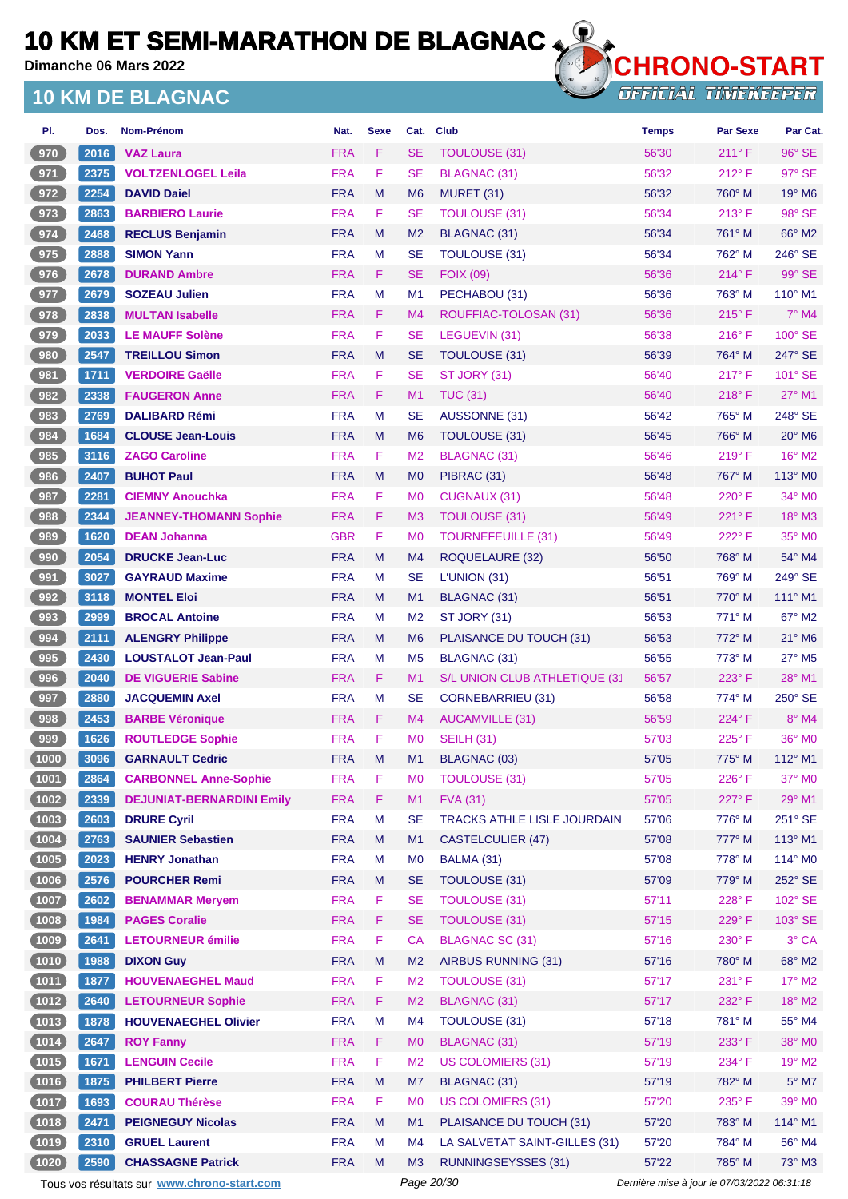**Dimanche 06 Mars 2022**

## **10 KM DE BLAGNAC**



**OFFICIAL TIMEKEEPER** 

| PI.    | Dos. | Nom-Prénom                       | Nat.       | <b>Sexe</b> | Cat.           | <b>Club</b>                   | <b>Temps</b> | <b>Par Sexe</b> | Par Cat.           |
|--------|------|----------------------------------|------------|-------------|----------------|-------------------------------|--------------|-----------------|--------------------|
| 970    | 2016 | <b>VAZ Laura</b>                 | <b>FRA</b> | F.          | <b>SE</b>      | <b>TOULOUSE (31)</b>          | 56'30        | $211^\circ F$   | 96° SE             |
| 971    | 2375 | <b>VOLTZENLOGEL Leila</b>        | <b>FRA</b> | F.          | <b>SE</b>      | <b>BLAGNAC (31)</b>           | 56'32        | $212^{\circ}$ F | 97° SE             |
| 972    | 2254 | <b>DAVID Daiel</b>               | <b>FRA</b> | M           | M <sub>6</sub> | <b>MURET (31)</b>             | 56'32        | 760° M          | 19° M6             |
| 973    | 2863 | <b>BARBIERO Laurie</b>           | <b>FRA</b> | F           | <b>SE</b>      | <b>TOULOUSE (31)</b>          | 56'34        | 213° F          | 98° SE             |
| 974    | 2468 | <b>RECLUS Benjamin</b>           | <b>FRA</b> | M           | M <sub>2</sub> | BLAGNAC (31)                  | 56'34        | 761° M          | 66° M2             |
| 975    | 2888 | <b>SIMON Yann</b>                | <b>FRA</b> | M           | <b>SE</b>      | TOULOUSE (31)                 | 56'34        | 762° M          | 246° SE            |
| 976    | 2678 | <b>DURAND Ambre</b>              | <b>FRA</b> | F.          | SE             | <b>FOIX (09)</b>              | 56'36        | $214^{\circ}$ F | 99° SE             |
| 977    | 2679 | <b>SOZEAU Julien</b>             | <b>FRA</b> | M           | M1             | PECHABOU (31)                 | 56'36        | 763° M          | $110^\circ$ M1     |
| 978    | 2838 | <b>MULTAN Isabelle</b>           | <b>FRA</b> | F.          | M4             | ROUFFIAC-TOLOSAN (31)         | 56'36        | $215^{\circ}$ F | $7^\circ$ M4       |
| 979    | 2033 | <b>LE MAUFF Solène</b>           | <b>FRA</b> | F.          | <b>SE</b>      | LEGUEVIN (31)                 | 56'38        | $216^{\circ}$ F | 100° SE            |
| 980    | 2547 | <b>TREILLOU Simon</b>            | <b>FRA</b> | M           | <b>SE</b>      | TOULOUSE (31)                 | 56'39        | $764^\circ$ M   | 247° SE            |
| 981    | 1711 | <b>VERDOIRE Gaëlle</b>           | <b>FRA</b> | F           | <b>SE</b>      | ST JORY (31)                  | 56'40        | 217°F           | $101^\circ$ SE     |
| 982    | 2338 | <b>FAUGERON Anne</b>             | <b>FRA</b> | F           | M1             | <b>TUC (31)</b>               | 56'40        | $218^\circ$ F   | $27^\circ$ M1      |
| 983    | 2769 | <b>DALIBARD Rémi</b>             | <b>FRA</b> | M           | SE             | AUSSONNE (31)                 | 56'42        | 765° M          | 248° SE            |
| 984    | 1684 | <b>CLOUSE Jean-Louis</b>         | <b>FRA</b> | M           | M <sub>6</sub> | TOULOUSE (31)                 | 56'45        | 766° M          | 20° M6             |
| 985    | 3116 | <b>ZAGO Caroline</b>             | <b>FRA</b> | F.          | M <sub>2</sub> | <b>BLAGNAC (31)</b>           | 56'46        | 219° F          | $16^\circ$ M2      |
| 986    | 2407 | <b>BUHOT Paul</b>                | <b>FRA</b> | M           | M <sub>0</sub> | PIBRAC (31)                   | 56'48        | 767° M          | 113° M0            |
| 987    | 2281 | <b>CIEMNY Anouchka</b>           | <b>FRA</b> | F.          | M <sub>0</sub> | CUGNAUX (31)                  | 56'48        | $220^\circ$ F   | 34° M0             |
| 988    | 2344 | <b>JEANNEY-THOMANN Sophie</b>    | <b>FRA</b> | F.          | M <sub>3</sub> | TOULOUSE (31)                 | 56'49        | 221°F           | $18^\circ$ M3      |
| 989    | 1620 | <b>DEAN Johanna</b>              | <b>GBR</b> | F.          | M <sub>0</sub> | <b>TOURNEFEUILLE (31)</b>     | 56'49        | $222^{\circ}$ F | 35° MO             |
| 990    | 2054 | <b>DRUCKE Jean-Luc</b>           | <b>FRA</b> | M           | M <sub>4</sub> | ROQUELAURE (32)               | 56'50        | 768° M          | 54° M4             |
| 991    | 3027 | <b>GAYRAUD Maxime</b>            | <b>FRA</b> | M           | <b>SE</b>      | L'UNION(31)                   | 56'51        | 769° M          | 249° SE            |
| 992    | 3118 | <b>MONTEL Eloi</b>               | <b>FRA</b> | M           | M1             | <b>BLAGNAC (31)</b>           | 56'51        | 770° M          | $111^\circ$ M1     |
| 993    | 2999 | <b>BROCAL Antoine</b>            | <b>FRA</b> | M           | M <sub>2</sub> | ST JORY (31)                  | 56'53        | 771° M          | $67^\circ$ M2      |
| 994    | 2111 | <b>ALENGRY Philippe</b>          | <b>FRA</b> | M           | M <sub>6</sub> | PLAISANCE DU TOUCH (31)       | 56'53        | 772° M          | $21^\circ$ M6      |
| 995    | 2430 | <b>LOUSTALOT Jean-Paul</b>       | <b>FRA</b> | M           | M <sub>5</sub> | BLAGNAC (31)                  | 56'55        | $773^\circ$ M   | 27° M5             |
| 996    | 2040 | <b>DE VIGUERIE Sabine</b>        | <b>FRA</b> | F.          | M1             | S/L UNION CLUB ATHLETIQUE (31 | 56'57        | $223^\circ$ F   | 28° M1             |
| 997    | 2880 | <b>JACQUEMIN Axel</b>            | <b>FRA</b> | M           | SE             | <b>CORNEBARRIEU (31)</b>      | 56'58        | 774° M          | 250° SE            |
| 998    | 2453 | <b>BARBE Véronique</b>           | <b>FRA</b> | F.          | M4             | <b>AUCAMVILLE (31)</b>        | 56'59        | 224°F           | 8° M4              |
| 999    | 1626 | <b>ROUTLEDGE Sophie</b>          | <b>FRA</b> | F           | M <sub>0</sub> | <b>SEILH (31)</b>             | 57'03        | $225^\circ$ F   | 36° M <sub>0</sub> |
| 1000   | 3096 | <b>GARNAULT Cedric</b>           | <b>FRA</b> | M           | M1             | BLAGNAC (03)                  | 57'05        | 775° M          | $112^\circ$ M1     |
| (1001) | 2864 | <b>CARBONNEL Anne-Sophie</b>     | <b>FRA</b> | F           | M <sub>0</sub> | <b>TOULOUSE (31)</b>          | 57'05        | 226°F           | 37° M0             |
| (1002) | 2339 | <b>DEJUNIAT-BERNARDINI Emily</b> | <b>FRA</b> | F.          | M1             | <b>FVA (31)</b>               | 57'05        | 227°F           | 29° M1             |
| (1003) | 2603 | <b>DRURE Cyril</b>               | <b>FRA</b> | M           | <b>SE</b>      | TRACKS ATHLE LISLE JOURDAIN   | 57'06        | 776° M          | 251° SE            |
| (1004) | 2763 | <b>SAUNIER Sebastien</b>         | <b>FRA</b> | ${\sf M}$   | M1             | <b>CASTELCULIER (47)</b>      | 57'08        | 777° M          | 113° M1            |
| (1005) | 2023 | <b>HENRY Jonathan</b>            | <b>FRA</b> | M           | M <sub>0</sub> | BALMA (31)                    | 57'08        | 778° M          | 114° MO            |
| (1006) | 2576 | <b>POURCHER Remi</b>             | <b>FRA</b> | M           | <b>SE</b>      | <b>TOULOUSE (31)</b>          | 57'09        | 779° M          | 252° SE            |
| (1007) | 2602 | <b>BENAMMAR Mervem</b>           | <b>FRA</b> | F           | <b>SE</b>      | <b>TOULOUSE (31)</b>          | 57'11        | 228°F           | 102° SE            |
| (1008) | 1984 | <b>PAGES Coralie</b>             | <b>FRA</b> | F.          | <b>SE</b>      | <b>TOULOUSE (31)</b>          | 57'15        | 229°F           | 103° SE            |
| (1009) | 2641 | <b>LETOURNEUR émilie</b>         | <b>FRA</b> | F           | CA             | <b>BLAGNAC SC (31)</b>        | 57'16        | 230° F          | 3° CA              |
| (1010) | 1988 | <b>DIXON Guy</b>                 | <b>FRA</b> | M           | M <sub>2</sub> | AIRBUS RUNNING (31)           | 57'16        | 780° M          | 68° M2             |
| (1011) | 1877 | <b>HOUVENAEGHEL Maud</b>         | <b>FRA</b> | F           | M <sub>2</sub> | <b>TOULOUSE (31)</b>          | 57'17        | 231° F          | 17° M2             |
| (1012) | 2640 | <b>LETOURNEUR Sophie</b>         | <b>FRA</b> | F           | M2             | <b>BLAGNAC (31)</b>           | 57'17        | 232° F          | 18° M2             |
| (1013) | 1878 | <b>HOUVENAEGHEL Olivier</b>      | <b>FRA</b> | M           | M4             | TOULOUSE (31)                 | 57'18        | 781° M          | 55° M4             |
| (1014) | 2647 | <b>ROY Fanny</b>                 | <b>FRA</b> | F           | M <sub>0</sub> | <b>BLAGNAC (31)</b>           | 57'19        | 233° F          | 38° M0             |
| (1015) | 1671 | <b>LENGUIN Cecile</b>            | <b>FRA</b> | F           | M <sub>2</sub> | <b>US COLOMIERS (31)</b>      | 57'19        | 234°F           | $19^\circ$ M2      |
| (1016) | 1875 | <b>PHILBERT Pierre</b>           | <b>FRA</b> | M           | M7             | <b>BLAGNAC (31)</b>           | 57'19        | 782° M          | $5^\circ$ M7       |
| (1017) | 1693 | <b>COURAU Thérèse</b>            | <b>FRA</b> | F           | M <sub>0</sub> | <b>US COLOMIERS (31)</b>      | 57'20        | 235°F           | 39° MO             |
| (1018) | 2471 | <b>PEIGNEGUY Nicolas</b>         | <b>FRA</b> | M           | M1             | PLAISANCE DU TOUCH (31)       | 57'20        | 783° M          | $114^\circ$ M1     |
| (1019) | 2310 | <b>GRUEL Laurent</b>             | <b>FRA</b> | M           | M4             | LA SALVETAT SAINT-GILLES (31) | 57'20        | 784° M          | 56° M4             |
| (1020) | 2590 | <b>CHASSAGNE Patrick</b>         | <b>FRA</b> | M           | M <sub>3</sub> | <b>RUNNINGSEYSSES (31)</b>    | 57'22        | 785° M          | 73° M3             |
|        |      |                                  |            |             |                |                               |              |                 |                    |

Tous vos résultats sur **[www.chrono-start.com](https://www.chrono-start.com/)** Page 20/30 Page 20/30 Dernière mise à jour le 07/03/2022 06:31:18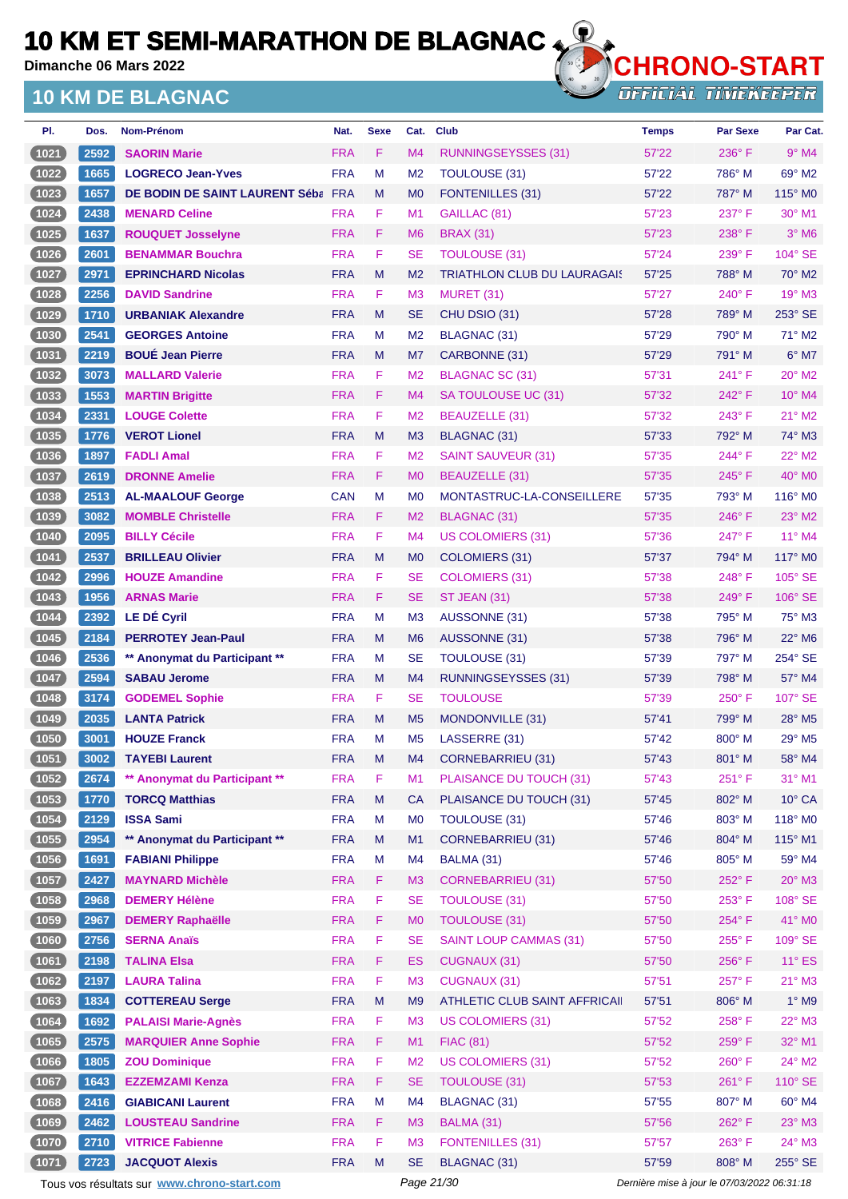**Dimanche 06 Mars 2022**

## **10 KM DE BLAGNAC**



| PI.            | Dos. | Nom-Prénom                                  | Nat.       | <b>Sexe</b> | Cat.           | <b>Club</b>                        | <b>Temps</b>                                | <b>Par Sexe</b> | Par Cat.                  |
|----------------|------|---------------------------------------------|------------|-------------|----------------|------------------------------------|---------------------------------------------|-----------------|---------------------------|
| (1021)         | 2592 | <b>SAORIN Marie</b>                         | <b>FRA</b> | F           | M4             | RUNNINGSEYSSES (31)                | 57'22                                       | $236^\circ$ F   | $9°$ M4                   |
| (1022)         | 1665 | <b>LOGRECO Jean-Yves</b>                    | <b>FRA</b> | M           | M <sub>2</sub> | <b>TOULOUSE (31)</b>               | 57'22                                       | 786° M          | 69° M2                    |
| (1023)         | 1657 | DE BODIN DE SAINT LAURENT Séba FRA          |            | M           | M <sub>0</sub> | <b>FONTENILLES (31)</b>            | 57'22                                       | 787° M          | $115^\circ$ MO            |
| (1024)         | 2438 | <b>MENARD Celine</b>                        | <b>FRA</b> | F           | M1             | GAILLAC (81)                       | 57'23                                       | 237°F           | 30° M1                    |
| (1025)         | 1637 | <b>ROUQUET Josselyne</b>                    | <b>FRA</b> | F           | M <sub>6</sub> | <b>BRAX (31)</b>                   | 57'23                                       | 238°F           | $3°$ M <sub>6</sub>       |
| (1026)         | 2601 | <b>BENAMMAR Bouchra</b>                     | <b>FRA</b> | F           | SE             | <b>TOULOUSE (31)</b>               | 57'24                                       | $239^\circ$ F   | 104° SE                   |
| (1027)         | 2971 | <b>EPRINCHARD Nicolas</b>                   | <b>FRA</b> | M           | M <sub>2</sub> | <b>TRIATHLON CLUB DU LAURAGAIS</b> | 57'25                                       | 788° M          | $70^\circ$ M2             |
| (1028)         | 2256 | <b>DAVID Sandrine</b>                       | <b>FRA</b> | F           | M <sub>3</sub> | MURET (31)                         | 57'27                                       | $240^\circ$ F   | 19° M3                    |
| (1029)         | 1710 | <b>URBANIAK Alexandre</b>                   | <b>FRA</b> | M           | SE             | CHU DSIO (31)                      | 57'28                                       | 789° M          | 253° SE                   |
| (1030)         | 2541 | <b>GEORGES Antoine</b>                      | <b>FRA</b> | M           | M <sub>2</sub> | BLAGNAC (31)                       | 57'29                                       | 790° M          | $71^\circ$ M2             |
| (1031)         | 2219 | <b>BOUÉ Jean Pierre</b>                     | <b>FRA</b> | M           | M7             | CARBONNE (31)                      | 57'29                                       | 791° M          | $6^{\circ}$ M7            |
| (1032)         | 3073 | <b>MALLARD Valerie</b>                      | <b>FRA</b> | F           | M <sub>2</sub> | <b>BLAGNAC SC (31)</b>             | 57'31                                       | 241°F           | $20^\circ$ M2             |
| (1033)         | 1553 | <b>MARTIN Brigitte</b>                      | <b>FRA</b> | F           | M4             | SA TOULOUSE UC (31)                | 57'32                                       | 242°F           | 10° M4                    |
| (1034)         | 2331 | <b>LOUGE Colette</b>                        | <b>FRA</b> | F           | M2             | BEAUZELLE (31)                     | 57'32                                       | 243° F          | $21^{\circ}$ M2           |
| (1035)         | 1776 | <b>VEROT Lionel</b>                         | <b>FRA</b> | M           | M <sub>3</sub> | <b>BLAGNAC (31)</b>                | 57'33                                       | 792° M          | $74^\circ$ M3             |
| $(1036)$       | 1897 | <b>FADLI Amal</b>                           | <b>FRA</b> | F           | M <sub>2</sub> | <b>SAINT SAUVEUR (31)</b>          | 57'35                                       | 244°F           | 22° M2                    |
| (1037)         | 2619 | <b>DRONNE Amelie</b>                        | <b>FRA</b> | F           | M <sub>0</sub> | <b>BEAUZELLE (31)</b>              | 57'35                                       | $245^\circ$ F   | $40^\circ$ MO             |
| (1038)         | 2513 | <b>AL-MAALOUF George</b>                    | <b>CAN</b> | M           | M <sub>0</sub> | MONTASTRUC-LA-CONSEILLERE          | 57'35                                       | 793° M          | 116° M0                   |
| (1039)         | 3082 | <b>MOMBLE Christelle</b>                    | <b>FRA</b> | F           | M <sub>2</sub> | BLAGNAC (31)                       | 57'35                                       | $246^\circ$ F   | $23^\circ$ M2             |
| (1040)         | 2095 | <b>BILLY Cécile</b>                         | <b>FRA</b> | F           | M4             | <b>US COLOMIERS (31)</b>           | 57'36                                       | 247°F           | 11° M4                    |
| (1041)         | 2537 | <b>BRILLEAU Olivier</b>                     | <b>FRA</b> | M           | M <sub>0</sub> | <b>COLOMIERS (31)</b>              | 57'37                                       | 794° M          | $117^\circ$ MO            |
| (1042)         | 2996 | <b>HOUZE Amandine</b>                       | <b>FRA</b> | F           | <b>SE</b>      | <b>COLOMIERS (31)</b>              | 57'38                                       | 248°F           | $105^\circ$ SE            |
| (1043)         | 1956 | <b>ARNAS Marie</b>                          | <b>FRA</b> | F           | <b>SE</b>      | ST JEAN (31)                       | 57'38                                       | $249^\circ$ F   | 106° SE                   |
| (1044)         | 2392 | <b>LE DÉ Cyril</b>                          | <b>FRA</b> | M           | M <sub>3</sub> | AUSSONNE (31)                      | 57'38                                       | 795° M          | 75° M3                    |
| (1045)         | 2184 | <b>PERROTEY Jean-Paul</b>                   | <b>FRA</b> | M           | M <sub>6</sub> | AUSSONNE (31)                      | 57'38                                       | $796^\circ$ M   | $22^{\circ}$ M6           |
| (1046)         | 2536 | ** Anonymat du Participant **               | <b>FRA</b> | M           | SE             | <b>TOULOUSE (31)</b>               | 57'39                                       | 797° M          | 254° SE                   |
| (1047)         | 2594 | <b>SABAU Jerome</b>                         | <b>FRA</b> | M           | M <sub>4</sub> | <b>RUNNINGSEYSSES (31)</b>         | 57'39                                       | 798° M          | 57° M4                    |
| $\boxed{1048}$ | 3174 | <b>GODEMEL Sophie</b>                       | <b>FRA</b> | F           | SE             | <b>TOULOUSE</b>                    | 57'39                                       | $250^\circ$ F   | 107° SE                   |
| (1049          | 2035 | <b>LANTA Patrick</b>                        | <b>FRA</b> | M           | M <sub>5</sub> | MONDONVILLE (31)                   | 57'41                                       | 799° M          | $28^\circ$ M <sub>5</sub> |
| (1050)         | 3001 | <b>HOUZE Franck</b>                         | <b>FRA</b> | M           | M <sub>5</sub> | LASSERRE (31)                      | 57'42                                       | $800^\circ$ M   | $29^\circ$ M <sub>5</sub> |
| (1051)         | 3002 | <b>TAYEBI Laurent</b>                       | <b>FRA</b> | M           | M4             | <b>CORNEBARRIEU (31)</b>           | 57'43                                       | 801° M          | 58° M4                    |
| (1052)         | 2674 | ** Anonymat du Participant **               | <b>FRA</b> | F           | M1             | PLAISANCE DU TOUCH (31)            | 57'43                                       | 251°F           | 31° M1                    |
| (1053)         | 1770 | <b>TORCQ Matthias</b>                       | <b>FRA</b> | M           | <b>CA</b>      | PLAISANCE DU TOUCH (31)            | 57'45                                       | 802° M          | $10^{\circ}$ CA           |
| (1054)         | 2129 | <b>ISSA Sami</b>                            | <b>FRA</b> | M           | M <sub>0</sub> | TOULOUSE (31)                      | 57'46                                       | $803^\circ$ M   | 118° MO                   |
| (1055)         | 2954 | ** Anonymat du Participant **               | <b>FRA</b> | M           | M1             | <b>CORNEBARRIEU (31)</b>           | 57'46                                       | 804° M          | 115° M1                   |
| (1056)         | 1691 | <b>FABIANI Philippe</b>                     | <b>FRA</b> | M           | M4             | BALMA (31)                         | 57'46                                       | 805° M          | 59° M4                    |
| (1057)         | 2427 | <b>MAYNARD Michèle</b>                      | <b>FRA</b> | F           | M <sub>3</sub> | <b>CORNEBARRIEU (31)</b>           | 57'50                                       | 252°F           | $20^\circ$ M3             |
| (1058)         | 2968 | <b>DEMERY Hélène</b>                        | <b>FRA</b> | F           | <b>SE</b>      | <b>TOULOUSE (31)</b>               | 57'50                                       | 253° F          | 108° SE                   |
| (1059)         | 2967 | <b>DEMERY Raphaëlle</b>                     | <b>FRA</b> | F           | M <sub>0</sub> | <b>TOULOUSE (31)</b>               | 57'50                                       | 254°F           | 41° MO                    |
| (1060)         | 2756 | <b>SERNA Anaïs</b>                          | <b>FRA</b> | F           | <b>SE</b>      | <b>SAINT LOUP CAMMAS (31)</b>      | 57'50                                       | 255°F           | 109° SE                   |
| (1061)         | 2198 | <b>TALINA Elsa</b>                          | <b>FRA</b> | F           | <b>ES</b>      | <b>CUGNAUX (31)</b>                | 57'50                                       | 256°F           | $11^{\circ}$ ES           |
| (1062)         | 2197 | <b>LAURA Talina</b>                         | <b>FRA</b> | F           | M <sub>3</sub> | <b>CUGNAUX (31)</b>                | 57'51                                       | 257°F           | $21^{\circ}$ M3           |
| (1063)         | 1834 | <b>COTTEREAU Serge</b>                      | <b>FRA</b> | ${\sf M}$   | M <sub>9</sub> | ATHLETIC CLUB SAINT AFFRICAII      | 57'51                                       | 806° M          | $1^\circ$ M9              |
| (1064)         | 1692 | <b>PALAISI Marie-Agnès</b>                  | <b>FRA</b> | F           | M <sub>3</sub> | <b>US COLOMIERS (31)</b>           | 57'52                                       | 258°F           | 22° M3                    |
| (1065)         | 2575 | <b>MARQUIER Anne Sophie</b>                 | <b>FRA</b> | F           | M1             | <b>FIAC (81)</b>                   | 57'52                                       | 259°F           | 32° M1                    |
| (1066)         | 1805 | <b>ZOU Dominique</b>                        | <b>FRA</b> | F           | M <sub>2</sub> | <b>US COLOMIERS (31)</b>           | 57'52                                       | $260^\circ$ F   | 24° M2                    |
| (1067)         | 1643 | <b>EZZEMZAMI Kenza</b>                      | <b>FRA</b> | F           | <b>SE</b>      | <b>TOULOUSE (31)</b>               | 57'53                                       | $261^\circ$ F   | 110° SE                   |
| (1068)         | 2416 | <b>GIABICANI Laurent</b>                    | <b>FRA</b> | M           | M4             | BLAGNAC (31)                       | 57'55                                       | 807° M          | 60° M4                    |
| (1069)         | 2462 | <b>LOUSTEAU Sandrine</b>                    | <b>FRA</b> | F           | M <sub>3</sub> | BALMA (31)                         | 57'56                                       | 262°F           | 23° M3                    |
| (1070)         | 2710 | <b>VITRICE Fabienne</b>                     | <b>FRA</b> | F           | M <sub>3</sub> | <b>FONTENILLES (31)</b>            | 57'57                                       | $263^\circ$ F   | 24° M3                    |
| (1071)         | 2723 | <b>JACQUOT Alexis</b>                       | <b>FRA</b> | M           | <b>SE</b>      | BLAGNAC (31)                       | 57'59                                       | 808° M          | 255° SE                   |
|                |      |                                             |            |             | Page 21/30     |                                    | Dernière mise à jour le 07/03/2022 06:31:18 |                 |                           |
|                |      | Tous vos résultats sur www.chrono-start.com |            |             |                |                                    |                                             |                 |                           |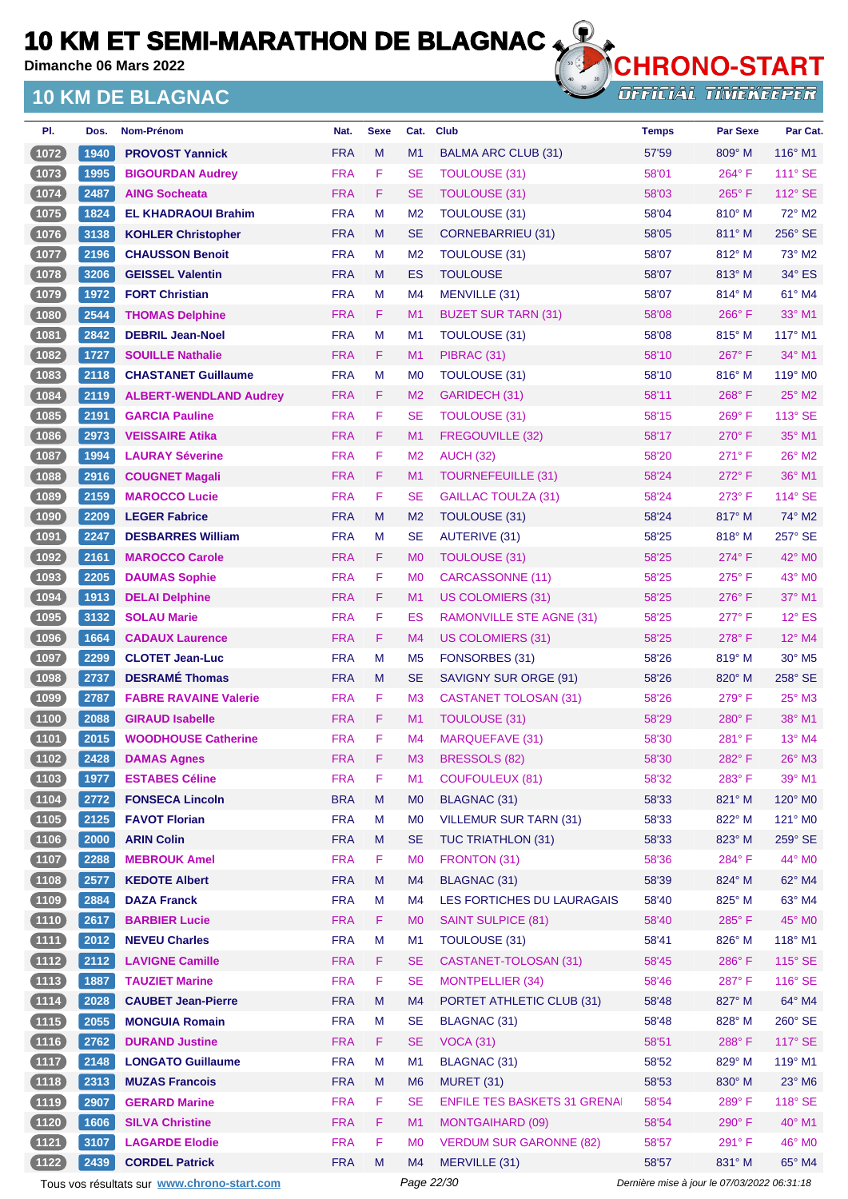**Dimanche 06 Mars 2022**

## **10 KM DE BLAGNAC**



| PI.      | Dos. | <b>Nom-Prénom</b>             | Nat.       | <b>Sexe</b> | Cat.           | <b>Club</b>                         | <b>Temps</b> | <b>Par Sexe</b> | Par Cat.                  |
|----------|------|-------------------------------|------------|-------------|----------------|-------------------------------------|--------------|-----------------|---------------------------|
| (1072)   | 1940 | <b>PROVOST Yannick</b>        | <b>FRA</b> | M           | M1             | <b>BALMA ARC CLUB (31)</b>          | 57'59        | 809° M          | $116^\circ$ M1            |
| $(1073)$ | 1995 | <b>BIGOURDAN Audrey</b>       | <b>FRA</b> | F           | SE             | <b>TOULOUSE (31)</b>                | 58'01        | 264°F           | $111^\circ$ SE            |
| (1074)   | 2487 | <b>AING Socheata</b>          | <b>FRA</b> | F.          | <b>SE</b>      | <b>TOULOUSE (31)</b>                | 58'03        | $265^{\circ}$ F | 112° SE                   |
| (1075)   | 1824 | <b>EL KHADRAOUI Brahim</b>    | <b>FRA</b> | M           | M <sub>2</sub> | TOULOUSE (31)                       | 58'04        | $810^\circ$ M   | 72° M2                    |
| (1076)   | 3138 | <b>KOHLER Christopher</b>     | <b>FRA</b> | M           | <b>SE</b>      | CORNEBARRIEU (31)                   | 58'05        | $811^\circ$ M   | 256° SE                   |
| 1077     | 2196 | <b>CHAUSSON Benoit</b>        | <b>FRA</b> | M           | M <sub>2</sub> | TOULOUSE (31)                       | 58'07        | $812^\circ$ M   | 73° M2                    |
| (1078)   | 3206 | <b>GEISSEL Valentin</b>       | <b>FRA</b> | M           | <b>ES</b>      | <b>TOULOUSE</b>                     | 58'07        | 813° M          | $34^\circ$ ES             |
| 1079     | 1972 | <b>FORT Christian</b>         | <b>FRA</b> | M           | M4             | MENVILLE (31)                       | 58'07        | 814° M          | 61° M4                    |
| (1080)   | 2544 | <b>THOMAS Delphine</b>        | <b>FRA</b> | F.          | M1             | <b>BUZET SUR TARN (31)</b>          | 58'08        | $266^\circ$ F   | 33° M1                    |
| (1081)   | 2842 | <b>DEBRIL Jean-Noel</b>       | <b>FRA</b> | M           | M <sub>1</sub> | TOULOUSE (31)                       | 58'08        | $815^\circ$ M   | 117° M1                   |
| (1082)   | 1727 | <b>SOUILLE Nathalie</b>       | <b>FRA</b> | F.          | M1             | PIBRAC (31)                         | 58'10        | $267^\circ$ F   | $34^\circ$ M1             |
| (1083)   | 2118 | <b>CHASTANET Guillaume</b>    | <b>FRA</b> | M           | M <sub>0</sub> | TOULOUSE (31)                       | 58'10        | $816^\circ$ M   | 119° M <sub>0</sub>       |
| (1084)   | 2119 | <b>ALBERT-WENDLAND Audrey</b> | <b>FRA</b> | F.          | M <sub>2</sub> | GARIDECH (31)                       | 58'11        | 268°F           | $25^{\circ}$ M2           |
| (1085)   | 2191 | <b>GARCIA Pauline</b>         | <b>FRA</b> | F           | SE             | <b>TOULOUSE (31)</b>                | 58'15        | $269^\circ$ F   | 113° SE                   |
| (1086)   | 2973 | <b>VEISSAIRE Atika</b>        | <b>FRA</b> | F.          | M1             | FREGOUVILLE (32)                    | 58'17        | $270^\circ$ F   | 35° M1                    |
| 1087     | 1994 | <b>LAURAY Séverine</b>        | <b>FRA</b> | F.          | M <sub>2</sub> | <b>AUCH (32)</b>                    | 58'20        | $271^\circ$ F   | $26^\circ$ M2             |
| (1088)   | 2916 | <b>COUGNET Magali</b>         | <b>FRA</b> | F.          | M1             | TOURNEFEUILLE (31)                  | 58'24        | $272^{\circ}$ F | 36° M1                    |
| (1089)   | 2159 | <b>MAROCCO Lucie</b>          | <b>FRA</b> | F           | SE             | <b>GAILLAC TOULZA (31)</b>          | 58'24        | $273^\circ$ F   | $114^\circ$ SE            |
| (1090)   | 2209 | <b>LEGER Fabrice</b>          | <b>FRA</b> | M           | M <sub>2</sub> | <b>TOULOUSE (31)</b>                | 58'24        | 817° M          | 74° M2                    |
| $1091$   | 2247 | <b>DESBARRES William</b>      | <b>FRA</b> | M           | SE             | <b>AUTERIVE (31)</b>                | 58'25        | $818^\circ$ M   | 257° SE                   |
| (1092    | 2161 | <b>MAROCCO Carole</b>         | <b>FRA</b> | F.          | M <sub>0</sub> | TOULOUSE (31)                       | 58'25        | $274^\circ$ F   | $42^{\circ}$ MO           |
| 1093     | 2205 | <b>DAUMAS Sophie</b>          | <b>FRA</b> | F.          | M <sub>0</sub> | CARCASSONNE (11)                    | 58'25        | $275^{\circ}$ F | 43° MO                    |
| (1094)   | 1913 | <b>DELAI Delphine</b>         | <b>FRA</b> | F.          | M1             | <b>US COLOMIERS (31)</b>            | 58'25        | $276^\circ$ F   | $37^\circ$ M1             |
| (1095)   | 3132 | <b>SOLAU Marie</b>            | <b>FRA</b> | F           | ES             | <b>RAMONVILLE STE AGNE (31)</b>     | 58'25        | $277^\circ$ F   | $12^{\circ}$ ES           |
| (1096    | 1664 | <b>CADAUX Laurence</b>        | <b>FRA</b> | F.          | M4             | <b>US COLOMIERS (31)</b>            | 58'25        | $278^\circ$ F   | $12^{\circ}$ M4           |
| (1097)   | 2299 | <b>CLOTET Jean-Luc</b>        | <b>FRA</b> | M           | M <sub>5</sub> | FONSORBES (31)                      | 58'26        | 819° M          | $30^\circ$ M <sub>5</sub> |
| (1098)   | 2737 | <b>DESRAMÉ Thomas</b>         | <b>FRA</b> | M           | <b>SE</b>      | SAVIGNY SUR ORGE (91)               | 58'26        | $820^\circ$ M   | 258° SE                   |
| (1099    | 2787 | <b>FABRE RAVAINE Valerie</b>  | <b>FRA</b> | F.          | M <sub>3</sub> | CASTANET TOLOSAN (31)               | 58'26        | 279° F          | $25^\circ$ M3             |
| (1100)   | 2088 | <b>GIRAUD Isabelle</b>        | <b>FRA</b> | F.          | M1             | TOULOUSE (31)                       | 58'29        | $280^\circ$ F   | 38° M1                    |
| (1101    | 2015 | <b>WOODHOUSE Catherine</b>    | <b>FRA</b> | F           | M <sub>4</sub> | <b>MARQUEFAVE (31)</b>              | 58'30        | $281^\circ$ F   | $13^\circ$ M4             |
| $(1102)$ | 2428 | <b>DAMAS Agnes</b>            | <b>FRA</b> | F           | M <sub>3</sub> | BRESSOLS (82)                       | 58'30        | 282°F           | $26^\circ$ M3             |
| (1103)   | 1977 | <b>ESTABES Céline</b>         | <b>FRA</b> | F           | M1             | <b>COUFOULEUX (81)</b>              | 58'32        | 283°F           | 39° M1                    |
| (1104)   | 2772 | <b>FONSECA Lincoln</b>        | <b>BRA</b> | M           | <b>MO</b>      | <b>BLAGNAC (31)</b>                 | 58'33        | $821^\circ$ M   | 120° MO                   |
| (1105)   | 2125 | <b>FAVOT Florian</b>          | <b>FRA</b> | M           | M <sub>0</sub> | <b>VILLEMUR SUR TARN (31)</b>       | 58'33        | 822° M          | 121° M0                   |
| (1106)   | 2000 | <b>ARIN Colin</b>             | <b>FRA</b> | M           | <b>SE</b>      | TUC TRIATHLON (31)                  | 58'33        | $823^\circ$ M   | $259^\circ$ SE            |
| (1107)   | 2288 | <b>MEBROUK Amel</b>           | <b>FRA</b> | F.          | M <sub>0</sub> | FRONTON (31)                        | 58'36        | 284°F           | 44° MO                    |
| (1108)   | 2577 | <b>KEDOTE Albert</b>          | <b>FRA</b> | M           | M4             | <b>BLAGNAC (31)</b>                 | 58'39        | 824° M          | 62° M4                    |
| (1109)   | 2884 | <b>DAZA Franck</b>            | <b>FRA</b> | M           | M4             | LES FORTICHES DU LAURAGAIS          | 58'40        | 825° M          | 63° M4                    |
| (1110)   | 2617 | <b>BARBIER Lucie</b>          | <b>FRA</b> | F.          | M <sub>0</sub> | <b>SAINT SULPICE (81)</b>           | 58'40        | 285°F           | 45° M0                    |
| (1111)   | 2012 | <b>NEVEU Charles</b>          | <b>FRA</b> | M           | M1             | TOULOUSE (31)                       | 58'41        | 826° M          | 118° M1                   |
| (1112)   | 2112 | <b>LAVIGNE Camille</b>        | <b>FRA</b> | F           | <b>SE</b>      | CASTANET-TOLOSAN (31)               | 58'45        | 286°F           | $115^\circ$ SE            |
| (1113)   | 1887 | <b>TAUZIET Marine</b>         | <b>FRA</b> | F.          | <b>SE</b>      | MONTPELLIER (34)                    | 58'46        | 287°F           | 116° SE                   |
| (1114)   | 2028 | <b>CAUBET Jean-Pierre</b>     | <b>FRA</b> | M           | M4             | PORTET ATHLETIC CLUB (31)           | 58'48        | 827° M          | 64° M4                    |
| (1115)   | 2055 | <b>MONGUIA Romain</b>         | <b>FRA</b> | M           | <b>SE</b>      | <b>BLAGNAC (31)</b>                 | 58'48        | 828° M          | 260° SE                   |
| (1116)   | 2762 | <b>DURAND Justine</b>         | <b>FRA</b> | F.          | <b>SE</b>      | <b>VOCA (31)</b>                    | 58'51        | 288°F           | $117^\circ$ SE            |
| (1117)   | 2148 | <b>LONGATO Guillaume</b>      | <b>FRA</b> | M           | M1             | <b>BLAGNAC (31)</b>                 | 58'52        | $829^\circ$ M   | 119° M1                   |
| (1118)   | 2313 | <b>MUZAS Francois</b>         | <b>FRA</b> | M           | M <sub>6</sub> | <b>MURET (31)</b>                   | 58'53        | 830° M          | $23^\circ$ M6             |
| (1119)   | 2907 | <b>GERARD Marine</b>          | <b>FRA</b> | F.          | <b>SE</b>      | <b>ENFILE TES BASKETS 31 GRENAI</b> | 58'54        | 289°F           | $118^\circ$ SE            |
| (1120)   | 1606 | <b>SILVA Christine</b>        | <b>FRA</b> | F.          | M1             | MONTGAIHARD (09)                    | 58'54        | 290°F           | 40° M1                    |
| (1121)   | 3107 | <b>LAGARDE Elodie</b>         | <b>FRA</b> | F           | M <sub>0</sub> | <b>VERDUM SUR GARONNE (82)</b>      | 58'57        | 291°F           | 46° MO                    |
| (1122)   | 2439 | <b>CORDEL Patrick</b>         | <b>FRA</b> | M           | M4             | MERVILLE (31)                       | 58'57        | 831° M          | 65° M4                    |

Tous vos résultats sur **[www.chrono-start.com](https://www.chrono-start.com/)** Page 22/30 Page 22/30 Dernière mise à jour le 07/03/2022 06:31:18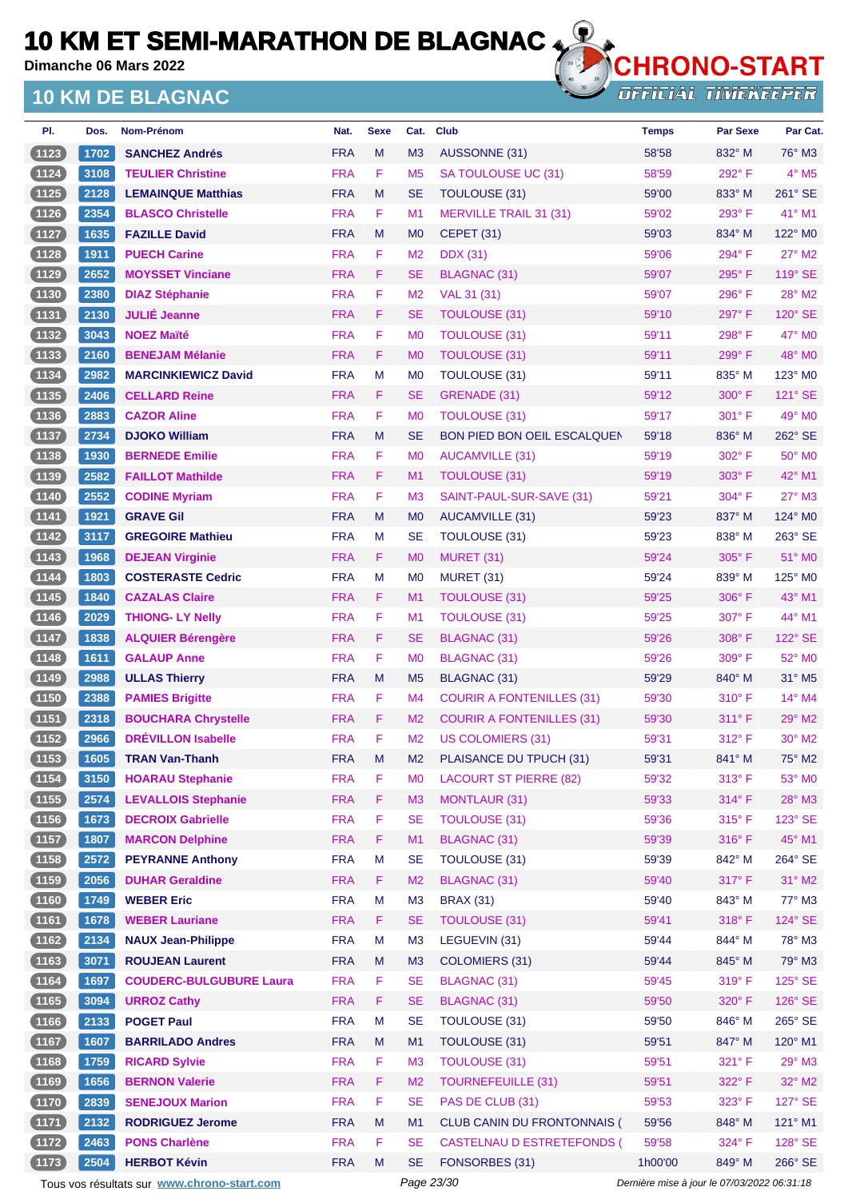**Dimanche 06 Mars 2022**

## **10 KM DE BLAGNAC**



**OFFICIAL TIMEKEEPER** 

| PI.      | Dos. | Nom-Prénom                     | Nat.       | <b>Sexe</b> | Cat.           | <b>Club</b>                        | <b>Temps</b> | <b>Par Sexe</b> | Par Cat.                 |
|----------|------|--------------------------------|------------|-------------|----------------|------------------------------------|--------------|-----------------|--------------------------|
| (1123    | 1702 | <b>SANCHEZ Andrés</b>          | <b>FRA</b> | M           | M <sub>3</sub> | <b>AUSSONNE (31)</b>               | 58'58        | 832° M          | 76° M3                   |
| $(1124)$ | 3108 | <b>TEULIER Christine</b>       | <b>FRA</b> | F           | M <sub>5</sub> | SA TOULOUSE UC (31)                | 58'59        | 292°F           | $4^\circ$ M <sub>5</sub> |
| (1125)   | 2128 | <b>LEMAINQUE Matthias</b>      | <b>FRA</b> | M           | <b>SE</b>      | <b>TOULOUSE (31)</b>               | 59'00        | $833^\circ$ M   | 261° SE                  |
| (1126)   | 2354 | <b>BLASCO Christelle</b>       | <b>FRA</b> | F           | M <sub>1</sub> | <b>MERVILLE TRAIL 31 (31)</b>      | 59'02        | 293° F          | 41° M1                   |
| (1127)   | 1635 | <b>FAZILLE David</b>           | <b>FRA</b> | M           | M <sub>0</sub> | <b>CEPET (31)</b>                  | 59'03        | 834° M          | 122° MO                  |
| (1128)   | 1911 | <b>PUECH Carine</b>            | <b>FRA</b> | F           | M <sub>2</sub> | <b>DDX</b> (31)                    | 59'06        | 294°F           | 27° M2                   |
| (1129)   | 2652 | <b>MOYSSET Vinciane</b>        | <b>FRA</b> | F.          | <b>SE</b>      | <b>BLAGNAC (31)</b>                | 59'07        | $295^\circ$ F   | 119° SE                  |
| (1130)   | 2380 | <b>DIAZ Stéphanie</b>          | <b>FRA</b> | F           | M <sub>2</sub> | VAL 31 (31)                        | 59'07        | 296°F           | 28° M2                   |
| (1131)   | 2130 | <b>JULIÉ Jeanne</b>            | <b>FRA</b> | F           | <b>SE</b>      | <b>TOULOUSE (31)</b>               | 59'10        | 297°F           | 120° SE                  |
| (1132)   | 3043 | <b>NOEZ Maïté</b>              | <b>FRA</b> | F           | M <sub>0</sub> | <b>TOULOUSE (31)</b>               | 59'11        | 298°F           | 47° M0                   |
| (1133)   | 2160 | <b>BENEJAM Mélanie</b>         | <b>FRA</b> | F           | M <sub>0</sub> | TOULOUSE (31)                      | 59'11        | 299°F           | 48° MO                   |
| (1134)   | 2982 | <b>MARCINKIEWICZ David</b>     | <b>FRA</b> | M           | M <sub>0</sub> | <b>TOULOUSE (31)</b>               | 59'11        | 835° M          | 123° M0                  |
| (1135)   | 2406 | <b>CELLARD Reine</b>           | <b>FRA</b> | F           | <b>SE</b>      | GRENADE (31)                       | 59'12        | $300^\circ$ F   | $121^\circ$ SE           |
| (1136)   | 2883 | <b>CAZOR Aline</b>             | <b>FRA</b> | F           | M <sub>0</sub> | <b>TOULOUSE (31)</b>               | 59'17        | $301^\circ$ F   | 49° MO                   |
| (1137)   | 2734 | <b>DJOKO William</b>           | <b>FRA</b> | M           | <b>SE</b>      | <b>BON PIED BON OEIL ESCALQUEN</b> | 59'18        | 836° M          | 262° SE                  |
| (1138)   | 1930 | <b>BERNEDE Emilie</b>          | <b>FRA</b> | F           | M <sub>0</sub> | <b>AUCAMVILLE (31)</b>             | 59'19        | 302° F          | $50^\circ$ MO            |
| (1139)   | 2582 | <b>FAILLOT Mathilde</b>        | <b>FRA</b> | F           | M <sub>1</sub> | <b>TOULOUSE (31)</b>               | 59'19        | $303^\circ$ F   | 42° M1                   |
| (1140)   | 2552 | <b>CODINE Myriam</b>           | <b>FRA</b> | F           | M <sub>3</sub> | SAINT-PAUL-SUR-SAVE (31)           | 59'21        | $304^\circ$ F   | $27^\circ$ M3            |
| (1141)   | 1921 | <b>GRAVE Gil</b>               | <b>FRA</b> | M           | M <sub>0</sub> | <b>AUCAMVILLE (31)</b>             | 59'23        | 837° M          | 124° MO                  |
| (1142)   | 3117 | <b>GREGOIRE Mathieu</b>        | <b>FRA</b> | М           | <b>SE</b>      | <b>TOULOUSE (31)</b>               | 59'23        | 838° M          | $263^\circ$ SE           |
| (1143)   | 1968 | <b>DEJEAN Virginie</b>         | <b>FRA</b> | F           | M <sub>0</sub> | MURET (31)                         | 59'24        | $305^\circ$ F   | 51° MO                   |
| 1144     | 1803 | <b>COSTERASTE Cedric</b>       | <b>FRA</b> | М           | M <sub>0</sub> | MURET (31)                         | 59'24        | $839^\circ$ M   | 125° M <sub>0</sub>      |
| (1145)   | 1840 | <b>CAZALAS Claire</b>          | <b>FRA</b> | F.          | M1             | <b>TOULOUSE (31)</b>               | 59'25        | $306^\circ$ F   | 43° M1                   |
| $(1146)$ | 2029 | <b>THIONG-LY Nelly</b>         | <b>FRA</b> | F           | M1             | TOULOUSE (31)                      | 59'25        | $307^\circ$ F   | 44° M1                   |
| (1147)   | 1838 | <b>ALQUIER Bérengère</b>       | <b>FRA</b> | F           | <b>SE</b>      | <b>BLAGNAC (31)</b>                | 59'26        | $308^\circ$ F   | 122° SE                  |
| (1148)   | 1611 | <b>GALAUP Anne</b>             | <b>FRA</b> | F           | M <sub>0</sub> | BLAGNAC (31)                       | 59'26        | 309° F          | 52° M0                   |
| (1149)   | 2988 | <b>ULLAS Thierry</b>           | <b>FRA</b> | M           | M <sub>5</sub> | BLAGNAC (31)                       | 59'29        | 840° M          | 31° M5                   |
| $(1150)$ | 2388 | <b>PAMIES Brigitte</b>         | <b>FRA</b> | F           | M <sub>4</sub> | <b>COURIR A FONTENILLES (31)</b>   | 59'30        | $310^\circ$ F   | 14° M4                   |
| $(1151)$ | 2318 | <b>BOUCHARA Chrystelle</b>     | <b>FRA</b> | F.          | M <sub>2</sub> | <b>COURIR A FONTENILLES (31)</b>   | 59'30        | $311^\circ$ F   | $29^\circ$ M2            |
| (1152)   | 2966 | <b>DRÉVILLON Isabelle</b>      | <b>FRA</b> | F           | M <sub>2</sub> | <b>US COLOMIERS (31)</b>           | 59'31        | $312^{\circ}$ F | $30^\circ$ M2            |
| (1153)   | 1605 | <b>TRAN Van-Thanh</b>          | <b>FRA</b> | M           | M <sub>2</sub> | PLAISANCE DU TPUCH (31)            | 59'31        | 841° M          | 75° M2                   |
| (1154)   | 3150 | <b>HOARAU Stephanie</b>        | <b>FRA</b> | F           | M <sub>0</sub> | <b>LACOURT ST PIERRE (82)</b>      | 59'32        | 313° F          | 53° MO                   |
| (1155)   | 2574 | <b>LEVALLOIS Stephanie</b>     | <b>FRA</b> | F           | M <sub>3</sub> | <b>MONTLAUR (31)</b>               | 59'33        | 314°F           | 28° M3                   |
| (1156)   | 1673 | <b>DECROIX Gabrielle</b>       | <b>FRA</b> | F           | <b>SE</b>      | <b>TOULOUSE (31)</b>               | 59'36        | 315°F           | 123° SE                  |
| $(1157)$ | 1807 | <b>MARCON Delphine</b>         | <b>FRA</b> | F           | M1             | BLAGNAC (31)                       | 59'39        | 316°F           | 45° M1                   |
| (1158)   | 2572 | <b>PEYRANNE Anthony</b>        | <b>FRA</b> | M           | <b>SE</b>      | TOULOUSE (31)                      | 59'39        | 842° M          | 264° SE                  |
| (1159)   | 2056 | <b>DUHAR Geraldine</b>         | <b>FRA</b> | F           | M <sub>2</sub> | <b>BLAGNAC (31)</b>                | 59'40        | 317°F           | $31^\circ$ M2            |
| (1160)   | 1749 | <b>WEBER Eric</b>              | <b>FRA</b> | M           | M <sub>3</sub> | <b>BRAX (31)</b>                   | 59'40        | 843° M          | $77^\circ$ M3            |
| (1161)   | 1678 | <b>WEBER Lauriane</b>          | <b>FRA</b> | F           | <b>SE</b>      | <b>TOULOUSE (31)</b>               | 59'41        | 318°F           | 124° SE                  |
| (1162)   | 2134 | <b>NAUX Jean-Philippe</b>      | <b>FRA</b> | M           | M3             | LEGUEVIN (31)                      | 59'44        | 844° M          | 78° M3                   |
| (1163)   | 3071 | <b>ROUJEAN Laurent</b>         | <b>FRA</b> | M           | M3             | <b>COLOMIERS (31)</b>              | 59'44        | 845° M          | 79° M3                   |
| $(1164)$ | 1697 | <b>COUDERC-BULGUBURE Laura</b> | <b>FRA</b> | F           | <b>SE</b>      | <b>BLAGNAC (31)</b>                | 59'45        | 319°F           | 125° SE                  |
| (1165)   | 3094 | <b>URROZ Cathy</b>             | <b>FRA</b> | F           | <b>SE</b>      | <b>BLAGNAC (31)</b>                | 59'50        | 320° F          | 126° SE                  |
| (1166)   | 2133 | <b>POGET Paul</b>              | <b>FRA</b> | M           | <b>SE</b>      | TOULOUSE (31)                      | 59'50        | 846° M          | 265° SE                  |
| (1167)   | 1607 | <b>BARRILADO Andres</b>        | <b>FRA</b> | M           | M1             | <b>TOULOUSE (31)</b>               | 59'51        | 847° M          | 120° M1                  |
| (1168)   | 1759 | <b>RICARD Sylvie</b>           | <b>FRA</b> | F           | M3             | <b>TOULOUSE (31)</b>               | 59'51        | 321° F          | 29° M3                   |
| (1169)   | 1656 | <b>BERNON Valerie</b>          | <b>FRA</b> | F           | M <sub>2</sub> | <b>TOURNEFEUILLE (31)</b>          | 59'51        | 322° F          | 32° M2                   |
| (1170)   | 2839 | <b>SENEJOUX Marion</b>         | <b>FRA</b> | F           | <b>SE</b>      | PAS DE CLUB (31)                   | 59'53        | 323° F          | 127° SE                  |
| $(1171)$ | 2132 | <b>RODRIGUEZ Jerome</b>        | <b>FRA</b> | M           | M1             | CLUB CANIN DU FRONTONNAIS (        | 59'56        | 848° M          | $121^\circ$ M1           |
| (1172)   | 2463 | <b>PONS Charlène</b>           | <b>FRA</b> | F           | <b>SE</b>      | <b>CASTELNAU D ESTRETEFONDS (</b>  | 59'58        | 324° F          | 128° SE                  |
| (1173)   | 2504 | <b>HERBOT Kévin</b>            | <b>FRA</b> | M           | <b>SE</b>      | FONSORBES (31)                     | 1h00'00      | 849° M          | 266° SE                  |
|          |      |                                |            |             |                |                                    |              |                 |                          |

Tous vos résultats sur **[www.chrono-start.com](https://www.chrono-start.com/)** Page 23/30 Page 23/30 Dernière mise à jour le 07/03/2022 06:31:18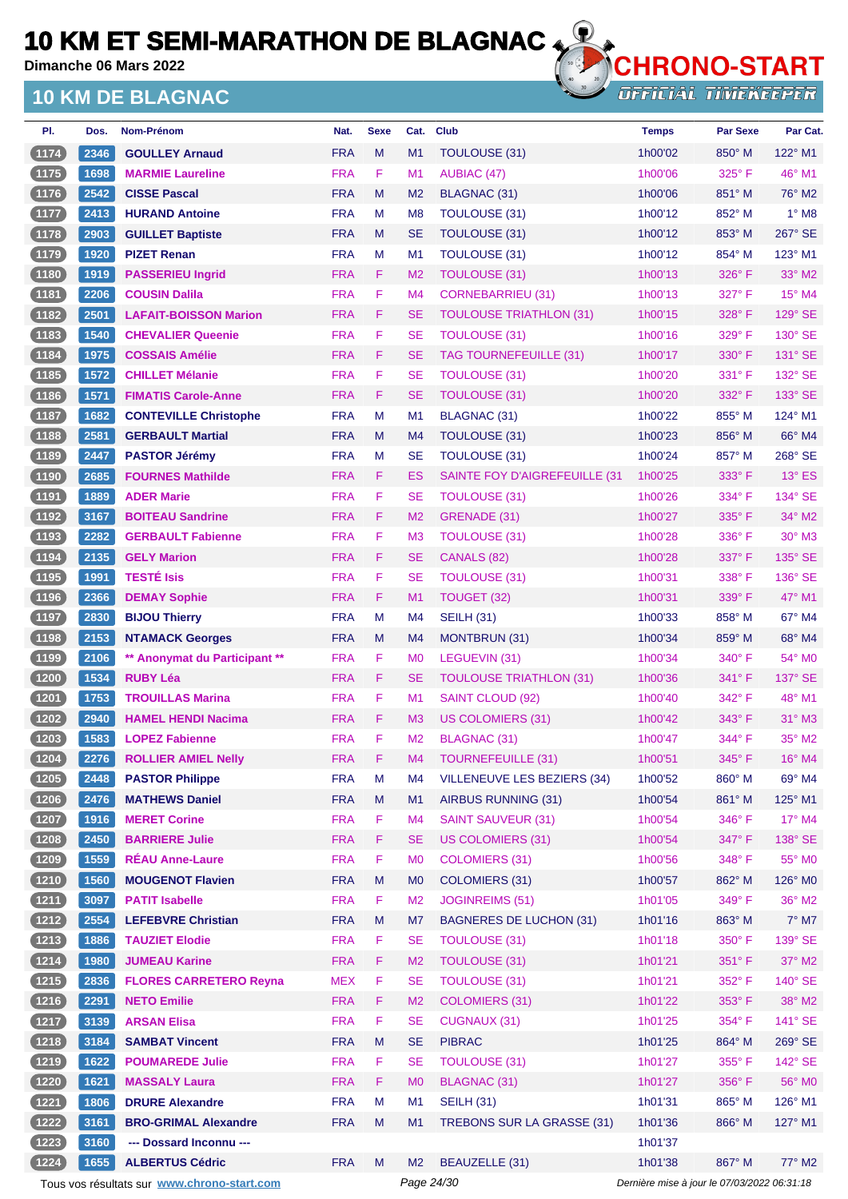**Dimanche 06 Mars 2022**

## **10 KM DE BLAGNAC**



**OFFICIAL TIMEKEEPER** 

| PI.      | Dos. | <b>Nom-Prénom</b>             | Nat.       | <b>Sexe</b> | Cat.           | <b>Club</b>                    | <b>Temps</b> | <b>Par Sexe</b> | Par Cat.        |
|----------|------|-------------------------------|------------|-------------|----------------|--------------------------------|--------------|-----------------|-----------------|
| (1174)   | 2346 | <b>GOULLEY Arnaud</b>         | <b>FRA</b> | M           | M1             | TOULOUSE (31)                  | 1h00'02      | 850° M          | 122° M1         |
| (1175)   | 1698 | <b>MARMIE Laureline</b>       | <b>FRA</b> | F           | M <sub>1</sub> | AUBIAC (47)                    | 1h00'06      | $325^{\circ}$ F | $46^{\circ}$ M1 |
| (1176)   | 2542 | <b>CISSE Pascal</b>           | <b>FRA</b> | M           | M <sub>2</sub> | <b>BLAGNAC (31)</b>            | 1h00'06      | 851° M          | 76° M2          |
| $(1177)$ | 2413 | <b>HURAND Antoine</b>         | <b>FRA</b> | М           | M <sub>8</sub> | TOULOUSE (31)                  | 1h00'12      | 852° M          | $1^\circ$ M8    |
| (1178)   | 2903 | <b>GUILLET Baptiste</b>       | <b>FRA</b> | M           | <b>SE</b>      | <b>TOULOUSE (31)</b>           | 1h00'12      | $853^\circ$ M   | 267° SE         |
| $1179$   | 1920 | <b>PIZET Renan</b>            | <b>FRA</b> | М           | M1             | TOULOUSE (31)                  | 1h00'12      | 854° M          | 123° M1         |
| (1180    | 1919 | <b>PASSERIEU Ingrid</b>       | <b>FRA</b> | F           | M <sub>2</sub> | <b>TOULOUSE (31)</b>           | 1h00'13      | $326^\circ$ F   | $33^\circ$ M2   |
| (1181)   | 2206 | <b>COUSIN Dalila</b>          | <b>FRA</b> | F           | M4             | <b>CORNEBARRIEU (31)</b>       | 1h00'13      | 327° F          | 15° M4          |
| (1182)   | 2501 | <b>LAFAIT-BOISSON Marion</b>  | <b>FRA</b> | F           | <b>SE</b>      | <b>TOULOUSE TRIATHLON (31)</b> | 1h00'15      | 328°F           | 129° SE         |
| (1183)   | 1540 | <b>CHEVALIER Queenie</b>      | <b>FRA</b> | F           | <b>SE</b>      | <b>TOULOUSE (31)</b>           | 1h00'16      | 329° F          | 130° SE         |
| (1184)   | 1975 | <b>COSSAIS Amélie</b>         | <b>FRA</b> | F           | <b>SE</b>      | <b>TAG TOURNEFEUILLE (31)</b>  | 1h00'17      | $330^\circ$ F   | $131^\circ$ SE  |
| (1185)   | 1572 | <b>CHILLET Mélanie</b>        | <b>FRA</b> | F           | <b>SE</b>      | TOULOUSE (31)                  | 1h00'20      | 331° F          | 132° SE         |
| (1186)   | 1571 | <b>FIMATIS Carole-Anne</b>    | <b>FRA</b> | F           | <b>SE</b>      | TOULOUSE (31)                  | 1h00'20      | $332^\circ$ F   | 133° SE         |
| 1187     | 1682 | <b>CONTEVILLE Christophe</b>  | <b>FRA</b> | м           | M1             | <b>BLAGNAC (31)</b>            | 1h00'22      | 855° M          | $124^\circ$ M1  |
| (1188)   | 2581 | <b>GERBAULT Martial</b>       | <b>FRA</b> | M           | M4             | TOULOUSE (31)                  | 1h00'23      | 856° M          | 66° M4          |
| $1189$   | 2447 | <b>PASTOR Jérémy</b>          | <b>FRA</b> | м           | <b>SE</b>      | TOULOUSE (31)                  | 1h00'24      | 857° M          | 268° SE         |
| (1190    | 2685 | <b>FOURNES Mathilde</b>       | <b>FRA</b> | F           | ES             | SAINTE FOY D'AIGREFEUILLE (31  | 1h00'25      | $333^\circ$ F   | $13^\circ$ ES   |
| $(1191$  | 1889 | <b>ADER Marie</b>             | <b>FRA</b> | F           | <b>SE</b>      | TOULOUSE (31)                  | 1h00'26      | 334°F           | 134° SE         |
| (1192)   | 3167 | <b>BOITEAU Sandrine</b>       | <b>FRA</b> | F           | M <sub>2</sub> | GRENADE (31)                   | 1h00'27      | 335° F          | 34° M2          |
| (1193)   | 2282 | <b>GERBAULT Fabienne</b>      | <b>FRA</b> | F           | M <sub>3</sub> | TOULOUSE (31)                  | 1h00'28      | $336^\circ$ F   | 30° M3          |
| (1194)   | 2135 | <b>GELY Marion</b>            | <b>FRA</b> | F           | <b>SE</b>      | CANALS (82)                    | 1h00'28      | 337° F          | 135° SE         |
| $1195$   | 1991 | <b>TESTÉ Isis</b>             | <b>FRA</b> | F           | <b>SE</b>      | <b>TOULOUSE (31)</b>           | 1h00'31      | 338°F           | 136° SE         |
| (1196)   | 2366 | <b>DEMAY Sophie</b>           | <b>FRA</b> | F           | M1             | TOUGET (32)                    | 1h00'31      | 339° F          | 47° M1          |
| $1197$   | 2830 | <b>BIJOU Thierry</b>          | <b>FRA</b> | M           | M4             | <b>SEILH (31)</b>              | 1h00'33      | $858^\circ$ M   | $67^\circ$ M4   |
| (1198)   | 2153 | <b>NTAMACK Georges</b>        | <b>FRA</b> | M           | M <sub>4</sub> | MONTBRUN (31)                  | 1h00'34      | $859^\circ$ M   | 68° M4          |
| $1199$   | 2106 | ** Anonymat du Participant ** | <b>FRA</b> | F           | M <sub>0</sub> | LEGUEVIN (31)                  | 1h00'34      | 340°F           | 54° M0          |
| (1200    | 1534 | <b>RUBY Léa</b>               | <b>FRA</b> | F           | <b>SE</b>      | <b>TOULOUSE TRIATHLON (31)</b> | 1h00'36      | 341°F           | 137° SE         |
| (1201    | 1753 | <b>TROUILLAS Marina</b>       | <b>FRA</b> | F           | M1             | SAINT CLOUD (92)               | 1h00'40      | 342° F          | 48° M1          |
| $1202$   | 2940 | <b>HAMEL HENDI Nacima</b>     | <b>FRA</b> | F           | M <sub>3</sub> | US COLOMIERS (31)              | 1h00'42      | 343° F          | $31^\circ$ M3   |
| 1203     | 1583 | <b>LOPEZ Fabienne</b>         | <b>FRA</b> | F           | M <sub>2</sub> | <b>BLAGNAC (31)</b>            | 1h00'47      | 344°F           | $35^\circ$ M2   |
| (1204)   | 2276 | <b>ROLLIER AMIEL Nelly</b>    | <b>FRA</b> | F           | M4             | <b>TOURNEFEUILLE (31)</b>      | 1h00'51      | 345° F          | $16^\circ$ M4   |
| (1205)   | 2448 | <b>PASTOR Philippe</b>        | <b>FRA</b> | M           | M4             | VILLENEUVE LES BEZIERS (34)    | 1h00'52      | 860° M          | 69° M4          |
| (1206)   | 2476 | <b>MATHEWS Daniel</b>         | <b>FRA</b> | M           | M1             | AIRBUS RUNNING (31)            | 1h00'54      | 861° M          | 125° M1         |
| (1207)   | 1916 | <b>MERET Corine</b>           | <b>FRA</b> | F           | M <sub>4</sub> | <b>SAINT SAUVEUR (31)</b>      | 1h00'54      | 346°F           | 17° M4          |
| (1208)   | 2450 | <b>BARRIERE Julie</b>         | <b>FRA</b> | F.          | <b>SE</b>      | <b>US COLOMIERS (31)</b>       | 1h00'54      | 347°F           | 138° SE         |
| (1209    | 1559 | <b>RÉAU Anne-Laure</b>        | <b>FRA</b> | F           | M <sub>0</sub> | <b>COLOMIERS (31)</b>          | 1h00'56      | 348°F           | 55° MO          |
| (1210)   | 1560 | <b>MOUGENOT Flavien</b>       | <b>FRA</b> | M           | M <sub>0</sub> | <b>COLOMIERS (31)</b>          | 1h00'57      | $862^\circ$ M   | 126° M0         |
| (1211)   | 3097 | <b>PATIT Isabelle</b>         | <b>FRA</b> | F           | M <sub>2</sub> | <b>JOGINREIMS (51)</b>         | 1h01'05      | 349° F          | 36° M2          |
| (1212)   | 2554 | <b>LEFEBVRE Christian</b>     | <b>FRA</b> | M           | M7             | <b>BAGNERES DE LUCHON (31)</b> | 1h01'16      | 863° M          | $7^\circ$ M7    |
| (1213)   | 1886 | <b>TAUZIET Elodie</b>         | <b>FRA</b> | F           | <b>SE</b>      | <b>TOULOUSE (31)</b>           | 1h01'18      | 350° F          | 139° SE         |
| (1214)   | 1980 | <b>JUMEAU Karine</b>          | <b>FRA</b> | F.          | M <sub>2</sub> | <b>TOULOUSE (31)</b>           | 1h01'21      | $351^\circ$ F   | $37^\circ$ M2   |
| (1215)   | 2836 | <b>FLORES CARRETERO Reyna</b> | <b>MEX</b> | F           | <b>SE</b>      | <b>TOULOUSE (31)</b>           | 1h01'21      | 352°F           | 140° SE         |
| (1216)   | 2291 | <b>NETO Emilie</b>            | <b>FRA</b> | F.          | M <sub>2</sub> | <b>COLOMIERS (31)</b>          | 1h01'22      | 353° F          | 38° M2          |
| $1217$   | 3139 | <b>ARSAN Elisa</b>            | <b>FRA</b> | F           | <b>SE</b>      | <b>CUGNAUX (31)</b>            | 1h01'25      | 354°F           | 141° SE         |
| (1218)   | 3184 | <b>SAMBAT Vincent</b>         | <b>FRA</b> | M           | <b>SE</b>      | <b>PIBRAC</b>                  | 1h01'25      | 864° M          | 269° SE         |
| (1219)   | 1622 | <b>POUMAREDE Julie</b>        | <b>FRA</b> | F           | <b>SE</b>      | <b>TOULOUSE (31)</b>           | 1h01'27      | $355^{\circ}$ F | $142^\circ$ SE  |
| (1220)   | 1621 | <b>MASSALY Laura</b>          | <b>FRA</b> | F.          | M <sub>0</sub> | <b>BLAGNAC (31)</b>            | 1h01'27      | 356°F           | 56° M0          |
| (1221)   | 1806 | <b>DRURE Alexandre</b>        | <b>FRA</b> | M           | M1             | <b>SEILH (31)</b>              | 1h01'31      | 865° M          | 126° M1         |
| (1222)   | 3161 | <b>BRO-GRIMAL Alexandre</b>   | <b>FRA</b> | M           | M <sub>1</sub> | TREBONS SUR LA GRASSE (31)     | 1h01'36      | $866^\circ$ M   | 127° M1         |
| $1223$   | 3160 | --- Dossard Inconnu ---       |            |             |                |                                | 1h01'37      |                 |                 |
| (1224)   | 1655 | <b>ALBERTUS Cédric</b>        | <b>FRA</b> | M           | M <sub>2</sub> | BEAUZELLE (31)                 | 1h01'38      | 867° M          | 77° M2          |

Tous vos résultats sur **[www.chrono-start.com](https://www.chrono-start.com/)** Page 24/30 Page 24/30 Dernière mise à jour le 07/03/2022 06:31:18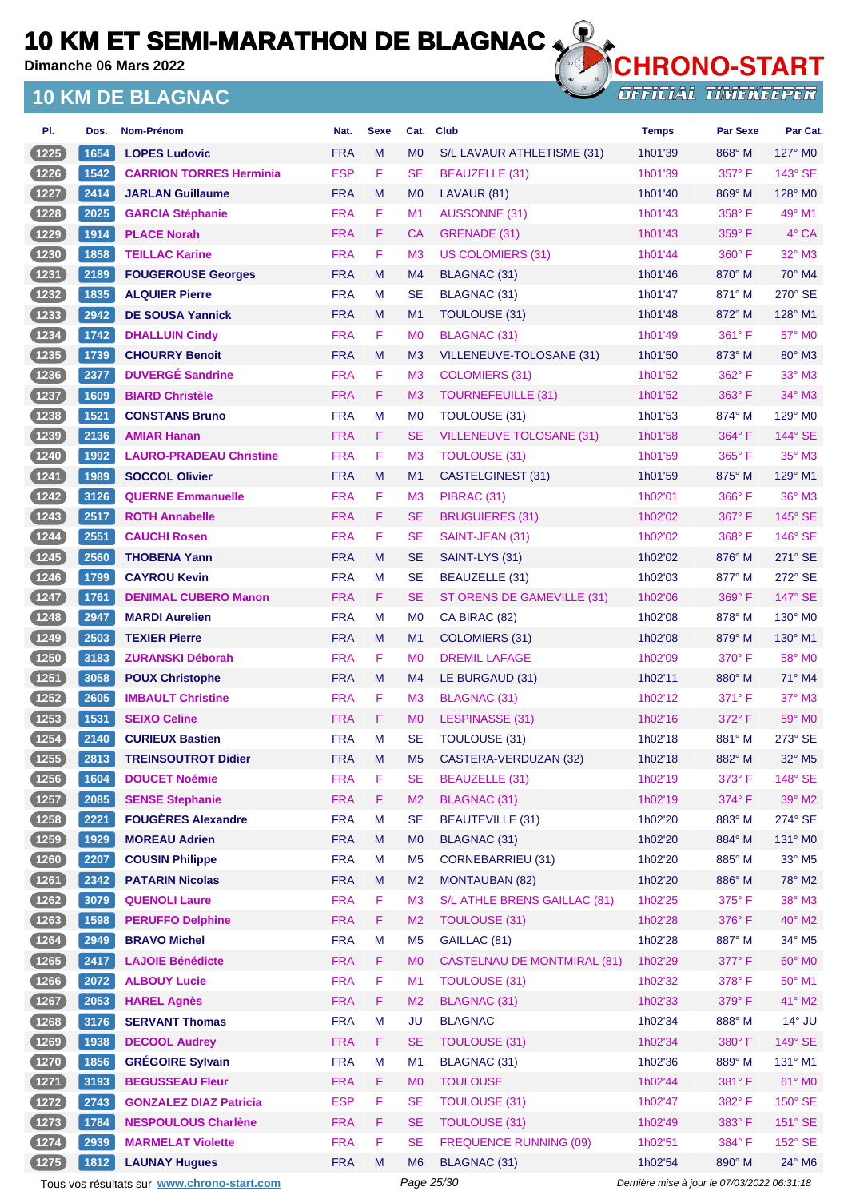**Dimanche 06 Mars 2022**

### **10 KM DE BLAGNAC**



| PI.              | Dos.         | Nom-Prénom                                        | Nat.                     | <b>Sexe</b> | Cat.                        | <b>Club</b>                                    | <b>Temps</b>       | <b>Par Sexe</b>  | Par Cat.                  |
|------------------|--------------|---------------------------------------------------|--------------------------|-------------|-----------------------------|------------------------------------------------|--------------------|------------------|---------------------------|
| (1225)           | 1654         | <b>LOPES Ludovic</b>                              | <b>FRA</b>               | M           | M <sub>0</sub>              | S/L LAVAUR ATHLETISME (31)                     | 1h01'39            | 868° M           | $127^\circ$ MO            |
| (1226)           | 1542         | <b>CARRION TORRES Herminia</b>                    | <b>ESP</b>               | F           | <b>SE</b>                   | BEAUZELLE (31)                                 | 1h01'39            | $357^\circ$ F    | $143^\circ$ SE            |
| (1227            | 2414         | <b>JARLAN Guillaume</b>                           | <b>FRA</b>               | M           | M <sub>0</sub>              | LAVAUR (81)                                    | 1h01'40            | $869^\circ$ M    | 128° M0                   |
| (1228)           | 2025         | <b>GARCIA Stéphanie</b>                           | <b>FRA</b>               | F           | M1                          | <b>AUSSONNE (31)</b>                           | 1h01'43            | $358^{\circ}$ F  | 49° M1                    |
| $1229$           | 1914         | <b>PLACE Norah</b>                                | <b>FRA</b>               | F.          | СA                          | GRENADE (31)                                   | 1h01'43            | $359^\circ$ F    | $4^\circ$ CA              |
| $1230$           | 1858         | <b>TEILLAC Karine</b>                             | <b>FRA</b>               | F.          | M <sub>3</sub>              | <b>US COLOMIERS (31)</b>                       | 1h01'44            | 360° F           | 32° M3                    |
| (1231)           | 2189         | <b>FOUGEROUSE Georges</b>                         | <b>FRA</b>               | M           | M4                          | BLAGNAC (31)                                   | 1h01'46            | $870^\circ$ M    | $70^\circ$ M4             |
| (1232)           | 1835         | <b>ALQUIER Pierre</b>                             | <b>FRA</b>               | M           | SE                          | <b>BLAGNAC (31)</b>                            | 1h01'47            | 871° M           | 270° SE                   |
| (1233)           | 2942         | <b>DE SOUSA Yannick</b>                           | <b>FRA</b>               | M           | M1                          | TOULOUSE (31)                                  | 1h01'48            | $872^\circ$ M    | 128° M1                   |
| $(1234)$         | 1742         | <b>DHALLUIN Cindy</b>                             | <b>FRA</b>               | F           | M <sub>0</sub>              | <b>BLAGNAC (31)</b>                            | 1h01'49            | $361^\circ$ F    | 57° M0                    |
| (1235)           | 1739         | <b>CHOURRY Benoit</b>                             | <b>FRA</b>               | M           | M <sub>3</sub>              | VILLENEUVE-TOLOSANE (31)                       | 1h01'50            | 873° M           | 80° M3                    |
| (1236)           | 2377         | <b>DUVERGÉ Sandrine</b>                           | <b>FRA</b>               | F           | M <sub>3</sub>              | COLOMIERS (31)                                 | 1h01'52            | 362° F           | $33^\circ$ M3             |
| (1237            | 1609         | <b>BIARD Christèle</b>                            | <b>FRA</b>               | F           | M <sub>3</sub>              | TOURNEFEUILLE (31)                             | 1h01'52            | $363^\circ$ F    | 34° M3                    |
| (1238)           | 1521         | <b>CONSTANS Bruno</b>                             | <b>FRA</b>               | M           | M <sub>0</sub>              | <b>TOULOUSE (31)</b>                           | 1h01'53            | $874^\circ$ M    | 129° M0                   |
| (1239)           | 2136         | <b>AMIAR Hanan</b>                                | <b>FRA</b>               | F.          | <b>SE</b>                   | VILLENEUVE TOLOSANE (31)                       | 1h01'58            | $364^\circ$ F    | 144° SE                   |
| (1240)           | 1992         | <b>LAURO-PRADEAU Christine</b>                    | <b>FRA</b>               | F           | M <sub>3</sub>              | TOULOUSE (31)                                  | 1h01'59            | $365^\circ$ F    | $35^\circ$ M3             |
| (1241)           | 1989         | <b>SOCCOL Olivier</b>                             | <b>FRA</b>               | M           | M1                          | CASTELGINEST (31)                              | 1h01'59            | 875° M           | $129^\circ$ M1            |
| (1242)           | 3126         | <b>QUERNE Emmanuelle</b>                          | <b>FRA</b>               | F           | M <sub>3</sub>              | PIBRAC (31)                                    | 1h02'01            | 366°F            | $36^\circ$ M3             |
| (1243)           | 2517         | <b>ROTH Annabelle</b>                             | <b>FRA</b>               | F           | SE                          | <b>BRUGUIERES (31)</b>                         | 1h02'02            | 367°F            | $145^\circ$ SE            |
| (1244)           | 2551         | <b>CAUCHI Rosen</b>                               | <b>FRA</b>               | F           | <b>SE</b>                   | SAINT-JEAN (31)                                | 1h02'02            | $368^{\circ}$ F  | 146° SE                   |
| (1245)           | 2560         | <b>THOBENA Yann</b>                               | <b>FRA</b>               | M           | <b>SE</b>                   | SAINT-LYS (31)                                 | 1h02'02            | 876° M           | $271^\circ$ SE            |
| (1246)           | 1799         | <b>CAYROU Kevin</b>                               | <b>FRA</b>               | м           | <b>SE</b>                   | BEAUZELLE (31)                                 | 1h02'03            | 877° M           | 272° SE                   |
| (1247)           | 1761         | <b>DENIMAL CUBERO Manon</b>                       | <b>FRA</b>               | F.          | SE                          | ST ORENS DE GAMEVILLE (31)                     | 1h02'06            | $369^\circ$ F    | 147° SE                   |
| (1248)           | 2947         | <b>MARDI Aurelien</b>                             | <b>FRA</b>               | M           | M <sub>0</sub>              | CA BIRAC (82)                                  | 1h02'08            | $878^\circ$ M    | $130^\circ$ MO            |
| (1249)           | 2503         | <b>TEXIER Pierre</b>                              | <b>FRA</b>               | M           | M1                          | COLOMIERS (31)                                 | 1h02'08            | $879^\circ$ M    | 130° M1                   |
| (1250)           | 3183         | <b>ZURANSKI Déborah</b>                           | <b>FRA</b>               | F.          | M <sub>0</sub>              | <b>DREMIL LAFAGE</b>                           | 1h02'09            | $370^\circ$ F    | 58° M0                    |
| (1251)           | 3058         | <b>POUX Christophe</b>                            | <b>FRA</b>               | M           | M4                          | LE BURGAUD (31)                                | 1h02'11            | $880^\circ$ M    | 71° M4                    |
| $1252$           | 2605         | <b>IMBAULT Christine</b>                          | <b>FRA</b>               | F.          | M <sub>3</sub>              | <b>BLAGNAC (31)</b>                            | 1h02'12            | $371^\circ$ F    | 37° M3                    |
| (1253)           | 1531         | <b>SEIXO Celine</b>                               | <b>FRA</b>               | F.          | M <sub>0</sub>              | LESPINASSE (31)                                | 1h02'16            | $372^\circ$ F    | 59° M <sub>0</sub>        |
| $1254$           | 2140         | <b>CURIEUX Bastien</b>                            | <b>FRA</b>               | M           | <b>SE</b>                   | TOULOUSE (31)                                  | 1h02'18            | 881° M           | 273° SE                   |
| (1255)           | 2813         | <b>TREINSOUTROT Didier</b>                        | <b>FRA</b>               | M           | M <sub>5</sub>              | CASTERA-VERDUZAN (32)                          | 1h02'18            | 882° M           | $32^{\circ}$ M5           |
| (1256)           | 1604         | <b>DOUCET Noémie</b>                              | <b>FRA</b>               | F           | <b>SE</b>                   | BEAUZELLE (31)                                 | 1h02'19            | 373° F           | 148° SE                   |
| (1257)           | 2085         | <b>SENSE Stephanie</b>                            | <b>FRA</b>               | F           | M <sub>2</sub>              | <b>BLAGNAC (31)</b>                            | 1h02'19            | 374° F           | 39° M2                    |
| (1258)           | 2221         | <b>FOUGÈRES Alexandre</b><br><b>MOREAU Adrien</b> | <b>FRA</b><br><b>FRA</b> | M<br>M      | <b>SE</b><br>M <sub>0</sub> | <b>BEAUTEVILLE (31)</b><br><b>BLAGNAC (31)</b> | 1h02'20<br>1h02'20 | 883° M<br>884° M | 274° SE<br>131° MO        |
| (1259)<br>(1260) | 1929<br>2207 |                                                   | <b>FRA</b>               | M           | M <sub>5</sub>              | <b>CORNEBARRIEU (31)</b>                       | 1h02'20            | 885° M           | 33° M5                    |
| (1261)           | 2342         | <b>COUSIN Philippe</b><br><b>PATARIN Nicolas</b>  | <b>FRA</b>               | M           | M <sub>2</sub>              | <b>MONTAUBAN (82)</b>                          | 1h02'20            | 886° M           | 78° M2                    |
| (1262)           | 3079         | <b>QUENOLI Laure</b>                              | <b>FRA</b>               | F           | M <sub>3</sub>              | S/L ATHLE BRENS GAILLAC (81)                   | 1h02'25            | $375^{\circ}$ F  | $38^\circ$ M3             |
| (1263)           | 1598         | <b>PERUFFO Delphine</b>                           | <b>FRA</b>               | F           | M <sub>2</sub>              | <b>TOULOUSE (31)</b>                           | 1h02'28            | 376°F            | 40° M2                    |
| (1264)           | 2949         | <b>BRAVO Michel</b>                               | <b>FRA</b>               | M           | M <sub>5</sub>              | GAILLAC (81)                                   | 1h02'28            | 887° M           | $34^\circ$ M <sub>5</sub> |
| (1265)           | 2417         | <b>LAJOIE Bénédicte</b>                           | <b>FRA</b>               | F.          | M <sub>0</sub>              | <b>CASTELNAU DE MONTMIRAL (81)</b>             | 1h02'29            | 377°F            | 60° MO                    |
| (1266)           | 2072         | <b>ALBOUY Lucie</b>                               | <b>FRA</b>               | F           | M1                          | <b>TOULOUSE (31)</b>                           | 1h02'32            | 378°F            | 50° M1                    |
| (1267)           | 2053         | <b>HAREL Agnès</b>                                | <b>FRA</b>               | F           | M <sub>2</sub>              | <b>BLAGNAC (31)</b>                            | 1h02'33            | 379° F           | 41° M2                    |
| (1268)           | 3176         | <b>SERVANT Thomas</b>                             | <b>FRA</b>               | M           | <b>JU</b>                   | <b>BLAGNAC</b>                                 | 1h02'34            | 888° M           | $14^{\circ}$ JU           |
| (1269)           | 1938         | <b>DECOOL Audrey</b>                              | <b>FRA</b>               | F           | <b>SE</b>                   | <b>TOULOUSE (31)</b>                           | 1h02'34            | 380° F           | 149° SE                   |
| (1270)           | 1856         | <b>GRÉGOIRE Sylvain</b>                           | <b>FRA</b>               | M           | M1                          | BLAGNAC (31)                                   | 1h02'36            | 889° M           | 131° M1                   |
| (1271)           | 3193         | <b>BEGUSSEAU Fleur</b>                            | <b>FRA</b>               | F.          | M <sub>0</sub>              | <b>TOULOUSE</b>                                | 1h02'44            | 381°F            | 61° MO                    |
| (1272)           | 2743         | <b>GONZALEZ DIAZ Patricia</b>                     | <b>ESP</b>               | F           | <b>SE</b>                   | <b>TOULOUSE (31)</b>                           | 1h02'47            | 382° F           | 150° SE                   |
| (1273)           | 1784         | <b>NESPOULOUS Charlène</b>                        | <b>FRA</b>               | F           | <b>SE</b>                   | <b>TOULOUSE (31)</b>                           | 1h02'49            | 383° F           | 151° SE                   |
| (1274)           | 2939         | <b>MARMELAT Violette</b>                          | <b>FRA</b>               | F           | <b>SE</b>                   | <b>FREQUENCE RUNNING (09)</b>                  | 1h02'51            | 384° F           | 152° SE                   |
| (1275)           | 1812         | <b>LAUNAY Hugues</b>                              | <b>FRA</b>               | M           | M <sub>6</sub>              | BLAGNAC (31)                                   | 1h02'54            | 890° M           | 24° M6                    |
|                  |              |                                                   |                          |             |                             |                                                |                    |                  |                           |

Tous vos résultats sur **[www.chrono-start.com](https://www.chrono-start.com/)** Page 25/30 Dernière mise à jour le 07/03/2022 06:31:18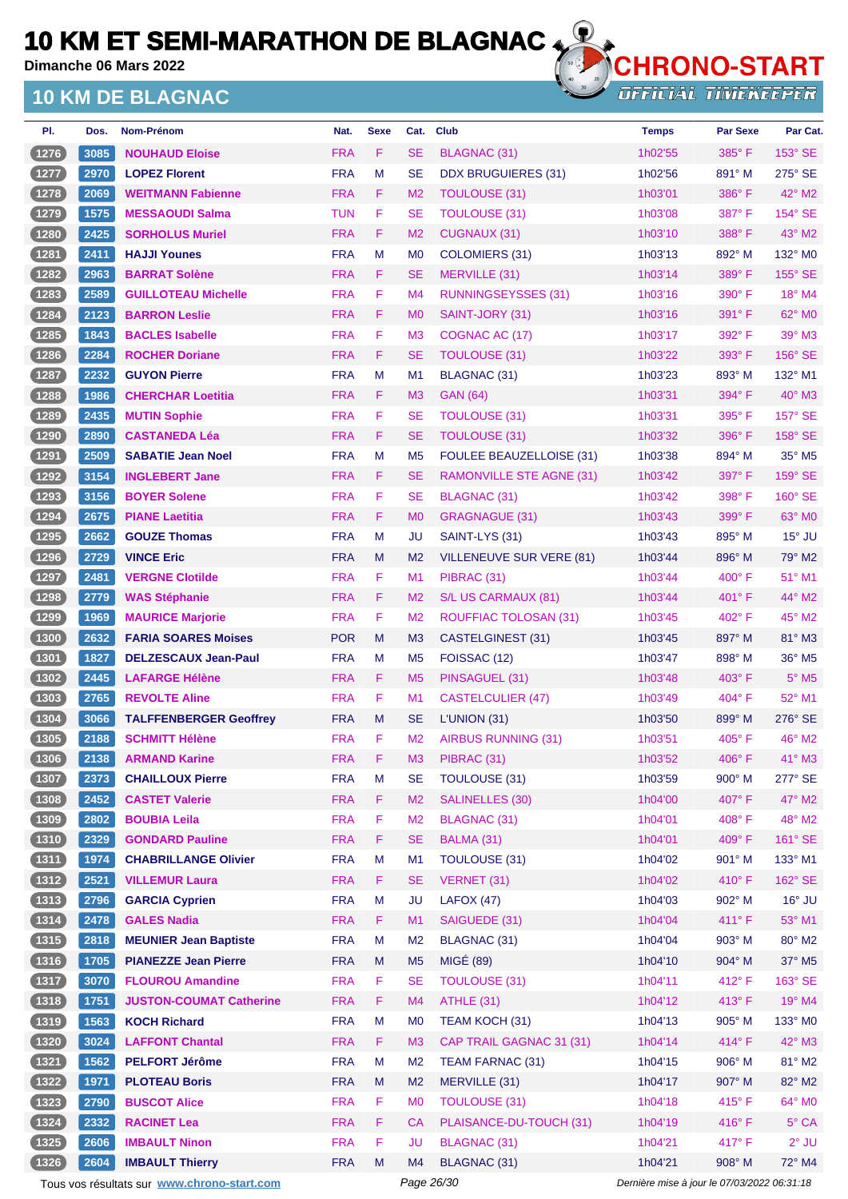**Dimanche 06 Mars 2022**

### **10 KM DE BLAGNAC**



**OFFICIAL TIMEKEEPER** 

| PI.            | Dos. | Nom-Prénom                     | Nat.       | <b>Sexe</b> | Cat.           | <b>Club</b>                     | <b>Temps</b> | <b>Par Sexe</b> | Par Cat.        |
|----------------|------|--------------------------------|------------|-------------|----------------|---------------------------------|--------------|-----------------|-----------------|
| 1276           | 3085 | <b>NOUHAUD Eloise</b>          | <b>FRA</b> | F           | <b>SE</b>      | <b>BLAGNAC (31)</b>             | 1h02'55      | $385^\circ$ F   | 153° SE         |
| $1277$         | 2970 | <b>LOPEZ Florent</b>           | <b>FRA</b> | M           | <b>SE</b>      | <b>DDX BRUGUIERES (31)</b>      | 1h02'56      | 891° M          | $275^\circ$ SE  |
| (1278)         | 2069 | <b>WEITMANN Fabienne</b>       | <b>FRA</b> | F           | M <sub>2</sub> | <b>TOULOUSE (31)</b>            | 1h03'01      | 386°F           | $42^{\circ}$ M2 |
| 1279           | 1575 | <b>MESSAOUDI Salma</b>         | <b>TUN</b> | F           | <b>SE</b>      | <b>TOULOUSE (31)</b>            | 1h03'08      | 387°F           | 154° SE         |
| (1280          | 2425 | <b>SORHOLUS Muriel</b>         | <b>FRA</b> | F.          | M <sub>2</sub> | CUGNAUX (31)                    | 1h03'10      | 388°F           | $43^\circ$ M2   |
| (1281)         | 2411 | <b>HAJJI Younes</b>            | <b>FRA</b> | M           | M <sub>0</sub> | COLOMIERS (31)                  | 1h03'13      | 892° M          | 132° MO         |
| (1282)         | 2963 | <b>BARRAT Solène</b>           | <b>FRA</b> | F           | <b>SE</b>      | MERVILLE (31)                   | 1h03'14      | 389°F           | 155° SE         |
| (1283)         | 2589 | <b>GUILLOTEAU Michelle</b>     | <b>FRA</b> | F           | M4             | RUNNINGSEYSSES (31)             | 1h03'16      | $390^\circ$ F   | $18^\circ$ M4   |
| (1284)         | 2123 | <b>BARRON Leslie</b>           | <b>FRA</b> | F.          | M <sub>0</sub> | SAINT-JORY (31)                 | 1h03'16      | $391^\circ$ F   | 62° MO          |
| (1285)         | 1843 | <b>BACLES Isabelle</b>         | <b>FRA</b> | F           | M <sub>3</sub> | COGNAC AC (17)                  | 1h03'17      | 392° F          | 39° M3          |
| 1286           | 2284 | <b>ROCHER Doriane</b>          | <b>FRA</b> | F           | <b>SE</b>      | <b>TOULOUSE (31)</b>            | 1h03'22      | 393° F          | 156° SE         |
| 1287           | 2232 | <b>GUYON Pierre</b>            | <b>FRA</b> | M           | M <sub>1</sub> | BLAGNAC (31)                    | 1h03'23      | 893° M          | 132° M1         |
| (1288)         | 1986 | <b>CHERCHAR Loetitia</b>       | <b>FRA</b> | F.          | M <sub>3</sub> | <b>GAN (64)</b>                 | 1h03'31      | 394° F          | $40^\circ$ M3   |
| 1289           | 2435 | <b>MUTIN Sophie</b>            | <b>FRA</b> | F           | <b>SE</b>      | <b>TOULOUSE (31)</b>            | 1h03'31      | $395^\circ$ F   | 157° SE         |
| 1290           | 2890 | <b>CASTANEDA Léa</b>           | <b>FRA</b> | F           | <b>SE</b>      | <b>TOULOUSE (31)</b>            | 1h03'32      | 396°F           | 158° SE         |
| 1291           | 2509 | <b>SABATIE Jean Noel</b>       | <b>FRA</b> | M           | M <sub>5</sub> | <b>FOULEE BEAUZELLOISE (31)</b> | 1h03'38      | 894° M          | 35° M5          |
| (1292)         | 3154 | <b>INGLEBERT Jane</b>          | <b>FRA</b> | F.          | <b>SE</b>      | RAMONVILLE STE AGNE (31)        | 1h03'42      | $397^\circ$ F   | $159^\circ$ SE  |
| 1293           | 3156 | <b>BOYER Solene</b>            | <b>FRA</b> | F           | <b>SE</b>      | BLAGNAC (31)                    | 1h03'42      | 398°F           | 160° SE         |
| (1294          | 2675 | <b>PIANE Laetitia</b>          | <b>FRA</b> | F           | M <sub>0</sub> | GRAGNAGUE (31)                  | 1h03'43      | $399^\circ$ F   | 63° MO          |
| 1295           | 2662 | <b>GOUZE Thomas</b>            | <b>FRA</b> | M           | JU             | SAINT-LYS (31)                  | 1h03'43      | 895° M          | $15^\circ$ JU   |
| (1296)         | 2729 | <b>VINCE Eric</b>              | <b>FRA</b> | M           | M <sub>2</sub> | VILLENEUVE SUR VERE (81)        | 1h03'44      | 896° M          | 79° M2          |
| $1297$         | 2481 | <b>VERGNE Clotilde</b>         | <b>FRA</b> | F           | M <sub>1</sub> | PIBRAC (31)                     | 1h03'44      | $400^\circ$ F   | $51^\circ$ M1   |
| (1298)         | 2779 | <b>WAS Stéphanie</b>           | <b>FRA</b> | F           | M <sub>2</sub> | S/L US CARMAUX (81)             | 1h03'44      | $401^{\circ}$ F | 44° M2          |
| 1299           | 1969 | <b>MAURICE Marjorie</b>        | <b>FRA</b> | F           | M <sub>2</sub> | ROUFFIAC TOLOSAN (31)           | 1h03'45      | $402^{\circ}$ F | 45° M2          |
| (1300)         | 2632 | <b>FARIA SOARES Moises</b>     | <b>POR</b> | M           | M <sub>3</sub> | CASTELGINEST (31)               | 1h03'45      | 897° M          | 81° M3          |
| $1301$         | 1827 | <b>DELZESCAUX Jean-Paul</b>    | <b>FRA</b> | М           | M <sub>5</sub> | FOISSAC (12)                    | 1h03'47      | 898° M          | 36° M5          |
| (1302)         | 2445 | <b>LAFARGE Hélène</b>          | <b>FRA</b> | F           | M <sub>5</sub> | PINSAGUEL (31)                  | 1h03'48      | $403^\circ$ F   | $5^\circ$ M5    |
| (1303)         | 2765 | <b>REVOLTE Aline</b>           | <b>FRA</b> | F           | M1             | <b>CASTELCULIER (47)</b>        | 1h03'49      | $404^\circ$ F   | 52° M1          |
| (1304)         | 3066 | <b>TALFFENBERGER Geoffrey</b>  | <b>FRA</b> | M           | <b>SE</b>      | L'UNION (31)                    | 1h03'50      | 899° M          | 276° SE         |
| $1305$         | 2188 | <b>SCHMITT Hélène</b>          | <b>FRA</b> | F           | M <sub>2</sub> | <b>AIRBUS RUNNING (31)</b>      | 1h03'51      | $405^{\circ}$ F | 46° M2          |
| (1306)         | 2138 | <b>ARMAND Karine</b>           | <b>FRA</b> | F           | M3             | PIBRAC (31)                     | 1h03'52      | 406°F           | 41° M3          |
| (1307)         | 2373 | <b>CHAILLOUX Pierre</b>        | <b>FRA</b> | M           | <b>SE</b>      | TOULOUSE (31)                   | 1h03'59      | 900° M          | 277° SE         |
| (1308)         | 2452 | <b>CASTET Valerie</b>          | <b>FRA</b> | F           | M <sub>2</sub> | <b>SALINELLES (30)</b>          | 1h04'00      | 407° F          | 47° M2          |
| $1309$         | 2802 | <b>BOUBIA Leila</b>            | <b>FRA</b> | F           | M <sub>2</sub> | <b>BLAGNAC (31)</b>             | 1h04'01      | 408° F          | 48° M2          |
| (1310)         | 2329 | <b>GONDARD Pauline</b>         | <b>FRA</b> | F           | <b>SE</b>      | BALMA (31)                      | 1h04'01      | 409° F          | 161° SE         |
| (1311)         | 1974 | <b>CHABRILLANGE Olivier</b>    | <b>FRA</b> | M           | M1             | TOULOUSE (31)                   | 1h04'02      | 901° M          | 133° M1         |
| (1312)         | 2521 | <b>VILLEMUR Laura</b>          | <b>FRA</b> | F           | <b>SE</b>      | VERNET (31)                     | 1h04'02      | 410°F           | 162° SE         |
| (1313)         | 2796 | <b>GARCIA Cyprien</b>          | <b>FRA</b> | M           | <b>JU</b>      | LAFOX(47)                       | 1h04'03      | 902° M          | $16^\circ$ JU   |
| (1314)         | 2478 | <b>GALES Nadia</b>             | <b>FRA</b> | F           | M1             | SAIGUEDE (31)                   | 1h04'04      | 411°F           | 53° M1          |
| (1315)         | 2818 | <b>MEUNIER Jean Baptiste</b>   | <b>FRA</b> | M           | M <sub>2</sub> | <b>BLAGNAC (31)</b>             | 1h04'04      | 903° M          | 80° M2          |
| (1316)         | 1705 | <b>PIANEZZE Jean Pierre</b>    | <b>FRA</b> | M           | M <sub>5</sub> | <b>MIGÉ (89)</b>                | 1h04'10      | 904° M          | 37° M5          |
| (1317)         | 3070 | <b>FLOUROU Amandine</b>        | <b>FRA</b> | F           | <b>SE</b>      | <b>TOULOUSE (31)</b>            | 1h04'11      | 412°F           | 163° SE         |
| (1318)         | 1751 | <b>JUSTON-COUMAT Catherine</b> | <b>FRA</b> | F           | M4             | ATHLE (31)                      | 1h04'12      | 413° F          | 19° M4          |
| (1319)         | 1563 | <b>KOCH Richard</b>            | <b>FRA</b> | M           | M <sub>0</sub> | TEAM KOCH (31)                  | 1h04'13      | 905° M          | 133° M0         |
| (1320)         | 3024 | <b>LAFFONT Chantal</b>         | <b>FRA</b> | F.          | M <sub>3</sub> | CAP TRAIL GAGNAC 31 (31)        | 1h04'14      | 414°F           | 42° M3          |
| (1321)         | 1562 | <b>PELFORT Jérôme</b>          | <b>FRA</b> | M           | M <sub>2</sub> | TEAM FARNAC (31)                | 1h04'15      | 906° M          | 81° M2          |
| (1322)         | 1971 | <b>PLOTEAU Boris</b>           | <b>FRA</b> | M           | M <sub>2</sub> | MERVILLE (31)                   | 1h04'17      | 907° M          | 82° M2          |
| $[1323]$       | 2790 | <b>BUSCOT Alice</b>            | <b>FRA</b> | F           | M <sub>0</sub> | <b>TOULOUSE (31)</b>            | 1h04'18      | 415°F           | 64° M0          |
| (1324)         | 2332 | <b>RACINET Lea</b>             | <b>FRA</b> | F           | <b>CA</b>      | PLAISANCE-DU-TOUCH (31)         | 1h04'19      | 416°F           | 5° CA           |
| $\boxed{1325}$ | 2606 | <b>IMBAULT Ninon</b>           | <b>FRA</b> | F           | JU             | <b>BLAGNAC (31)</b>             | 1h04'21      | 417°F           | $2^{\circ}$ JU  |
| (1326)         | 2604 | <b>IMBAULT Thierry</b>         | <b>FRA</b> | M           | M4             | BLAGNAC (31)                    | 1h04'21      | 908° M          | 72° M4          |

Tous vos résultats sur **[www.chrono-start.com](https://www.chrono-start.com/)** Page 26/30 Page 26/30 Dernière mise à jour le 07/03/2022 06:31:18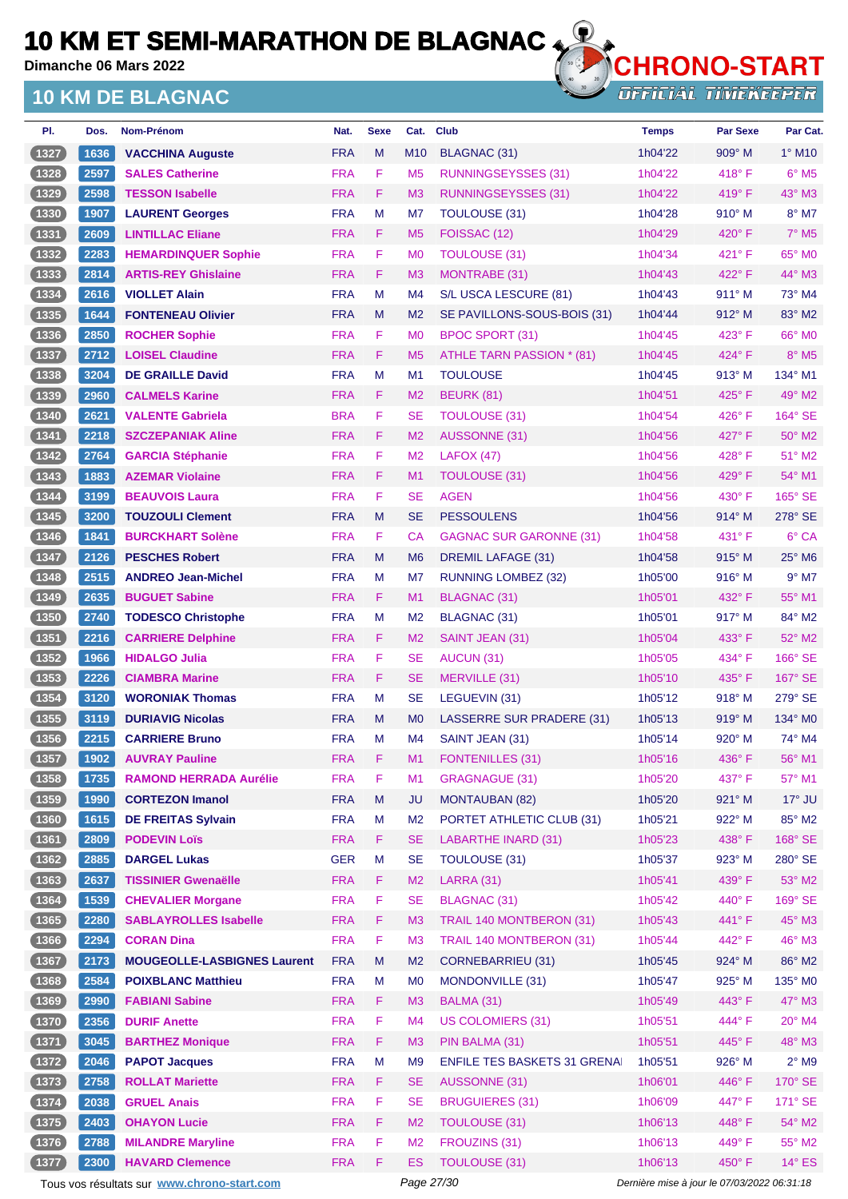**Dimanche 06 Mars 2022**

## **10 KM DE BLAGNAC**



**OFFICIAL TIMEKEEPER** 

| PI.            | Dos. | Nom-Prénom                         | Nat.       | <b>Sexe</b> | Cat.           | <b>Club</b>                         | <b>Temps</b> | <b>Par Sexe</b> | Par Cat.                   |
|----------------|------|------------------------------------|------------|-------------|----------------|-------------------------------------|--------------|-----------------|----------------------------|
| (1327          | 1636 | <b>VACCHINA Auguste</b>            | <b>FRA</b> | M           | M10            | BLAGNAC (31)                        | 1h04'22      | 909° M          | $1^\circ$ M <sub>10</sub>  |
| $1328$         | 2597 | <b>SALES Catherine</b>             | <b>FRA</b> | F           | M <sub>5</sub> | <b>RUNNINGSEYSSES (31)</b>          | 1h04'22      | $418^\circ$ F   | $6^{\circ}$ M <sub>5</sub> |
| (1329)         | 2598 | <b>TESSON Isabelle</b>             | <b>FRA</b> | F.          | M <sub>3</sub> | RUNNINGSEYSSES (31)                 | 1h04'22      | $419^\circ$ F   | 43° M3                     |
| $1330$         | 1907 | <b>LAURENT Georges</b>             | <b>FRA</b> | M           | M7             | <b>TOULOUSE (31)</b>                | 1h04'28      | $910^\circ$ M   | $8^{\circ}$ M7             |
| (1331)         | 2609 | <b>LINTILLAC Eliane</b>            | <b>FRA</b> | F.          | M <sub>5</sub> | FOISSAC (12)                        | 1h04'29      | $420^\circ$ F   | $7^\circ$ M <sub>5</sub>   |
| 1332           | 2283 | <b>HEMARDINQUER Sophie</b>         | <b>FRA</b> | F           | M <sub>0</sub> | <b>TOULOUSE (31)</b>                | 1h04'34      | $421^\circ$ F   | 65° MO                     |
| (1333)         | 2814 | <b>ARTIS-REY Ghislaine</b>         | <b>FRA</b> | F           | M <sub>3</sub> | MONTRABE (31)                       | 1h04'43      | 422° F          | $44^\circ$ M3              |
| 1334           | 2616 | <b>VIOLLET Alain</b>               | <b>FRA</b> | м           | M <sub>4</sub> | S/L USCA LESCURE (81)               | 1h04'43      | 911° M          | 73° M4                     |
| (1335)         | 1644 | <b>FONTENEAU Olivier</b>           | <b>FRA</b> | M           | M <sub>2</sub> | SE PAVILLONS-SOUS-BOIS (31)         | 1h04'44      | $912^{\circ}$ M | 83° M2                     |
| (1336)         | 2850 | <b>ROCHER Sophie</b>               | <b>FRA</b> | F           | M <sub>0</sub> | BPOC SPORT (31)                     | 1h04'45      | $423^\circ$ F   | 66° MO                     |
| (1337)         | 2712 | <b>LOISEL Claudine</b>             | <b>FRA</b> | F.          | M <sub>5</sub> | ATHLE TARN PASSION * (81)           | 1h04'45      | 424°F           | $8^\circ$ M5               |
| $\boxed{1338}$ | 3204 | <b>DE GRAILLE David</b>            | <b>FRA</b> | М           | M <sub>1</sub> | <b>TOULOUSE</b>                     | 1h04'45      | $913^\circ$ M   | 134° M1                    |
| (1339)         | 2960 | <b>CALMELS Karine</b>              | <b>FRA</b> | F.          | M <sub>2</sub> | <b>BEURK (81)</b>                   | 1h04'51      | $425^\circ$ F   | 49° M2                     |
| $1340$         | 2621 | <b>VALENTE Gabriela</b>            | <b>BRA</b> | F           | <b>SE</b>      | <b>TOULOUSE (31)</b>                | 1h04'54      | $426^{\circ}$ F | 164° SE                    |
| (1341)         | 2218 | <b>SZCZEPANIAK Aline</b>           | <b>FRA</b> | F.          | M <sub>2</sub> | <b>AUSSONNE (31)</b>                | 1h04'56      | 427°F           | 50° M2                     |
| 1342           | 2764 | <b>GARCIA Stéphanie</b>            | <b>FRA</b> | F           | M <sub>2</sub> | LAFOX(47)                           | 1h04'56      | $428^\circ$ F   | 51° M2                     |
| (1343)         | 1883 | <b>AZEMAR Violaine</b>             | <b>FRA</b> | F.          | M1             | <b>TOULOUSE (31)</b>                | 1h04'56      | 429°F           | 54° M1                     |
| 1344           | 3199 | <b>BEAUVOIS Laura</b>              | <b>FRA</b> | F           | <b>SE</b>      | <b>AGEN</b>                         | 1h04'56      | $430^\circ$ F   | 165° SE                    |
| (1345)         | 3200 | <b>TOUZOULI Clement</b>            | <b>FRA</b> | M           | <b>SE</b>      | <b>PESSOULENS</b>                   | 1h04'56      | $914^{\circ}$ M | 278° SE                    |
| 1346           | 1841 | <b>BURCKHART Solène</b>            | <b>FRA</b> | F           | <b>CA</b>      | <b>GAGNAC SUR GARONNE (31)</b>      | 1h04'58      | $431^\circ$ F   | 6° CA                      |
| $1347$         | 2126 | <b>PESCHES Robert</b>              | <b>FRA</b> | M           | M <sub>6</sub> | <b>DREMIL LAFAGE (31)</b>           | 1h04'58      | $915^{\circ}$ M | $25^\circ$ M <sub>6</sub>  |
| 1348           | 2515 | <b>ANDREO Jean-Michel</b>          | <b>FRA</b> | M           | M7             | RUNNING LOMBEZ (32)                 | 1h05'00      | $916^\circ$ M   | $9°$ M7                    |
| (1349          | 2635 | <b>BUGUET Sabine</b>               | <b>FRA</b> | F.          | M1             | BLAGNAC (31)                        | 1h05'01      | 432° F          | 55° M1                     |
| $1350$         | 2740 | <b>TODESCO Christophe</b>          | <b>FRA</b> | M           | M <sub>2</sub> | BLAGNAC (31)                        | 1h05'01      | 917° M          | 84° M2                     |
| (1351)         | 2216 | <b>CARRIERE Delphine</b>           | <b>FRA</b> | F           | M <sub>2</sub> | SAINT JEAN (31)                     | 1h05'04      | $433^\circ$ F   | 52° M2                     |
| $1352$         | 1966 | <b>HIDALGO Julia</b>               | <b>FRA</b> | F           | <b>SE</b>      | AUCUN (31)                          | 1h05'05      | 434°F           | 166° SE                    |
| (1353)         | 2226 | <b>CIAMBRA Marine</b>              | <b>FRA</b> | F           | <b>SE</b>      | MERVILLE (31)                       | 1h05'10      | $435^\circ$ F   | 167° SE                    |
| 1354           | 3120 | <b>WORONIAK Thomas</b>             | <b>FRA</b> | м           | <b>SE</b>      | LEGUEVIN (31)                       | 1h05'12      | $918^\circ$ M   | $279^\circ$ SE             |
| (1355)         | 3119 | <b>DURIAVIG Nicolas</b>            | <b>FRA</b> | M           | M <sub>0</sub> | LASSERRE SUR PRADERE (31)           | 1h05'13      | $919°$ M        | $134^\circ$ MO             |
| 1356           | 2215 | <b>CARRIERE Bruno</b>              | <b>FRA</b> | М           | M4             | SAINT JEAN (31)                     | 1h05'14      | $920^\circ$ M   | 74° M4                     |
| (1357)         | 1902 | <b>AUVRAY Pauline</b>              | <b>FRA</b> | F.          | M1             | FONTENILLES (31)                    | 1h05'16      | 436°F           | 56° M1                     |
| $(1358)$       | 1735 | <b>RAMOND HERRADA Aurélie</b>      | <b>FRA</b> | F           | M1             | <b>GRAGNAGUE (31)</b>               | 1h05'20      | 437° F          | 57° M1                     |
| (1359)         | 1990 | <b>CORTEZON Imanol</b>             | <b>FRA</b> | ${\sf M}$   | <b>JU</b>      | <b>MONTAUBAN (82)</b>               | 1h05'20      | 921° M          | $17^\circ$ JU              |
| (1360)         | 1615 | <b>DE FREITAS Sylvain</b>          | <b>FRA</b> | M           | M <sub>2</sub> | PORTET ATHLETIC CLUB (31)           | 1h05'21      | 922° M          | 85° M2                     |
| (1361)         | 2809 | <b>PODEVIN Loïs</b>                | <b>FRA</b> | F           | <b>SE</b>      | <b>LABARTHE INARD (31)</b>          | 1h05'23      | 438°F           | 168° SE                    |
| $(1362)$       | 2885 | <b>DARGEL Lukas</b>                | <b>GER</b> | M           | <b>SE</b>      | TOULOUSE (31)                       | 1h05'37      | 923° M          | 280° SE                    |
| (1363)         | 2637 | <b>TISSINIER Gwenaëlle</b>         | <b>FRA</b> | F.          | M <sub>2</sub> | <b>LARRA (31)</b>                   | 1h05'41      | 439° F          | 53° M2                     |
| (1364)         | 1539 | <b>CHEVALIER Morgane</b>           | <b>FRA</b> | F           | <b>SE</b>      | <b>BLAGNAC (31)</b>                 | 1h05'42      | 440°F           | 169° SE                    |
| (1365)         | 2280 | <b>SABLAYROLLES Isabelle</b>       | <b>FRA</b> | F           | M <sub>3</sub> | TRAIL 140 MONTBERON (31)            | 1h05'43      | $441^\circ$ F   | 45° M3                     |
| $(1366)$       | 2294 | <b>CORAN Dina</b>                  | <b>FRA</b> | F           | M <sub>3</sub> | TRAIL 140 MONTBERON (31)            | 1h05'44      | 442° F          | 46° M3                     |
| (1367)         | 2173 | <b>MOUGEOLLE-LASBIGNES Laurent</b> | <b>FRA</b> | M           | M <sub>2</sub> | CORNEBARRIEU (31)                   | 1h05'45      | $924^{\circ}$ M | 86° M2                     |
| 1368           | 2584 | <b>POIXBLANC Matthieu</b>          | <b>FRA</b> | M           | M <sub>0</sub> | MONDONVILLE (31)                    | 1h05'47      | 925° M          | 135° M0                    |
| (1369)         | 2990 | <b>FABIANI Sabine</b>              | <b>FRA</b> | F           | M <sub>3</sub> | BALMA (31)                          | 1h05'49      | $443^\circ$ F   | 47° M3                     |
| $1370$         | 2356 | <b>DURIF Anette</b>                | <b>FRA</b> | F           | M <sub>4</sub> | <b>US COLOMIERS (31)</b>            | 1h05'51      | 444°F           | 20° M4                     |
| (1371)         | 3045 | <b>BARTHEZ Monique</b>             | <b>FRA</b> | F.          | M <sub>3</sub> | PIN BALMA (31)                      | 1h05'51      | 445°F           | 48° M3                     |
| $(1372)$       | 2046 | <b>PAPOT Jacques</b>               | <b>FRA</b> | M           | M <sub>9</sub> | <b>ENFILE TES BASKETS 31 GRENAI</b> | 1h05'51      | 926° M          | $2°$ M9                    |
| $(1373)$       | 2758 | <b>ROLLAT Mariette</b>             | <b>FRA</b> | F           | <b>SE</b>      | AUSSONNE (31)                       | 1h06'01      | 446°F           | 170° SE                    |
| (1374)         | 2038 | <b>GRUEL Anais</b>                 | <b>FRA</b> | F           | <b>SE</b>      | <b>BRUGUIERES (31)</b>              | 1h06'09      | 447° F          | 171° SE                    |
| $(1375)$       | 2403 | <b>OHAYON Lucie</b>                | <b>FRA</b> | F           | M <sub>2</sub> | <b>TOULOUSE (31)</b>                | 1h06'13      | 448°F           | 54° M2                     |
| 1376           | 2788 | <b>MILANDRE Maryline</b>           | <b>FRA</b> | F           | M <sub>2</sub> | FROUZINS (31)                       | 1h06'13      | 449°F           | 55° M2                     |
| $1377$         | 2300 | <b>HAVARD Clemence</b>             | <b>FRA</b> | F           | <b>ES</b>      | <b>TOULOUSE (31)</b>                | 1h06'13      | 450°F           | $14^{\circ}$ ES            |

Tous vos résultats sur **[www.chrono-start.com](https://www.chrono-start.com/)** Page 27/30 Page 27/30 Dernière mise à jour le 07/03/2022 06:31:18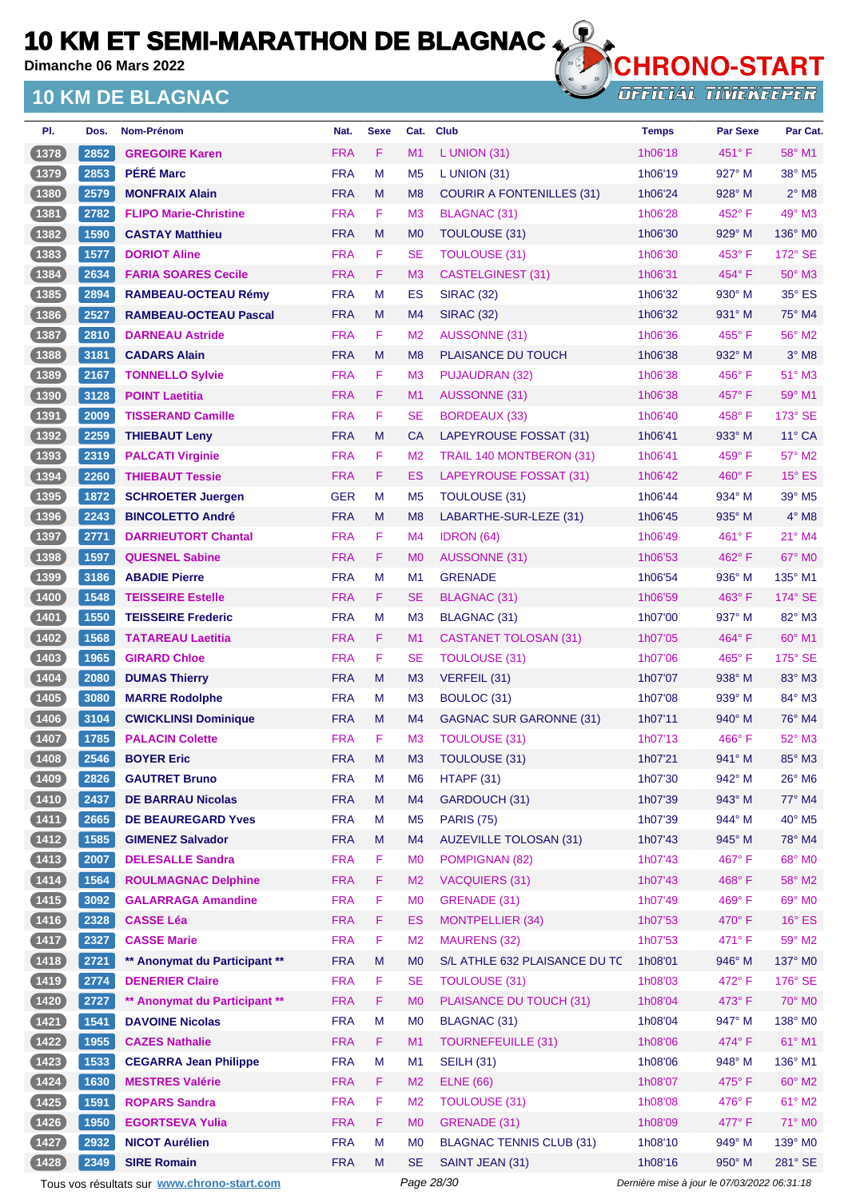**Dimanche 06 Mars 2022**

### **10 KM DE BLAGNAC**



**OFFICIAL TIMEKEEPER** 

| PI.      | Dos. | Nom-Prénom                    | Nat.       | <b>Sexe</b> | Cat.           | <b>Club</b>                      | <b>Temps</b> | <b>Par Sexe</b> | Par Cat.                   |
|----------|------|-------------------------------|------------|-------------|----------------|----------------------------------|--------------|-----------------|----------------------------|
| (1378)   | 2852 | <b>GREGOIRE Karen</b>         | <b>FRA</b> | F           | M1             | L UNION (31)                     | 1h06'18      | $451^\circ$ F   | 58° M1                     |
| 1379     | 2853 | <b>PÉRÉ Marc</b>              | <b>FRA</b> | M           | M <sub>5</sub> | L UNION $(31)$                   | 1h06'19      | $927^\circ$ M   | 38° M5                     |
| (1380)   | 2579 | <b>MONFRAIX Alain</b>         | <b>FRA</b> | M           | M <sub>8</sub> | <b>COURIR A FONTENILLES (31)</b> | 1h06'24      | 928° M          | $2^{\circ}$ M <sub>8</sub> |
| 1381     | 2782 | <b>FLIPO Marie-Christine</b>  | <b>FRA</b> | F           | M <sub>3</sub> | BLAGNAC (31)                     | 1h06'28      | $452^{\circ}$ F | 49° M3                     |
| 1382     | 1590 | <b>CASTAY Matthieu</b>        | <b>FRA</b> | M           | M <sub>0</sub> | TOULOUSE (31)                    | 1h06'30      | $929^\circ$ M   | 136° MO                    |
| 1383     | 1577 | <b>DORIOT Aline</b>           | <b>FRA</b> | F           | <b>SE</b>      | <b>TOULOUSE (31)</b>             | 1h06'30      | 453° F          | 172° SE                    |
| (1384)   | 2634 | <b>FARIA SOARES Cecile</b>    | <b>FRA</b> | F           | M <sub>3</sub> | <b>CASTELGINEST (31)</b>         | 1h06'31      | 454°F           | $50^\circ$ M3              |
| 1385     | 2894 | <b>RAMBEAU-OCTEAU Rémy</b>    | <b>FRA</b> | M           | ES             | <b>SIRAC (32)</b>                | 1h06'32      | $930^\circ$ M   | $35^\circ$ ES              |
| 1386     | 2527 | <b>RAMBEAU-OCTEAU Pascal</b>  | <b>FRA</b> | M           | M <sub>4</sub> | <b>SIRAC (32)</b>                | 1h06'32      | $931^\circ$ M   | 75° M4                     |
| $1387$   | 2810 | <b>DARNEAU Astride</b>        | <b>FRA</b> | F           | M <sub>2</sub> | <b>AUSSONNE (31)</b>             | 1h06'36      | $455^{\circ}$ F | 56° M2                     |
| (1388)   | 3181 | <b>CADARS Alain</b>           | <b>FRA</b> | M           | M <sub>8</sub> | PLAISANCE DU TOUCH               | 1h06'38      | 932° M          | $3°$ M <sub>8</sub>        |
| 1389     | 2167 | <b>TONNELLO Sylvie</b>        | <b>FRA</b> | F           | M <sub>3</sub> | PUJAUDRAN (32)                   | 1h06'38      | $456^{\circ}$ F | 51° M3                     |
| (1390)   | 3128 | <b>POINT Laetitia</b>         | <b>FRA</b> | F           | M1             | <b>AUSSONNE (31)</b>             | 1h06'38      | 457°F           | $59^\circ$ M1              |
| $1391$   | 2009 | <b>TISSERAND Camille</b>      | <b>FRA</b> | F           | <b>SE</b>      | <b>BORDEAUX (33)</b>             | 1h06'40      | $458^{\circ}$ F | 173° SE                    |
| (1392)   | 2259 | <b>THIEBAUT Leny</b>          | <b>FRA</b> | M           | <b>CA</b>      | LAPEYROUSE FOSSAT (31)           | 1h06'41      | 933° M          | 11° CA                     |
| 1393     | 2319 | <b>PALCATI Virginie</b>       | <b>FRA</b> | F           | M <sub>2</sub> | TRAIL 140 MONTBERON (31)         | 1h06'41      | $459^{\circ}$ F | 57° M2                     |
| (1394)   | 2260 | <b>THIEBAUT Tessie</b>        | <b>FRA</b> | F           | ES             | LAPEYROUSE FOSSAT (31)           | 1h06'42      | $460^\circ$ F   | $15^\circ$ ES              |
| (1395)   | 1872 | <b>SCHROETER Juergen</b>      | <b>GER</b> | M           | M <sub>5</sub> | <b>TOULOUSE (31)</b>             | 1h06'44      | $934^\circ$ M   | $39^\circ$ M <sub>5</sub>  |
| (1396)   | 2243 | <b>BINCOLETTO André</b>       | <b>FRA</b> | M           | M <sub>8</sub> | LABARTHE-SUR-LEZE (31)           | 1h06'45      | $935^\circ$ M   | $4^\circ$ M <sub>8</sub>   |
| 1397     | 2771 | <b>DARRIEUTORT Chantal</b>    | <b>FRA</b> | F           | M <sub>4</sub> | <b>IDRON</b> (64)                | 1h06'49      | $461^\circ$ F   | 21° M4                     |
| (1398)   | 1597 | <b>QUESNEL Sabine</b>         | <b>FRA</b> | F           | M <sub>0</sub> | <b>AUSSONNE (31)</b>             | 1h06'53      | 462°F           | 67° MO                     |
| 1399     | 3186 | <b>ABADIE Pierre</b>          | <b>FRA</b> | M           | M <sub>1</sub> | <b>GRENADE</b>                   | 1h06'54      | 936° M          | $135^\circ$ M1             |
| (1400    | 1548 | <b>TEISSEIRE Estelle</b>      | <b>FRA</b> | F           | <b>SE</b>      | BLAGNAC (31)                     | 1h06'59      | $463^\circ$ F   | 174° SE                    |
| $1401$   | 1550 | <b>TEISSEIRE Frederic</b>     | <b>FRA</b> | M           | M <sub>3</sub> | BLAGNAC (31)                     | 1h07'00      | $937^\circ$ M   | 82° M3                     |
| (1402)   | 1568 | <b>TATAREAU Laetitia</b>      | <b>FRA</b> | F           | M <sub>1</sub> | <b>CASTANET TOLOSAN (31)</b>     | 1h07'05      | $464^{\circ}$ F | $60^\circ$ M1              |
| $1403$   | 1965 | <b>GIRARD Chloe</b>           | <b>FRA</b> | F           | <b>SE</b>      | TOULOUSE (31)                    | 1h07'06      | $465^{\circ}$ F | 175° SE                    |
| (1404)   | 2080 | <b>DUMAS Thierry</b>          | <b>FRA</b> | M           | M <sub>3</sub> | VERFEIL (31)                     | 1h07'07      | $938^\circ$ M   | 83° M3                     |
| $1405$   | 3080 | <b>MARRE Rodolphe</b>         | <b>FRA</b> | м           | M <sub>3</sub> | BOULOC (31)                      | 1h07'08      | $939^\circ$ M   | 84° M3                     |
| (1406)   | 3104 | <b>CWICKLINSI Dominique</b>   | <b>FRA</b> | M           | M <sub>4</sub> | <b>GAGNAC SUR GARONNE (31)</b>   | 1h07'11      | $940^\circ$ M   | 76° M4                     |
| 1407     | 1785 | <b>PALACIN Colette</b>        | <b>FRA</b> | F           | M <sub>3</sub> | TOULOUSE (31)                    | 1h07'13      | $466^{\circ}$ F | $52^\circ$ M3              |
| (1408)   | 2546 | <b>BOYER Eric</b>             | <b>FRA</b> | M           | M <sub>3</sub> | <b>TOULOUSE (31)</b>             | 1h07'21      | 941° M          | 85° M3                     |
| (1409)   | 2826 | <b>GAUTRET Bruno</b>          | <b>FRA</b> | M           | M <sub>6</sub> | HTAPF (31)                       | 1h07'30      | 942° M          | $26^\circ$ M6              |
| (1410)   | 2437 | <b>DE BARRAU Nicolas</b>      | <b>FRA</b> | M           | M4             | GARDOUCH (31)                    | 1h07'39      | 943° M          | 77° M4                     |
| (1411)   | 2665 | <b>DE BEAUREGARD Yves</b>     | <b>FRA</b> | M           | M <sub>5</sub> | <b>PARIS (75)</b>                | 1h07'39      | $944^\circ$ M   | 40° M5                     |
| (1412)   | 1585 | <b>GIMENEZ Salvador</b>       | <b>FRA</b> | M           | M4             | <b>AUZEVILLE TOLOSAN (31)</b>    | 1h07'43      | 945° M          | 78° M4                     |
| (1413)   | 2007 | <b>DELESALLE Sandra</b>       | <b>FRA</b> | F           | M <sub>0</sub> | POMPIGNAN (82)                   | 1h07'43      | 467°F           | 68° M0                     |
| (1414)   | 1564 | <b>ROULMAGNAC Delphine</b>    | <b>FRA</b> | F           | M <sub>2</sub> | <b>VACQUIERS (31)</b>            | 1h07'43      | 468°F           | 58° M2                     |
| (1415)   | 3092 | <b>GALARRAGA Amandine</b>     | <b>FRA</b> | F           | M <sub>0</sub> | GRENADE (31)                     | 1h07'49      | 469°F           | 69° M0                     |
| (1416)   | 2328 | <b>CASSE Léa</b>              | <b>FRA</b> | F           | <b>ES</b>      | <b>MONTPELLIER (34)</b>          | 1h07'53      | $470^\circ$ F   | $16^\circ$ ES              |
| (1417)   | 2327 | <b>CASSE Marie</b>            | <b>FRA</b> | F           | M <sub>2</sub> | <b>MAURENS (32)</b>              | 1h07'53      | 471°F           | 59° M2                     |
| (1418)   | 2721 | ** Anonymat du Participant ** | <b>FRA</b> | M           | M <sub>0</sub> | S/L ATHLE 632 PLAISANCE DU TC    | 1h08'01      | 946° M          | 137° MO                    |
| (1419)   | 2774 | <b>DENERIER Claire</b>        | <b>FRA</b> | F           | <b>SE</b>      | <b>TOULOUSE (31)</b>             | 1h08'03      | 472°F           | 176° SE                    |
| (1420)   | 2727 | ** Anonymat du Participant ** | <b>FRA</b> | F           | M <sub>0</sub> | PLAISANCE DU TOUCH (31)          | 1h08'04      | 473° F          | 70° M0                     |
| $1421$   | 1541 | <b>DAVOINE Nicolas</b>        | <b>FRA</b> | M           | M <sub>0</sub> | BLAGNAC (31)                     | 1h08'04      | 947° M          | 138° M0                    |
| (1422)   | 1955 | <b>CAZES Nathalie</b>         | <b>FRA</b> | F           | M1             | <b>TOURNEFEUILLE (31)</b>        | 1h08'06      | 474°F           | 61° M1                     |
| (1423)   | 1533 | <b>CEGARRA Jean Philippe</b>  | <b>FRA</b> | M           | M <sub>1</sub> | <b>SEILH (31)</b>                | 1h08'06      | 948° M          | 136° M1                    |
| (1424)   | 1630 | <b>MESTRES Valérie</b>        | <b>FRA</b> | F           | M <sub>2</sub> | <b>ELNE</b> (66)                 | 1h08'07      | 475°F           | 60° M2                     |
| $(1425)$ | 1591 | <b>ROPARS Sandra</b>          | <b>FRA</b> | F           | M <sub>2</sub> | <b>TOULOUSE (31)</b>             | 1h08'08      | 476°F           | $61^\circ$ M2              |
| (1426)   | 1950 | <b>EGORTSEVA Yulia</b>        | <b>FRA</b> | F           | M <sub>0</sub> | GRENADE (31)                     | 1h08'09      | $477^\circ$ F   | 71° M0                     |
| $1427$   | 2932 | <b>NICOT Aurélien</b>         | <b>FRA</b> | М           | M <sub>0</sub> | <b>BLAGNAC TENNIS CLUB (31)</b>  | 1h08'10      | $949^\circ$ M   | 139° M0                    |
| (1428)   | 2349 | <b>SIRE Romain</b>            | <b>FRA</b> | M           | <b>SE</b>      | SAINT JEAN (31)                  | 1h08'16      | 950° M          | 281° SE                    |
|          |      |                               |            |             |                |                                  |              |                 |                            |

Tous vos résultats sur **[www.chrono-start.com](https://www.chrono-start.com/)** Page 28/30 Page 28/30 Dernière mise à jour le 07/03/2022 06:31:18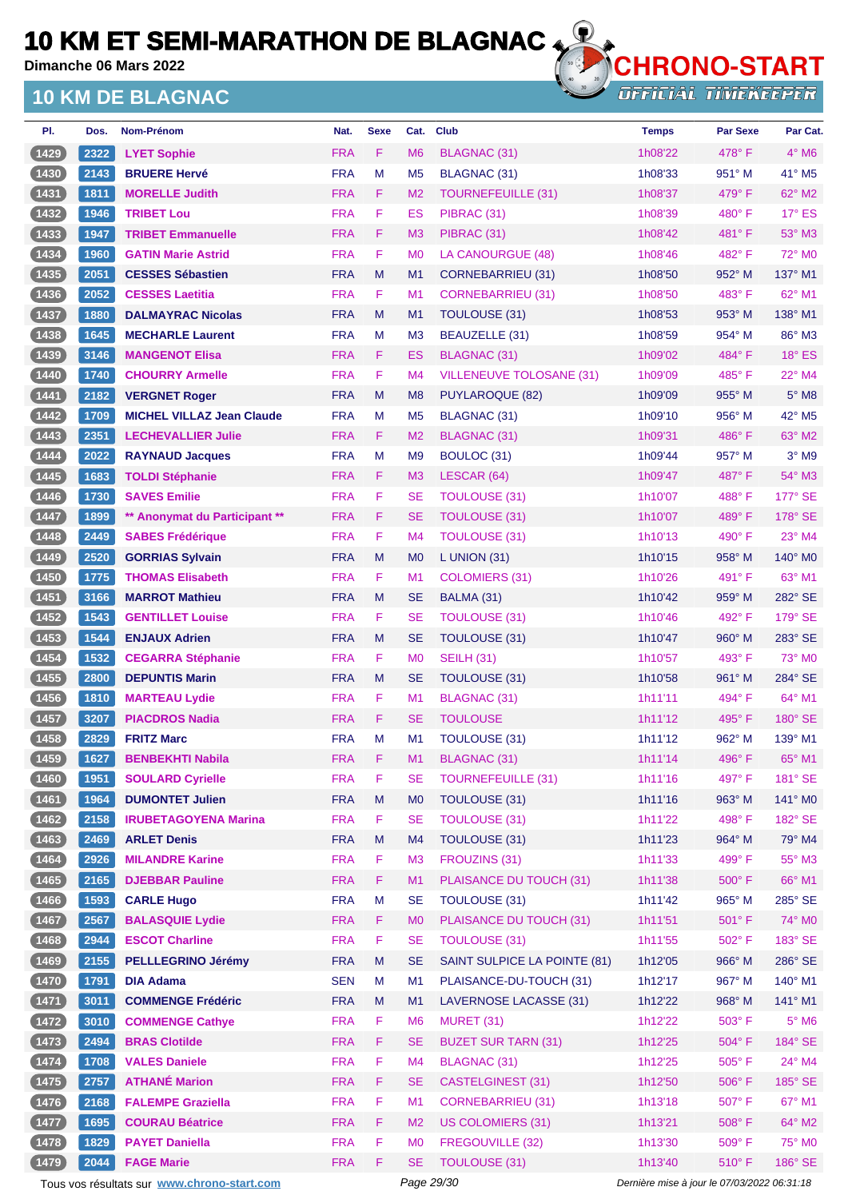**Dimanche 06 Mars 2022**

### **10 KM DE BLAGNAC**



**OFFICIAL TIMEKEEPER** 

| PI.            | Dos. | <b>Nom-Prénom</b>                | Nat.       | <b>Sexe</b> | Cat.           | Club                            | <b>Temps</b> | <b>Par Sexe</b> | Par Cat.                   |
|----------------|------|----------------------------------|------------|-------------|----------------|---------------------------------|--------------|-----------------|----------------------------|
| (1429          | 2322 | <b>LYET Sophie</b>               | <b>FRA</b> | F           | M <sub>6</sub> | BLAGNAC (31)                    | 1h08'22      | $478^\circ$ F   | $4^\circ$ M <sub>6</sub>   |
| $1430$         | 2143 | <b>BRUERE Hervé</b>              | <b>FRA</b> | M           | M <sub>5</sub> | BLAGNAC (31)                    | 1h08'33      | 951° M          | 41° M5                     |
| (1431)         | 1811 | <b>MORELLE Judith</b>            | <b>FRA</b> | F           | M <sub>2</sub> | <b>TOURNEFEUILLE (31)</b>       | 1h08'37      | 479° F          | 62° M2                     |
| 1432           | 1946 | <b>TRIBET Lou</b>                | <b>FRA</b> | F           | ES             | PIBRAC (31)                     | 1h08'39      | 480° F          | 17° ES                     |
| (1433)         | 1947 | <b>TRIBET Emmanuelle</b>         | <b>FRA</b> | F           | M <sub>3</sub> | PIBRAC (31)                     | 1h08'42      | 481°F           | 53° M3                     |
| $(1434)$       | 1960 | <b>GATIN Marie Astrid</b>        | <b>FRA</b> | F           | M <sub>0</sub> | LA CANOURGUE (48)               | 1h08'46      | 482°F           | 72° M0                     |
| (1435)         | 2051 | <b>CESSES Sébastien</b>          | <b>FRA</b> | M           | M <sub>1</sub> | <b>CORNEBARRIEU (31)</b>        | 1h08'50      | 952° M          | 137° M1                    |
| $1436$         | 2052 | <b>CESSES Laetitia</b>           | <b>FRA</b> | F           | M <sub>1</sub> | <b>CORNEBARRIEU (31)</b>        | 1h08'50      | $483^\circ$ F   | 62° M1                     |
| (1437          | 1880 | <b>DALMAYRAC Nicolas</b>         | <b>FRA</b> | M           | M1             | TOULOUSE (31)                   | 1h08'53      | $953^\circ$ M   | 138° M1                    |
| $1438$         | 1645 | <b>MECHARLE Laurent</b>          | <b>FRA</b> | M           | M <sub>3</sub> | BEAUZELLE (31)                  | 1h08'59      | 954° M          | 86° M3                     |
| (1439)         | 3146 | <b>MANGENOT Elisa</b>            | <b>FRA</b> | F.          | ES             | BLAGNAC (31)                    | 1h09'02      | 484°F           | $18^\circ$ ES              |
| $1440$         | 1740 | <b>CHOURRY Armelle</b>           | <b>FRA</b> | F           | M <sub>4</sub> | <b>VILLENEUVE TOLOSANE (31)</b> | 1h09'09      | $485^\circ$ F   | 22° M4                     |
| (1441)         | 2182 | <b>VERGNET Roger</b>             | <b>FRA</b> | M           | M <sub>8</sub> | PUYLAROQUE (82)                 | 1h09'09      | 955° M          | $5^\circ$ M8               |
| $1442$         | 1709 | <b>MICHEL VILLAZ Jean Claude</b> | <b>FRA</b> | M           | M <sub>5</sub> | BLAGNAC (31)                    | 1h09'10      | $956^\circ$ M   | 42° M5                     |
| (1443)         | 2351 | <b>LECHEVALLIER Julie</b>        | <b>FRA</b> | F.          | M <sub>2</sub> | <b>BLAGNAC (31)</b>             | 1h09'31      | 486°F           | 63° M2                     |
| $1444$         | 2022 | <b>RAYNAUD Jacques</b>           | <b>FRA</b> | M           | M <sub>9</sub> | BOULOC (31)                     | 1h09'44      | $957^\circ$ M   | $3°$ M9                    |
| (1445)         | 1683 | <b>TOLDI Stéphanie</b>           | <b>FRA</b> | F.          | M <sub>3</sub> | LESCAR (64)                     | 1h09'47      | 487°F           | 54° M3                     |
| $1446$         | 1730 | <b>SAVES Emilie</b>              | <b>FRA</b> | F           | <b>SE</b>      | <b>TOULOUSE (31)</b>            | 1h10'07      | 488°F           | 177° SE                    |
| (1447)         | 1899 | ** Anonymat du Participant **    | <b>FRA</b> | F.          | <b>SE</b>      | <b>TOULOUSE (31)</b>            | 1h10'07      | 489°F           | $178^\circ$ SE             |
| $\boxed{1448}$ | 2449 | <b>SABES Frédérique</b>          | <b>FRA</b> | F           | M4             | <b>TOULOUSE (31)</b>            | 1h10'13      | $490^\circ$ F   | $23^\circ$ M4              |
| (1449          | 2520 | <b>GORRIAS Sylvain</b>           | <b>FRA</b> | M           | M <sub>0</sub> | $L$ UNION (31)                  | 1h10'15      | 958° M          | $140^\circ$ M <sub>0</sub> |
| $1450$         | 1775 | <b>THOMAS Elisabeth</b>          | <b>FRA</b> | F           | M <sub>1</sub> | COLOMIERS (31)                  | 1h10'26      | 491°F           | $63^\circ$ M1              |
| (1451)         | 3166 | <b>MARROT Mathieu</b>            | <b>FRA</b> | M           | <b>SE</b>      | BALMA (31)                      | 1h10'42      | 959° M          | 282° SE                    |
| $1452$         | 1543 | <b>GENTILLET Louise</b>          | <b>FRA</b> | F           | <b>SE</b>      | TOULOUSE (31)                   | 1h10'46      | 492°F           | 179° SE                    |
| (1453)         | 1544 | <b>ENJAUX Adrien</b>             | <b>FRA</b> | M           | SE             | TOULOUSE (31)                   | 1h10'47      | $960^\circ$ M   | $283^\circ$ SE             |
| 1454           | 1532 | <b>CEGARRA Stéphanie</b>         | <b>FRA</b> | F.          | M <sub>0</sub> | <b>SEILH (31)</b>               | 1h10'57      | $493^\circ$ F   | 73° M0                     |
| (1455)         | 2800 | <b>DEPUNTIS Marin</b>            | <b>FRA</b> | M           | <b>SE</b>      | <b>TOULOUSE (31)</b>            | 1h10'58      | 961° M          | 284° SE                    |
| $1456$         | 1810 | <b>MARTEAU Lydie</b>             | <b>FRA</b> | F           | M <sub>1</sub> | <b>BLAGNAC (31)</b>             | 1h11'11      | 494° F          | $64^{\circ}$ M1            |
| (1457)         | 3207 | <b>PIACDROS Nadia</b>            | <b>FRA</b> | F           | <b>SE</b>      | <b>TOULOUSE</b>                 | 1h11'12      | 495°F           | 180° SE                    |
| 1458           | 2829 | <b>FRITZ Marc</b>                | <b>FRA</b> | M           | M <sub>1</sub> | <b>TOULOUSE (31)</b>            | 1h11'12      | 962° M          | 139° M1                    |
| (1459)         | 1627 | <b>BENBEKHTI Nabila</b>          | <b>FRA</b> | F           | M <sub>1</sub> | <b>BLAGNAC (31)</b>             | 1h11'14      | 496°F           | 65° M1                     |
| (1460)         | 1951 | <b>SOULARD Cyrielle</b>          | <b>FRA</b> | F           | <b>SE</b>      | <b>TOURNEFEUILLE (31)</b>       | 1h11'16      | 497° F          | 181° SE                    |
| (1461)         | 1964 | <b>DUMONTET Julien</b>           | <b>FRA</b> | M           | M <sub>0</sub> | TOULOUSE (31)                   | 1h11'16      | 963° M          | 141° MO                    |
| $1462$         | 2158 | <b>IRUBETAGOYENA Marina</b>      | <b>FRA</b> | F           | <b>SE</b>      | <b>TOULOUSE (31)</b>            | 1h11'22      | 498° F          | 182° SE                    |
| (1463)         | 2469 | <b>ARLET Denis</b>               | <b>FRA</b> | M           | M <sub>4</sub> | TOULOUSE (31)                   | 1h11'23      | 964° M          | 79° M4                     |
| (1464)         | 2926 | <b>MILANDRE Karine</b>           | <b>FRA</b> | F           | M <sub>3</sub> | FROUZINS (31)                   | 1h11'33      | 499°F           | $55^{\circ}$ M3            |
| (1465)         | 2165 | <b>DJEBBAR Pauline</b>           | <b>FRA</b> | F           | M1             | PLAISANCE DU TOUCH (31)         | 1h11'38      | 500° F          | 66° M1                     |
| (1466)         | 1593 | <b>CARLE Hugo</b>                | <b>FRA</b> | M           | <b>SE</b>      | TOULOUSE (31)                   | 1h11'42      | 965° M          | 285° SE                    |
| (1467          | 2567 | <b>BALASQUIE Lydie</b>           | <b>FRA</b> | F           | M <sub>0</sub> | PLAISANCE DU TOUCH (31)         | 1h11'51      | 501°F           | 74° MO                     |
| (1468)         | 2944 | <b>ESCOT Charline</b>            | <b>FRA</b> | F           | <b>SE</b>      | <b>TOULOUSE (31)</b>            | 1h11'55      | 502° F          | 183° SE                    |
| (1469          | 2155 | <b>PELLLEGRINO Jérémy</b>        | <b>FRA</b> | M           | <b>SE</b>      | SAINT SULPICE LA POINTE (81)    | 1h12'05      | 966° M          | 286° SE                    |
| (1470)         | 1791 | <b>DIA Adama</b>                 | <b>SEN</b> | M           | M1             | PLAISANCE-DU-TOUCH (31)         | 1h12'17      | 967° M          | 140° M1                    |
| $(1471)$       | 3011 | <b>COMMENGE Frédéric</b>         | <b>FRA</b> | M           | M1             | LAVERNOSE LACASSE (31)          | 1h12'22      | 968° M          | 141° M1                    |
| (1472)         | 3010 | <b>COMMENGE Cathye</b>           | <b>FRA</b> | F           | M <sub>6</sub> | MURET (31)                      | 1h12'22      | 503° F          | $5^\circ$ M6               |
| (1473)         | 2494 | <b>BRAS Clotilde</b>             | <b>FRA</b> | F           | <b>SE</b>      | <b>BUZET SUR TARN (31)</b>      | 1h12'25      | $504^{\circ}$ F | 184° SE                    |
| (1474)         | 1708 | <b>VALES Daniele</b>             | <b>FRA</b> | F           | M <sub>4</sub> | <b>BLAGNAC (31)</b>             | 1h12'25      | $505^{\circ}$ F | 24° M4                     |
| (1475)         | 2757 | <b>ATHANÉ Marion</b>             | <b>FRA</b> | F.          | <b>SE</b>      | <b>CASTELGINEST (31)</b>        | 1h12'50      | 506°F           | 185° SE                    |
| (1476)         | 2168 | <b>FALEMPE Graziella</b>         | <b>FRA</b> | F           | M1             | <b>CORNEBARRIEU (31)</b>        | 1h13'18      | 507°F           | 67° M1                     |
| (1477)         | 1695 | <b>COURAU Béatrice</b>           | <b>FRA</b> | F           | M <sub>2</sub> | <b>US COLOMIERS (31)</b>        | 1h13'21      | 508°F           | 64° M2                     |
| (1478)         | 1829 | <b>PAYET Daniella</b>            | <b>FRA</b> | F           | M <sub>0</sub> | FREGOUVILLE (32)                | 1h13'30      | 509°F           | 75° M0                     |
| (1479          | 2044 | <b>FAGE Marie</b>                | <b>FRA</b> | F           | <b>SE</b>      | <b>TOULOUSE (31)</b>            | 1h13'40      | 510°F           | 186° SE                    |
|                |      |                                  |            |             |                |                                 |              |                 |                            |

Tous vos résultats sur **[www.chrono-start.com](https://www.chrono-start.com/)** Page 29/30 Page 29/30 Dernière mise à jour le 07/03/2022 06:31:18